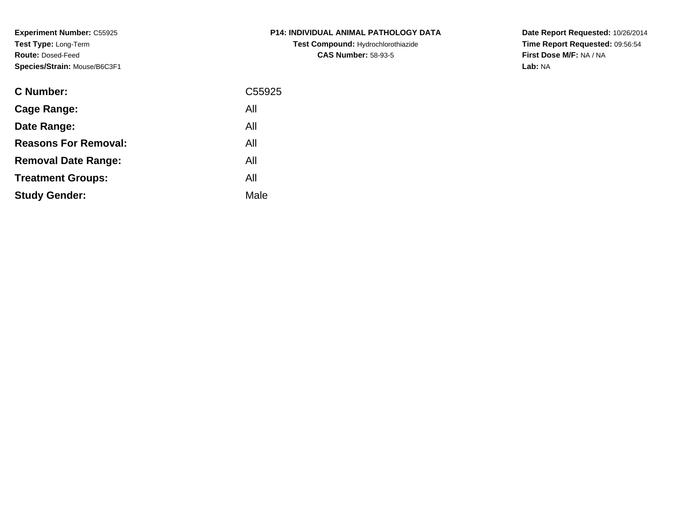**Experiment Number:** C55925**Test Type:** Long-Term**Route:** Dosed-Feed**Species/Strain:** Mouse/B6C3F1

| <b>C Number:</b>            | C55925 |
|-----------------------------|--------|
| <b>Cage Range:</b>          | All    |
| Date Range:                 | All    |
| <b>Reasons For Removal:</b> | All    |
| <b>Removal Date Range:</b>  | All    |
| <b>Treatment Groups:</b>    | All    |
| <b>Study Gender:</b>        | Male   |
|                             |        |

**P14: INDIVIDUAL ANIMAL PATHOLOGY DATATest Compound:** Hydrochlorothiazide**CAS Number:** 58-93-5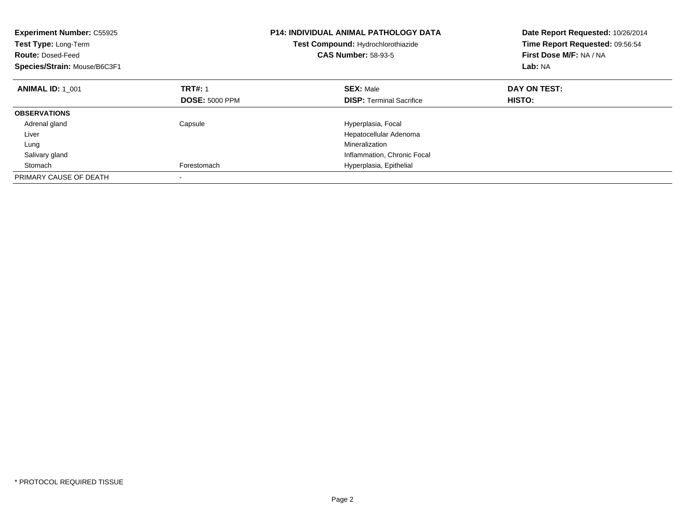| <b>Experiment Number: C55925</b><br>Test Type: Long-Term<br><b>Route: Dosed-Feed</b><br>Species/Strain: Mouse/B6C3F1 |                       | <b>P14: INDIVIDUAL ANIMAL PATHOLOGY DATA</b><br>Test Compound: Hydrochlorothiazide<br><b>CAS Number: 58-93-5</b> | Date Report Requested: 10/26/2014<br>Time Report Requested: 09:56:54<br>First Dose M/F: NA / NA<br>Lab: NA |
|----------------------------------------------------------------------------------------------------------------------|-----------------------|------------------------------------------------------------------------------------------------------------------|------------------------------------------------------------------------------------------------------------|
| <b>ANIMAL ID: 1 001</b>                                                                                              | <b>TRT#: 1</b>        | <b>SEX: Male</b>                                                                                                 | DAY ON TEST:                                                                                               |
|                                                                                                                      | <b>DOSE: 5000 PPM</b> | <b>DISP:</b> Terminal Sacrifice                                                                                  | HISTO:                                                                                                     |
| <b>OBSERVATIONS</b>                                                                                                  |                       |                                                                                                                  |                                                                                                            |
| Adrenal gland                                                                                                        | Capsule               | Hyperplasia, Focal                                                                                               |                                                                                                            |
| Liver                                                                                                                |                       | Hepatocellular Adenoma                                                                                           |                                                                                                            |
| Lung                                                                                                                 |                       | Mineralization                                                                                                   |                                                                                                            |
| Salivary gland                                                                                                       |                       | Inflammation, Chronic Focal                                                                                      |                                                                                                            |
| Stomach                                                                                                              | Forestomach           | Hyperplasia, Epithelial                                                                                          |                                                                                                            |
| PRIMARY CAUSE OF DEATH                                                                                               |                       |                                                                                                                  |                                                                                                            |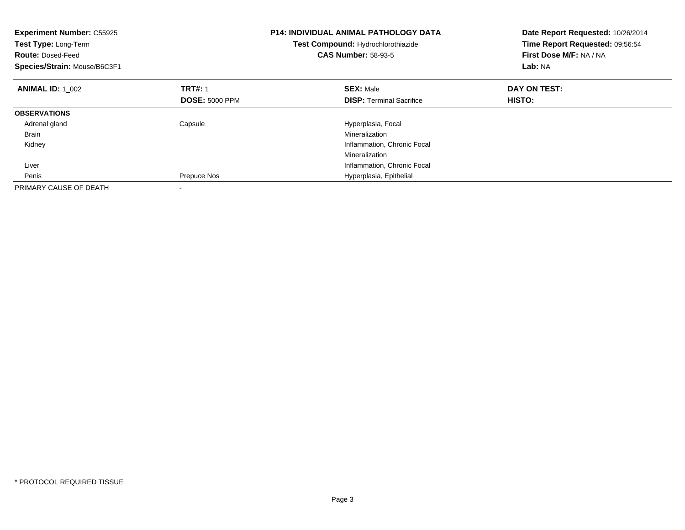| <b>Experiment Number: C55925</b><br>Test Type: Long-Term<br><b>Route: Dosed-Feed</b><br>Species/Strain: Mouse/B6C3F1 |                       | <b>P14: INDIVIDUAL ANIMAL PATHOLOGY DATA</b><br>Test Compound: Hydrochlorothiazide<br><b>CAS Number: 58-93-5</b> | Date Report Requested: 10/26/2014<br>Time Report Requested: 09:56:54<br>First Dose M/F: NA / NA<br>Lab: NA |
|----------------------------------------------------------------------------------------------------------------------|-----------------------|------------------------------------------------------------------------------------------------------------------|------------------------------------------------------------------------------------------------------------|
| <b>ANIMAL ID: 1 002</b>                                                                                              | <b>TRT#: 1</b>        | <b>SEX: Male</b>                                                                                                 | DAY ON TEST:                                                                                               |
|                                                                                                                      | <b>DOSE: 5000 PPM</b> | <b>DISP:</b> Terminal Sacrifice                                                                                  | <b>HISTO:</b>                                                                                              |
| <b>OBSERVATIONS</b>                                                                                                  |                       |                                                                                                                  |                                                                                                            |
| Adrenal gland                                                                                                        | Capsule               | Hyperplasia, Focal                                                                                               |                                                                                                            |
| Brain                                                                                                                |                       | Mineralization                                                                                                   |                                                                                                            |
| Kidney                                                                                                               |                       | Inflammation, Chronic Focal                                                                                      |                                                                                                            |
|                                                                                                                      |                       | Mineralization                                                                                                   |                                                                                                            |
| Liver                                                                                                                |                       | Inflammation, Chronic Focal                                                                                      |                                                                                                            |
| Penis                                                                                                                | Prepuce Nos           | Hyperplasia, Epithelial                                                                                          |                                                                                                            |
| PRIMARY CAUSE OF DEATH                                                                                               |                       |                                                                                                                  |                                                                                                            |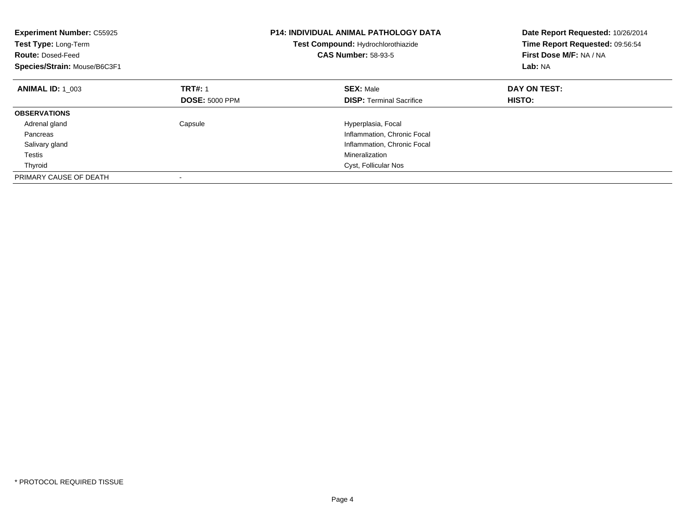| <b>Experiment Number: C55925</b><br>Test Type: Long-Term<br><b>Route: Dosed-Feed</b><br>Species/Strain: Mouse/B6C3F1 |                       | <b>P14: INDIVIDUAL ANIMAL PATHOLOGY DATA</b><br>Test Compound: Hydrochlorothiazide<br><b>CAS Number: 58-93-5</b> | Date Report Requested: 10/26/2014<br>Time Report Requested: 09:56:54<br>First Dose M/F: NA / NA<br>Lab: NA |  |
|----------------------------------------------------------------------------------------------------------------------|-----------------------|------------------------------------------------------------------------------------------------------------------|------------------------------------------------------------------------------------------------------------|--|
| <b>ANIMAL ID: 1 003</b>                                                                                              | <b>TRT#: 1</b>        | <b>SEX: Male</b>                                                                                                 | DAY ON TEST:                                                                                               |  |
|                                                                                                                      | <b>DOSE: 5000 PPM</b> | <b>DISP:</b> Terminal Sacrifice                                                                                  | HISTO:                                                                                                     |  |
| <b>OBSERVATIONS</b>                                                                                                  |                       |                                                                                                                  |                                                                                                            |  |
| Adrenal gland                                                                                                        | Capsule               | Hyperplasia, Focal                                                                                               |                                                                                                            |  |
| Pancreas                                                                                                             |                       | Inflammation, Chronic Focal                                                                                      |                                                                                                            |  |
| Salivary gland                                                                                                       |                       | Inflammation, Chronic Focal                                                                                      |                                                                                                            |  |
| Testis                                                                                                               |                       | Mineralization                                                                                                   |                                                                                                            |  |
| Thyroid                                                                                                              |                       | Cyst, Follicular Nos                                                                                             |                                                                                                            |  |
| PRIMARY CAUSE OF DEATH                                                                                               |                       |                                                                                                                  |                                                                                                            |  |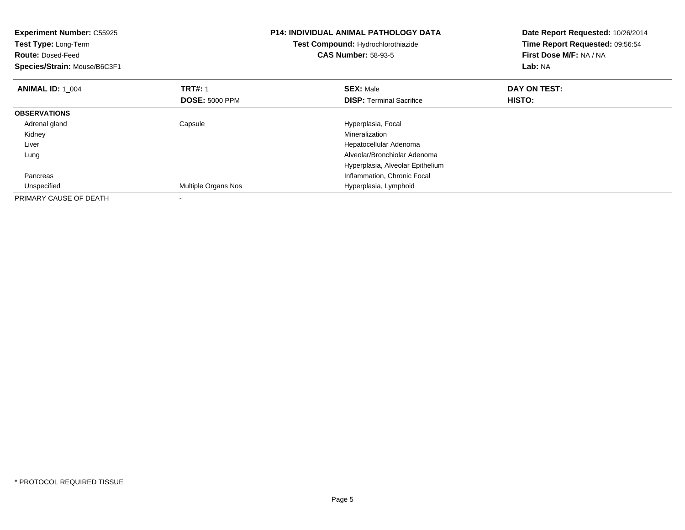| <b>Experiment Number: C55925</b><br>Test Type: Long-Term<br><b>Route: Dosed-Feed</b><br>Species/Strain: Mouse/B6C3F1 |                       | <b>P14: INDIVIDUAL ANIMAL PATHOLOGY DATA</b><br>Test Compound: Hydrochlorothiazide<br><b>CAS Number: 58-93-5</b> | Date Report Requested: 10/26/2014<br>Time Report Requested: 09:56:54<br>First Dose M/F: NA / NA<br><b>Lab: NA</b> |  |
|----------------------------------------------------------------------------------------------------------------------|-----------------------|------------------------------------------------------------------------------------------------------------------|-------------------------------------------------------------------------------------------------------------------|--|
| <b>ANIMAL ID: 1 004</b>                                                                                              | <b>TRT#: 1</b>        | <b>SEX: Male</b>                                                                                                 | DAY ON TEST:                                                                                                      |  |
|                                                                                                                      | <b>DOSE: 5000 PPM</b> | <b>DISP:</b> Terminal Sacrifice                                                                                  | HISTO:                                                                                                            |  |
| <b>OBSERVATIONS</b>                                                                                                  |                       |                                                                                                                  |                                                                                                                   |  |
| Adrenal gland                                                                                                        | Capsule               | Hyperplasia, Focal                                                                                               |                                                                                                                   |  |
| Kidney                                                                                                               |                       | Mineralization                                                                                                   |                                                                                                                   |  |
| Liver                                                                                                                |                       | Hepatocellular Adenoma                                                                                           |                                                                                                                   |  |
| Lung                                                                                                                 |                       | Alveolar/Bronchiolar Adenoma                                                                                     |                                                                                                                   |  |
|                                                                                                                      |                       | Hyperplasia, Alveolar Epithelium                                                                                 |                                                                                                                   |  |
| Pancreas                                                                                                             |                       | Inflammation, Chronic Focal                                                                                      |                                                                                                                   |  |
| Unspecified                                                                                                          | Multiple Organs Nos   | Hyperplasia, Lymphoid                                                                                            |                                                                                                                   |  |
| PRIMARY CAUSE OF DEATH                                                                                               |                       |                                                                                                                  |                                                                                                                   |  |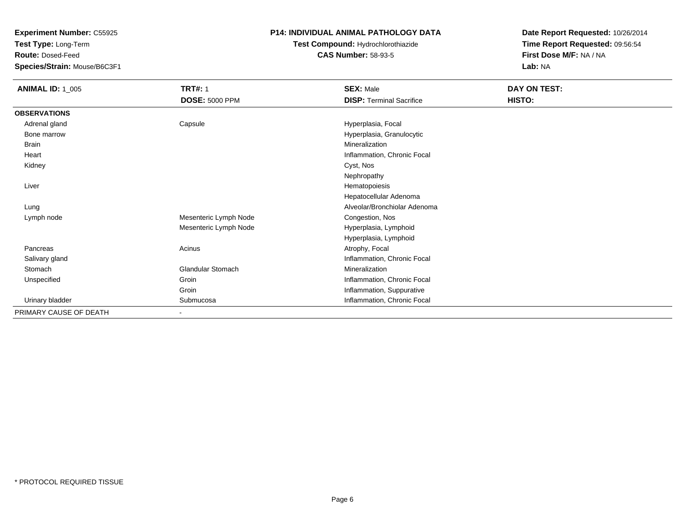**Test Type:** Long-Term

**Route:** Dosed-Feed

**Species/Strain:** Mouse/B6C3F1

#### **P14: INDIVIDUAL ANIMAL PATHOLOGY DATA**

# **Test Compound:** Hydrochlorothiazide**CAS Number:** 58-93-5

| <b>ANIMAL ID: 1_005</b> | <b>TRT#: 1</b><br><b>DOSE: 5000 PPM</b> | <b>SEX: Male</b><br><b>DISP: Terminal Sacrifice</b> | DAY ON TEST:<br>HISTO: |
|-------------------------|-----------------------------------------|-----------------------------------------------------|------------------------|
| <b>OBSERVATIONS</b>     |                                         |                                                     |                        |
| Adrenal gland           | Capsule                                 | Hyperplasia, Focal                                  |                        |
| Bone marrow             |                                         | Hyperplasia, Granulocytic                           |                        |
| <b>Brain</b>            |                                         | Mineralization                                      |                        |
| Heart                   |                                         | Inflammation, Chronic Focal                         |                        |
| Kidney                  |                                         | Cyst, Nos                                           |                        |
|                         |                                         | Nephropathy                                         |                        |
| Liver                   |                                         | Hematopoiesis                                       |                        |
|                         |                                         | Hepatocellular Adenoma                              |                        |
| Lung                    |                                         | Alveolar/Bronchiolar Adenoma                        |                        |
| Lymph node              | Mesenteric Lymph Node                   | Congestion, Nos                                     |                        |
|                         | Mesenteric Lymph Node                   | Hyperplasia, Lymphoid                               |                        |
|                         |                                         | Hyperplasia, Lymphoid                               |                        |
| Pancreas                | Acinus                                  | Atrophy, Focal                                      |                        |
| Salivary gland          |                                         | Inflammation, Chronic Focal                         |                        |
| Stomach                 | Glandular Stomach                       | Mineralization                                      |                        |
| Unspecified             | Groin                                   | Inflammation, Chronic Focal                         |                        |
|                         | Groin                                   | Inflammation, Suppurative                           |                        |
| Urinary bladder         | Submucosa                               | Inflammation, Chronic Focal                         |                        |
| PRIMARY CAUSE OF DEATH  | $\blacksquare$                          |                                                     |                        |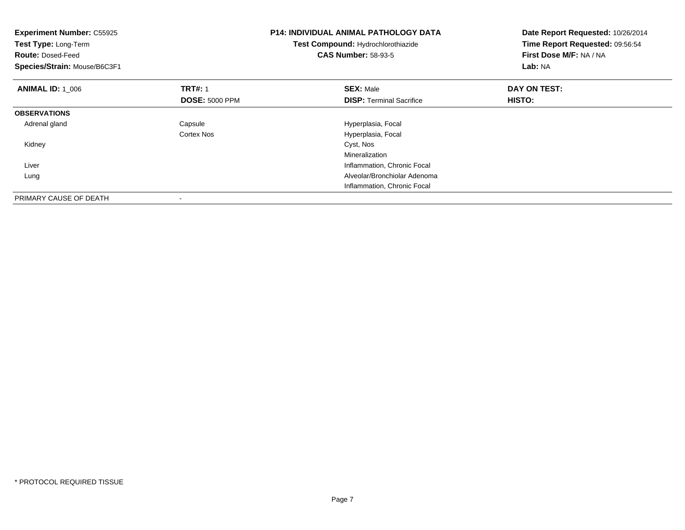| <b>Experiment Number: C55925</b><br>Test Type: Long-Term<br><b>Route: Dosed-Feed</b><br>Species/Strain: Mouse/B6C3F1 |                       | <b>P14: INDIVIDUAL ANIMAL PATHOLOGY DATA</b><br>Test Compound: Hydrochlorothiazide<br><b>CAS Number: 58-93-5</b> | Date Report Requested: 10/26/2014<br>Time Report Requested: 09:56:54<br>First Dose M/F: NA / NA<br>Lab: NA |
|----------------------------------------------------------------------------------------------------------------------|-----------------------|------------------------------------------------------------------------------------------------------------------|------------------------------------------------------------------------------------------------------------|
| <b>ANIMAL ID: 1 006</b>                                                                                              | <b>TRT#: 1</b>        | <b>SEX: Male</b>                                                                                                 | DAY ON TEST:                                                                                               |
|                                                                                                                      | <b>DOSE: 5000 PPM</b> | <b>DISP:</b> Terminal Sacrifice                                                                                  | HISTO:                                                                                                     |
| <b>OBSERVATIONS</b>                                                                                                  |                       |                                                                                                                  |                                                                                                            |
| Adrenal gland                                                                                                        | Capsule               | Hyperplasia, Focal                                                                                               |                                                                                                            |
|                                                                                                                      | Cortex Nos            | Hyperplasia, Focal                                                                                               |                                                                                                            |
| Kidney                                                                                                               |                       | Cyst, Nos                                                                                                        |                                                                                                            |
|                                                                                                                      |                       | Mineralization                                                                                                   |                                                                                                            |
| Liver                                                                                                                |                       | Inflammation, Chronic Focal                                                                                      |                                                                                                            |
| Lung                                                                                                                 |                       | Alveolar/Bronchiolar Adenoma                                                                                     |                                                                                                            |
|                                                                                                                      |                       | Inflammation, Chronic Focal                                                                                      |                                                                                                            |
| PRIMARY CAUSE OF DEATH                                                                                               |                       |                                                                                                                  |                                                                                                            |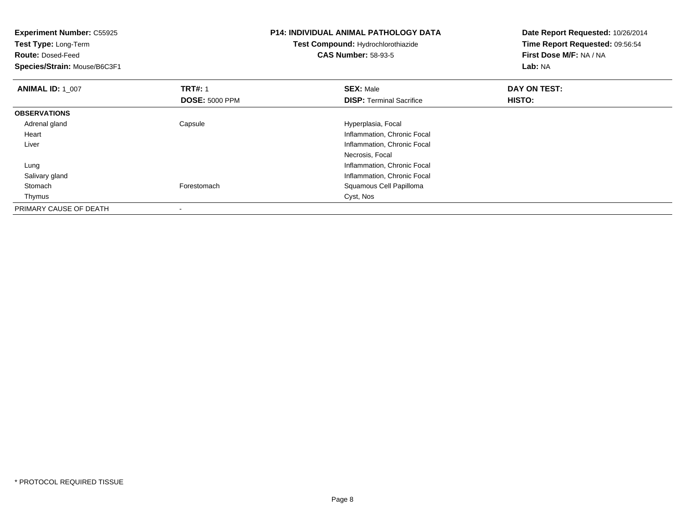| <b>Experiment Number: C55925</b><br>Test Type: Long-Term<br><b>Route: Dosed-Feed</b><br>Species/Strain: Mouse/B6C3F1 |                       | <b>P14: INDIVIDUAL ANIMAL PATHOLOGY DATA</b><br>Test Compound: Hydrochlorothiazide<br><b>CAS Number: 58-93-5</b> | Date Report Requested: 10/26/2014<br>Time Report Requested: 09:56:54<br>First Dose M/F: NA / NA<br>Lab: NA |  |
|----------------------------------------------------------------------------------------------------------------------|-----------------------|------------------------------------------------------------------------------------------------------------------|------------------------------------------------------------------------------------------------------------|--|
| <b>ANIMAL ID: 1 007</b>                                                                                              | <b>TRT#: 1</b>        | <b>SEX: Male</b>                                                                                                 | DAY ON TEST:                                                                                               |  |
|                                                                                                                      | <b>DOSE: 5000 PPM</b> | <b>DISP:</b> Terminal Sacrifice                                                                                  | HISTO:                                                                                                     |  |
| <b>OBSERVATIONS</b>                                                                                                  |                       |                                                                                                                  |                                                                                                            |  |
| Adrenal gland                                                                                                        | Capsule               | Hyperplasia, Focal                                                                                               |                                                                                                            |  |
| Heart                                                                                                                |                       | Inflammation, Chronic Focal                                                                                      |                                                                                                            |  |
| Liver                                                                                                                |                       | Inflammation, Chronic Focal                                                                                      |                                                                                                            |  |
|                                                                                                                      |                       | Necrosis, Focal                                                                                                  |                                                                                                            |  |
| Lung                                                                                                                 |                       | Inflammation, Chronic Focal                                                                                      |                                                                                                            |  |
| Salivary gland                                                                                                       |                       | Inflammation, Chronic Focal                                                                                      |                                                                                                            |  |
| Stomach                                                                                                              | Forestomach           | Squamous Cell Papilloma                                                                                          |                                                                                                            |  |
| Thymus                                                                                                               |                       | Cyst, Nos                                                                                                        |                                                                                                            |  |
| PRIMARY CAUSE OF DEATH                                                                                               |                       |                                                                                                                  |                                                                                                            |  |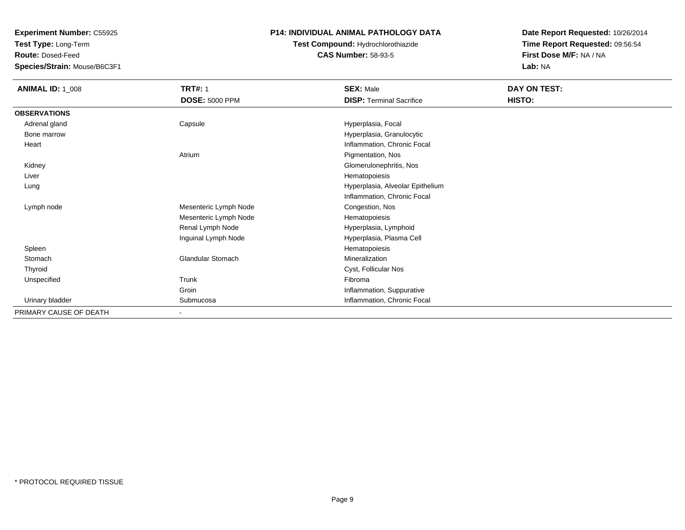**Test Type:** Long-Term

**Route:** Dosed-Feed

**Species/Strain:** Mouse/B6C3F1

### **P14: INDIVIDUAL ANIMAL PATHOLOGY DATA**

# **Test Compound:** Hydrochlorothiazide**CAS Number:** 58-93-5

| <b>ANIMAL ID: 1_008</b> | <b>TRT#: 1</b>           | <b>SEX: Male</b>                 | DAY ON TEST: |
|-------------------------|--------------------------|----------------------------------|--------------|
|                         | <b>DOSE: 5000 PPM</b>    | <b>DISP: Terminal Sacrifice</b>  | HISTO:       |
| <b>OBSERVATIONS</b>     |                          |                                  |              |
| Adrenal gland           | Capsule                  | Hyperplasia, Focal               |              |
| Bone marrow             |                          | Hyperplasia, Granulocytic        |              |
| Heart                   |                          | Inflammation, Chronic Focal      |              |
|                         | Atrium                   | Pigmentation, Nos                |              |
| Kidney                  |                          | Glomerulonephritis, Nos          |              |
| Liver                   |                          | Hematopoiesis                    |              |
| Lung                    |                          | Hyperplasia, Alveolar Epithelium |              |
|                         |                          | Inflammation, Chronic Focal      |              |
| Lymph node              | Mesenteric Lymph Node    | Congestion, Nos                  |              |
|                         | Mesenteric Lymph Node    | Hematopoiesis                    |              |
|                         | Renal Lymph Node         | Hyperplasia, Lymphoid            |              |
|                         | Inguinal Lymph Node      | Hyperplasia, Plasma Cell         |              |
| Spleen                  |                          | Hematopoiesis                    |              |
| Stomach                 | <b>Glandular Stomach</b> | Mineralization                   |              |
| Thyroid                 |                          | Cyst, Follicular Nos             |              |
| Unspecified             | Trunk                    | Fibroma                          |              |
|                         | Groin                    | Inflammation, Suppurative        |              |
| Urinary bladder         | Submucosa                | Inflammation, Chronic Focal      |              |
| PRIMARY CAUSE OF DEATH  |                          |                                  |              |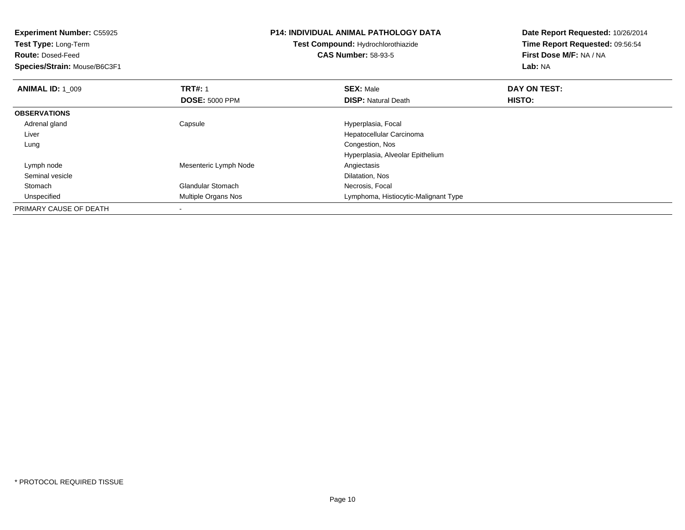| <b>Experiment Number: C55925</b> |                          | P14: INDIVIDUAL ANIMAL PATHOLOGY DATA | Date Report Requested: 10/26/2014<br>Time Report Requested: 09:56:54 |  |
|----------------------------------|--------------------------|---------------------------------------|----------------------------------------------------------------------|--|
| <b>Test Type: Long-Term</b>      |                          | Test Compound: Hydrochlorothiazide    |                                                                      |  |
| <b>Route: Dosed-Feed</b>         |                          | <b>CAS Number: 58-93-5</b>            | First Dose M/F: NA / NA                                              |  |
| Species/Strain: Mouse/B6C3F1     |                          |                                       | Lab: NA                                                              |  |
| <b>ANIMAL ID: 1 009</b>          | <b>TRT#: 1</b>           | <b>SEX: Male</b>                      | DAY ON TEST:                                                         |  |
|                                  | <b>DOSE: 5000 PPM</b>    | <b>DISP: Natural Death</b>            | HISTO:                                                               |  |
| <b>OBSERVATIONS</b>              |                          |                                       |                                                                      |  |
| Adrenal gland                    | Capsule                  | Hyperplasia, Focal                    |                                                                      |  |
| Liver                            |                          | Hepatocellular Carcinoma              |                                                                      |  |
| Lung                             |                          | Congestion, Nos                       |                                                                      |  |
|                                  |                          | Hyperplasia, Alveolar Epithelium      |                                                                      |  |
| Lymph node                       | Mesenteric Lymph Node    | Angiectasis                           |                                                                      |  |
| Seminal vesicle                  |                          | Dilatation, Nos                       |                                                                      |  |
| Stomach                          | <b>Glandular Stomach</b> | Necrosis, Focal                       |                                                                      |  |
| Unspecified                      | Multiple Organs Nos      | Lymphoma, Histiocytic-Malignant Type  |                                                                      |  |
| PRIMARY CAUSE OF DEATH           |                          |                                       |                                                                      |  |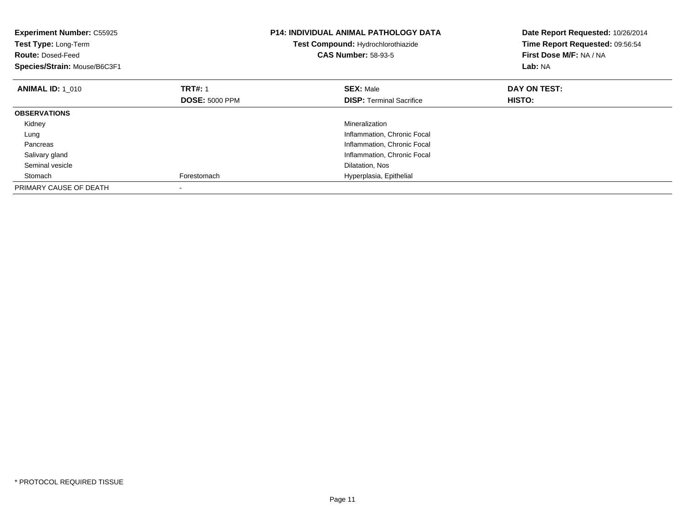| <b>Experiment Number: C55925</b><br>Test Type: Long-Term<br><b>Route: Dosed-Feed</b><br>Species/Strain: Mouse/B6C3F1 |                       | <b>P14: INDIVIDUAL ANIMAL PATHOLOGY DATA</b><br>Test Compound: Hydrochlorothiazide<br><b>CAS Number: 58-93-5</b> | Date Report Requested: 10/26/2014<br>Time Report Requested: 09:56:54<br>First Dose M/F: NA / NA<br>Lab: NA |
|----------------------------------------------------------------------------------------------------------------------|-----------------------|------------------------------------------------------------------------------------------------------------------|------------------------------------------------------------------------------------------------------------|
| <b>ANIMAL ID: 1_010</b>                                                                                              | <b>TRT#: 1</b>        | <b>SEX: Male</b>                                                                                                 | DAY ON TEST:                                                                                               |
|                                                                                                                      | <b>DOSE: 5000 PPM</b> | <b>DISP:</b> Terminal Sacrifice                                                                                  | <b>HISTO:</b>                                                                                              |
| <b>OBSERVATIONS</b>                                                                                                  |                       |                                                                                                                  |                                                                                                            |
| Kidney                                                                                                               |                       | Mineralization                                                                                                   |                                                                                                            |
| Lung                                                                                                                 |                       | Inflammation, Chronic Focal                                                                                      |                                                                                                            |
| Pancreas                                                                                                             |                       | Inflammation, Chronic Focal                                                                                      |                                                                                                            |
| Salivary gland                                                                                                       |                       | Inflammation, Chronic Focal                                                                                      |                                                                                                            |
| Seminal vesicle                                                                                                      |                       | Dilatation, Nos                                                                                                  |                                                                                                            |
| Stomach                                                                                                              | Forestomach           | Hyperplasia, Epithelial                                                                                          |                                                                                                            |
| PRIMARY CAUSE OF DEATH                                                                                               |                       |                                                                                                                  |                                                                                                            |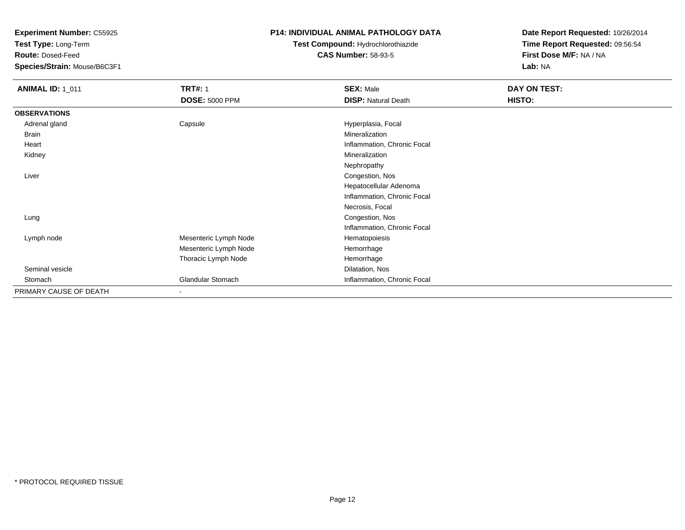**Test Type:** Long-Term

**Route:** Dosed-Feed

**Species/Strain:** Mouse/B6C3F1

## **P14: INDIVIDUAL ANIMAL PATHOLOGY DATA**

## **Test Compound:** Hydrochlorothiazide**CAS Number:** 58-93-5

| <b>ANIMAL ID: 1_011</b> | <b>TRT#: 1</b>        | <b>SEX: Male</b>            | DAY ON TEST: |  |
|-------------------------|-----------------------|-----------------------------|--------------|--|
|                         | <b>DOSE: 5000 PPM</b> | <b>DISP: Natural Death</b>  | HISTO:       |  |
| <b>OBSERVATIONS</b>     |                       |                             |              |  |
| Adrenal gland           | Capsule               | Hyperplasia, Focal          |              |  |
| Brain                   |                       | Mineralization              |              |  |
| Heart                   |                       | Inflammation, Chronic Focal |              |  |
| Kidney                  |                       | Mineralization              |              |  |
|                         |                       | Nephropathy                 |              |  |
| Liver                   |                       | Congestion, Nos             |              |  |
|                         |                       | Hepatocellular Adenoma      |              |  |
|                         |                       | Inflammation, Chronic Focal |              |  |
|                         |                       | Necrosis, Focal             |              |  |
| Lung                    |                       | Congestion, Nos             |              |  |
|                         |                       | Inflammation, Chronic Focal |              |  |
| Lymph node              | Mesenteric Lymph Node | Hematopoiesis               |              |  |
|                         | Mesenteric Lymph Node | Hemorrhage                  |              |  |
|                         | Thoracic Lymph Node   | Hemorrhage                  |              |  |
| Seminal vesicle         |                       | Dilatation, Nos             |              |  |
| Stomach                 | Glandular Stomach     | Inflammation, Chronic Focal |              |  |
| PRIMARY CAUSE OF DEATH  | $\blacksquare$        |                             |              |  |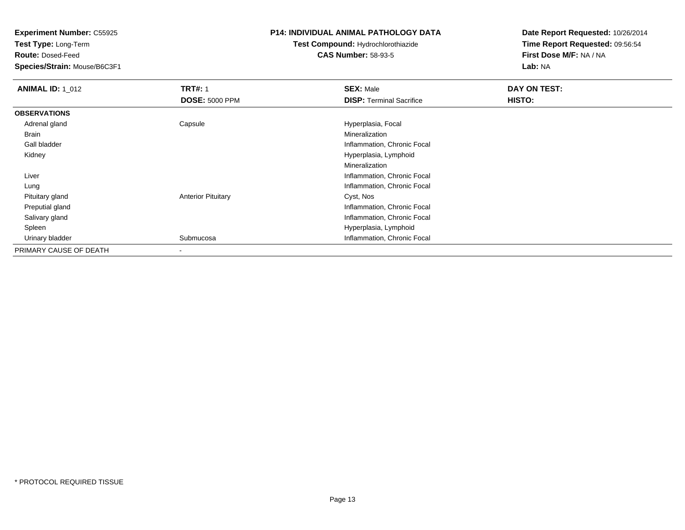**Test Type:** Long-Term

**Route:** Dosed-Feed

**Species/Strain:** Mouse/B6C3F1

## **P14: INDIVIDUAL ANIMAL PATHOLOGY DATA**

# **Test Compound:** Hydrochlorothiazide**CAS Number:** 58-93-5

| <b>ANIMAL ID: 1 012</b> | <b>TRT#: 1</b>            | <b>SEX: Male</b>                | DAY ON TEST: |  |
|-------------------------|---------------------------|---------------------------------|--------------|--|
|                         | <b>DOSE: 5000 PPM</b>     | <b>DISP: Terminal Sacrifice</b> | HISTO:       |  |
| <b>OBSERVATIONS</b>     |                           |                                 |              |  |
| Adrenal gland           | Capsule                   | Hyperplasia, Focal              |              |  |
| Brain                   |                           | Mineralization                  |              |  |
| Gall bladder            |                           | Inflammation, Chronic Focal     |              |  |
| Kidney                  |                           | Hyperplasia, Lymphoid           |              |  |
|                         |                           | Mineralization                  |              |  |
| Liver                   |                           | Inflammation, Chronic Focal     |              |  |
| Lung                    |                           | Inflammation, Chronic Focal     |              |  |
| Pituitary gland         | <b>Anterior Pituitary</b> | Cyst, Nos                       |              |  |
| Preputial gland         |                           | Inflammation, Chronic Focal     |              |  |
| Salivary gland          |                           | Inflammation, Chronic Focal     |              |  |
| Spleen                  |                           | Hyperplasia, Lymphoid           |              |  |
| Urinary bladder         | Submucosa                 | Inflammation, Chronic Focal     |              |  |
| PRIMARY CAUSE OF DEATH  | $\overline{\phantom{a}}$  |                                 |              |  |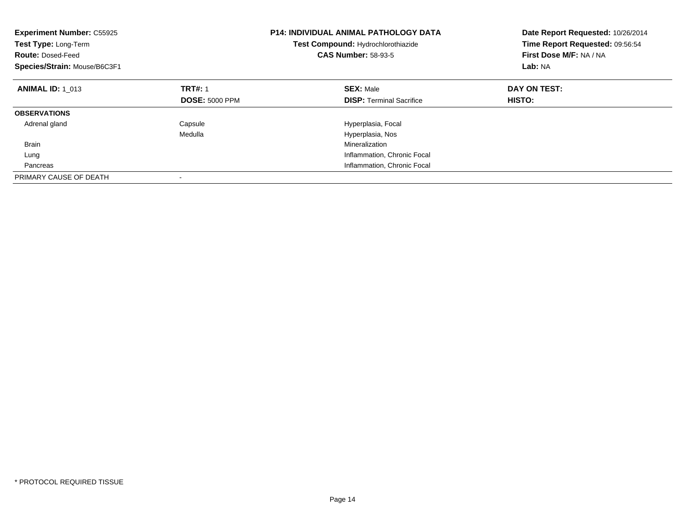| <b>Experiment Number: C55925</b><br>Test Type: Long-Term<br><b>Route: Dosed-Feed</b><br>Species/Strain: Mouse/B6C3F1 | <b>P14: INDIVIDUAL ANIMAL PATHOLOGY DATA</b><br>Test Compound: Hydrochlorothiazide<br><b>CAS Number: 58-93-5</b> |                                                     | Date Report Requested: 10/26/2014<br>Time Report Requested: 09:56:54<br>First Dose M/F: NA / NA<br>Lab: NA |
|----------------------------------------------------------------------------------------------------------------------|------------------------------------------------------------------------------------------------------------------|-----------------------------------------------------|------------------------------------------------------------------------------------------------------------|
| <b>ANIMAL ID: 1 013</b>                                                                                              | <b>TRT#: 1</b><br><b>DOSE: 5000 PPM</b>                                                                          | <b>SEX: Male</b><br><b>DISP:</b> Terminal Sacrifice | DAY ON TEST:<br><b>HISTO:</b>                                                                              |
|                                                                                                                      |                                                                                                                  |                                                     |                                                                                                            |
| <b>OBSERVATIONS</b>                                                                                                  |                                                                                                                  |                                                     |                                                                                                            |
| Adrenal gland                                                                                                        | Capsule                                                                                                          | Hyperplasia, Focal                                  |                                                                                                            |
|                                                                                                                      | Medulla                                                                                                          | Hyperplasia, Nos                                    |                                                                                                            |
| <b>Brain</b>                                                                                                         |                                                                                                                  | Mineralization                                      |                                                                                                            |
| Lung                                                                                                                 |                                                                                                                  | Inflammation, Chronic Focal                         |                                                                                                            |
| Pancreas                                                                                                             |                                                                                                                  | Inflammation, Chronic Focal                         |                                                                                                            |
| PRIMARY CAUSE OF DEATH                                                                                               |                                                                                                                  |                                                     |                                                                                                            |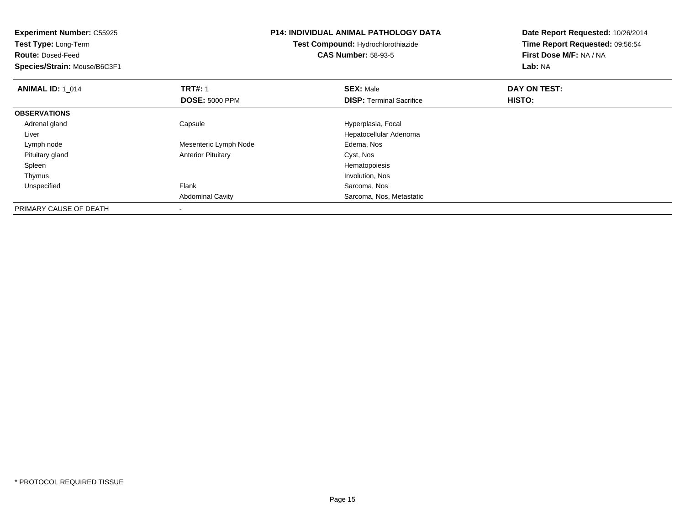| <b>Experiment Number: C55925</b><br>Test Type: Long-Term<br><b>Route: Dosed-Feed</b><br>Species/Strain: Mouse/B6C3F1 | <b>P14: INDIVIDUAL ANIMAL PATHOLOGY DATA</b><br><b>Test Compound: Hydrochlorothiazide</b><br><b>CAS Number: 58-93-5</b> |                                 | Date Report Requested: 10/26/2014<br>Time Report Requested: 09:56:54<br>First Dose M/F: NA / NA<br>Lab: NA |
|----------------------------------------------------------------------------------------------------------------------|-------------------------------------------------------------------------------------------------------------------------|---------------------------------|------------------------------------------------------------------------------------------------------------|
| <b>ANIMAL ID: 1 014</b>                                                                                              | <b>TRT#: 1</b>                                                                                                          | <b>SEX: Male</b>                | DAY ON TEST:                                                                                               |
|                                                                                                                      | <b>DOSE: 5000 PPM</b>                                                                                                   | <b>DISP:</b> Terminal Sacrifice | HISTO:                                                                                                     |
| <b>OBSERVATIONS</b>                                                                                                  |                                                                                                                         |                                 |                                                                                                            |
| Adrenal gland                                                                                                        | Capsule                                                                                                                 | Hyperplasia, Focal              |                                                                                                            |
| Liver                                                                                                                |                                                                                                                         | Hepatocellular Adenoma          |                                                                                                            |
| Lymph node                                                                                                           | Mesenteric Lymph Node                                                                                                   | Edema, Nos                      |                                                                                                            |
| Pituitary gland                                                                                                      | <b>Anterior Pituitary</b>                                                                                               | Cyst, Nos                       |                                                                                                            |
| Spleen                                                                                                               |                                                                                                                         | Hematopoiesis                   |                                                                                                            |
| Thymus                                                                                                               |                                                                                                                         | Involution, Nos                 |                                                                                                            |
| Unspecified                                                                                                          | Flank                                                                                                                   | Sarcoma, Nos                    |                                                                                                            |
|                                                                                                                      | <b>Abdominal Cavity</b>                                                                                                 | Sarcoma, Nos, Metastatic        |                                                                                                            |
| PRIMARY CAUSE OF DEATH                                                                                               |                                                                                                                         |                                 |                                                                                                            |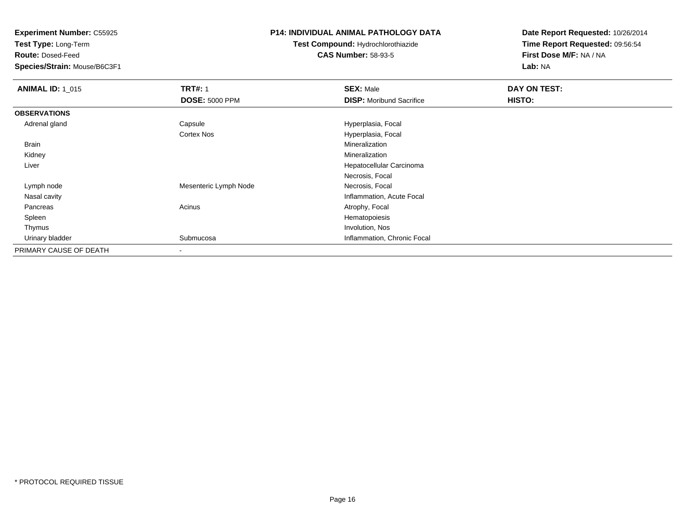**Test Type:** Long-Term

**Route:** Dosed-Feed

**Species/Strain:** Mouse/B6C3F1

## **P14: INDIVIDUAL ANIMAL PATHOLOGY DATA**

**Test Compound:** Hydrochlorothiazide**CAS Number:** 58-93-5

| <b>ANIMAL ID: 1_015</b> | <b>TRT#: 1</b>        | <b>SEX: Male</b>                | DAY ON TEST: |  |
|-------------------------|-----------------------|---------------------------------|--------------|--|
|                         | <b>DOSE: 5000 PPM</b> | <b>DISP:</b> Moribund Sacrifice | HISTO:       |  |
| <b>OBSERVATIONS</b>     |                       |                                 |              |  |
| Adrenal gland           | Capsule               | Hyperplasia, Focal              |              |  |
|                         | <b>Cortex Nos</b>     | Hyperplasia, Focal              |              |  |
| Brain                   |                       | Mineralization                  |              |  |
| Kidney                  |                       | Mineralization                  |              |  |
| Liver                   |                       | Hepatocellular Carcinoma        |              |  |
|                         |                       | Necrosis, Focal                 |              |  |
| Lymph node              | Mesenteric Lymph Node | Necrosis, Focal                 |              |  |
| Nasal cavity            |                       | Inflammation, Acute Focal       |              |  |
| Pancreas                | Acinus                | Atrophy, Focal                  |              |  |
| Spleen                  |                       | Hematopoiesis                   |              |  |
| Thymus                  |                       | Involution, Nos                 |              |  |
| Urinary bladder         | Submucosa             | Inflammation, Chronic Focal     |              |  |
| PRIMARY CAUSE OF DEATH  |                       |                                 |              |  |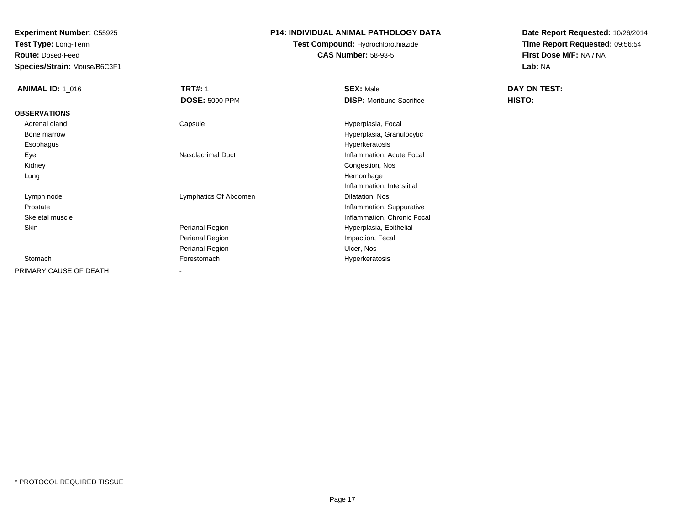**Test Type:** Long-Term

**Route:** Dosed-Feed

**Species/Strain:** Mouse/B6C3F1

### **P14: INDIVIDUAL ANIMAL PATHOLOGY DATA**

# **Test Compound:** Hydrochlorothiazide**CAS Number:** 58-93-5

| <b>ANIMAL ID: 1_016</b> | <b>TRT#: 1</b>        | <b>SEX: Male</b>                | DAY ON TEST: |  |
|-------------------------|-----------------------|---------------------------------|--------------|--|
|                         | <b>DOSE: 5000 PPM</b> | <b>DISP:</b> Moribund Sacrifice | HISTO:       |  |
| <b>OBSERVATIONS</b>     |                       |                                 |              |  |
| Adrenal gland           | Capsule               | Hyperplasia, Focal              |              |  |
| Bone marrow             |                       | Hyperplasia, Granulocytic       |              |  |
| Esophagus               |                       | Hyperkeratosis                  |              |  |
| Eye                     | Nasolacrimal Duct     | Inflammation, Acute Focal       |              |  |
| Kidney                  |                       | Congestion, Nos                 |              |  |
| Lung                    |                       | Hemorrhage                      |              |  |
|                         |                       | Inflammation, Interstitial      |              |  |
| Lymph node              | Lymphatics Of Abdomen | Dilatation, Nos                 |              |  |
| Prostate                |                       | Inflammation, Suppurative       |              |  |
| Skeletal muscle         |                       | Inflammation, Chronic Focal     |              |  |
| Skin                    | Perianal Region       | Hyperplasia, Epithelial         |              |  |
|                         | Perianal Region       | Impaction, Fecal                |              |  |
|                         | Perianal Region       | Ulcer, Nos                      |              |  |
| Stomach                 | Forestomach           | Hyperkeratosis                  |              |  |
| PRIMARY CAUSE OF DEATH  | $\,$                  |                                 |              |  |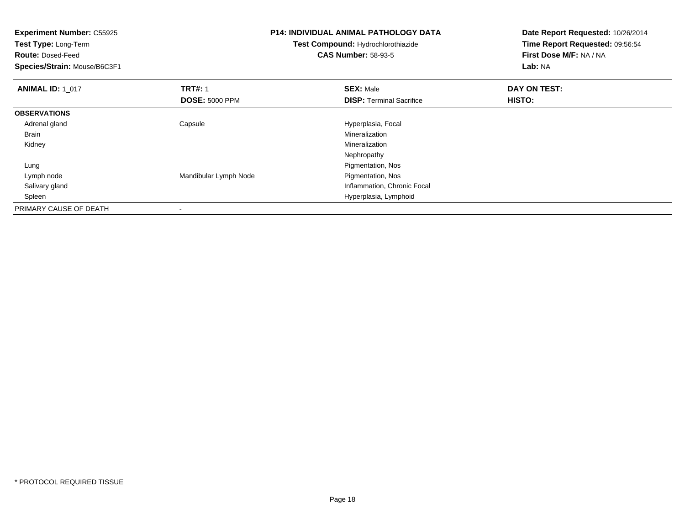| <b>Experiment Number: C55925</b><br>Test Type: Long-Term<br><b>Route: Dosed-Feed</b><br>Species/Strain: Mouse/B6C3F1 |                       | <b>P14: INDIVIDUAL ANIMAL PATHOLOGY DATA</b><br><b>Test Compound: Hydrochlorothiazide</b><br><b>CAS Number: 58-93-5</b> | Date Report Requested: 10/26/2014<br>Time Report Requested: 09:56:54<br>First Dose M/F: NA / NA<br>Lab: NA |
|----------------------------------------------------------------------------------------------------------------------|-----------------------|-------------------------------------------------------------------------------------------------------------------------|------------------------------------------------------------------------------------------------------------|
| <b>ANIMAL ID: 1 017</b>                                                                                              | <b>TRT#: 1</b>        | <b>SEX: Male</b>                                                                                                        | DAY ON TEST:                                                                                               |
|                                                                                                                      | <b>DOSE: 5000 PPM</b> | <b>DISP:</b> Terminal Sacrifice                                                                                         | HISTO:                                                                                                     |
| <b>OBSERVATIONS</b>                                                                                                  |                       |                                                                                                                         |                                                                                                            |
| Adrenal gland                                                                                                        | Capsule               | Hyperplasia, Focal                                                                                                      |                                                                                                            |
| Brain                                                                                                                |                       | <b>Mineralization</b>                                                                                                   |                                                                                                            |
| Kidney                                                                                                               |                       | Mineralization                                                                                                          |                                                                                                            |
|                                                                                                                      |                       | Nephropathy                                                                                                             |                                                                                                            |
| Lung                                                                                                                 |                       | Pigmentation, Nos                                                                                                       |                                                                                                            |
| Lymph node                                                                                                           | Mandibular Lymph Node | Pigmentation, Nos                                                                                                       |                                                                                                            |
| Salivary gland                                                                                                       |                       | Inflammation, Chronic Focal                                                                                             |                                                                                                            |
| Spleen                                                                                                               |                       | Hyperplasia, Lymphoid                                                                                                   |                                                                                                            |
| PRIMARY CAUSE OF DEATH                                                                                               |                       |                                                                                                                         |                                                                                                            |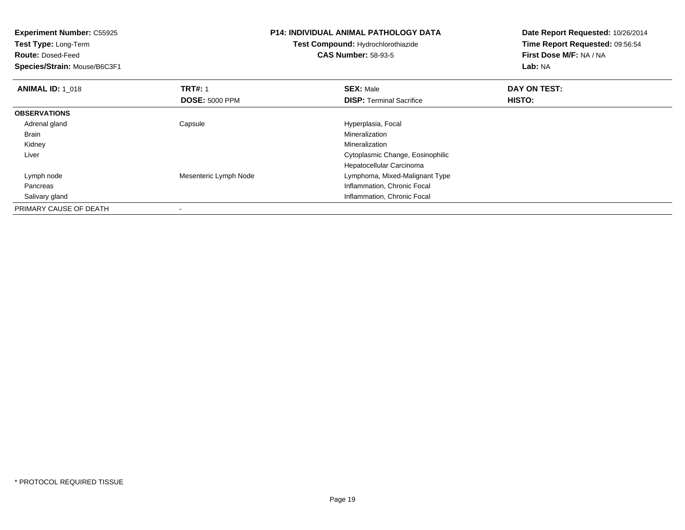| <b>Experiment Number: C55925</b><br>Test Type: Long-Term |                       | <b>P14: INDIVIDUAL ANIMAL PATHOLOGY DATA</b> | Date Report Requested: 10/26/2014 |
|----------------------------------------------------------|-----------------------|----------------------------------------------|-----------------------------------|
|                                                          |                       | Test Compound: Hydrochlorothiazide           | Time Report Requested: 09:56:54   |
| <b>Route: Dosed-Feed</b>                                 |                       | <b>CAS Number: 58-93-5</b>                   | First Dose M/F: NA / NA           |
| Species/Strain: Mouse/B6C3F1                             |                       |                                              | Lab: NA                           |
| <b>ANIMAL ID: 1 018</b>                                  | <b>TRT#: 1</b>        | <b>SEX: Male</b>                             | DAY ON TEST:                      |
|                                                          | <b>DOSE: 5000 PPM</b> | <b>DISP:</b> Terminal Sacrifice              | HISTO:                            |
| <b>OBSERVATIONS</b>                                      |                       |                                              |                                   |
| Adrenal gland                                            | Capsule               | Hyperplasia, Focal                           |                                   |
| Brain                                                    |                       | Mineralization                               |                                   |
| Kidney                                                   |                       | Mineralization                               |                                   |
| Liver                                                    |                       | Cytoplasmic Change, Eosinophilic             |                                   |
|                                                          |                       | Hepatocellular Carcinoma                     |                                   |
| Lymph node                                               | Mesenteric Lymph Node | Lymphoma, Mixed-Malignant Type               |                                   |
| Pancreas                                                 |                       | Inflammation, Chronic Focal                  |                                   |
| Salivary gland                                           |                       | Inflammation, Chronic Focal                  |                                   |
| PRIMARY CAUSE OF DEATH                                   |                       |                                              |                                   |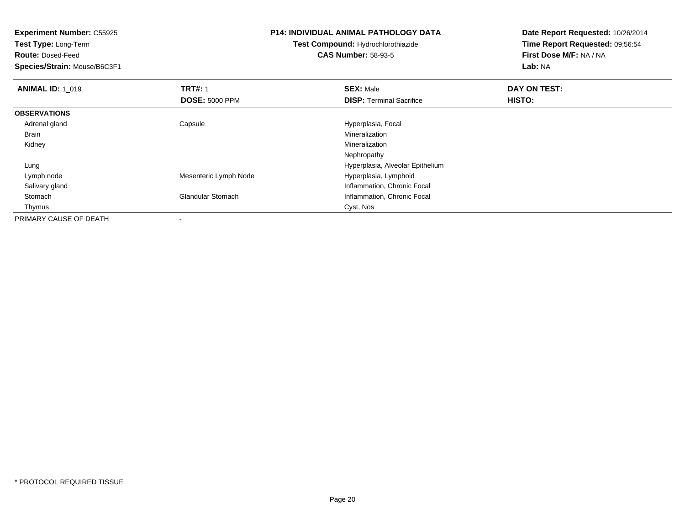**Experiment Number:** C55925**Test Type:** Long-Term**Route:** Dosed-Feed **Species/Strain:** Mouse/B6C3F1**P14: INDIVIDUAL ANIMAL PATHOLOGY DATATest Compound:** Hydrochlorothiazide**CAS Number:** 58-93-5**Date Report Requested:** 10/26/2014**Time Report Requested:** 09:56:54**First Dose M/F:** NA / NA**Lab:** NA**ANIMAL ID: 1\_019 9 TRT#:** 1 **SEX:** Male **SEX:** Male **DAY ON TEST: DOSE:** 5000 PPM**DISP:** Terminal Sacrifice **HISTO: OBSERVATIONS** Adrenal gland Capsule Hyperplasia, Focal Brainn and the control of the control of the control of the control of the control of the control of the control of the control of the control of the control of the control of the control of the control of the control of the co Kidneyy with the control of the control of the control of the control of the control of the control of the control of the control of the control of the control of the control of the control of the control of the control of the c Nephropathy Hyperplasia, Alveolar Epithelium Lung Lymph nodeMesenteric Lymph Node Hyperplasia, Lymphoid Salivary glandInflammation, Chronic Focal<br>Inflammation, Chronic Focal<br>Inflammation, Chronic Focal StomachInflammation, Chronic Focal Thymuss and the contract of the contract of the contract of the contract of the contract of the contract of the contract of the contract of the contract of the contract of the contract of the contract of the contract of the cont PRIMARY CAUSE OF DEATH

-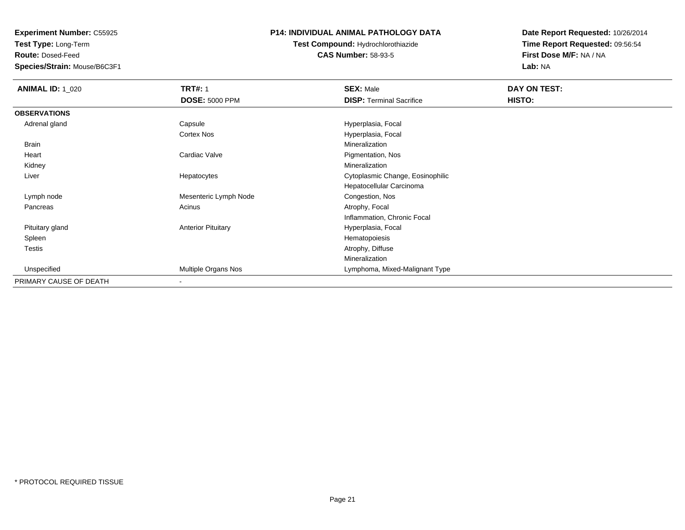**Test Type:** Long-Term

**Route:** Dosed-Feed

**Species/Strain:** Mouse/B6C3F1

### **P14: INDIVIDUAL ANIMAL PATHOLOGY DATA**

## **Test Compound:** Hydrochlorothiazide**CAS Number:** 58-93-5

| <b>ANIMAL ID: 1_020</b> | <b>TRT#: 1</b>            | <b>SEX: Male</b>                 | DAY ON TEST: |  |
|-------------------------|---------------------------|----------------------------------|--------------|--|
|                         | <b>DOSE: 5000 PPM</b>     | <b>DISP: Terminal Sacrifice</b>  | HISTO:       |  |
| <b>OBSERVATIONS</b>     |                           |                                  |              |  |
| Adrenal gland           | Capsule                   | Hyperplasia, Focal               |              |  |
|                         | Cortex Nos                | Hyperplasia, Focal               |              |  |
| Brain                   |                           | Mineralization                   |              |  |
| Heart                   | Cardiac Valve             | Pigmentation, Nos                |              |  |
| Kidney                  |                           | Mineralization                   |              |  |
| Liver                   | Hepatocytes               | Cytoplasmic Change, Eosinophilic |              |  |
|                         |                           | Hepatocellular Carcinoma         |              |  |
| Lymph node              | Mesenteric Lymph Node     | Congestion, Nos                  |              |  |
| Pancreas                | Acinus                    | Atrophy, Focal                   |              |  |
|                         |                           | Inflammation, Chronic Focal      |              |  |
| Pituitary gland         | <b>Anterior Pituitary</b> | Hyperplasia, Focal               |              |  |
| Spleen                  |                           | Hematopoiesis                    |              |  |
| Testis                  |                           | Atrophy, Diffuse                 |              |  |
|                         |                           | Mineralization                   |              |  |
| Unspecified             | Multiple Organs Nos       | Lymphoma, Mixed-Malignant Type   |              |  |
| PRIMARY CAUSE OF DEATH  | $\overline{\phantom{a}}$  |                                  |              |  |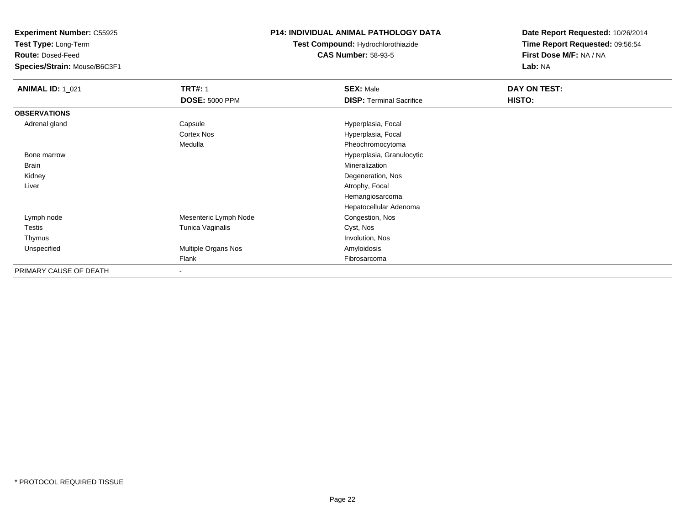**Test Type:** Long-Term

**Route:** Dosed-Feed

**Species/Strain:** Mouse/B6C3F1

## **P14: INDIVIDUAL ANIMAL PATHOLOGY DATA**

# **Test Compound:** Hydrochlorothiazide**CAS Number:** 58-93-5

| <b>ANIMAL ID: 1_021</b> | <b>TRT#: 1</b>           | <b>SEX: Male</b>                | DAY ON TEST: |  |
|-------------------------|--------------------------|---------------------------------|--------------|--|
|                         | <b>DOSE: 5000 PPM</b>    | <b>DISP: Terminal Sacrifice</b> | HISTO:       |  |
| <b>OBSERVATIONS</b>     |                          |                                 |              |  |
| Adrenal gland           | Capsule                  | Hyperplasia, Focal              |              |  |
|                         | Cortex Nos               | Hyperplasia, Focal              |              |  |
|                         | Medulla                  | Pheochromocytoma                |              |  |
| Bone marrow             |                          | Hyperplasia, Granulocytic       |              |  |
| Brain                   |                          | Mineralization                  |              |  |
| Kidney                  |                          | Degeneration, Nos               |              |  |
| Liver                   |                          | Atrophy, Focal                  |              |  |
|                         |                          | Hemangiosarcoma                 |              |  |
|                         |                          | Hepatocellular Adenoma          |              |  |
| Lymph node              | Mesenteric Lymph Node    | Congestion, Nos                 |              |  |
| <b>Testis</b>           | Tunica Vaginalis         | Cyst, Nos                       |              |  |
| Thymus                  |                          | Involution, Nos                 |              |  |
| Unspecified             | Multiple Organs Nos      | Amyloidosis                     |              |  |
|                         | Flank                    | Fibrosarcoma                    |              |  |
| PRIMARY CAUSE OF DEATH  | $\overline{\phantom{a}}$ |                                 |              |  |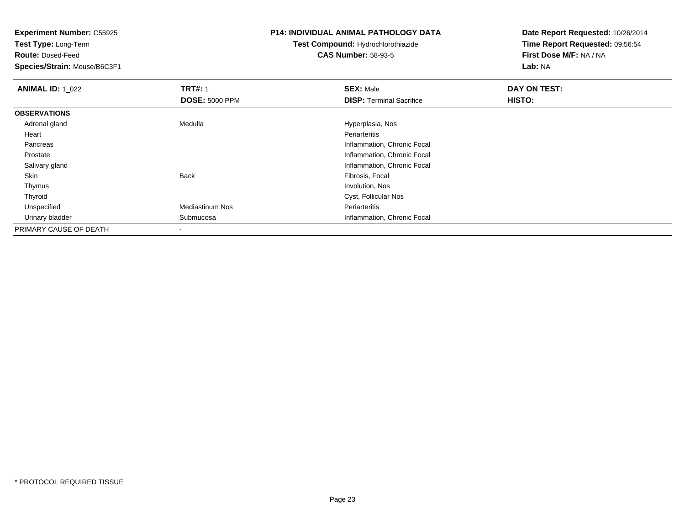**Test Type:** Long-Term

**Route:** Dosed-Feed

**Species/Strain:** Mouse/B6C3F1

## **P14: INDIVIDUAL ANIMAL PATHOLOGY DATA**

# **Test Compound:** Hydrochlorothiazide**CAS Number:** 58-93-5

| <b>ANIMAL ID: 1_022</b> | <b>TRT#: 1</b>        | <b>SEX: Male</b>                | DAY ON TEST: |
|-------------------------|-----------------------|---------------------------------|--------------|
|                         | <b>DOSE: 5000 PPM</b> | <b>DISP: Terminal Sacrifice</b> | HISTO:       |
| <b>OBSERVATIONS</b>     |                       |                                 |              |
| Adrenal gland           | Medulla               | Hyperplasia, Nos                |              |
| Heart                   |                       | Periarteritis                   |              |
| Pancreas                |                       | Inflammation, Chronic Focal     |              |
| Prostate                |                       | Inflammation, Chronic Focal     |              |
| Salivary gland          |                       | Inflammation, Chronic Focal     |              |
| Skin                    | Back                  | Fibrosis, Focal                 |              |
| Thymus                  |                       | Involution, Nos                 |              |
| Thyroid                 |                       | Cyst, Follicular Nos            |              |
| Unspecified             | Mediastinum Nos       | Periarteritis                   |              |
| Urinary bladder         | Submucosa             | Inflammation, Chronic Focal     |              |
| PRIMARY CAUSE OF DEATH  |                       |                                 |              |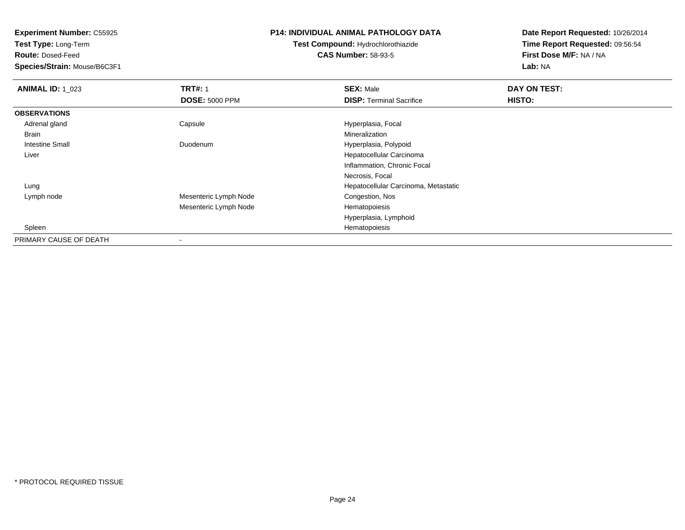**Test Type:** Long-Term

**Route:** Dosed-Feed

**Species/Strain:** Mouse/B6C3F1

## **P14: INDIVIDUAL ANIMAL PATHOLOGY DATA**

**Test Compound:** Hydrochlorothiazide**CAS Number:** 58-93-5

| <b>ANIMAL ID: 1_023</b> | <b>TRT#: 1</b>           | <b>SEX: Male</b>                     | DAY ON TEST:  |  |
|-------------------------|--------------------------|--------------------------------------|---------------|--|
|                         | <b>DOSE: 5000 PPM</b>    | <b>DISP: Terminal Sacrifice</b>      | <b>HISTO:</b> |  |
| <b>OBSERVATIONS</b>     |                          |                                      |               |  |
| Adrenal gland           | Capsule                  | Hyperplasia, Focal                   |               |  |
| Brain                   |                          | Mineralization                       |               |  |
| Intestine Small         | Duodenum                 | Hyperplasia, Polypoid                |               |  |
| Liver                   |                          | Hepatocellular Carcinoma             |               |  |
|                         |                          | Inflammation, Chronic Focal          |               |  |
|                         |                          | Necrosis, Focal                      |               |  |
| Lung                    |                          | Hepatocellular Carcinoma, Metastatic |               |  |
| Lymph node              | Mesenteric Lymph Node    | Congestion, Nos                      |               |  |
|                         | Mesenteric Lymph Node    | Hematopoiesis                        |               |  |
|                         |                          | Hyperplasia, Lymphoid                |               |  |
| Spleen                  |                          | Hematopoiesis                        |               |  |
| PRIMARY CAUSE OF DEATH  | $\overline{\phantom{a}}$ |                                      |               |  |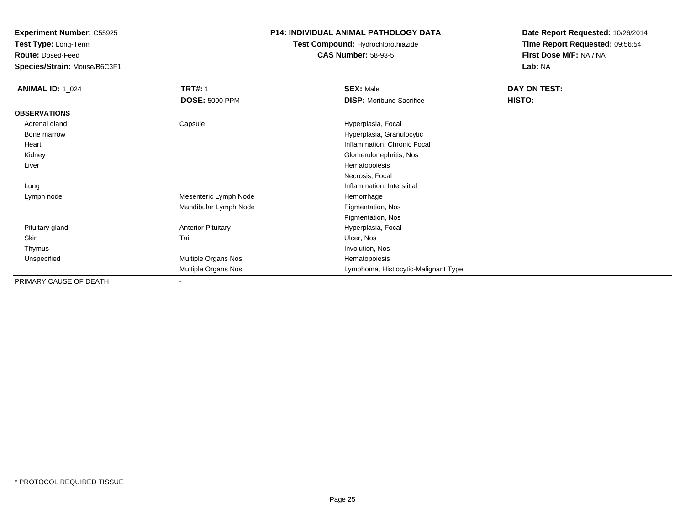**Test Type:** Long-Term

**Route:** Dosed-Feed

**Species/Strain:** Mouse/B6C3F1

### **P14: INDIVIDUAL ANIMAL PATHOLOGY DATA**

## **Test Compound:** Hydrochlorothiazide**CAS Number:** 58-93-5

| <b>ANIMAL ID: 1_024</b> | <b>TRT#: 1</b>            | <b>SEX: Male</b>                     | DAY ON TEST: |
|-------------------------|---------------------------|--------------------------------------|--------------|
|                         | <b>DOSE: 5000 PPM</b>     | <b>DISP:</b> Moribund Sacrifice      | HISTO:       |
| <b>OBSERVATIONS</b>     |                           |                                      |              |
| Adrenal gland           | Capsule                   | Hyperplasia, Focal                   |              |
| Bone marrow             |                           | Hyperplasia, Granulocytic            |              |
| Heart                   |                           | Inflammation, Chronic Focal          |              |
| Kidney                  |                           | Glomerulonephritis, Nos              |              |
| Liver                   |                           | Hematopoiesis                        |              |
|                         |                           | Necrosis, Focal                      |              |
| Lung                    |                           | Inflammation, Interstitial           |              |
| Lymph node              | Mesenteric Lymph Node     | Hemorrhage                           |              |
|                         | Mandibular Lymph Node     | Pigmentation, Nos                    |              |
|                         |                           | Pigmentation, Nos                    |              |
| Pituitary gland         | <b>Anterior Pituitary</b> | Hyperplasia, Focal                   |              |
| Skin                    | Tail                      | Ulcer, Nos                           |              |
| Thymus                  |                           | Involution, Nos                      |              |
| Unspecified             | Multiple Organs Nos       | Hematopoiesis                        |              |
|                         | Multiple Organs Nos       | Lymphoma, Histiocytic-Malignant Type |              |
| PRIMARY CAUSE OF DEATH  | $\blacksquare$            |                                      |              |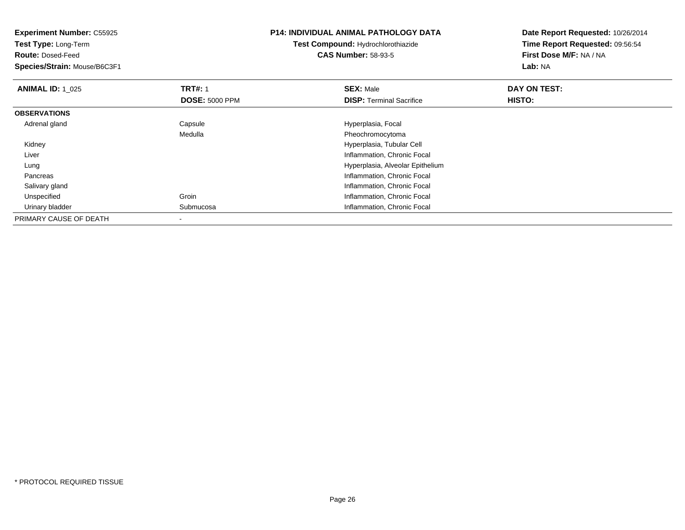| <b>Experiment Number: C55925</b><br>Test Type: Long-Term<br><b>Route: Dosed-Feed</b><br>Species/Strain: Mouse/B6C3F1 |                                         | <b>P14: INDIVIDUAL ANIMAL PATHOLOGY DATA</b><br><b>Test Compound: Hydrochlorothiazide</b><br><b>CAS Number: 58-93-5</b> | Date Report Requested: 10/26/2014<br>Time Report Requested: 09:56:54<br>First Dose M/F: NA / NA<br>Lab: NA |
|----------------------------------------------------------------------------------------------------------------------|-----------------------------------------|-------------------------------------------------------------------------------------------------------------------------|------------------------------------------------------------------------------------------------------------|
| <b>ANIMAL ID: 1_025</b>                                                                                              | <b>TRT#: 1</b><br><b>DOSE: 5000 PPM</b> | <b>SEX: Male</b><br><b>DISP:</b> Terminal Sacrifice                                                                     | DAY ON TEST:<br>HISTO:                                                                                     |
| <b>OBSERVATIONS</b>                                                                                                  |                                         |                                                                                                                         |                                                                                                            |
| Adrenal gland                                                                                                        | Capsule                                 | Hyperplasia, Focal                                                                                                      |                                                                                                            |
|                                                                                                                      | Medulla                                 | Pheochromocytoma                                                                                                        |                                                                                                            |
| Kidney                                                                                                               |                                         | Hyperplasia, Tubular Cell                                                                                               |                                                                                                            |
| Liver                                                                                                                |                                         | Inflammation, Chronic Focal                                                                                             |                                                                                                            |
| Lung                                                                                                                 |                                         | Hyperplasia, Alveolar Epithelium                                                                                        |                                                                                                            |
| Pancreas                                                                                                             |                                         | Inflammation, Chronic Focal                                                                                             |                                                                                                            |
| Salivary gland                                                                                                       |                                         | Inflammation, Chronic Focal                                                                                             |                                                                                                            |
| Unspecified                                                                                                          | Groin                                   | Inflammation, Chronic Focal                                                                                             |                                                                                                            |
| Urinary bladder                                                                                                      | Submucosa                               | Inflammation, Chronic Focal                                                                                             |                                                                                                            |
| PRIMARY CAUSE OF DEATH                                                                                               |                                         |                                                                                                                         |                                                                                                            |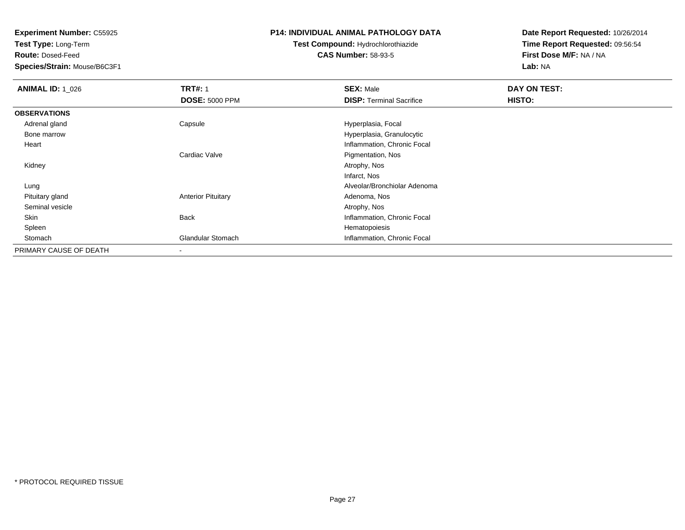**Test Type:** Long-Term

**Route:** Dosed-Feed

**Species/Strain:** Mouse/B6C3F1

## **P14: INDIVIDUAL ANIMAL PATHOLOGY DATA**

## **Test Compound:** Hydrochlorothiazide**CAS Number:** 58-93-5

| <b>ANIMAL ID: 1 026</b> | <b>TRT#: 1</b>            | <b>SEX: Male</b>                | DAY ON TEST: |  |
|-------------------------|---------------------------|---------------------------------|--------------|--|
|                         | <b>DOSE: 5000 PPM</b>     | <b>DISP: Terminal Sacrifice</b> | HISTO:       |  |
| <b>OBSERVATIONS</b>     |                           |                                 |              |  |
| Adrenal gland           | Capsule                   | Hyperplasia, Focal              |              |  |
| Bone marrow             |                           | Hyperplasia, Granulocytic       |              |  |
| Heart                   |                           | Inflammation, Chronic Focal     |              |  |
|                         | Cardiac Valve             | Pigmentation, Nos               |              |  |
| Kidney                  |                           | Atrophy, Nos                    |              |  |
|                         |                           | Infarct, Nos                    |              |  |
| Lung                    |                           | Alveolar/Bronchiolar Adenoma    |              |  |
| Pituitary gland         | <b>Anterior Pituitary</b> | Adenoma, Nos                    |              |  |
| Seminal vesicle         |                           | Atrophy, Nos                    |              |  |
| Skin                    | <b>Back</b>               | Inflammation, Chronic Focal     |              |  |
| Spleen                  |                           | Hematopoiesis                   |              |  |
| Stomach                 | <b>Glandular Stomach</b>  | Inflammation, Chronic Focal     |              |  |
| PRIMARY CAUSE OF DEATH  | $\overline{\phantom{a}}$  |                                 |              |  |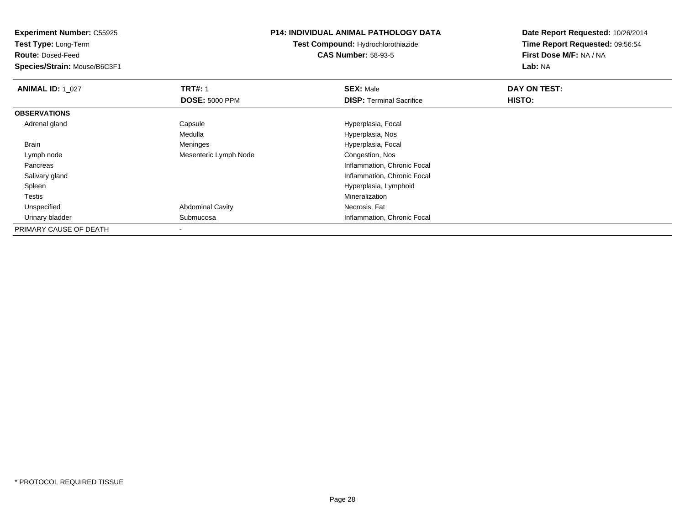**Experiment Number:** C55925**Test Type:** Long-Term**Route:** Dosed-Feed **Species/Strain:** Mouse/B6C3F1**P14: INDIVIDUAL ANIMAL PATHOLOGY DATATest Compound:** Hydrochlorothiazide**CAS Number:** 58-93-5**Date Report Requested:** 10/26/2014**Time Report Requested:** 09:56:54**First Dose M/F:** NA / NA**Lab:** NA**ANIMAL ID: 1\_027 TRT#:** <sup>1</sup> **SEX:** Male **DAY ON TEST: DOSE:** 5000 PPM**DISP:** Terminal Sacrifice **HISTO: OBSERVATIONS** Adrenal glandCapsule **Capsule Hyperplasia**, Focal Medulla Hyperplasia, Nos BrainMeninges Hyperplasia, Focal<br>Mesenteric Lymph Node Congestion, Nos Lymph nodeMesenteric Lymph Node Pancreas Inflammation, Chronic Focal Salivary gland Inflammation, Chronic Focal Spleen Hyperplasia, Lymphoid Testiss the control of the control of the control of the control of the control of the control of the control of the control of the control of the control of the control of the control of the control of the control of the contro Necrosis, Fat UnspecifiedAbdominal Cavity Urinary bladder Submucosa Inflammation, Chronic Focal PRIMARY CAUSE OF DEATH-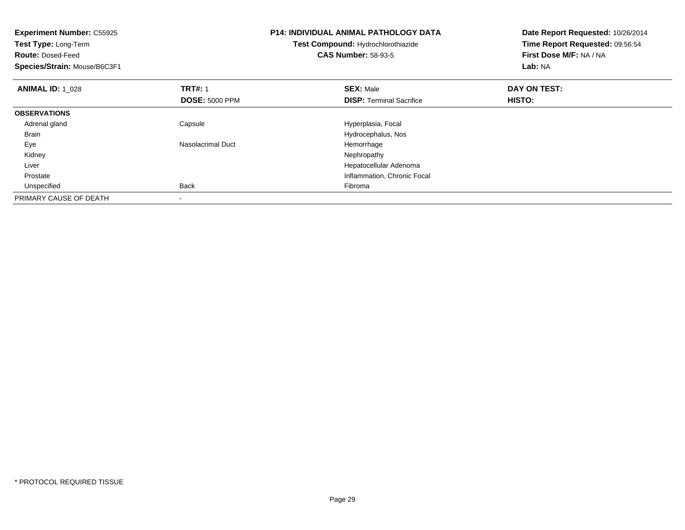| <b>Experiment Number: C55925</b><br>Test Type: Long-Term<br><b>Route: Dosed-Feed</b><br>Species/Strain: Mouse/B6C3F1 |                                         | <b>P14: INDIVIDUAL ANIMAL PATHOLOGY DATA</b><br>Test Compound: Hydrochlorothiazide<br><b>CAS Number: 58-93-5</b> | Date Report Requested: 10/26/2014<br>Time Report Requested: 09:56:54<br>First Dose M/F: NA / NA<br>Lab: NA |
|----------------------------------------------------------------------------------------------------------------------|-----------------------------------------|------------------------------------------------------------------------------------------------------------------|------------------------------------------------------------------------------------------------------------|
| <b>ANIMAL ID: 1 028</b>                                                                                              | <b>TRT#: 1</b><br><b>DOSE: 5000 PPM</b> | <b>SEX: Male</b><br><b>DISP:</b> Terminal Sacrifice                                                              | DAY ON TEST:<br>HISTO:                                                                                     |
| <b>OBSERVATIONS</b>                                                                                                  |                                         |                                                                                                                  |                                                                                                            |
| Adrenal gland                                                                                                        | Capsule                                 | Hyperplasia, Focal                                                                                               |                                                                                                            |
| <b>Brain</b>                                                                                                         |                                         | Hydrocephalus, Nos                                                                                               |                                                                                                            |
| Eye                                                                                                                  | Nasolacrimal Duct                       | Hemorrhage                                                                                                       |                                                                                                            |
| Kidney                                                                                                               |                                         | Nephropathy                                                                                                      |                                                                                                            |
| Liver                                                                                                                |                                         | Hepatocellular Adenoma                                                                                           |                                                                                                            |
| Prostate                                                                                                             |                                         | Inflammation, Chronic Focal                                                                                      |                                                                                                            |
| Unspecified                                                                                                          | Back                                    | Fibroma                                                                                                          |                                                                                                            |
| PRIMARY CAUSE OF DEATH                                                                                               |                                         |                                                                                                                  |                                                                                                            |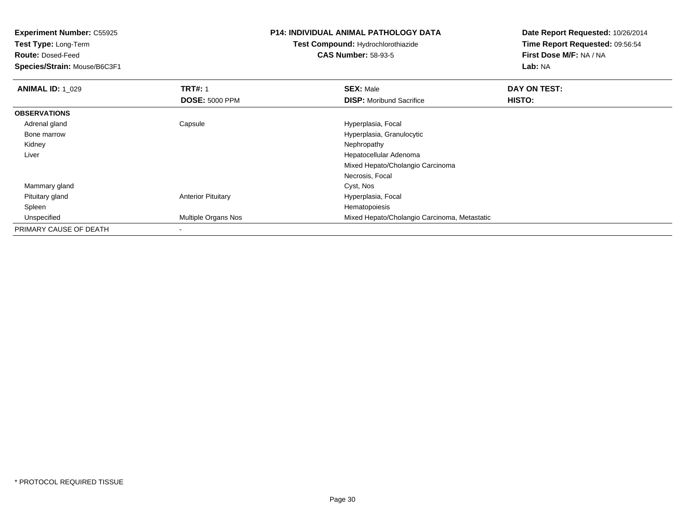**Test Type:** Long-Term

**Route:** Dosed-Feed

**Species/Strain:** Mouse/B6C3F1

## **P14: INDIVIDUAL ANIMAL PATHOLOGY DATA**

# **Test Compound:** Hydrochlorothiazide**CAS Number:** 58-93-5

| <b>ANIMAL ID: 1_029</b> | <b>TRT#: 1</b>             | <b>SEX: Male</b>                             | DAY ON TEST:  |  |
|-------------------------|----------------------------|----------------------------------------------|---------------|--|
|                         | <b>DOSE: 5000 PPM</b>      | <b>DISP:</b> Moribund Sacrifice              | <b>HISTO:</b> |  |
| <b>OBSERVATIONS</b>     |                            |                                              |               |  |
| Adrenal gland           | Capsule                    | Hyperplasia, Focal                           |               |  |
| Bone marrow             |                            | Hyperplasia, Granulocytic                    |               |  |
| Kidney                  |                            | Nephropathy                                  |               |  |
| Liver                   |                            | Hepatocellular Adenoma                       |               |  |
|                         |                            | Mixed Hepato/Cholangio Carcinoma             |               |  |
|                         |                            | Necrosis, Focal                              |               |  |
| Mammary gland           |                            | Cyst, Nos                                    |               |  |
| Pituitary gland         | <b>Anterior Pituitary</b>  | Hyperplasia, Focal                           |               |  |
| Spleen                  |                            | Hematopoiesis                                |               |  |
| Unspecified             | <b>Multiple Organs Nos</b> | Mixed Hepato/Cholangio Carcinoma, Metastatic |               |  |
| PRIMARY CAUSE OF DEATH  | $\overline{\phantom{a}}$   |                                              |               |  |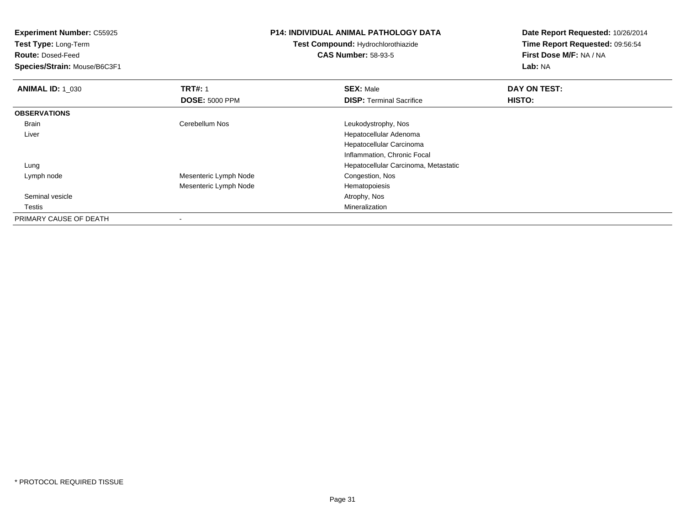| <b>Experiment Number: C55925</b> |                       | <b>P14: INDIVIDUAL ANIMAL PATHOLOGY DATA</b> | Date Report Requested: 10/26/2014 |  |
|----------------------------------|-----------------------|----------------------------------------------|-----------------------------------|--|
| <b>Test Type: Long-Term</b>      |                       | Test Compound: Hydrochlorothiazide           | Time Report Requested: 09:56:54   |  |
| <b>Route: Dosed-Feed</b>         |                       | <b>CAS Number: 58-93-5</b>                   | First Dose M/F: NA / NA           |  |
| Species/Strain: Mouse/B6C3F1     |                       |                                              | Lab: NA                           |  |
| <b>ANIMAL ID: 1_030</b>          | <b>TRT#: 1</b>        | <b>SEX: Male</b>                             | DAY ON TEST:                      |  |
|                                  | <b>DOSE: 5000 PPM</b> | <b>DISP: Terminal Sacrifice</b>              | <b>HISTO:</b>                     |  |
| <b>OBSERVATIONS</b>              |                       |                                              |                                   |  |
| Brain                            | Cerebellum Nos        | Leukodystrophy, Nos                          |                                   |  |
| Liver                            |                       | Hepatocellular Adenoma                       |                                   |  |
|                                  |                       | Hepatocellular Carcinoma                     |                                   |  |
|                                  |                       | Inflammation, Chronic Focal                  |                                   |  |
| Lung                             |                       | Hepatocellular Carcinoma, Metastatic         |                                   |  |
| Lymph node                       | Mesenteric Lymph Node | Congestion, Nos                              |                                   |  |
|                                  | Mesenteric Lymph Node | Hematopoiesis                                |                                   |  |
| Seminal vesicle                  |                       | Atrophy, Nos                                 |                                   |  |
| Testis                           |                       | Mineralization                               |                                   |  |
| PRIMARY CAUSE OF DEATH           | ٠                     |                                              |                                   |  |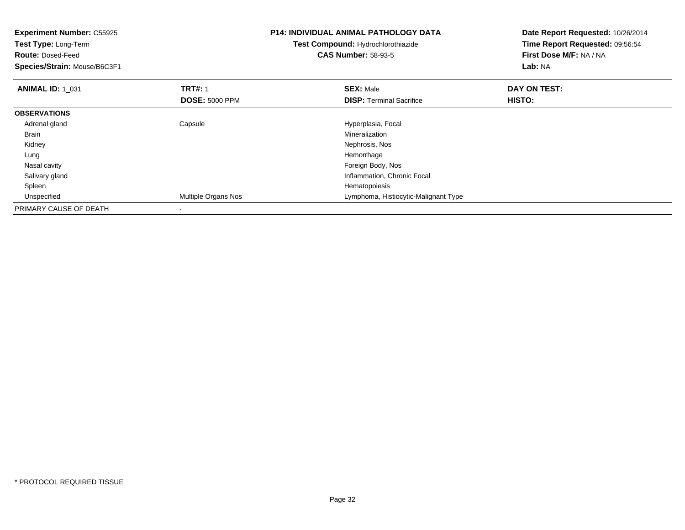| <b>Experiment Number: C55925</b> |                            | <b>P14: INDIVIDUAL ANIMAL PATHOLOGY DATA</b> | Date Report Requested: 10/26/2014 |
|----------------------------------|----------------------------|----------------------------------------------|-----------------------------------|
| Test Type: Long-Term             |                            | <b>Test Compound: Hydrochlorothiazide</b>    | Time Report Requested: 09:56:54   |
| <b>Route: Dosed-Feed</b>         |                            | <b>CAS Number: 58-93-5</b>                   | First Dose M/F: NA / NA           |
| Species/Strain: Mouse/B6C3F1     |                            |                                              | Lab: NA                           |
| <b>ANIMAL ID: 1 031</b>          | <b>TRT#: 1</b>             | <b>SEX: Male</b>                             | DAY ON TEST:                      |
|                                  | <b>DOSE: 5000 PPM</b>      | <b>DISP:</b> Terminal Sacrifice              | HISTO:                            |
| <b>OBSERVATIONS</b>              |                            |                                              |                                   |
| Adrenal gland                    | Capsule                    | Hyperplasia, Focal                           |                                   |
| <b>Brain</b>                     |                            | Mineralization                               |                                   |
| Kidney                           |                            | Nephrosis, Nos                               |                                   |
| Lung                             |                            | Hemorrhage                                   |                                   |
| Nasal cavity                     |                            | Foreign Body, Nos                            |                                   |
| Salivary gland                   |                            | Inflammation, Chronic Focal                  |                                   |
| Spleen                           |                            | Hematopoiesis                                |                                   |
| Unspecified                      | <b>Multiple Organs Nos</b> | Lymphoma, Histiocytic-Malignant Type         |                                   |
| PRIMARY CAUSE OF DEATH           |                            |                                              |                                   |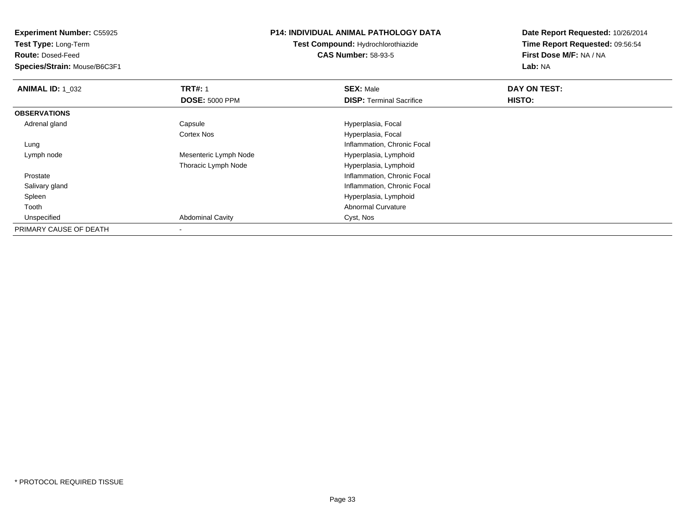**Test Type:** Long-Term

**Route:** Dosed-Feed

**Species/Strain:** Mouse/B6C3F1

#### **P14: INDIVIDUAL ANIMAL PATHOLOGY DATA**

**Test Compound:** Hydrochlorothiazide**CAS Number:** 58-93-5

| <b>ANIMAL ID: 1_032</b> | <b>TRT#: 1</b>          | <b>SEX: Male</b>                | DAY ON TEST: |  |
|-------------------------|-------------------------|---------------------------------|--------------|--|
|                         | <b>DOSE: 5000 PPM</b>   | <b>DISP: Terminal Sacrifice</b> | HISTO:       |  |
| <b>OBSERVATIONS</b>     |                         |                                 |              |  |
| Adrenal gland           | Capsule                 | Hyperplasia, Focal              |              |  |
|                         | <b>Cortex Nos</b>       | Hyperplasia, Focal              |              |  |
| Lung                    |                         | Inflammation, Chronic Focal     |              |  |
| Lymph node              | Mesenteric Lymph Node   | Hyperplasia, Lymphoid           |              |  |
|                         | Thoracic Lymph Node     | Hyperplasia, Lymphoid           |              |  |
| Prostate                |                         | Inflammation, Chronic Focal     |              |  |
| Salivary gland          |                         | Inflammation, Chronic Focal     |              |  |
| Spleen                  |                         | Hyperplasia, Lymphoid           |              |  |
| Tooth                   |                         | <b>Abnormal Curvature</b>       |              |  |
| Unspecified             | <b>Abdominal Cavity</b> | Cyst, Nos                       |              |  |
| PRIMARY CAUSE OF DEATH  |                         |                                 |              |  |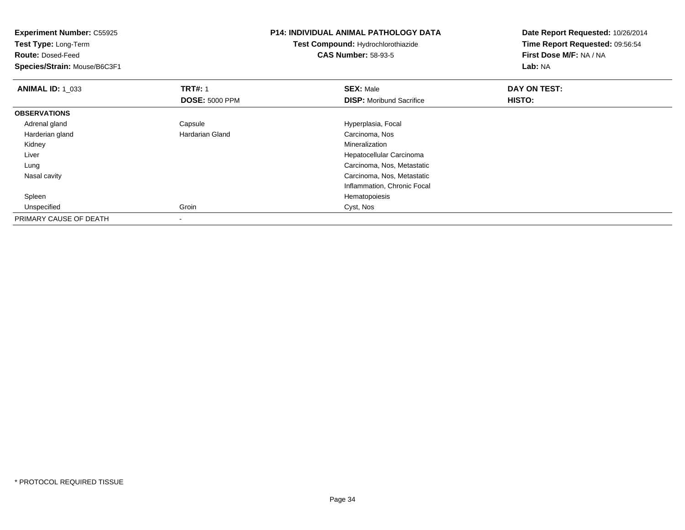| <b>Experiment Number: C55925</b><br>Test Type: Long-Term<br><b>Route: Dosed-Feed</b><br>Species/Strain: Mouse/B6C3F1 |                                         | <b>P14: INDIVIDUAL ANIMAL PATHOLOGY DATA</b><br>Test Compound: Hydrochlorothiazide<br><b>CAS Number: 58-93-5</b> | Date Report Requested: 10/26/2014<br>Time Report Requested: 09:56:54<br>First Dose M/F: NA / NA<br>Lab: NA |
|----------------------------------------------------------------------------------------------------------------------|-----------------------------------------|------------------------------------------------------------------------------------------------------------------|------------------------------------------------------------------------------------------------------------|
| <b>ANIMAL ID: 1_033</b>                                                                                              | <b>TRT#: 1</b><br><b>DOSE: 5000 PPM</b> | <b>SEX: Male</b><br><b>DISP:</b> Moribund Sacrifice                                                              | DAY ON TEST:<br>HISTO:                                                                                     |
| <b>OBSERVATIONS</b>                                                                                                  |                                         |                                                                                                                  |                                                                                                            |
| Adrenal gland                                                                                                        | Capsule                                 | Hyperplasia, Focal                                                                                               |                                                                                                            |
| Harderian gland                                                                                                      | Hardarian Gland                         | Carcinoma, Nos                                                                                                   |                                                                                                            |
| Kidney                                                                                                               |                                         | Mineralization                                                                                                   |                                                                                                            |
| Liver                                                                                                                |                                         | Hepatocellular Carcinoma                                                                                         |                                                                                                            |
| Lung                                                                                                                 |                                         | Carcinoma, Nos, Metastatic                                                                                       |                                                                                                            |
| Nasal cavity                                                                                                         |                                         | Carcinoma, Nos, Metastatic                                                                                       |                                                                                                            |
|                                                                                                                      |                                         | Inflammation, Chronic Focal                                                                                      |                                                                                                            |
| Spleen                                                                                                               |                                         | Hematopoiesis                                                                                                    |                                                                                                            |
| Unspecified                                                                                                          | Groin                                   | Cyst, Nos                                                                                                        |                                                                                                            |
| PRIMARY CAUSE OF DEATH                                                                                               |                                         |                                                                                                                  |                                                                                                            |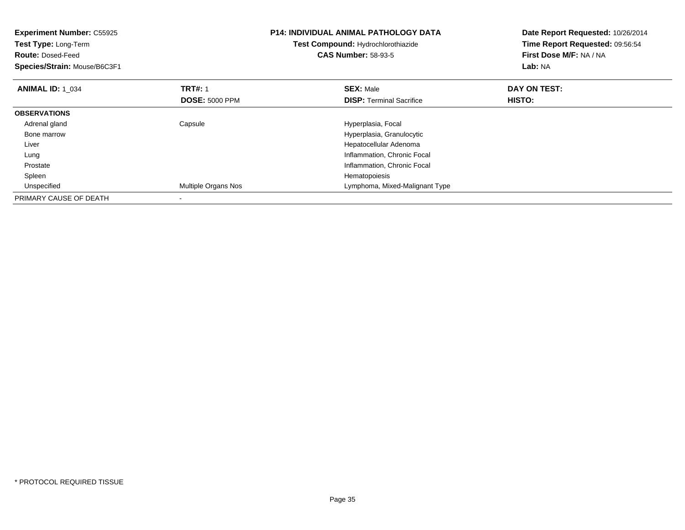| <b>Experiment Number: C55925</b><br>Test Type: Long-Term<br><b>Route: Dosed-Feed</b><br>Species/Strain: Mouse/B6C3F1 |                       | <b>P14: INDIVIDUAL ANIMAL PATHOLOGY DATA</b><br>Test Compound: Hydrochlorothiazide<br><b>CAS Number: 58-93-5</b> | Date Report Requested: 10/26/2014<br>Time Report Requested: 09:56:54<br>First Dose M/F: NA / NA<br>Lab: NA |
|----------------------------------------------------------------------------------------------------------------------|-----------------------|------------------------------------------------------------------------------------------------------------------|------------------------------------------------------------------------------------------------------------|
| <b>ANIMAL ID: 1 034</b>                                                                                              | <b>TRT#: 1</b>        | <b>SEX: Male</b>                                                                                                 | DAY ON TEST:                                                                                               |
|                                                                                                                      | <b>DOSE: 5000 PPM</b> | <b>DISP:</b> Terminal Sacrifice                                                                                  | HISTO:                                                                                                     |
| <b>OBSERVATIONS</b>                                                                                                  |                       |                                                                                                                  |                                                                                                            |
| Adrenal gland                                                                                                        | Capsule               | Hyperplasia, Focal                                                                                               |                                                                                                            |
| Bone marrow                                                                                                          |                       | Hyperplasia, Granulocytic                                                                                        |                                                                                                            |
| Liver                                                                                                                |                       | Hepatocellular Adenoma                                                                                           |                                                                                                            |
| Lung                                                                                                                 |                       | Inflammation, Chronic Focal                                                                                      |                                                                                                            |
| Prostate                                                                                                             |                       | Inflammation, Chronic Focal                                                                                      |                                                                                                            |
| Spleen                                                                                                               |                       | Hematopoiesis                                                                                                    |                                                                                                            |
| Unspecified                                                                                                          | Multiple Organs Nos   | Lymphoma, Mixed-Malignant Type                                                                                   |                                                                                                            |
| PRIMARY CAUSE OF DEATH                                                                                               |                       |                                                                                                                  |                                                                                                            |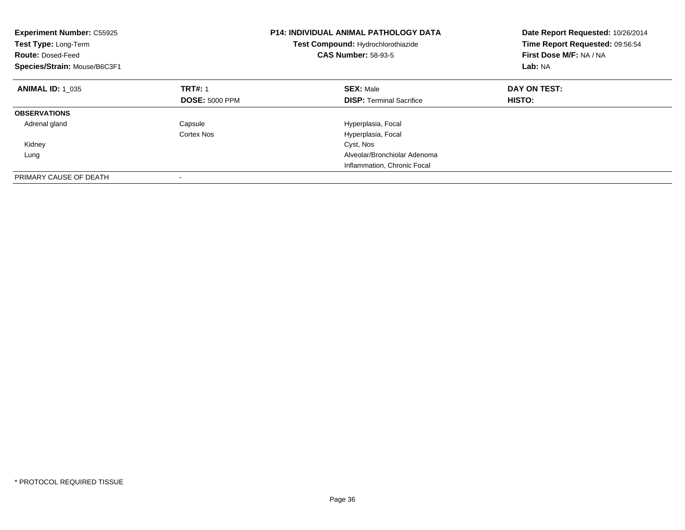| <b>Experiment Number: C55925</b><br>Test Type: Long-Term<br><b>Route: Dosed-Feed</b><br>Species/Strain: Mouse/B6C3F1 |                       | <b>P14: INDIVIDUAL ANIMAL PATHOLOGY DATA</b><br>Test Compound: Hydrochlorothiazide<br><b>CAS Number: 58-93-5</b> | Date Report Requested: 10/26/2014<br>Time Report Requested: 09:56:54<br>First Dose M/F: NA / NA<br>Lab: NA |
|----------------------------------------------------------------------------------------------------------------------|-----------------------|------------------------------------------------------------------------------------------------------------------|------------------------------------------------------------------------------------------------------------|
| <b>ANIMAL ID: 1_035</b>                                                                                              | <b>TRT#: 1</b>        | <b>SEX: Male</b>                                                                                                 | DAY ON TEST:                                                                                               |
|                                                                                                                      | <b>DOSE: 5000 PPM</b> | <b>DISP:</b> Terminal Sacrifice                                                                                  | HISTO:                                                                                                     |
| <b>OBSERVATIONS</b>                                                                                                  |                       |                                                                                                                  |                                                                                                            |
| Adrenal gland                                                                                                        | Capsule               | Hyperplasia, Focal                                                                                               |                                                                                                            |
|                                                                                                                      | Cortex Nos            | Hyperplasia, Focal                                                                                               |                                                                                                            |
| Kidney                                                                                                               |                       | Cyst, Nos                                                                                                        |                                                                                                            |
| Lung                                                                                                                 |                       | Alveolar/Bronchiolar Adenoma                                                                                     |                                                                                                            |
|                                                                                                                      |                       | Inflammation, Chronic Focal                                                                                      |                                                                                                            |
| PRIMARY CAUSE OF DEATH                                                                                               |                       |                                                                                                                  |                                                                                                            |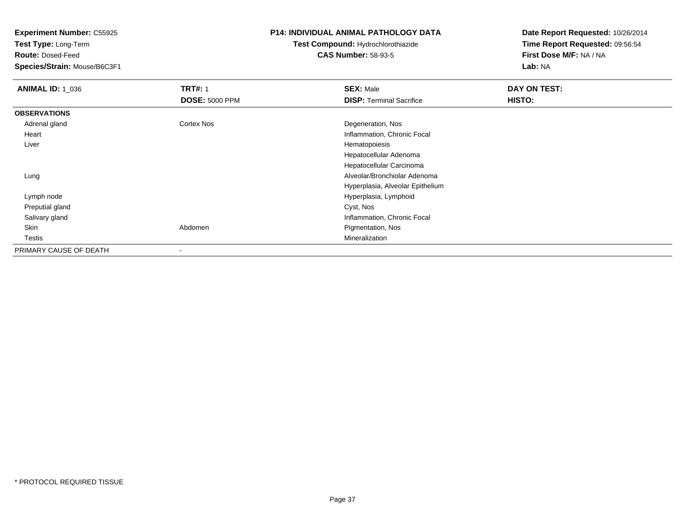**Test Type:** Long-Term

**Route:** Dosed-Feed

**Species/Strain:** Mouse/B6C3F1

#### **P14: INDIVIDUAL ANIMAL PATHOLOGY DATA**

## **Test Compound:** Hydrochlorothiazide**CAS Number:** 58-93-5

| <b>ANIMAL ID: 1_036</b> | <b>TRT#: 1</b>        | <b>SEX: Male</b>                 | DAY ON TEST: |
|-------------------------|-----------------------|----------------------------------|--------------|
|                         | <b>DOSE: 5000 PPM</b> | <b>DISP: Terminal Sacrifice</b>  | HISTO:       |
| <b>OBSERVATIONS</b>     |                       |                                  |              |
| Adrenal gland           | <b>Cortex Nos</b>     | Degeneration, Nos                |              |
| Heart                   |                       | Inflammation, Chronic Focal      |              |
| Liver                   |                       | Hematopoiesis                    |              |
|                         |                       | Hepatocellular Adenoma           |              |
|                         |                       | Hepatocellular Carcinoma         |              |
| Lung                    |                       | Alveolar/Bronchiolar Adenoma     |              |
|                         |                       | Hyperplasia, Alveolar Epithelium |              |
| Lymph node              |                       | Hyperplasia, Lymphoid            |              |
| Preputial gland         |                       | Cyst, Nos                        |              |
| Salivary gland          |                       | Inflammation, Chronic Focal      |              |
| Skin                    | Abdomen               | Pigmentation, Nos                |              |
| Testis                  |                       | Mineralization                   |              |
| PRIMARY CAUSE OF DEATH  |                       |                                  |              |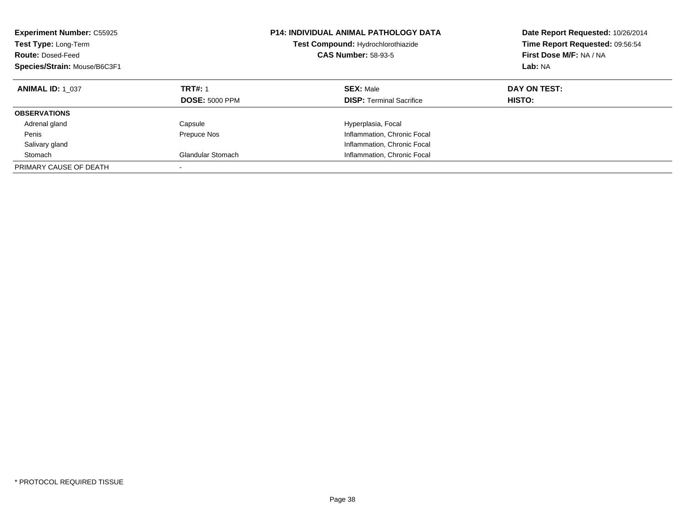| <b>Experiment Number: C55925</b><br>Test Type: Long-Term<br><b>Route: Dosed-Feed</b><br>Species/Strain: Mouse/B6C3F1 |                                         | <b>P14: INDIVIDUAL ANIMAL PATHOLOGY DATA</b><br>Test Compound: Hydrochlorothiazide<br><b>CAS Number: 58-93-5</b> | Date Report Requested: 10/26/2014<br>Time Report Requested: 09:56:54<br>First Dose M/F: NA / NA<br>Lab: NA |
|----------------------------------------------------------------------------------------------------------------------|-----------------------------------------|------------------------------------------------------------------------------------------------------------------|------------------------------------------------------------------------------------------------------------|
| <b>ANIMAL ID: 1 037</b>                                                                                              | <b>TRT#: 1</b><br><b>DOSE: 5000 PPM</b> | <b>SEX: Male</b><br><b>DISP:</b> Terminal Sacrifice                                                              | DAY ON TEST:<br>HISTO:                                                                                     |
| <b>OBSERVATIONS</b>                                                                                                  |                                         |                                                                                                                  |                                                                                                            |
| Adrenal gland                                                                                                        | Capsule                                 | Hyperplasia, Focal                                                                                               |                                                                                                            |
| Penis                                                                                                                | Prepuce Nos                             | Inflammation, Chronic Focal                                                                                      |                                                                                                            |
| Salivary gland                                                                                                       |                                         | Inflammation, Chronic Focal                                                                                      |                                                                                                            |
| Stomach                                                                                                              | <b>Glandular Stomach</b>                | Inflammation, Chronic Focal                                                                                      |                                                                                                            |
| PRIMARY CAUSE OF DEATH                                                                                               |                                         |                                                                                                                  |                                                                                                            |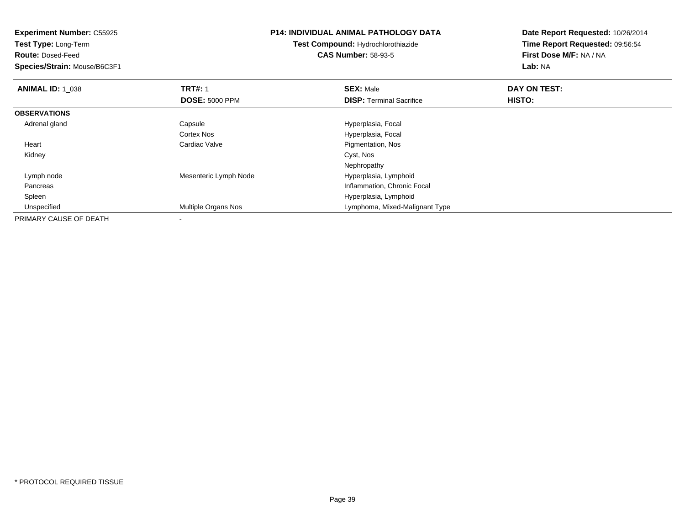| <b>Experiment Number: C55925</b><br>Test Type: Long-Term<br><b>Route: Dosed-Feed</b> |                            | <b>P14: INDIVIDUAL ANIMAL PATHOLOGY DATA</b><br><b>Test Compound: Hydrochlorothiazide</b><br><b>CAS Number: 58-93-5</b> | Date Report Requested: 10/26/2014<br>Time Report Requested: 09:56:54<br>First Dose M/F: NA / NA |
|--------------------------------------------------------------------------------------|----------------------------|-------------------------------------------------------------------------------------------------------------------------|-------------------------------------------------------------------------------------------------|
| Species/Strain: Mouse/B6C3F1                                                         |                            |                                                                                                                         | Lab: NA                                                                                         |
| <b>ANIMAL ID: 1 038</b>                                                              | <b>TRT#: 1</b>             | <b>SEX: Male</b>                                                                                                        | DAY ON TEST:                                                                                    |
|                                                                                      | <b>DOSE: 5000 PPM</b>      | <b>DISP: Terminal Sacrifice</b>                                                                                         | <b>HISTO:</b>                                                                                   |
| <b>OBSERVATIONS</b>                                                                  |                            |                                                                                                                         |                                                                                                 |
| Adrenal gland                                                                        | Capsule                    | Hyperplasia, Focal                                                                                                      |                                                                                                 |
|                                                                                      | Cortex Nos                 | Hyperplasia, Focal                                                                                                      |                                                                                                 |
| Heart                                                                                | Cardiac Valve              | Pigmentation, Nos                                                                                                       |                                                                                                 |
| Kidney                                                                               |                            | Cyst, Nos                                                                                                               |                                                                                                 |
|                                                                                      |                            | Nephropathy                                                                                                             |                                                                                                 |
| Lymph node                                                                           | Mesenteric Lymph Node      | Hyperplasia, Lymphoid                                                                                                   |                                                                                                 |
| Pancreas                                                                             |                            | Inflammation, Chronic Focal                                                                                             |                                                                                                 |
| Spleen                                                                               |                            | Hyperplasia, Lymphoid                                                                                                   |                                                                                                 |
| Unspecified                                                                          | <b>Multiple Organs Nos</b> | Lymphoma, Mixed-Malignant Type                                                                                          |                                                                                                 |
| PRIMARY CAUSE OF DEATH                                                               |                            |                                                                                                                         |                                                                                                 |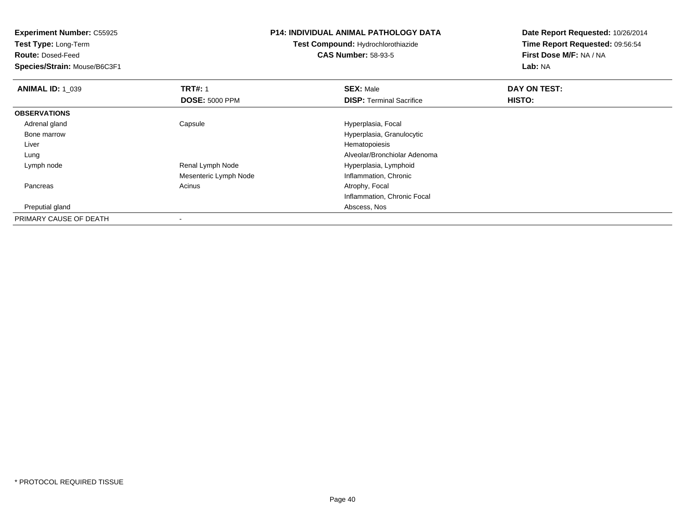**Experiment Number:** C55925**Test Type:** Long-Term**Route:** Dosed-Feed **Species/Strain:** Mouse/B6C3F1**P14: INDIVIDUAL ANIMAL PATHOLOGY DATATest Compound:** Hydrochlorothiazide**CAS Number:** 58-93-5**Date Report Requested:** 10/26/2014**Time Report Requested:** 09:56:54**First Dose M/F:** NA / NA**Lab:** NA**ANIMAL ID: 1\_039 9 TRT#:** 1 **SEX:** Male **SEX:** Male **DAY ON TEST: DOSE:** 5000 PPM**DISP:** Terminal Sacrifice **HISTO: OBSERVATIONS** Adrenal glandCapsule **Capsule Hyperplasia**, Focal Bone marrow Hyperplasia, Granulocytic Liver Hematopoiesis Alveolar/Bronchiolar Adenoma Lung Lymph nodeRenal Lymph Node **Hyperplasia, Lymphoid** Mesenteric Lymph Node Inflammation, Chronic PancreasAcinus **Acinus** Atrophy, Focal Inflammation, Chronic Focal Preputial glandAbscess, Nos

PRIMARY CAUSE OF DEATH-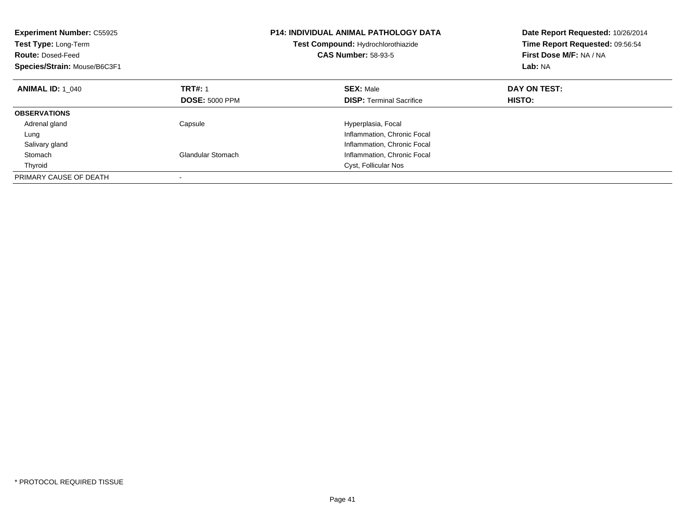| <b>Experiment Number: C55925</b><br>Test Type: Long-Term<br><b>Route: Dosed-Feed</b><br>Species/Strain: Mouse/B6C3F1 |                          | <b>P14: INDIVIDUAL ANIMAL PATHOLOGY DATA</b><br>Test Compound: Hydrochlorothiazide<br><b>CAS Number: 58-93-5</b> | Date Report Requested: 10/26/2014<br>Time Report Requested: 09:56:54<br>First Dose M/F: NA / NA<br>Lab: NA |
|----------------------------------------------------------------------------------------------------------------------|--------------------------|------------------------------------------------------------------------------------------------------------------|------------------------------------------------------------------------------------------------------------|
| <b>ANIMAL ID: 1 040</b>                                                                                              | <b>TRT#: 1</b>           | <b>SEX: Male</b>                                                                                                 | DAY ON TEST:                                                                                               |
|                                                                                                                      | <b>DOSE: 5000 PPM</b>    | <b>DISP:</b> Terminal Sacrifice                                                                                  | <b>HISTO:</b>                                                                                              |
| <b>OBSERVATIONS</b>                                                                                                  |                          |                                                                                                                  |                                                                                                            |
| Adrenal gland                                                                                                        | Capsule                  | Hyperplasia, Focal                                                                                               |                                                                                                            |
| Lung                                                                                                                 |                          | Inflammation, Chronic Focal                                                                                      |                                                                                                            |
| Salivary gland                                                                                                       |                          | Inflammation, Chronic Focal                                                                                      |                                                                                                            |
| Stomach                                                                                                              | <b>Glandular Stomach</b> | Inflammation, Chronic Focal                                                                                      |                                                                                                            |
| Thyroid                                                                                                              |                          | Cyst, Follicular Nos                                                                                             |                                                                                                            |
| PRIMARY CAUSE OF DEATH                                                                                               |                          |                                                                                                                  |                                                                                                            |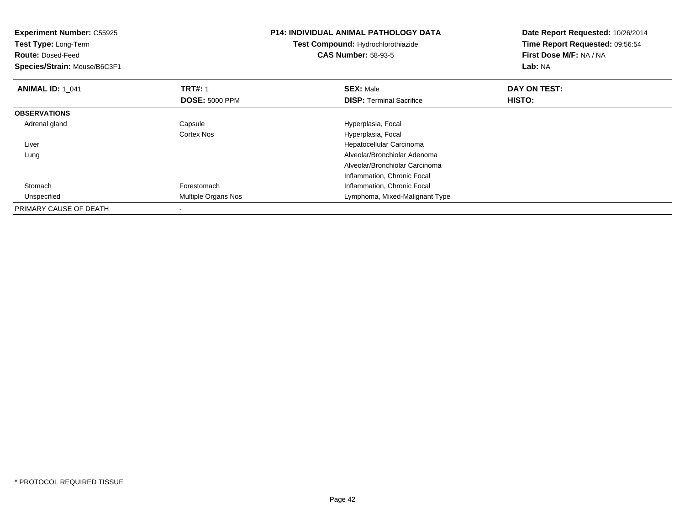| <b>Experiment Number: C55925</b><br>Test Type: Long-Term<br><b>Route: Dosed-Feed</b><br>Species/Strain: Mouse/B6C3F1 |                       | <b>P14: INDIVIDUAL ANIMAL PATHOLOGY DATA</b><br><b>Test Compound: Hydrochlorothiazide</b><br><b>CAS Number: 58-93-5</b> | Date Report Requested: 10/26/2014<br>Time Report Requested: 09:56:54<br>First Dose M/F: NA / NA<br>Lab: NA |
|----------------------------------------------------------------------------------------------------------------------|-----------------------|-------------------------------------------------------------------------------------------------------------------------|------------------------------------------------------------------------------------------------------------|
| <b>ANIMAL ID: 1 041</b>                                                                                              | <b>TRT#: 1</b>        | <b>SEX: Male</b>                                                                                                        | DAY ON TEST:                                                                                               |
|                                                                                                                      | <b>DOSE: 5000 PPM</b> | <b>DISP:</b> Terminal Sacrifice                                                                                         | <b>HISTO:</b>                                                                                              |
| <b>OBSERVATIONS</b>                                                                                                  |                       |                                                                                                                         |                                                                                                            |
| Adrenal gland                                                                                                        | Capsule               | Hyperplasia, Focal                                                                                                      |                                                                                                            |
|                                                                                                                      | <b>Cortex Nos</b>     | Hyperplasia, Focal                                                                                                      |                                                                                                            |
| Liver                                                                                                                |                       | Hepatocellular Carcinoma                                                                                                |                                                                                                            |
| Lung                                                                                                                 |                       | Alveolar/Bronchiolar Adenoma                                                                                            |                                                                                                            |
|                                                                                                                      |                       | Alveolar/Bronchiolar Carcinoma                                                                                          |                                                                                                            |
|                                                                                                                      |                       | Inflammation, Chronic Focal                                                                                             |                                                                                                            |
| Stomach                                                                                                              | Forestomach           | Inflammation, Chronic Focal                                                                                             |                                                                                                            |
| Unspecified                                                                                                          | Multiple Organs Nos   | Lymphoma, Mixed-Malignant Type                                                                                          |                                                                                                            |
| PRIMARY CAUSE OF DEATH                                                                                               |                       |                                                                                                                         |                                                                                                            |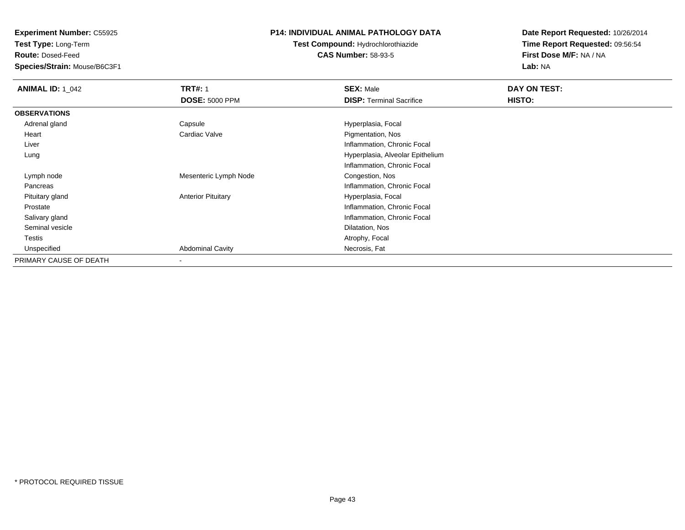**Test Type:** Long-Term

**Route:** Dosed-Feed

**Species/Strain:** Mouse/B6C3F1

### **P14: INDIVIDUAL ANIMAL PATHOLOGY DATA**

## **Test Compound:** Hydrochlorothiazide**CAS Number:** 58-93-5

| <b>ANIMAL ID: 1_042</b> | <b>TRT#: 1</b>            | <b>SEX: Male</b>                 | DAY ON TEST: |  |
|-------------------------|---------------------------|----------------------------------|--------------|--|
|                         | <b>DOSE: 5000 PPM</b>     | <b>DISP: Terminal Sacrifice</b>  | HISTO:       |  |
| <b>OBSERVATIONS</b>     |                           |                                  |              |  |
| Adrenal gland           | Capsule                   | Hyperplasia, Focal               |              |  |
| Heart                   | Cardiac Valve             | Pigmentation, Nos                |              |  |
| Liver                   |                           | Inflammation, Chronic Focal      |              |  |
| Lung                    |                           | Hyperplasia, Alveolar Epithelium |              |  |
|                         |                           | Inflammation, Chronic Focal      |              |  |
| Lymph node              | Mesenteric Lymph Node     | Congestion, Nos                  |              |  |
| Pancreas                |                           | Inflammation, Chronic Focal      |              |  |
| Pituitary gland         | <b>Anterior Pituitary</b> | Hyperplasia, Focal               |              |  |
| Prostate                |                           | Inflammation, Chronic Focal      |              |  |
| Salivary gland          |                           | Inflammation, Chronic Focal      |              |  |
| Seminal vesicle         |                           | Dilatation, Nos                  |              |  |
| <b>Testis</b>           |                           | Atrophy, Focal                   |              |  |
| Unspecified             | <b>Abdominal Cavity</b>   | Necrosis, Fat                    |              |  |
| PRIMARY CAUSE OF DEATH  |                           |                                  |              |  |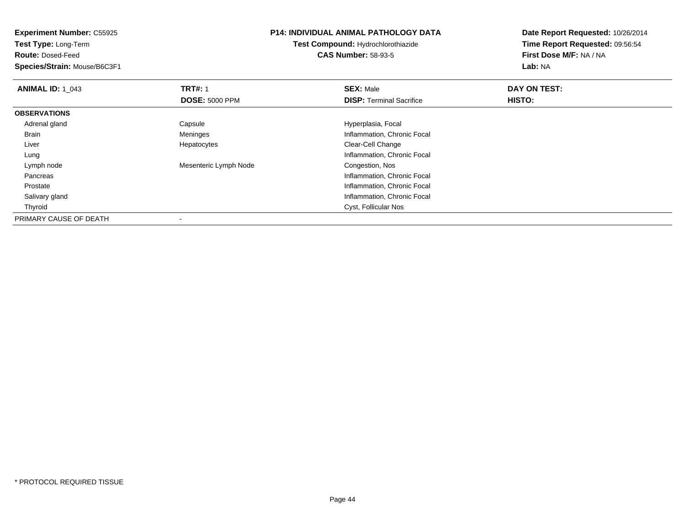**Experiment Number:** C55925**Test Type:** Long-Term**Route:** Dosed-Feed **Species/Strain:** Mouse/B6C3F1**P14: INDIVIDUAL ANIMAL PATHOLOGY DATATest Compound:** Hydrochlorothiazide**CAS Number:** 58-93-5**Date Report Requested:** 10/26/2014**Time Report Requested:** 09:56:54**First Dose M/F:** NA / NA**Lab:** NA**ANIMAL ID: 1\_043 TRT#:** 1 **SEX:** Male **DAY ON TEST: DOSE:** 5000 PPM**DISP:** Terminal Sacrifice **HISTO: OBSERVATIONS** Adrenal glandCapsule Capsule Hyperplasia, Focal<br>
Meninges Capsulate Hyperplasia, Focal<br>
Meninges Capsulate Hyperplasia, Chro BrainInflammation, Chronic Focal Liver Hepatocytes Clear-Cell Change**Inflammation, Chronic Focal**  Lung Lymph nodeMesenteric Lymph Node Congestion, Nos Pancreas Inflammation, Chronic Focal Prostate Inflammation, Chronic Focal Salivary gland Inflammation, Chronic Focal Thyroid Cyst, Follicular Nos PRIMARY CAUSE OF DEATH-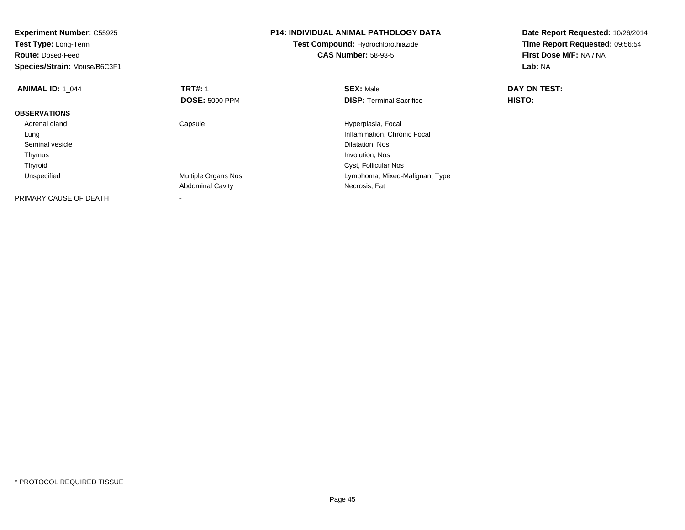| <b>Experiment Number: C55925</b><br>Test Type: Long-Term<br><b>Route: Dosed-Feed</b><br>Species/Strain: Mouse/B6C3F1 |                         | <b>P14: INDIVIDUAL ANIMAL PATHOLOGY DATA</b><br>Test Compound: Hydrochlorothiazide<br><b>CAS Number: 58-93-5</b> | Date Report Requested: 10/26/2014<br>Time Report Requested: 09:56:54<br>First Dose M/F: NA / NA<br>Lab: NA |
|----------------------------------------------------------------------------------------------------------------------|-------------------------|------------------------------------------------------------------------------------------------------------------|------------------------------------------------------------------------------------------------------------|
| <b>ANIMAL ID: 1 044</b>                                                                                              | <b>TRT#: 1</b>          | <b>SEX: Male</b>                                                                                                 | DAY ON TEST:                                                                                               |
|                                                                                                                      | <b>DOSE: 5000 PPM</b>   | <b>DISP:</b> Terminal Sacrifice                                                                                  | HISTO:                                                                                                     |
| <b>OBSERVATIONS</b>                                                                                                  |                         |                                                                                                                  |                                                                                                            |
| Adrenal gland                                                                                                        | Capsule                 | Hyperplasia, Focal                                                                                               |                                                                                                            |
| Lung                                                                                                                 |                         | Inflammation, Chronic Focal                                                                                      |                                                                                                            |
| Seminal vesicle                                                                                                      |                         | Dilatation, Nos                                                                                                  |                                                                                                            |
| Thymus                                                                                                               |                         | Involution, Nos                                                                                                  |                                                                                                            |
| Thyroid                                                                                                              |                         | Cyst, Follicular Nos                                                                                             |                                                                                                            |
| Unspecified                                                                                                          | Multiple Organs Nos     | Lymphoma, Mixed-Malignant Type                                                                                   |                                                                                                            |
|                                                                                                                      | <b>Abdominal Cavity</b> | Necrosis, Fat                                                                                                    |                                                                                                            |
| PRIMARY CAUSE OF DEATH                                                                                               |                         |                                                                                                                  |                                                                                                            |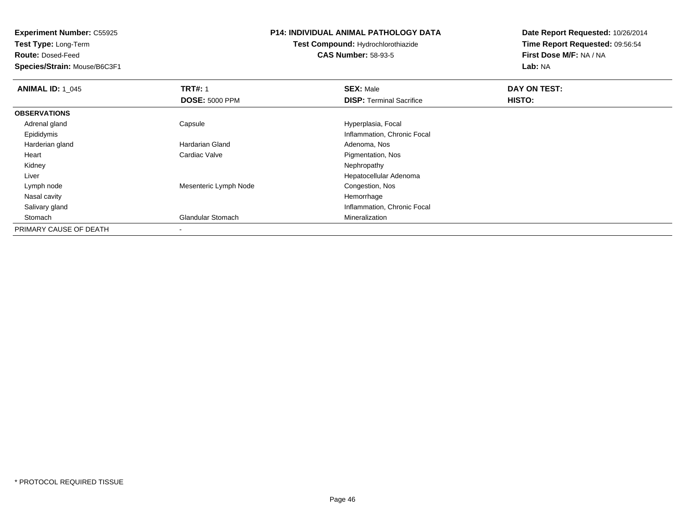**Experiment Number:** C55925**Test Type:** Long-Term**Route:** Dosed-Feed **Species/Strain:** Mouse/B6C3F1**P14: INDIVIDUAL ANIMAL PATHOLOGY DATATest Compound:** Hydrochlorothiazide**CAS Number:** 58-93-5**Date Report Requested:** 10/26/2014**Time Report Requested:** 09:56:54**First Dose M/F:** NA / NA**Lab:** NA**ANIMAL ID: 1\_045 TRT#:** <sup>1</sup> **SEX:** Male **DAY ON TEST: DOSE:** 5000 PPM**DISP:** Terminal Sacrifice **HISTO: OBSERVATIONS** Adrenal glandCapsule **Capsule Hyperplasia**, Focal Epididymis Inflammation, Chronic Focal Harderian glandHardarian Gland **Adenoma**, Nos Heart Cardiac Valve Pigmentation, Nos Kidneyy the control of the control of the control of the control of the control of the control of the control of the control of the control of the control of the control of the control of the control of the control of the contro Liver Hepatocellular Adenoma Lymph nodeMesenteric Lymph Node Congestion, Nos<br>
Hemorrhage Nasal cavityy the control of the control of the control of the control of the control of the control of the control of the control of the control of the control of the control of the control of the control of the control of the contro **Inflammation, Chronic Focal**  Salivary gland StomachGlandular Stomach **Mineralization** Mineralization PRIMARY CAUSE OF DEATH

-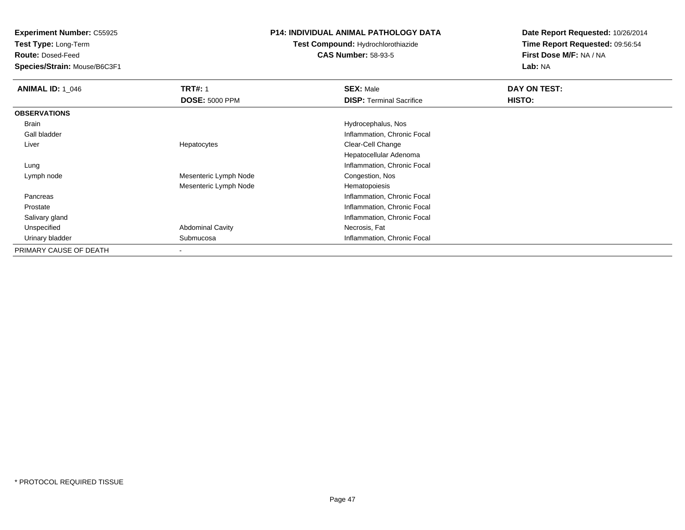**Test Type:** Long-Term

**Route:** Dosed-Feed

**Species/Strain:** Mouse/B6C3F1

#### **P14: INDIVIDUAL ANIMAL PATHOLOGY DATA**

## **Test Compound:** Hydrochlorothiazide**CAS Number:** 58-93-5

| <b>ANIMAL ID: 1_046</b> | <b>TRT#: 1</b>          | <b>SEX: Male</b>                | DAY ON TEST: |  |
|-------------------------|-------------------------|---------------------------------|--------------|--|
|                         | <b>DOSE: 5000 PPM</b>   | <b>DISP: Terminal Sacrifice</b> | HISTO:       |  |
| <b>OBSERVATIONS</b>     |                         |                                 |              |  |
| Brain                   |                         | Hydrocephalus, Nos              |              |  |
| Gall bladder            |                         | Inflammation, Chronic Focal     |              |  |
| Liver                   | Hepatocytes             | Clear-Cell Change               |              |  |
|                         |                         | Hepatocellular Adenoma          |              |  |
| Lung                    |                         | Inflammation, Chronic Focal     |              |  |
| Lymph node              | Mesenteric Lymph Node   | Congestion, Nos                 |              |  |
|                         | Mesenteric Lymph Node   | Hematopoiesis                   |              |  |
| Pancreas                |                         | Inflammation, Chronic Focal     |              |  |
| Prostate                |                         | Inflammation, Chronic Focal     |              |  |
| Salivary gland          |                         | Inflammation, Chronic Focal     |              |  |
| Unspecified             | <b>Abdominal Cavity</b> | Necrosis, Fat                   |              |  |
| Urinary bladder         | Submucosa               | Inflammation, Chronic Focal     |              |  |
| PRIMARY CAUSE OF DEATH  |                         |                                 |              |  |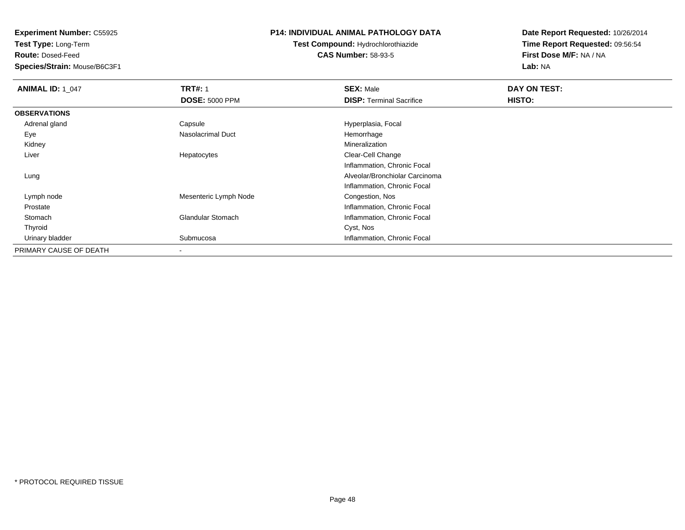**Test Type:** Long-Term

**Route:** Dosed-Feed

**Species/Strain:** Mouse/B6C3F1

### **P14: INDIVIDUAL ANIMAL PATHOLOGY DATA**

**Test Compound:** Hydrochlorothiazide**CAS Number:** 58-93-5

| <b>ANIMAL ID: 1_047</b> | <b>TRT#: 1</b>           | <b>SEX: Male</b>                | DAY ON TEST: |  |
|-------------------------|--------------------------|---------------------------------|--------------|--|
|                         | <b>DOSE: 5000 PPM</b>    | <b>DISP: Terminal Sacrifice</b> | HISTO:       |  |
| <b>OBSERVATIONS</b>     |                          |                                 |              |  |
| Adrenal gland           | Capsule                  | Hyperplasia, Focal              |              |  |
| Eye                     | <b>Nasolacrimal Duct</b> | Hemorrhage                      |              |  |
| Kidney                  |                          | Mineralization                  |              |  |
| Liver                   | Hepatocytes              | Clear-Cell Change               |              |  |
|                         |                          | Inflammation, Chronic Focal     |              |  |
| Lung                    |                          | Alveolar/Bronchiolar Carcinoma  |              |  |
|                         |                          | Inflammation, Chronic Focal     |              |  |
| Lymph node              | Mesenteric Lymph Node    | Congestion, Nos                 |              |  |
| Prostate                |                          | Inflammation, Chronic Focal     |              |  |
| Stomach                 | <b>Glandular Stomach</b> | Inflammation, Chronic Focal     |              |  |
| Thyroid                 |                          | Cyst, Nos                       |              |  |
| Urinary bladder         | Submucosa                | Inflammation, Chronic Focal     |              |  |
| PRIMARY CAUSE OF DEATH  |                          |                                 |              |  |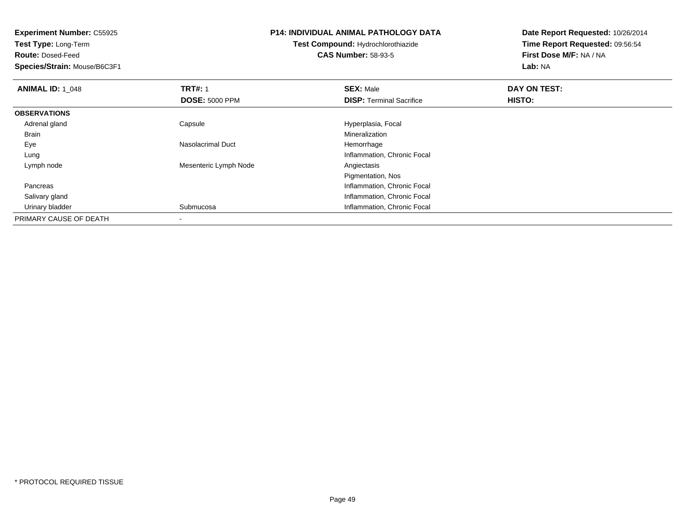**Test Type:** Long-Term

**Route:** Dosed-Feed

**Species/Strain:** Mouse/B6C3F1

### **P14: INDIVIDUAL ANIMAL PATHOLOGY DATA**

## **Test Compound:** Hydrochlorothiazide**CAS Number:** 58-93-5

| <b>ANIMAL ID: 1 048</b> | <b>TRT#: 1</b>        | <b>SEX: Male</b>                | DAY ON TEST: |  |
|-------------------------|-----------------------|---------------------------------|--------------|--|
|                         | <b>DOSE: 5000 PPM</b> | <b>DISP: Terminal Sacrifice</b> | HISTO:       |  |
| <b>OBSERVATIONS</b>     |                       |                                 |              |  |
| Adrenal gland           | Capsule               | Hyperplasia, Focal              |              |  |
| <b>Brain</b>            |                       | Mineralization                  |              |  |
| Eye                     | Nasolacrimal Duct     | Hemorrhage                      |              |  |
| Lung                    |                       | Inflammation, Chronic Focal     |              |  |
| Lymph node              | Mesenteric Lymph Node | Angiectasis                     |              |  |
|                         |                       | Pigmentation, Nos               |              |  |
| Pancreas                |                       | Inflammation, Chronic Focal     |              |  |
| Salivary gland          |                       | Inflammation, Chronic Focal     |              |  |
| Urinary bladder         | Submucosa             | Inflammation, Chronic Focal     |              |  |
| PRIMARY CAUSE OF DEATH  |                       |                                 |              |  |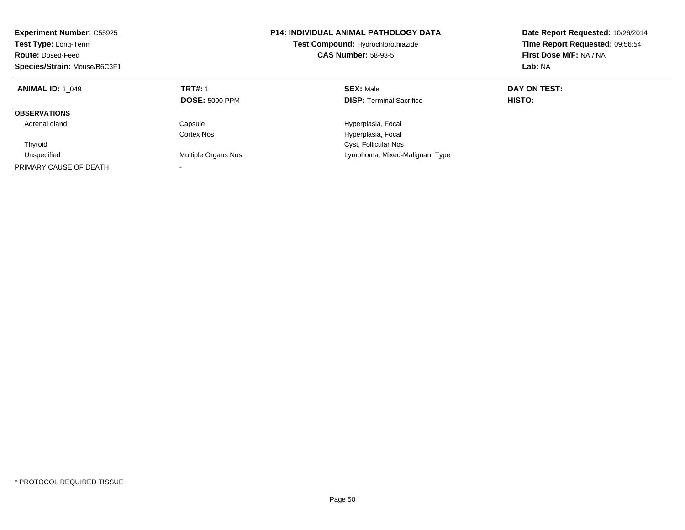| <b>Experiment Number: C55925</b><br>Test Type: Long-Term<br><b>Route: Dosed-Feed</b><br>Species/Strain: Mouse/B6C3F1 |                                         | <b>P14: INDIVIDUAL ANIMAL PATHOLOGY DATA</b><br>Test Compound: Hydrochlorothiazide<br><b>CAS Number: 58-93-5</b> | Date Report Requested: 10/26/2014<br>Time Report Requested: 09:56:54<br>First Dose M/F: NA / NA<br>Lab: NA |
|----------------------------------------------------------------------------------------------------------------------|-----------------------------------------|------------------------------------------------------------------------------------------------------------------|------------------------------------------------------------------------------------------------------------|
| <b>ANIMAL ID: 1 049</b>                                                                                              | <b>TRT#: 1</b><br><b>DOSE: 5000 PPM</b> | <b>SEX: Male</b><br><b>DISP:</b> Terminal Sacrifice                                                              | DAY ON TEST:<br>HISTO:                                                                                     |
| <b>OBSERVATIONS</b>                                                                                                  |                                         |                                                                                                                  |                                                                                                            |
| Adrenal gland                                                                                                        | Capsule<br>Cortex Nos                   | Hyperplasia, Focal<br>Hyperplasia, Focal                                                                         |                                                                                                            |
| Thyroid                                                                                                              |                                         | Cyst, Follicular Nos                                                                                             |                                                                                                            |
| Unspecified                                                                                                          | Multiple Organs Nos                     | Lymphoma, Mixed-Malignant Type                                                                                   |                                                                                                            |
| PRIMARY CAUSE OF DEATH                                                                                               |                                         |                                                                                                                  |                                                                                                            |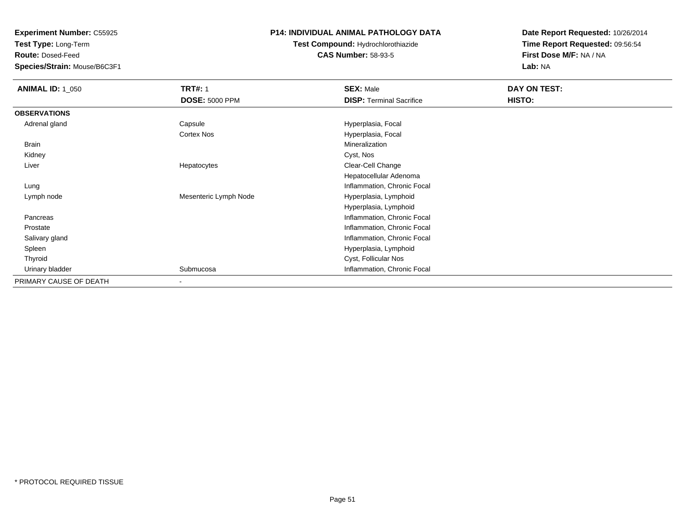**Test Type:** Long-Term

**Route:** Dosed-Feed

**Species/Strain:** Mouse/B6C3F1

## **P14: INDIVIDUAL ANIMAL PATHOLOGY DATA**

## **Test Compound:** Hydrochlorothiazide**CAS Number:** 58-93-5

| <b>ANIMAL ID: 1_050</b> | <b>TRT#: 1</b>        | <b>SEX: Male</b>                | DAY ON TEST: |  |
|-------------------------|-----------------------|---------------------------------|--------------|--|
|                         | <b>DOSE: 5000 PPM</b> | <b>DISP: Terminal Sacrifice</b> | HISTO:       |  |
| <b>OBSERVATIONS</b>     |                       |                                 |              |  |
| Adrenal gland           | Capsule               | Hyperplasia, Focal              |              |  |
|                         | <b>Cortex Nos</b>     | Hyperplasia, Focal              |              |  |
| Brain                   |                       | Mineralization                  |              |  |
| Kidney                  |                       | Cyst, Nos                       |              |  |
| Liver                   | Hepatocytes           | Clear-Cell Change               |              |  |
|                         |                       | Hepatocellular Adenoma          |              |  |
| Lung                    |                       | Inflammation, Chronic Focal     |              |  |
| Lymph node              | Mesenteric Lymph Node | Hyperplasia, Lymphoid           |              |  |
|                         |                       | Hyperplasia, Lymphoid           |              |  |
| Pancreas                |                       | Inflammation, Chronic Focal     |              |  |
| Prostate                |                       | Inflammation, Chronic Focal     |              |  |
| Salivary gland          |                       | Inflammation, Chronic Focal     |              |  |
| Spleen                  |                       | Hyperplasia, Lymphoid           |              |  |
| Thyroid                 |                       | Cyst, Follicular Nos            |              |  |
| Urinary bladder         | Submucosa             | Inflammation, Chronic Focal     |              |  |
| PRIMARY CAUSE OF DEATH  |                       |                                 |              |  |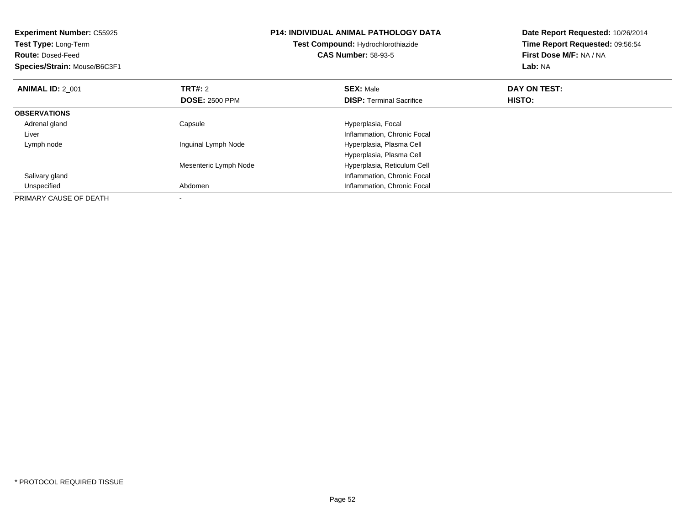| <b>Experiment Number: C55925</b><br><b>Test Type: Long-Term</b><br><b>Route: Dosed-Feed</b><br>Species/Strain: Mouse/B6C3F1 |                       | <b>P14: INDIVIDUAL ANIMAL PATHOLOGY DATA</b><br>Test Compound: Hydrochlorothiazide<br><b>CAS Number: 58-93-5</b> | Date Report Requested: 10/26/2014<br>Time Report Requested: 09:56:54<br>First Dose M/F: NA / NA<br>Lab: NA |
|-----------------------------------------------------------------------------------------------------------------------------|-----------------------|------------------------------------------------------------------------------------------------------------------|------------------------------------------------------------------------------------------------------------|
| <b>ANIMAL ID: 2_001</b>                                                                                                     | TRT#: 2               | <b>SEX: Male</b>                                                                                                 | DAY ON TEST:                                                                                               |
|                                                                                                                             | <b>DOSE: 2500 PPM</b> | <b>DISP:</b> Terminal Sacrifice                                                                                  | HISTO:                                                                                                     |
| <b>OBSERVATIONS</b>                                                                                                         |                       |                                                                                                                  |                                                                                                            |
| Adrenal gland                                                                                                               | Capsule               | Hyperplasia, Focal                                                                                               |                                                                                                            |
| Liver                                                                                                                       |                       | Inflammation, Chronic Focal                                                                                      |                                                                                                            |
| Lymph node                                                                                                                  | Inguinal Lymph Node   | Hyperplasia, Plasma Cell                                                                                         |                                                                                                            |
|                                                                                                                             |                       | Hyperplasia, Plasma Cell                                                                                         |                                                                                                            |
|                                                                                                                             | Mesenteric Lymph Node | Hyperplasia, Reticulum Cell                                                                                      |                                                                                                            |
| Salivary gland                                                                                                              |                       | Inflammation, Chronic Focal                                                                                      |                                                                                                            |
| Unspecified                                                                                                                 | Abdomen               | Inflammation, Chronic Focal                                                                                      |                                                                                                            |
| PRIMARY CAUSE OF DEATH                                                                                                      |                       |                                                                                                                  |                                                                                                            |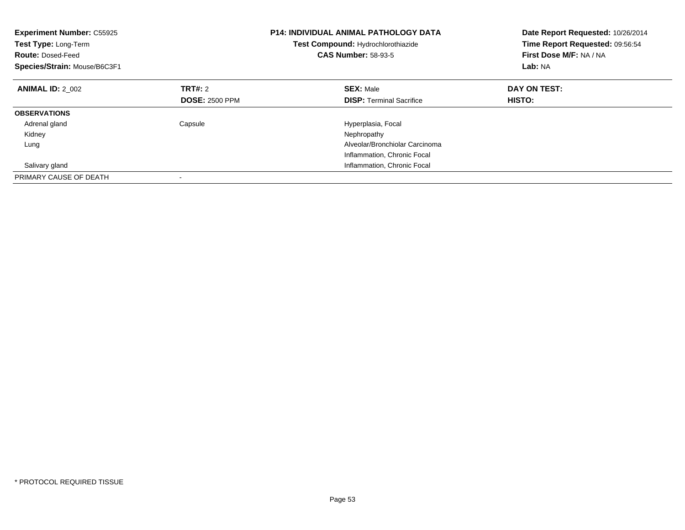| <b>Experiment Number: C55925</b><br>Test Type: Long-Term<br><b>Route: Dosed-Feed</b><br>Species/Strain: Mouse/B6C3F1 |                       | <b>P14: INDIVIDUAL ANIMAL PATHOLOGY DATA</b><br>Test Compound: Hydrochlorothiazide<br><b>CAS Number: 58-93-5</b> | Date Report Requested: 10/26/2014<br>Time Report Requested: 09:56:54<br>First Dose M/F: NA / NA<br>Lab: NA |
|----------------------------------------------------------------------------------------------------------------------|-----------------------|------------------------------------------------------------------------------------------------------------------|------------------------------------------------------------------------------------------------------------|
| <b>ANIMAL ID: 2 002</b>                                                                                              | TRT#: 2               | <b>SEX: Male</b>                                                                                                 | DAY ON TEST:                                                                                               |
|                                                                                                                      | <b>DOSE: 2500 PPM</b> | <b>DISP:</b> Terminal Sacrifice                                                                                  | HISTO:                                                                                                     |
| <b>OBSERVATIONS</b>                                                                                                  |                       |                                                                                                                  |                                                                                                            |
| Adrenal gland                                                                                                        | Capsule               | Hyperplasia, Focal                                                                                               |                                                                                                            |
| Kidney                                                                                                               |                       | Nephropathy                                                                                                      |                                                                                                            |
| Lung                                                                                                                 |                       | Alveolar/Bronchiolar Carcinoma                                                                                   |                                                                                                            |
|                                                                                                                      |                       | Inflammation, Chronic Focal                                                                                      |                                                                                                            |
| Salivary gland                                                                                                       |                       | Inflammation, Chronic Focal                                                                                      |                                                                                                            |
| PRIMARY CAUSE OF DEATH                                                                                               |                       |                                                                                                                  |                                                                                                            |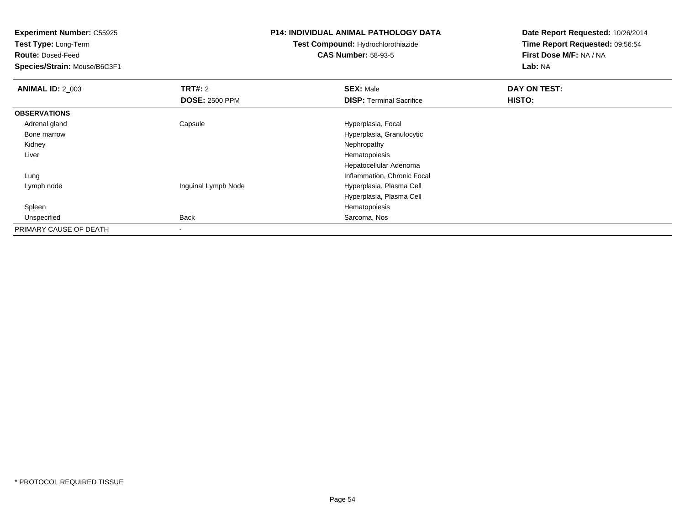**Test Type:** Long-Term

**Route:** Dosed-Feed

**Species/Strain:** Mouse/B6C3F1

## **P14: INDIVIDUAL ANIMAL PATHOLOGY DATA**

# **Test Compound:** Hydrochlorothiazide**CAS Number:** 58-93-5

| <b>ANIMAL ID: 2_003</b> | <b>TRT#: 2</b>        | <b>SEX: Male</b>                | DAY ON TEST: |
|-------------------------|-----------------------|---------------------------------|--------------|
|                         | <b>DOSE: 2500 PPM</b> | <b>DISP: Terminal Sacrifice</b> | HISTO:       |
| <b>OBSERVATIONS</b>     |                       |                                 |              |
| Adrenal gland           | Capsule               | Hyperplasia, Focal              |              |
| Bone marrow             |                       | Hyperplasia, Granulocytic       |              |
| Kidney                  |                       | Nephropathy                     |              |
| Liver                   |                       | Hematopoiesis                   |              |
|                         |                       | Hepatocellular Adenoma          |              |
| Lung                    |                       | Inflammation, Chronic Focal     |              |
| Lymph node              | Inguinal Lymph Node   | Hyperplasia, Plasma Cell        |              |
|                         |                       | Hyperplasia, Plasma Cell        |              |
| Spleen                  |                       | Hematopoiesis                   |              |
| Unspecified             | <b>Back</b>           | Sarcoma, Nos                    |              |
| PRIMARY CAUSE OF DEATH  |                       |                                 |              |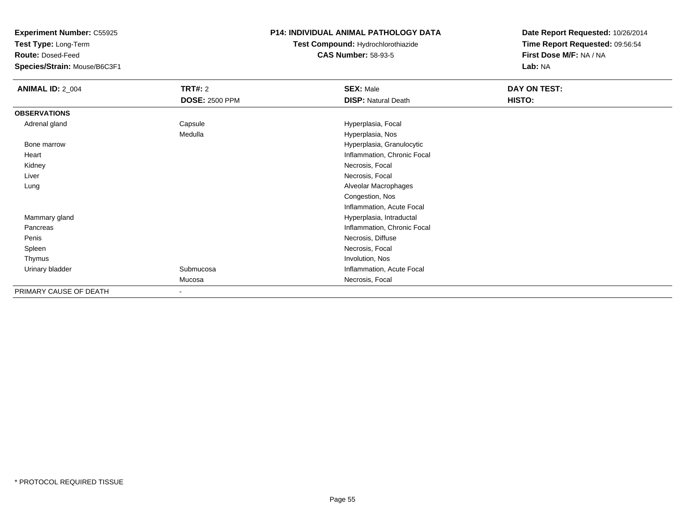**Test Type:** Long-Term

**Route:** Dosed-Feed

**Species/Strain:** Mouse/B6C3F1

#### **P14: INDIVIDUAL ANIMAL PATHOLOGY DATA**

# **Test Compound:** Hydrochlorothiazide**CAS Number:** 58-93-5

| <b>ANIMAL ID: 2_004</b> | <b>TRT#: 2</b>           | <b>SEX: Male</b>            | DAY ON TEST: |  |
|-------------------------|--------------------------|-----------------------------|--------------|--|
|                         | <b>DOSE: 2500 PPM</b>    | <b>DISP: Natural Death</b>  | HISTO:       |  |
| <b>OBSERVATIONS</b>     |                          |                             |              |  |
| Adrenal gland           | Capsule                  | Hyperplasia, Focal          |              |  |
|                         | Medulla                  | Hyperplasia, Nos            |              |  |
| Bone marrow             |                          | Hyperplasia, Granulocytic   |              |  |
| Heart                   |                          | Inflammation, Chronic Focal |              |  |
| Kidney                  |                          | Necrosis, Focal             |              |  |
| Liver                   |                          | Necrosis, Focal             |              |  |
| Lung                    |                          | Alveolar Macrophages        |              |  |
|                         |                          | Congestion, Nos             |              |  |
|                         |                          | Inflammation, Acute Focal   |              |  |
| Mammary gland           |                          | Hyperplasia, Intraductal    |              |  |
| Pancreas                |                          | Inflammation, Chronic Focal |              |  |
| Penis                   |                          | Necrosis, Diffuse           |              |  |
| Spleen                  |                          | Necrosis, Focal             |              |  |
| Thymus                  |                          | Involution, Nos             |              |  |
| Urinary bladder         | Submucosa                | Inflammation, Acute Focal   |              |  |
|                         | Mucosa                   | Necrosis, Focal             |              |  |
| PRIMARY CAUSE OF DEATH  | $\overline{\phantom{a}}$ |                             |              |  |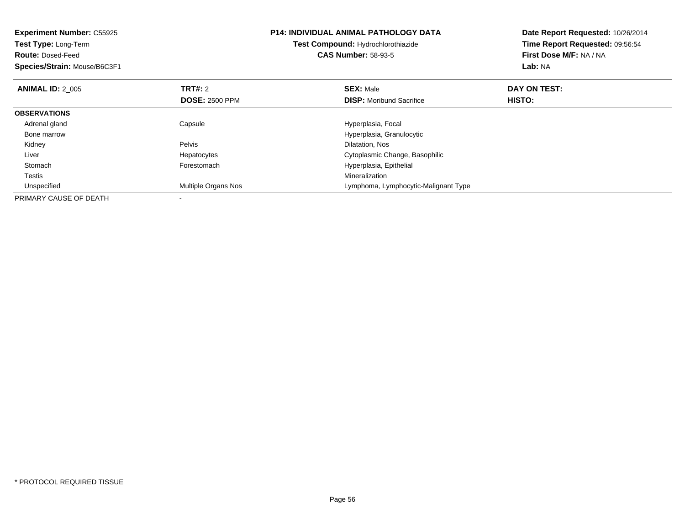| <b>Experiment Number: C55925</b><br>Test Type: Long-Term<br><b>Route: Dosed-Feed</b><br>Species/Strain: Mouse/B6C3F1 |                            | <b>P14: INDIVIDUAL ANIMAL PATHOLOGY DATA</b><br>Test Compound: Hydrochlorothiazide<br><b>CAS Number: 58-93-5</b> | Date Report Requested: 10/26/2014<br>Time Report Requested: 09:56:54<br>First Dose M/F: NA / NA<br>Lab: NA |
|----------------------------------------------------------------------------------------------------------------------|----------------------------|------------------------------------------------------------------------------------------------------------------|------------------------------------------------------------------------------------------------------------|
| <b>ANIMAL ID: 2 005</b>                                                                                              | TRT#: 2                    | <b>SEX: Male</b>                                                                                                 | DAY ON TEST:                                                                                               |
|                                                                                                                      | <b>DOSE: 2500 PPM</b>      | <b>DISP:</b> Moribund Sacrifice                                                                                  | <b>HISTO:</b>                                                                                              |
| <b>OBSERVATIONS</b>                                                                                                  |                            |                                                                                                                  |                                                                                                            |
| Adrenal gland                                                                                                        | Capsule                    | Hyperplasia, Focal                                                                                               |                                                                                                            |
| Bone marrow                                                                                                          |                            | Hyperplasia, Granulocytic                                                                                        |                                                                                                            |
| Kidney                                                                                                               | Pelvis                     | Dilatation, Nos                                                                                                  |                                                                                                            |
| Liver                                                                                                                | Hepatocytes                | Cytoplasmic Change, Basophilic                                                                                   |                                                                                                            |
| Stomach                                                                                                              | Forestomach                | Hyperplasia, Epithelial                                                                                          |                                                                                                            |
| Testis                                                                                                               |                            | Mineralization                                                                                                   |                                                                                                            |
| Unspecified                                                                                                          | <b>Multiple Organs Nos</b> | Lymphoma, Lymphocytic-Malignant Type                                                                             |                                                                                                            |
| PRIMARY CAUSE OF DEATH                                                                                               |                            |                                                                                                                  |                                                                                                            |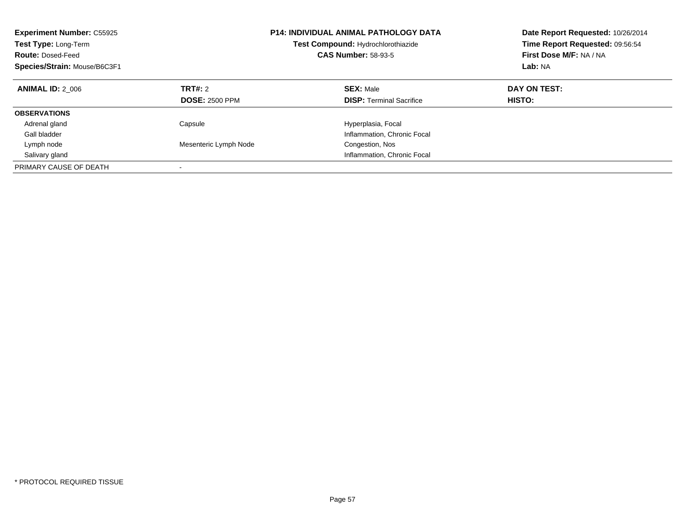| <b>Experiment Number: C55925</b><br>Test Type: Long-Term<br><b>Route: Dosed-Feed</b><br>Species/Strain: Mouse/B6C3F1 |                                  | <b>P14: INDIVIDUAL ANIMAL PATHOLOGY DATA</b><br>Test Compound: Hydrochlorothiazide<br><b>CAS Number: 58-93-5</b> | Date Report Requested: 10/26/2014<br>Time Report Requested: 09:56:54<br>First Dose M/F: NA / NA<br>Lab: NA |
|----------------------------------------------------------------------------------------------------------------------|----------------------------------|------------------------------------------------------------------------------------------------------------------|------------------------------------------------------------------------------------------------------------|
| <b>ANIMAL ID: 2 006</b>                                                                                              | TRT#: 2<br><b>DOSE: 2500 PPM</b> | <b>SEX: Male</b><br><b>DISP:</b> Terminal Sacrifice                                                              | DAY ON TEST:<br>HISTO:                                                                                     |
| <b>OBSERVATIONS</b>                                                                                                  |                                  |                                                                                                                  |                                                                                                            |
| Adrenal gland                                                                                                        | Capsule                          | Hyperplasia, Focal                                                                                               |                                                                                                            |
| Gall bladder                                                                                                         |                                  | Inflammation, Chronic Focal                                                                                      |                                                                                                            |
| Lymph node                                                                                                           | Mesenteric Lymph Node            | Congestion, Nos                                                                                                  |                                                                                                            |
| Salivary gland                                                                                                       |                                  | Inflammation, Chronic Focal                                                                                      |                                                                                                            |
| PRIMARY CAUSE OF DEATH                                                                                               |                                  |                                                                                                                  |                                                                                                            |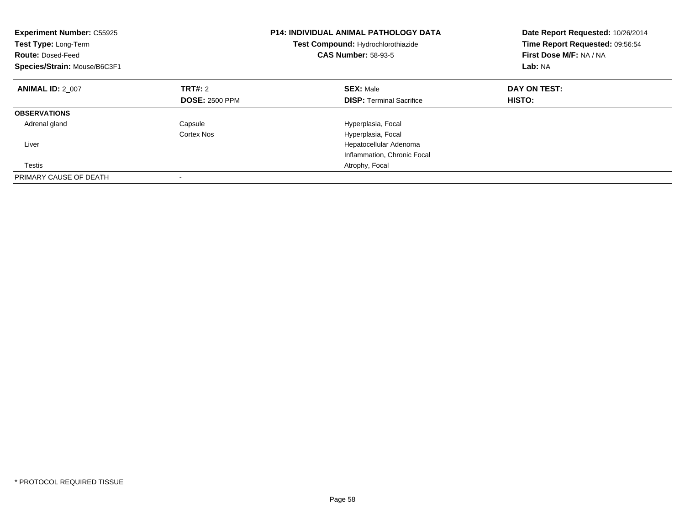| <b>Experiment Number: C55925</b><br>Test Type: Long-Term<br><b>Route: Dosed-Feed</b><br>Species/Strain: Mouse/B6C3F1 |                       | <b>P14: INDIVIDUAL ANIMAL PATHOLOGY DATA</b><br>Test Compound: Hydrochlorothiazide<br><b>CAS Number: 58-93-5</b> | Date Report Requested: 10/26/2014<br>Time Report Requested: 09:56:54<br>First Dose M/F: NA / NA<br>Lab: NA |
|----------------------------------------------------------------------------------------------------------------------|-----------------------|------------------------------------------------------------------------------------------------------------------|------------------------------------------------------------------------------------------------------------|
| <b>ANIMAL ID: 2 007</b>                                                                                              | <b>TRT#:</b> 2        | <b>SEX: Male</b>                                                                                                 | DAY ON TEST:                                                                                               |
|                                                                                                                      | <b>DOSE: 2500 PPM</b> | <b>DISP:</b> Terminal Sacrifice                                                                                  | <b>HISTO:</b>                                                                                              |
| <b>OBSERVATIONS</b>                                                                                                  |                       |                                                                                                                  |                                                                                                            |
| Adrenal gland                                                                                                        | Capsule               | Hyperplasia, Focal                                                                                               |                                                                                                            |
|                                                                                                                      | Cortex Nos            | Hyperplasia, Focal                                                                                               |                                                                                                            |
| Liver                                                                                                                |                       | Hepatocellular Adenoma                                                                                           |                                                                                                            |
|                                                                                                                      |                       | Inflammation, Chronic Focal                                                                                      |                                                                                                            |
| Testis                                                                                                               |                       | Atrophy, Focal                                                                                                   |                                                                                                            |
| PRIMARY CAUSE OF DEATH                                                                                               |                       |                                                                                                                  |                                                                                                            |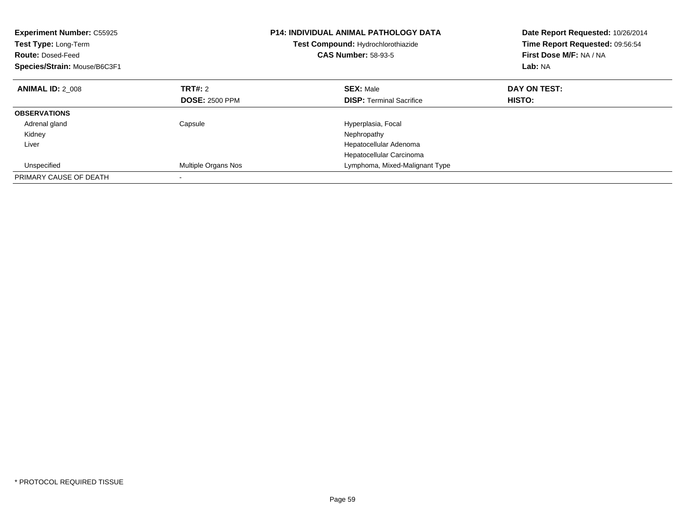| <b>Experiment Number: C55925</b><br>Test Type: Long-Term<br><b>Route: Dosed-Feed</b><br>Species/Strain: Mouse/B6C3F1 |                            | <b>P14: INDIVIDUAL ANIMAL PATHOLOGY DATA</b><br>Test Compound: Hydrochlorothiazide<br><b>CAS Number: 58-93-5</b> | Date Report Requested: 10/26/2014<br>Time Report Requested: 09:56:54<br>First Dose M/F: NA / NA<br>Lab: NA |
|----------------------------------------------------------------------------------------------------------------------|----------------------------|------------------------------------------------------------------------------------------------------------------|------------------------------------------------------------------------------------------------------------|
| <b>ANIMAL ID: 2 008</b>                                                                                              | TRT#: 2                    | <b>SEX: Male</b>                                                                                                 | DAY ON TEST:                                                                                               |
|                                                                                                                      | <b>DOSE: 2500 PPM</b>      | <b>DISP:</b> Terminal Sacrifice                                                                                  | HISTO:                                                                                                     |
| <b>OBSERVATIONS</b>                                                                                                  |                            |                                                                                                                  |                                                                                                            |
| Adrenal gland                                                                                                        | Capsule                    | Hyperplasia, Focal                                                                                               |                                                                                                            |
| Kidney                                                                                                               |                            | Nephropathy                                                                                                      |                                                                                                            |
| Liver                                                                                                                |                            | Hepatocellular Adenoma                                                                                           |                                                                                                            |
|                                                                                                                      |                            | Hepatocellular Carcinoma                                                                                         |                                                                                                            |
| Unspecified                                                                                                          | <b>Multiple Organs Nos</b> | Lymphoma, Mixed-Malignant Type                                                                                   |                                                                                                            |
| PRIMARY CAUSE OF DEATH                                                                                               |                            |                                                                                                                  |                                                                                                            |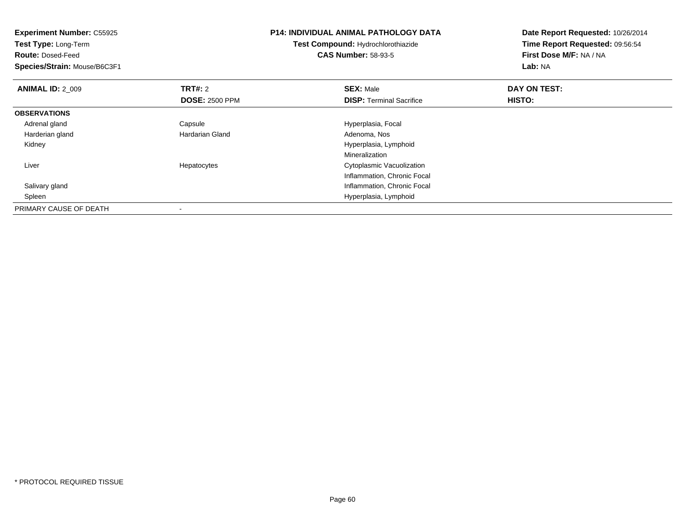| <b>Experiment Number: C55925</b><br>Test Type: Long-Term<br><b>Route: Dosed-Feed</b><br>Species/Strain: Mouse/B6C3F1 |                        | <b>P14: INDIVIDUAL ANIMAL PATHOLOGY DATA</b><br><b>Test Compound: Hydrochlorothiazide</b><br><b>CAS Number: 58-93-5</b> | Date Report Requested: 10/26/2014<br>Time Report Requested: 09:56:54<br>First Dose M/F: NA / NA<br>Lab: NA |
|----------------------------------------------------------------------------------------------------------------------|------------------------|-------------------------------------------------------------------------------------------------------------------------|------------------------------------------------------------------------------------------------------------|
|                                                                                                                      |                        |                                                                                                                         |                                                                                                            |
| <b>ANIMAL ID: 2 009</b>                                                                                              | <b>TRT#: 2</b>         | <b>SEX: Male</b>                                                                                                        | DAY ON TEST:                                                                                               |
|                                                                                                                      | <b>DOSE: 2500 PPM</b>  | <b>DISP:</b> Terminal Sacrifice                                                                                         | HISTO:                                                                                                     |
| <b>OBSERVATIONS</b>                                                                                                  |                        |                                                                                                                         |                                                                                                            |
| Adrenal gland                                                                                                        | Capsule                | Hyperplasia, Focal                                                                                                      |                                                                                                            |
| Harderian gland                                                                                                      | <b>Hardarian Gland</b> | Adenoma, Nos                                                                                                            |                                                                                                            |
| Kidney                                                                                                               |                        | Hyperplasia, Lymphoid                                                                                                   |                                                                                                            |
|                                                                                                                      |                        | Mineralization                                                                                                          |                                                                                                            |
| Liver                                                                                                                | Hepatocytes            | Cytoplasmic Vacuolization                                                                                               |                                                                                                            |
|                                                                                                                      |                        | Inflammation, Chronic Focal                                                                                             |                                                                                                            |
| Salivary gland                                                                                                       |                        | Inflammation, Chronic Focal                                                                                             |                                                                                                            |
| Spleen                                                                                                               |                        | Hyperplasia, Lymphoid                                                                                                   |                                                                                                            |
| PRIMARY CAUSE OF DEATH                                                                                               |                        |                                                                                                                         |                                                                                                            |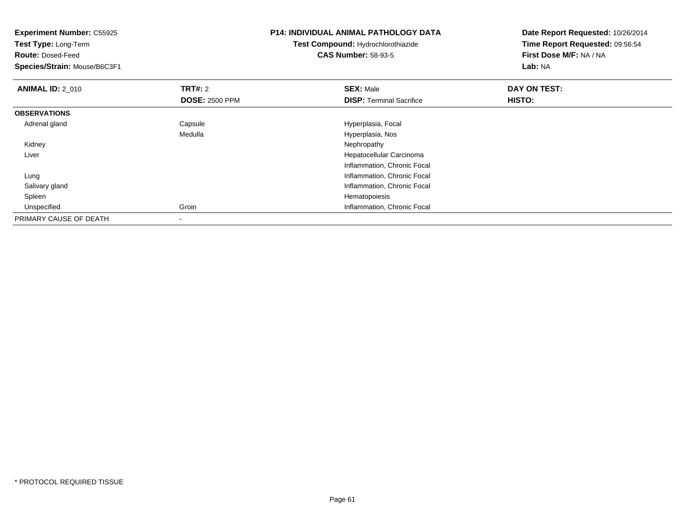| <b>Experiment Number: C55925</b><br>Test Type: Long-Term<br><b>Route: Dosed-Feed</b><br>Species/Strain: Mouse/B6C3F1 |                       | <b>P14: INDIVIDUAL ANIMAL PATHOLOGY DATA</b><br>Test Compound: Hydrochlorothiazide<br><b>CAS Number: 58-93-5</b> | Date Report Requested: 10/26/2014<br>Time Report Requested: 09:56:54<br>First Dose M/F: NA / NA<br>Lab: NA |
|----------------------------------------------------------------------------------------------------------------------|-----------------------|------------------------------------------------------------------------------------------------------------------|------------------------------------------------------------------------------------------------------------|
| <b>ANIMAL ID: 2 010</b>                                                                                              | <b>TRT#: 2</b>        | <b>SEX: Male</b>                                                                                                 | DAY ON TEST:                                                                                               |
|                                                                                                                      | <b>DOSE: 2500 PPM</b> | <b>DISP: Terminal Sacrifice</b>                                                                                  | <b>HISTO:</b>                                                                                              |
| <b>OBSERVATIONS</b>                                                                                                  |                       |                                                                                                                  |                                                                                                            |
| Adrenal gland                                                                                                        | Capsule               | Hyperplasia, Focal                                                                                               |                                                                                                            |
|                                                                                                                      | Medulla               | Hyperplasia, Nos                                                                                                 |                                                                                                            |
| Kidney                                                                                                               |                       | Nephropathy                                                                                                      |                                                                                                            |
| Liver                                                                                                                |                       | Hepatocellular Carcinoma                                                                                         |                                                                                                            |
|                                                                                                                      |                       | Inflammation, Chronic Focal                                                                                      |                                                                                                            |
| Lung                                                                                                                 |                       | Inflammation, Chronic Focal                                                                                      |                                                                                                            |
| Salivary gland                                                                                                       |                       | Inflammation, Chronic Focal                                                                                      |                                                                                                            |
| Spleen                                                                                                               |                       | Hematopoiesis                                                                                                    |                                                                                                            |
| Unspecified                                                                                                          | Groin                 | Inflammation, Chronic Focal                                                                                      |                                                                                                            |
| PRIMARY CAUSE OF DEATH                                                                                               |                       |                                                                                                                  |                                                                                                            |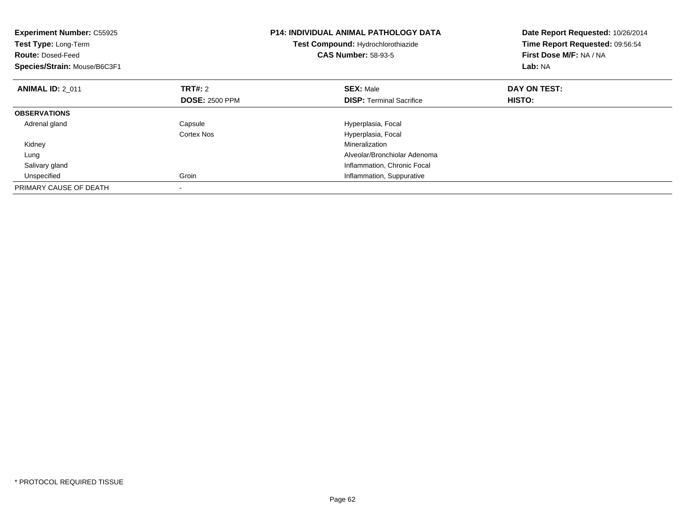| <b>Experiment Number: C55925</b><br>Test Type: Long-Term<br><b>Route: Dosed-Feed</b><br>Species/Strain: Mouse/B6C3F1 |                       | <b>P14: INDIVIDUAL ANIMAL PATHOLOGY DATA</b><br>Test Compound: Hydrochlorothiazide<br><b>CAS Number: 58-93-5</b> | Date Report Requested: 10/26/2014<br>Time Report Requested: 09:56:54<br>First Dose M/F: NA / NA<br>Lab: NA |
|----------------------------------------------------------------------------------------------------------------------|-----------------------|------------------------------------------------------------------------------------------------------------------|------------------------------------------------------------------------------------------------------------|
| <b>ANIMAL ID: 2 011</b>                                                                                              | <b>TRT#:</b> 2        | <b>SEX: Male</b>                                                                                                 | DAY ON TEST:                                                                                               |
|                                                                                                                      | <b>DOSE: 2500 PPM</b> | <b>DISP:</b> Terminal Sacrifice                                                                                  | <b>HISTO:</b>                                                                                              |
| <b>OBSERVATIONS</b>                                                                                                  |                       |                                                                                                                  |                                                                                                            |
| Adrenal gland                                                                                                        | Capsule               | Hyperplasia, Focal                                                                                               |                                                                                                            |
|                                                                                                                      | Cortex Nos            | Hyperplasia, Focal                                                                                               |                                                                                                            |
| Kidney                                                                                                               |                       | Mineralization                                                                                                   |                                                                                                            |
| Lung                                                                                                                 |                       | Alveolar/Bronchiolar Adenoma                                                                                     |                                                                                                            |
| Salivary gland                                                                                                       |                       | Inflammation, Chronic Focal                                                                                      |                                                                                                            |
| Unspecified                                                                                                          | Groin                 | Inflammation, Suppurative                                                                                        |                                                                                                            |
| PRIMARY CAUSE OF DEATH                                                                                               |                       |                                                                                                                  |                                                                                                            |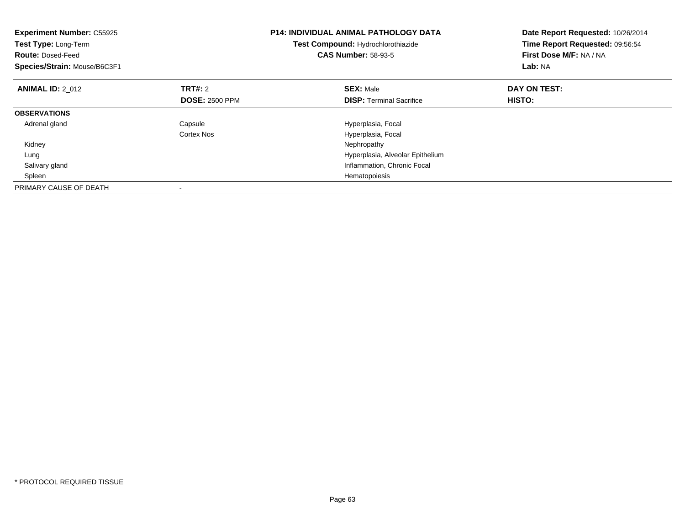| <b>Experiment Number: C55925</b><br>Test Type: Long-Term<br><b>Route: Dosed-Feed</b><br>Species/Strain: Mouse/B6C3F1 |                       | <b>P14: INDIVIDUAL ANIMAL PATHOLOGY DATA</b><br>Test Compound: Hydrochlorothiazide<br><b>CAS Number: 58-93-5</b> | Date Report Requested: 10/26/2014<br>Time Report Requested: 09:56:54<br>First Dose M/F: NA / NA<br>Lab: NA |
|----------------------------------------------------------------------------------------------------------------------|-----------------------|------------------------------------------------------------------------------------------------------------------|------------------------------------------------------------------------------------------------------------|
| <b>ANIMAL ID: 2 012</b>                                                                                              | <b>TRT#:</b> 2        | <b>SEX: Male</b>                                                                                                 | DAY ON TEST:                                                                                               |
|                                                                                                                      | <b>DOSE: 2500 PPM</b> | <b>DISP:</b> Terminal Sacrifice                                                                                  | <b>HISTO:</b>                                                                                              |
| <b>OBSERVATIONS</b>                                                                                                  |                       |                                                                                                                  |                                                                                                            |
| Adrenal gland                                                                                                        | Capsule               | Hyperplasia, Focal                                                                                               |                                                                                                            |
|                                                                                                                      | Cortex Nos            | Hyperplasia, Focal                                                                                               |                                                                                                            |
| Kidney                                                                                                               |                       | Nephropathy                                                                                                      |                                                                                                            |
| Lung                                                                                                                 |                       | Hyperplasia, Alveolar Epithelium                                                                                 |                                                                                                            |
| Salivary gland                                                                                                       |                       | Inflammation, Chronic Focal                                                                                      |                                                                                                            |
| Spleen                                                                                                               |                       | Hematopoiesis                                                                                                    |                                                                                                            |
| PRIMARY CAUSE OF DEATH                                                                                               |                       |                                                                                                                  |                                                                                                            |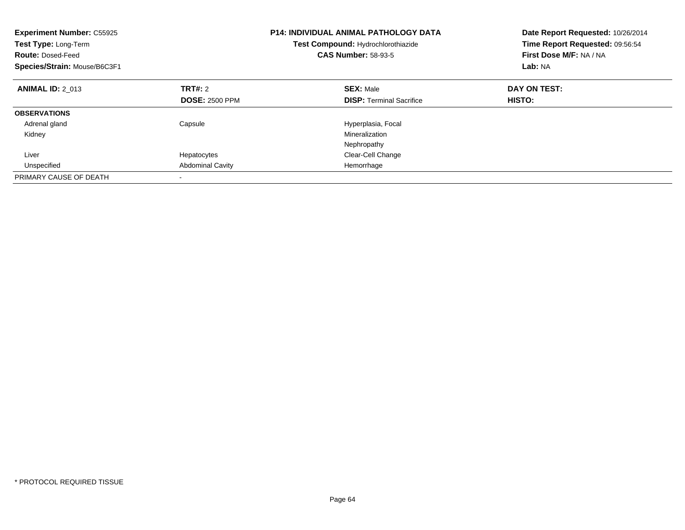| <b>Experiment Number: C55925</b><br>Test Type: Long-Term<br><b>Route: Dosed-Feed</b><br>Species/Strain: Mouse/B6C3F1 |                                  | <b>P14: INDIVIDUAL ANIMAL PATHOLOGY DATA</b><br>Test Compound: Hydrochlorothiazide<br><b>CAS Number: 58-93-5</b> | Date Report Requested: 10/26/2014<br>Time Report Requested: 09:56:54<br>First Dose M/F: NA / NA<br>Lab: NA |
|----------------------------------------------------------------------------------------------------------------------|----------------------------------|------------------------------------------------------------------------------------------------------------------|------------------------------------------------------------------------------------------------------------|
| <b>ANIMAL ID: 2 013</b>                                                                                              | TRT#: 2<br><b>DOSE: 2500 PPM</b> | <b>SEX: Male</b><br><b>DISP:</b> Terminal Sacrifice                                                              | DAY ON TEST:<br>HISTO:                                                                                     |
|                                                                                                                      |                                  |                                                                                                                  |                                                                                                            |
| <b>OBSERVATIONS</b>                                                                                                  |                                  |                                                                                                                  |                                                                                                            |
| Adrenal gland                                                                                                        | Capsule                          | Hyperplasia, Focal                                                                                               |                                                                                                            |
| Kidney                                                                                                               |                                  | Mineralization                                                                                                   |                                                                                                            |
|                                                                                                                      |                                  | Nephropathy                                                                                                      |                                                                                                            |
| Liver                                                                                                                | Hepatocytes                      | Clear-Cell Change                                                                                                |                                                                                                            |
| Unspecified                                                                                                          | <b>Abdominal Cavity</b>          | Hemorrhage                                                                                                       |                                                                                                            |
| PRIMARY CAUSE OF DEATH                                                                                               |                                  |                                                                                                                  |                                                                                                            |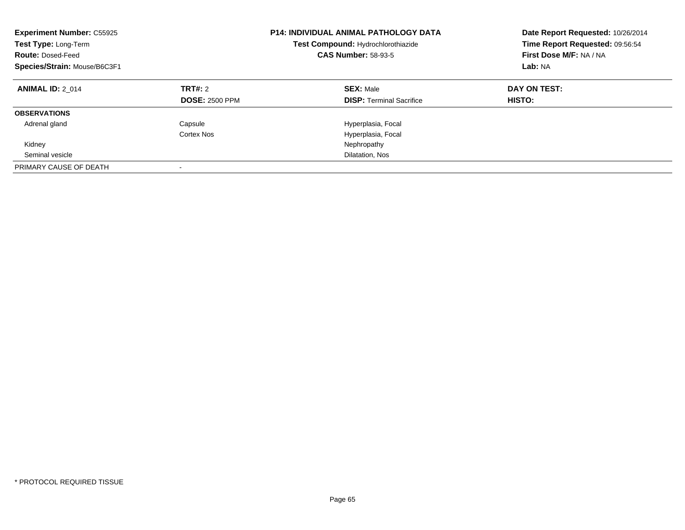| <b>Experiment Number: C55925</b><br>Test Type: Long-Term<br><b>Route: Dosed-Feed</b><br>Species/Strain: Mouse/B6C3F1 |                                  | <b>P14: INDIVIDUAL ANIMAL PATHOLOGY DATA</b><br>Test Compound: Hydrochlorothiazide<br><b>CAS Number: 58-93-5</b> | Date Report Requested: 10/26/2014<br>Time Report Requested: 09:56:54<br>First Dose M/F: NA / NA<br>Lab: NA |
|----------------------------------------------------------------------------------------------------------------------|----------------------------------|------------------------------------------------------------------------------------------------------------------|------------------------------------------------------------------------------------------------------------|
| <b>ANIMAL ID: 2 014</b>                                                                                              | TRT#: 2<br><b>DOSE: 2500 PPM</b> | <b>SEX: Male</b><br><b>DISP:</b> Terminal Sacrifice                                                              | DAY ON TEST:<br><b>HISTO:</b>                                                                              |
| <b>OBSERVATIONS</b>                                                                                                  |                                  |                                                                                                                  |                                                                                                            |
| Adrenal gland                                                                                                        | Capsule                          | Hyperplasia, Focal                                                                                               |                                                                                                            |
|                                                                                                                      | Cortex Nos                       | Hyperplasia, Focal                                                                                               |                                                                                                            |
| Kidney                                                                                                               |                                  | Nephropathy                                                                                                      |                                                                                                            |
| Seminal vesicle                                                                                                      |                                  | Dilatation, Nos                                                                                                  |                                                                                                            |
| PRIMARY CAUSE OF DEATH                                                                                               | -                                |                                                                                                                  |                                                                                                            |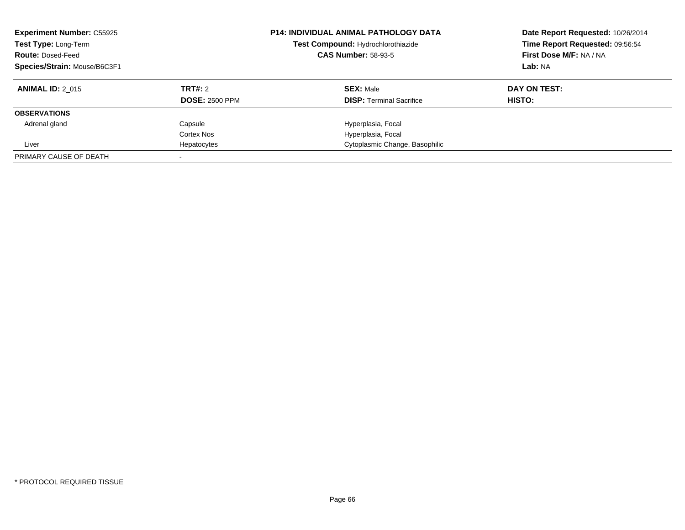| <b>Experiment Number: C55925</b><br>Test Type: Long-Term<br><b>Route: Dosed-Feed</b><br>Species/Strain: Mouse/B6C3F1 |                       | <b>P14: INDIVIDUAL ANIMAL PATHOLOGY DATA</b><br>Test Compound: Hydrochlorothiazide<br><b>CAS Number: 58-93-5</b> | Date Report Requested: 10/26/2014<br>Time Report Requested: 09:56:54<br>First Dose M/F: NA / NA<br>Lab: NA |
|----------------------------------------------------------------------------------------------------------------------|-----------------------|------------------------------------------------------------------------------------------------------------------|------------------------------------------------------------------------------------------------------------|
| <b>ANIMAL ID: 2 015</b>                                                                                              | <b>TRT#: 2</b>        | <b>SEX: Male</b>                                                                                                 | DAY ON TEST:                                                                                               |
|                                                                                                                      | <b>DOSE: 2500 PPM</b> | <b>DISP:</b> Terminal Sacrifice                                                                                  | <b>HISTO:</b>                                                                                              |
| <b>OBSERVATIONS</b>                                                                                                  |                       |                                                                                                                  |                                                                                                            |
| Adrenal gland                                                                                                        | Capsule               | Hyperplasia, Focal                                                                                               |                                                                                                            |
|                                                                                                                      | Cortex Nos            | Hyperplasia, Focal                                                                                               |                                                                                                            |
| Liver                                                                                                                | Hepatocytes           | Cytoplasmic Change, Basophilic                                                                                   |                                                                                                            |
| PRIMARY CAUSE OF DEATH                                                                                               |                       |                                                                                                                  |                                                                                                            |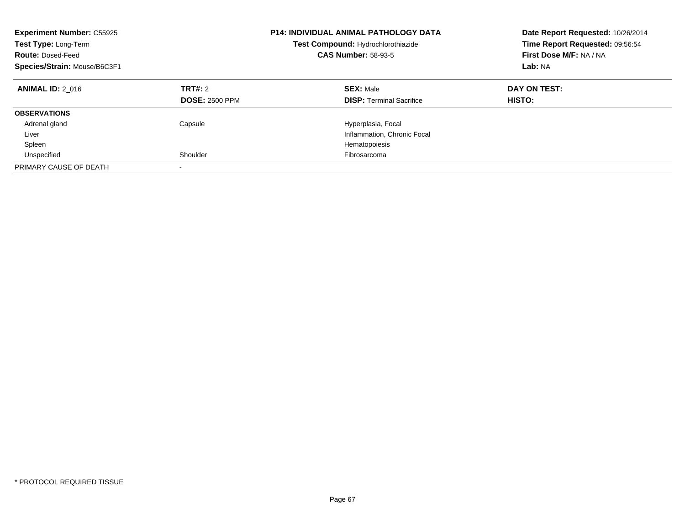| <b>Experiment Number: C55925</b><br>Test Type: Long-Term<br><b>Route: Dosed-Feed</b><br>Species/Strain: Mouse/B6C3F1 |                                  | <b>P14: INDIVIDUAL ANIMAL PATHOLOGY DATA</b><br>Test Compound: Hydrochlorothiazide<br><b>CAS Number: 58-93-5</b> | Date Report Requested: 10/26/2014<br>Time Report Requested: 09:56:54<br>First Dose M/F: NA / NA<br>Lab: NA |
|----------------------------------------------------------------------------------------------------------------------|----------------------------------|------------------------------------------------------------------------------------------------------------------|------------------------------------------------------------------------------------------------------------|
| <b>ANIMAL ID: 2 016</b>                                                                                              | TRT#: 2<br><b>DOSE: 2500 PPM</b> | <b>SEX: Male</b><br><b>DISP:</b> Terminal Sacrifice                                                              | DAY ON TEST:<br><b>HISTO:</b>                                                                              |
| <b>OBSERVATIONS</b>                                                                                                  |                                  |                                                                                                                  |                                                                                                            |
| Adrenal gland                                                                                                        | Capsule                          | Hyperplasia, Focal                                                                                               |                                                                                                            |
| Liver                                                                                                                |                                  | Inflammation, Chronic Focal                                                                                      |                                                                                                            |
| Spleen                                                                                                               |                                  | Hematopoiesis                                                                                                    |                                                                                                            |
| Unspecified                                                                                                          | Shoulder                         | Fibrosarcoma                                                                                                     |                                                                                                            |
| PRIMARY CAUSE OF DEATH                                                                                               |                                  |                                                                                                                  |                                                                                                            |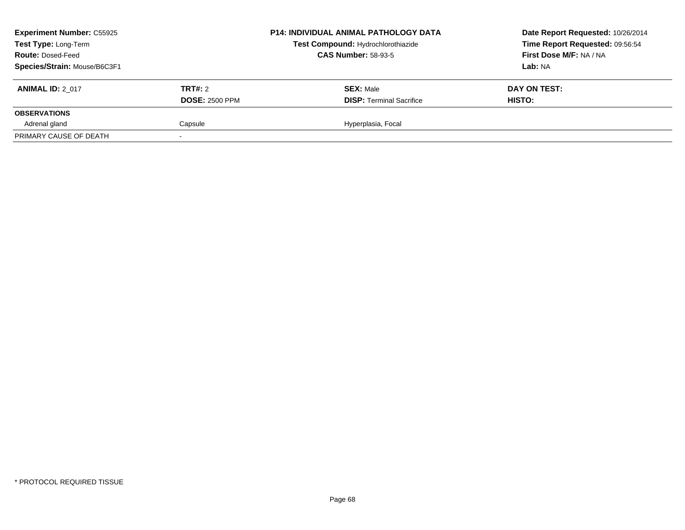| <b>Experiment Number: C55925</b><br>Test Type: Long-Term<br><b>Route: Dosed-Feed</b><br>Species/Strain: Mouse/B6C3F1 |                                         | <b>P14: INDIVIDUAL ANIMAL PATHOLOGY DATA</b><br>Test Compound: Hydrochlorothiazide<br><b>CAS Number: 58-93-5</b> | Date Report Requested: 10/26/2014<br>Time Report Requested: 09:56:54<br>First Dose M/F: NA / NA<br>Lab: NA |
|----------------------------------------------------------------------------------------------------------------------|-----------------------------------------|------------------------------------------------------------------------------------------------------------------|------------------------------------------------------------------------------------------------------------|
| <b>ANIMAL ID: 2 017</b>                                                                                              | <b>TRT#: 2</b><br><b>DOSE: 2500 PPM</b> | <b>SEX: Male</b><br><b>DISP: Terminal Sacrifice</b>                                                              | DAY ON TEST:<br>HISTO:                                                                                     |
| <b>OBSERVATIONS</b>                                                                                                  |                                         |                                                                                                                  |                                                                                                            |
| Adrenal gland                                                                                                        | Capsule                                 | Hyperplasia, Focal                                                                                               |                                                                                                            |
| PRIMARY CAUSE OF DEATH                                                                                               |                                         |                                                                                                                  |                                                                                                            |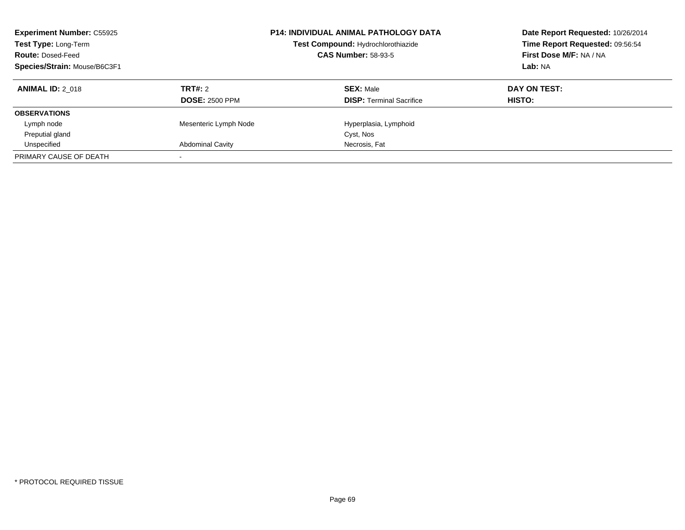| <b>Experiment Number: C55925</b><br>Test Type: Long-Term<br><b>Route: Dosed-Feed</b><br>Species/Strain: Mouse/B6C3F1 |                         | <b>P14: INDIVIDUAL ANIMAL PATHOLOGY DATA</b><br>Test Compound: Hydrochlorothiazide<br><b>CAS Number: 58-93-5</b> | Date Report Requested: 10/26/2014<br>Time Report Requested: 09:56:54<br>First Dose M/F: NA / NA<br>Lab: NA |
|----------------------------------------------------------------------------------------------------------------------|-------------------------|------------------------------------------------------------------------------------------------------------------|------------------------------------------------------------------------------------------------------------|
| <b>ANIMAL ID: 2 018</b>                                                                                              | <b>TRT#: 2</b>          | <b>SEX: Male</b>                                                                                                 | DAY ON TEST:                                                                                               |
|                                                                                                                      | <b>DOSE: 2500 PPM</b>   | <b>DISP:</b> Terminal Sacrifice                                                                                  | HISTO:                                                                                                     |
| <b>OBSERVATIONS</b>                                                                                                  |                         |                                                                                                                  |                                                                                                            |
| Lymph node                                                                                                           | Mesenteric Lymph Node   | Hyperplasia, Lymphoid                                                                                            |                                                                                                            |
| Preputial gland                                                                                                      |                         | Cyst, Nos                                                                                                        |                                                                                                            |
| Unspecified                                                                                                          | <b>Abdominal Cavity</b> | Necrosis, Fat                                                                                                    |                                                                                                            |
| PRIMARY CAUSE OF DEATH                                                                                               |                         |                                                                                                                  |                                                                                                            |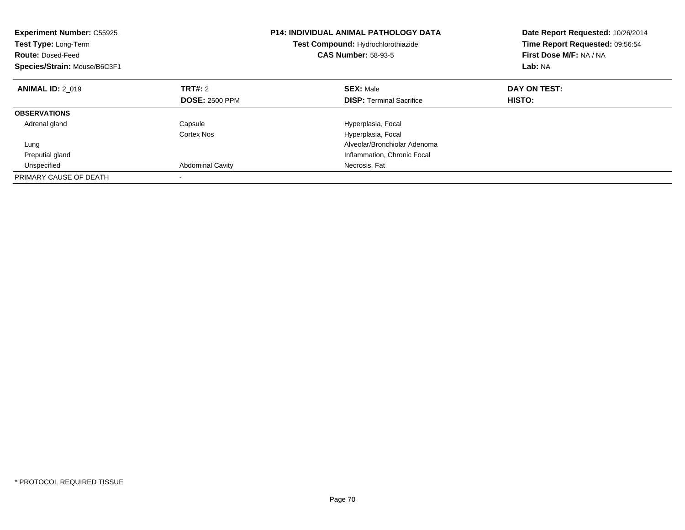| <b>Experiment Number: C55925</b><br><b>Test Type: Long-Term</b><br><b>Route: Dosed-Feed</b><br>Species/Strain: Mouse/B6C3F1 |                         | <b>P14: INDIVIDUAL ANIMAL PATHOLOGY DATA</b><br>Test Compound: Hydrochlorothiazide<br><b>CAS Number: 58-93-5</b> | Date Report Requested: 10/26/2014<br>Time Report Requested: 09:56:54<br>First Dose M/F: NA / NA<br>Lab: NA |
|-----------------------------------------------------------------------------------------------------------------------------|-------------------------|------------------------------------------------------------------------------------------------------------------|------------------------------------------------------------------------------------------------------------|
| <b>ANIMAL ID: 2 019</b>                                                                                                     | <b>TRT#:</b> 2          | <b>SEX: Male</b>                                                                                                 | DAY ON TEST:                                                                                               |
|                                                                                                                             | <b>DOSE: 2500 PPM</b>   | <b>DISP:</b> Terminal Sacrifice                                                                                  | HISTO:                                                                                                     |
| <b>OBSERVATIONS</b>                                                                                                         |                         |                                                                                                                  |                                                                                                            |
| Adrenal gland                                                                                                               | Capsule                 | Hyperplasia, Focal                                                                                               |                                                                                                            |
|                                                                                                                             | Cortex Nos              | Hyperplasia, Focal                                                                                               |                                                                                                            |
| Lung                                                                                                                        |                         | Alveolar/Bronchiolar Adenoma                                                                                     |                                                                                                            |
| Preputial gland                                                                                                             |                         | Inflammation, Chronic Focal                                                                                      |                                                                                                            |
| Unspecified                                                                                                                 | <b>Abdominal Cavity</b> | Necrosis, Fat                                                                                                    |                                                                                                            |
| PRIMARY CAUSE OF DEATH                                                                                                      |                         |                                                                                                                  |                                                                                                            |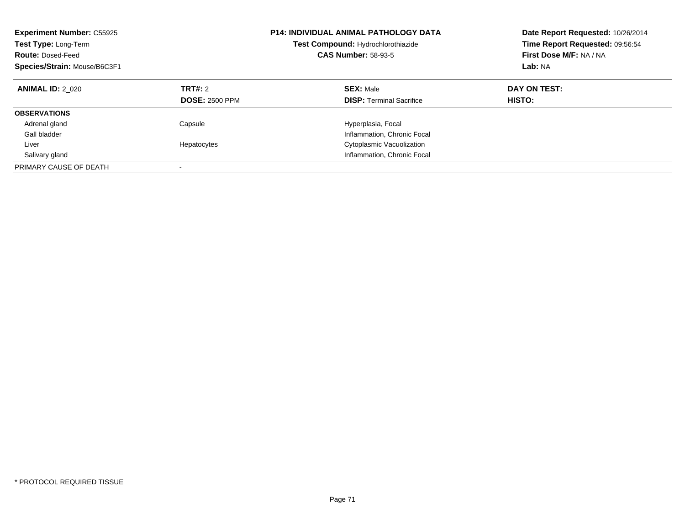| <b>Experiment Number: C55925</b><br>Test Type: Long-Term<br><b>Route: Dosed-Feed</b><br>Species/Strain: Mouse/B6C3F1 |                                  | <b>P14: INDIVIDUAL ANIMAL PATHOLOGY DATA</b><br>Test Compound: Hydrochlorothiazide<br><b>CAS Number: 58-93-5</b> | Date Report Requested: 10/26/2014<br>Time Report Requested: 09:56:54<br>First Dose M/F: NA / NA<br>Lab: NA |
|----------------------------------------------------------------------------------------------------------------------|----------------------------------|------------------------------------------------------------------------------------------------------------------|------------------------------------------------------------------------------------------------------------|
| <b>ANIMAL ID: 2 020</b>                                                                                              | TRT#: 2<br><b>DOSE: 2500 PPM</b> | <b>SEX: Male</b><br><b>DISP:</b> Terminal Sacrifice                                                              | DAY ON TEST:<br>HISTO:                                                                                     |
| <b>OBSERVATIONS</b>                                                                                                  |                                  |                                                                                                                  |                                                                                                            |
| Adrenal gland                                                                                                        | Capsule                          | Hyperplasia, Focal                                                                                               |                                                                                                            |
| Gall bladder                                                                                                         |                                  | Inflammation, Chronic Focal                                                                                      |                                                                                                            |
| Liver                                                                                                                | Hepatocytes                      | Cytoplasmic Vacuolization                                                                                        |                                                                                                            |
| Salivary gland                                                                                                       |                                  | Inflammation, Chronic Focal                                                                                      |                                                                                                            |
| PRIMARY CAUSE OF DEATH                                                                                               |                                  |                                                                                                                  |                                                                                                            |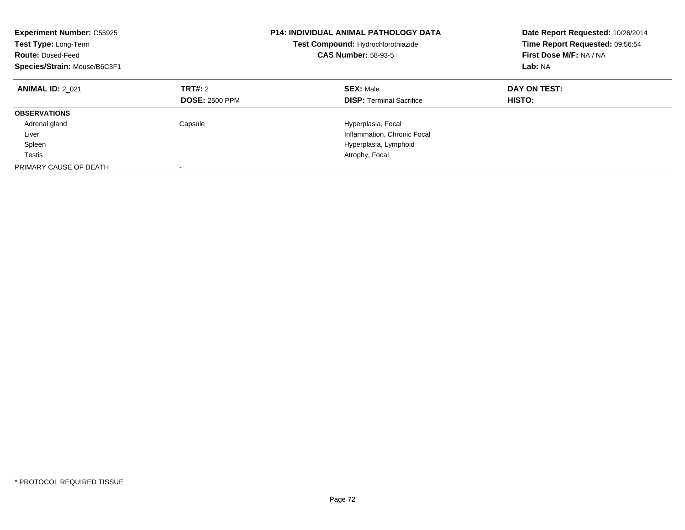| <b>Experiment Number: C55925</b><br>Test Type: Long-Term<br><b>Route: Dosed-Feed</b><br>Species/Strain: Mouse/B6C3F1 |                                         | P14: INDIVIDUAL ANIMAL PATHOLOGY DATA<br>Test Compound: Hydrochlorothiazide<br><b>CAS Number: 58-93-5</b> | Date Report Requested: 10/26/2014<br>Time Report Requested: 09:56:54<br>First Dose M/F: NA / NA<br>Lab: NA |
|----------------------------------------------------------------------------------------------------------------------|-----------------------------------------|-----------------------------------------------------------------------------------------------------------|------------------------------------------------------------------------------------------------------------|
| <b>ANIMAL ID: 2 021</b>                                                                                              | <b>TRT#: 2</b><br><b>DOSE: 2500 PPM</b> | <b>SEX: Male</b><br><b>DISP:</b> Terminal Sacrifice                                                       | DAY ON TEST:<br>HISTO:                                                                                     |
| <b>OBSERVATIONS</b>                                                                                                  |                                         |                                                                                                           |                                                                                                            |
| Adrenal gland                                                                                                        | Capsule                                 | Hyperplasia, Focal                                                                                        |                                                                                                            |
| Liver                                                                                                                |                                         | Inflammation, Chronic Focal                                                                               |                                                                                                            |
| Spleen                                                                                                               |                                         | Hyperplasia, Lymphoid                                                                                     |                                                                                                            |
| Testis                                                                                                               |                                         | Atrophy, Focal                                                                                            |                                                                                                            |
| PRIMARY CAUSE OF DEATH                                                                                               |                                         |                                                                                                           |                                                                                                            |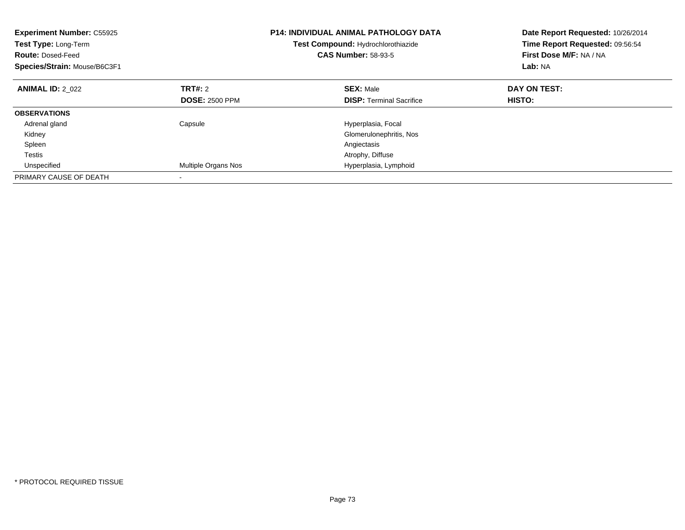| <b>Experiment Number: C55925</b><br>Test Type: Long-Term<br><b>Route: Dosed-Feed</b><br>Species/Strain: Mouse/B6C3F1 |                       | <b>P14: INDIVIDUAL ANIMAL PATHOLOGY DATA</b><br>Test Compound: Hydrochlorothiazide<br><b>CAS Number: 58-93-5</b> | Date Report Requested: 10/26/2014<br>Time Report Requested: 09:56:54<br>First Dose M/F: NA / NA<br>Lab: NA |
|----------------------------------------------------------------------------------------------------------------------|-----------------------|------------------------------------------------------------------------------------------------------------------|------------------------------------------------------------------------------------------------------------|
| <b>ANIMAL ID: 2 022</b>                                                                                              | TRT#: 2               | <b>SEX: Male</b>                                                                                                 | DAY ON TEST:<br>HISTO:                                                                                     |
|                                                                                                                      | <b>DOSE: 2500 PPM</b> | <b>DISP:</b> Terminal Sacrifice                                                                                  |                                                                                                            |
| <b>OBSERVATIONS</b>                                                                                                  |                       |                                                                                                                  |                                                                                                            |
| Adrenal gland                                                                                                        | Capsule               | Hyperplasia, Focal                                                                                               |                                                                                                            |
| Kidney                                                                                                               |                       | Glomerulonephritis, Nos                                                                                          |                                                                                                            |
| Spleen                                                                                                               |                       | Angiectasis                                                                                                      |                                                                                                            |
| Testis                                                                                                               |                       | Atrophy, Diffuse                                                                                                 |                                                                                                            |
| Unspecified                                                                                                          | Multiple Organs Nos   | Hyperplasia, Lymphoid                                                                                            |                                                                                                            |
| PRIMARY CAUSE OF DEATH                                                                                               |                       |                                                                                                                  |                                                                                                            |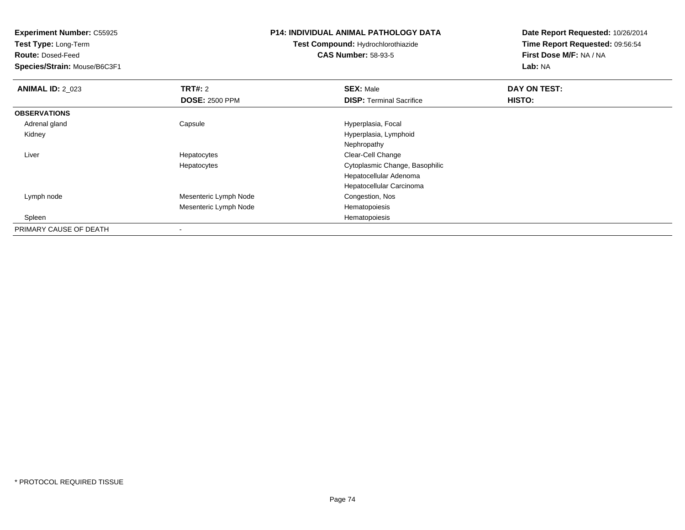**Test Type:** Long-Term

**Route:** Dosed-Feed

**Species/Strain:** Mouse/B6C3F1

# **P14: INDIVIDUAL ANIMAL PATHOLOGY DATA**

**Test Compound:** Hydrochlorothiazide**CAS Number:** 58-93-5

| <b>ANIMAL ID: 2 023</b> | TRT#: 2               | <b>SEX: Male</b>                | DAY ON TEST: |  |
|-------------------------|-----------------------|---------------------------------|--------------|--|
|                         | <b>DOSE: 2500 PPM</b> | <b>DISP: Terminal Sacrifice</b> | HISTO:       |  |
| <b>OBSERVATIONS</b>     |                       |                                 |              |  |
| Adrenal gland           | Capsule               | Hyperplasia, Focal              |              |  |
| Kidney                  |                       | Hyperplasia, Lymphoid           |              |  |
|                         |                       | Nephropathy                     |              |  |
| Liver                   | Hepatocytes           | Clear-Cell Change               |              |  |
|                         | Hepatocytes           | Cytoplasmic Change, Basophilic  |              |  |
|                         |                       | Hepatocellular Adenoma          |              |  |
|                         |                       | Hepatocellular Carcinoma        |              |  |
| Lymph node              | Mesenteric Lymph Node | Congestion, Nos                 |              |  |
|                         | Mesenteric Lymph Node | Hematopoiesis                   |              |  |
| Spleen                  |                       | Hematopoiesis                   |              |  |
| PRIMARY CAUSE OF DEATH  |                       |                                 |              |  |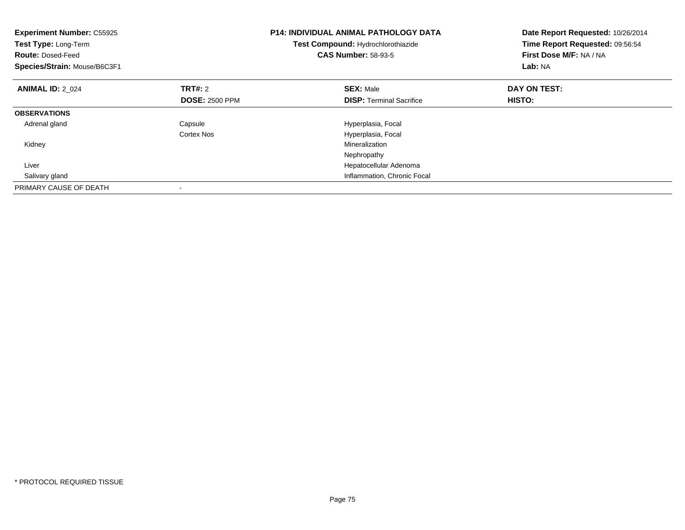| <b>Experiment Number: C55925</b><br>Test Type: Long-Term<br><b>Route: Dosed-Feed</b><br>Species/Strain: Mouse/B6C3F1 |                       | <b>P14: INDIVIDUAL ANIMAL PATHOLOGY DATA</b><br>Test Compound: Hydrochlorothiazide<br><b>CAS Number: 58-93-5</b> | Date Report Requested: 10/26/2014<br>Time Report Requested: 09:56:54<br>First Dose M/F: NA / NA<br>Lab: NA |
|----------------------------------------------------------------------------------------------------------------------|-----------------------|------------------------------------------------------------------------------------------------------------------|------------------------------------------------------------------------------------------------------------|
| <b>ANIMAL ID: 2 024</b>                                                                                              | <b>TRT#:</b> 2        | <b>SEX: Male</b>                                                                                                 | DAY ON TEST:                                                                                               |
|                                                                                                                      | <b>DOSE: 2500 PPM</b> | <b>DISP:</b> Terminal Sacrifice                                                                                  | HISTO:                                                                                                     |
| <b>OBSERVATIONS</b>                                                                                                  |                       |                                                                                                                  |                                                                                                            |
| Adrenal gland                                                                                                        | Capsule               | Hyperplasia, Focal                                                                                               |                                                                                                            |
|                                                                                                                      | Cortex Nos            | Hyperplasia, Focal                                                                                               |                                                                                                            |
| Kidney                                                                                                               |                       | Mineralization                                                                                                   |                                                                                                            |
|                                                                                                                      |                       | Nephropathy                                                                                                      |                                                                                                            |
| Liver                                                                                                                |                       | Hepatocellular Adenoma                                                                                           |                                                                                                            |
| Salivary gland                                                                                                       |                       | Inflammation, Chronic Focal                                                                                      |                                                                                                            |
| PRIMARY CAUSE OF DEATH                                                                                               |                       |                                                                                                                  |                                                                                                            |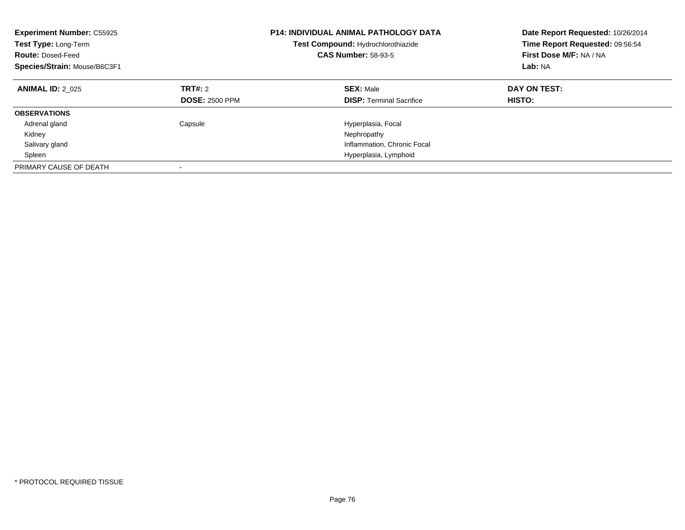| <b>Experiment Number: C55925</b><br>Test Type: Long-Term<br><b>Route: Dosed-Feed</b><br>Species/Strain: Mouse/B6C3F1 |                                  | P14: INDIVIDUAL ANIMAL PATHOLOGY DATA<br>Test Compound: Hydrochlorothiazide<br><b>CAS Number: 58-93-5</b> | Date Report Requested: 10/26/2014<br>Time Report Requested: 09:56:54<br>First Dose M/F: NA / NA<br>Lab: NA |
|----------------------------------------------------------------------------------------------------------------------|----------------------------------|-----------------------------------------------------------------------------------------------------------|------------------------------------------------------------------------------------------------------------|
| <b>ANIMAL ID: 2 025</b>                                                                                              | TRT#: 2<br><b>DOSE: 2500 PPM</b> | <b>SEX: Male</b><br><b>DISP:</b> Terminal Sacrifice                                                       | DAY ON TEST:<br>HISTO:                                                                                     |
| <b>OBSERVATIONS</b>                                                                                                  |                                  |                                                                                                           |                                                                                                            |
| Adrenal gland                                                                                                        | Capsule                          | Hyperplasia, Focal                                                                                        |                                                                                                            |
| Kidney                                                                                                               |                                  | Nephropathy                                                                                               |                                                                                                            |
| Salivary gland                                                                                                       |                                  | Inflammation, Chronic Focal                                                                               |                                                                                                            |
| Spleen                                                                                                               |                                  | Hyperplasia, Lymphoid                                                                                     |                                                                                                            |
| PRIMARY CAUSE OF DEATH                                                                                               |                                  |                                                                                                           |                                                                                                            |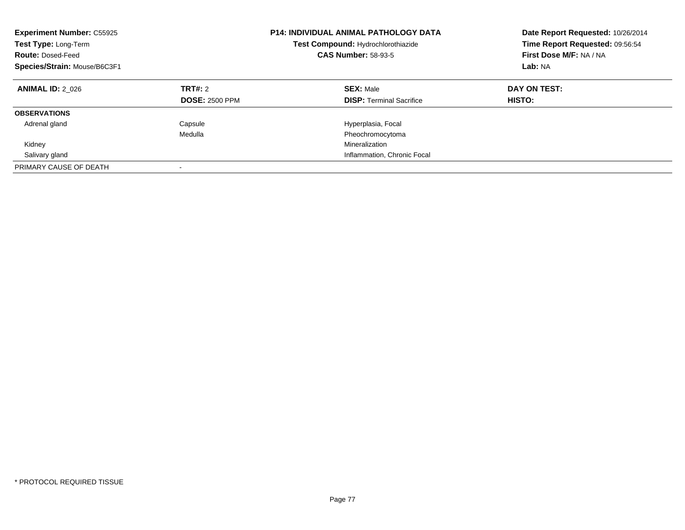| <b>Experiment Number: C55925</b><br>Test Type: Long-Term<br><b>Route: Dosed-Feed</b><br>Species/Strain: Mouse/B6C3F1 |                                         | <b>P14: INDIVIDUAL ANIMAL PATHOLOGY DATA</b><br>Test Compound: Hydrochlorothiazide<br><b>CAS Number: 58-93-5</b> | Date Report Requested: 10/26/2014<br>Time Report Requested: 09:56:54<br>First Dose M/F: NA / NA<br>Lab: NA |
|----------------------------------------------------------------------------------------------------------------------|-----------------------------------------|------------------------------------------------------------------------------------------------------------------|------------------------------------------------------------------------------------------------------------|
| <b>ANIMAL ID: 2 026</b>                                                                                              | <b>TRT#: 2</b><br><b>DOSE: 2500 PPM</b> | <b>SEX: Male</b><br><b>DISP:</b> Terminal Sacrifice                                                              | DAY ON TEST:<br>HISTO:                                                                                     |
| <b>OBSERVATIONS</b>                                                                                                  |                                         |                                                                                                                  |                                                                                                            |
| Adrenal gland                                                                                                        | Capsule                                 | Hyperplasia, Focal                                                                                               |                                                                                                            |
|                                                                                                                      | Medulla                                 | Pheochromocytoma                                                                                                 |                                                                                                            |
| Kidney                                                                                                               |                                         | Mineralization                                                                                                   |                                                                                                            |
| Salivary gland                                                                                                       |                                         | Inflammation, Chronic Focal                                                                                      |                                                                                                            |
| PRIMARY CAUSE OF DEATH                                                                                               |                                         |                                                                                                                  |                                                                                                            |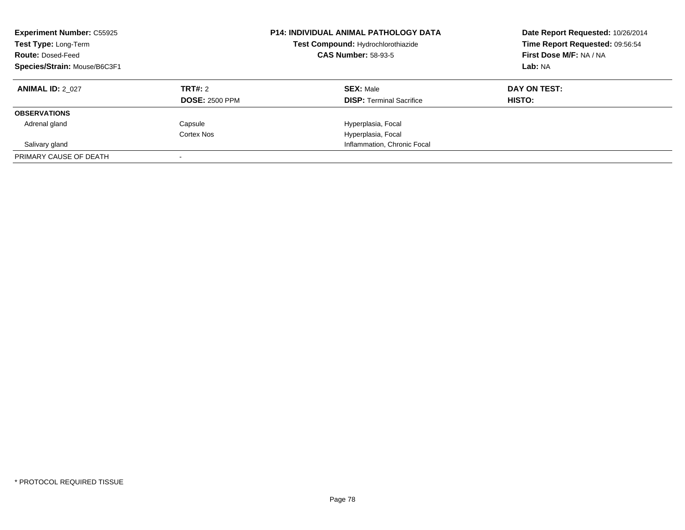| <b>Experiment Number: C55925</b><br>Test Type: Long-Term<br><b>Route: Dosed-Feed</b><br>Species/Strain: Mouse/B6C3F1 |                       | <b>P14: INDIVIDUAL ANIMAL PATHOLOGY DATA</b><br>Test Compound: Hydrochlorothiazide<br><b>CAS Number: 58-93-5</b> | Date Report Requested: 10/26/2014<br>Time Report Requested: 09:56:54<br>First Dose M/F: NA / NA<br>Lab: NA |
|----------------------------------------------------------------------------------------------------------------------|-----------------------|------------------------------------------------------------------------------------------------------------------|------------------------------------------------------------------------------------------------------------|
| <b>ANIMAL ID: 2 027</b>                                                                                              | <b>TRT#: 2</b>        | <b>SEX: Male</b>                                                                                                 | DAY ON TEST:                                                                                               |
|                                                                                                                      | <b>DOSE: 2500 PPM</b> | <b>DISP:</b> Terminal Sacrifice                                                                                  | HISTO:                                                                                                     |
| <b>OBSERVATIONS</b>                                                                                                  |                       |                                                                                                                  |                                                                                                            |
| Adrenal gland                                                                                                        | Capsule               | Hyperplasia, Focal                                                                                               |                                                                                                            |
|                                                                                                                      | Cortex Nos            | Hyperplasia, Focal                                                                                               |                                                                                                            |
| Salivary gland                                                                                                       |                       | Inflammation, Chronic Focal                                                                                      |                                                                                                            |
| PRIMARY CAUSE OF DEATH                                                                                               |                       |                                                                                                                  |                                                                                                            |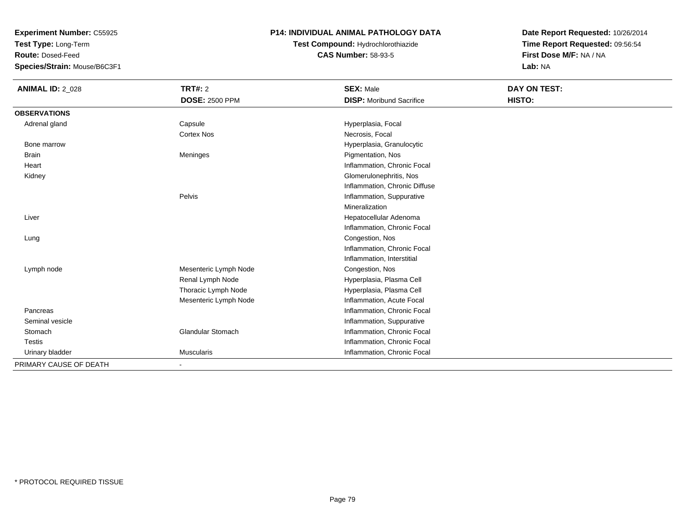**Test Type:** Long-Term

**Route:** Dosed-Feed

**Species/Strain:** Mouse/B6C3F1

# **P14: INDIVIDUAL ANIMAL PATHOLOGY DATA**

**Test Compound:** Hydrochlorothiazide**CAS Number:** 58-93-5

| <b>ANIMAL ID: 2_028</b> | <b>TRT#: 2</b>           | <b>SEX: Male</b>                | DAY ON TEST: |  |
|-------------------------|--------------------------|---------------------------------|--------------|--|
|                         | <b>DOSE: 2500 PPM</b>    | <b>DISP:</b> Moribund Sacrifice | HISTO:       |  |
| <b>OBSERVATIONS</b>     |                          |                                 |              |  |
| Adrenal gland           | Capsule                  | Hyperplasia, Focal              |              |  |
|                         | <b>Cortex Nos</b>        | Necrosis, Focal                 |              |  |
| Bone marrow             |                          | Hyperplasia, Granulocytic       |              |  |
| <b>Brain</b>            | Meninges                 | Pigmentation, Nos               |              |  |
| Heart                   |                          | Inflammation, Chronic Focal     |              |  |
| Kidney                  |                          | Glomerulonephritis, Nos         |              |  |
|                         |                          | Inflammation, Chronic Diffuse   |              |  |
|                         | Pelvis                   | Inflammation, Suppurative       |              |  |
|                         |                          | Mineralization                  |              |  |
| Liver                   |                          | Hepatocellular Adenoma          |              |  |
|                         |                          | Inflammation, Chronic Focal     |              |  |
| Lung                    |                          | Congestion, Nos                 |              |  |
|                         |                          | Inflammation, Chronic Focal     |              |  |
|                         |                          | Inflammation, Interstitial      |              |  |
| Lymph node              | Mesenteric Lymph Node    | Congestion, Nos                 |              |  |
|                         | Renal Lymph Node         | Hyperplasia, Plasma Cell        |              |  |
|                         | Thoracic Lymph Node      | Hyperplasia, Plasma Cell        |              |  |
|                         | Mesenteric Lymph Node    | Inflammation, Acute Focal       |              |  |
| Pancreas                |                          | Inflammation, Chronic Focal     |              |  |
| Seminal vesicle         |                          | Inflammation, Suppurative       |              |  |
| Stomach                 | <b>Glandular Stomach</b> | Inflammation, Chronic Focal     |              |  |
| Testis                  |                          | Inflammation, Chronic Focal     |              |  |
| Urinary bladder         | <b>Muscularis</b>        | Inflammation, Chronic Focal     |              |  |
| PRIMARY CAUSE OF DEATH  |                          |                                 |              |  |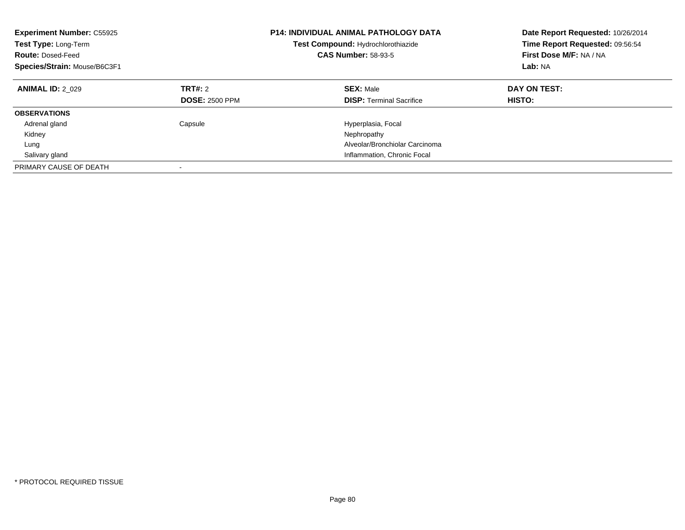| <b>Experiment Number: C55925</b><br>Test Type: Long-Term<br><b>Route: Dosed-Feed</b><br>Species/Strain: Mouse/B6C3F1 |                                  | <b>P14: INDIVIDUAL ANIMAL PATHOLOGY DATA</b><br>Test Compound: Hydrochlorothiazide<br><b>CAS Number: 58-93-5</b> | Date Report Requested: 10/26/2014<br>Time Report Requested: 09:56:54<br>First Dose M/F: NA / NA<br>Lab: NA |
|----------------------------------------------------------------------------------------------------------------------|----------------------------------|------------------------------------------------------------------------------------------------------------------|------------------------------------------------------------------------------------------------------------|
| <b>ANIMAL ID: 2 029</b>                                                                                              | TRT#: 2<br><b>DOSE: 2500 PPM</b> | <b>SEX: Male</b><br><b>DISP: Terminal Sacrifice</b>                                                              | DAY ON TEST:<br>HISTO:                                                                                     |
| <b>OBSERVATIONS</b>                                                                                                  |                                  |                                                                                                                  |                                                                                                            |
| Adrenal gland                                                                                                        | Capsule                          | Hyperplasia, Focal                                                                                               |                                                                                                            |
| Kidney                                                                                                               |                                  | Nephropathy                                                                                                      |                                                                                                            |
| Lung                                                                                                                 |                                  | Alveolar/Bronchiolar Carcinoma                                                                                   |                                                                                                            |
| Salivary gland                                                                                                       |                                  | Inflammation, Chronic Focal                                                                                      |                                                                                                            |
| PRIMARY CAUSE OF DEATH                                                                                               |                                  |                                                                                                                  |                                                                                                            |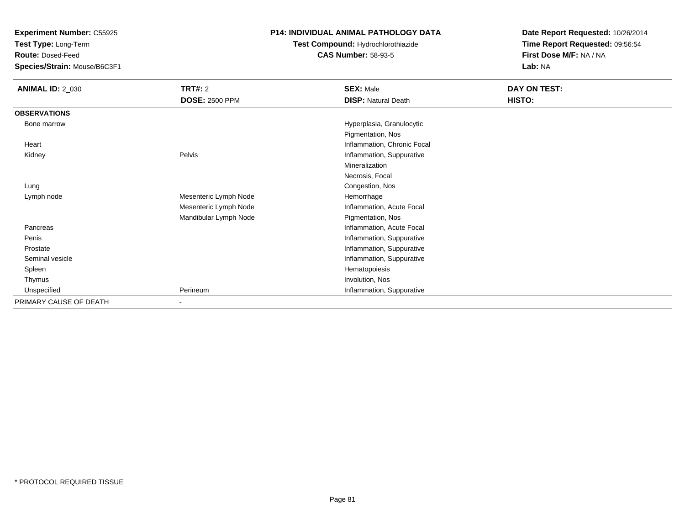**Test Type:** Long-Term

**Route:** Dosed-Feed

**Species/Strain:** Mouse/B6C3F1

# **P14: INDIVIDUAL ANIMAL PATHOLOGY DATA**

# **Test Compound:** Hydrochlorothiazide**CAS Number:** 58-93-5

| <b>ANIMAL ID: 2_030</b> | TRT#: 2<br><b>DOSE: 2500 PPM</b> | <b>SEX: Male</b><br><b>DISP: Natural Death</b> | DAY ON TEST:<br>HISTO: |
|-------------------------|----------------------------------|------------------------------------------------|------------------------|
|                         |                                  |                                                |                        |
| <b>OBSERVATIONS</b>     |                                  |                                                |                        |
| Bone marrow             |                                  | Hyperplasia, Granulocytic                      |                        |
|                         |                                  | Pigmentation, Nos                              |                        |
| Heart                   |                                  | Inflammation, Chronic Focal                    |                        |
| Kidney                  | Pelvis                           | Inflammation, Suppurative                      |                        |
|                         |                                  | Mineralization                                 |                        |
|                         |                                  | Necrosis, Focal                                |                        |
| Lung                    |                                  | Congestion, Nos                                |                        |
| Lymph node              | Mesenteric Lymph Node            | Hemorrhage                                     |                        |
|                         | Mesenteric Lymph Node            | Inflammation, Acute Focal                      |                        |
|                         | Mandibular Lymph Node            | Pigmentation, Nos                              |                        |
| Pancreas                |                                  | Inflammation, Acute Focal                      |                        |
| Penis                   |                                  | Inflammation, Suppurative                      |                        |
| Prostate                |                                  | Inflammation, Suppurative                      |                        |
| Seminal vesicle         |                                  | Inflammation, Suppurative                      |                        |
| Spleen                  |                                  | Hematopoiesis                                  |                        |
| Thymus                  |                                  | Involution, Nos                                |                        |
| Unspecified             | Perineum                         | Inflammation, Suppurative                      |                        |
| PRIMARY CAUSE OF DEATH  |                                  |                                                |                        |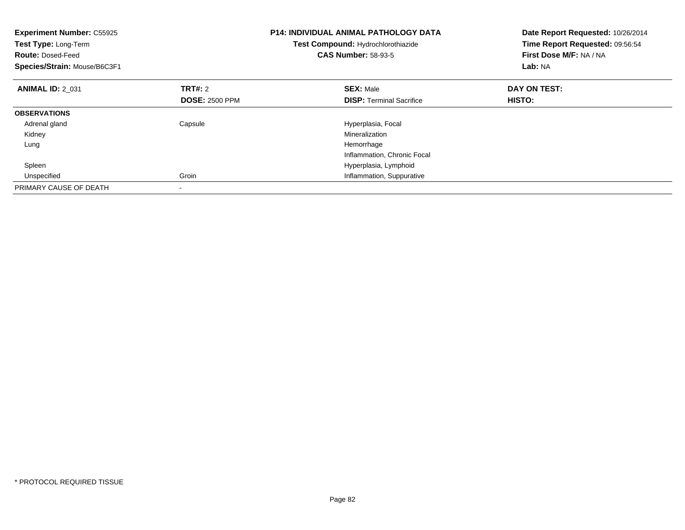| <b>Experiment Number: C55925</b><br>Test Type: Long-Term<br><b>Route: Dosed-Feed</b><br>Species/Strain: Mouse/B6C3F1 |                       | <b>P14: INDIVIDUAL ANIMAL PATHOLOGY DATA</b><br>Test Compound: Hydrochlorothiazide<br><b>CAS Number: 58-93-5</b> | Date Report Requested: 10/26/2014<br>Time Report Requested: 09:56:54<br>First Dose M/F: NA / NA<br>Lab: NA |
|----------------------------------------------------------------------------------------------------------------------|-----------------------|------------------------------------------------------------------------------------------------------------------|------------------------------------------------------------------------------------------------------------|
| <b>ANIMAL ID: 2 031</b>                                                                                              | TRT#: 2               | <b>SEX: Male</b>                                                                                                 | DAY ON TEST:                                                                                               |
|                                                                                                                      | <b>DOSE: 2500 PPM</b> | <b>DISP:</b> Terminal Sacrifice                                                                                  | <b>HISTO:</b>                                                                                              |
| <b>OBSERVATIONS</b>                                                                                                  |                       |                                                                                                                  |                                                                                                            |
| Adrenal gland                                                                                                        | Capsule               | Hyperplasia, Focal                                                                                               |                                                                                                            |
| Kidney                                                                                                               |                       | Mineralization                                                                                                   |                                                                                                            |
| Lung                                                                                                                 |                       | Hemorrhage                                                                                                       |                                                                                                            |
|                                                                                                                      |                       | Inflammation, Chronic Focal                                                                                      |                                                                                                            |
| Spleen                                                                                                               |                       | Hyperplasia, Lymphoid                                                                                            |                                                                                                            |
| Unspecified                                                                                                          | Groin                 | Inflammation, Suppurative                                                                                        |                                                                                                            |
| PRIMARY CAUSE OF DEATH                                                                                               |                       |                                                                                                                  |                                                                                                            |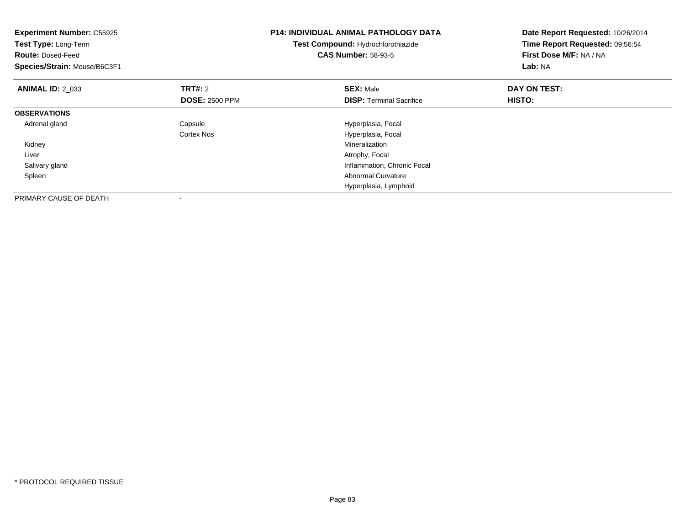| <b>Experiment Number: C55925</b><br>Test Type: Long-Term<br><b>Route: Dosed-Feed</b><br>Species/Strain: Mouse/B6C3F1 |                       | <b>P14: INDIVIDUAL ANIMAL PATHOLOGY DATA</b><br>Test Compound: Hydrochlorothiazide<br><b>CAS Number: 58-93-5</b> | Date Report Requested: 10/26/2014<br>Time Report Requested: 09:56:54<br>First Dose M/F: NA / NA<br>Lab: NA |
|----------------------------------------------------------------------------------------------------------------------|-----------------------|------------------------------------------------------------------------------------------------------------------|------------------------------------------------------------------------------------------------------------|
| <b>ANIMAL ID: 2 033</b>                                                                                              | <b>TRT#: 2</b>        | <b>SEX: Male</b>                                                                                                 | DAY ON TEST:                                                                                               |
|                                                                                                                      | <b>DOSE: 2500 PPM</b> | <b>DISP:</b> Terminal Sacrifice                                                                                  | HISTO:                                                                                                     |
| <b>OBSERVATIONS</b>                                                                                                  |                       |                                                                                                                  |                                                                                                            |
| Adrenal gland                                                                                                        | Capsule               | Hyperplasia, Focal                                                                                               |                                                                                                            |
|                                                                                                                      | Cortex Nos            | Hyperplasia, Focal                                                                                               |                                                                                                            |
| Kidney                                                                                                               |                       | Mineralization                                                                                                   |                                                                                                            |
| Liver                                                                                                                |                       | Atrophy, Focal                                                                                                   |                                                                                                            |
| Salivary gland                                                                                                       |                       | Inflammation, Chronic Focal                                                                                      |                                                                                                            |
| Spleen                                                                                                               |                       | <b>Abnormal Curvature</b>                                                                                        |                                                                                                            |
|                                                                                                                      |                       | Hyperplasia, Lymphoid                                                                                            |                                                                                                            |
| PRIMARY CAUSE OF DEATH                                                                                               |                       |                                                                                                                  |                                                                                                            |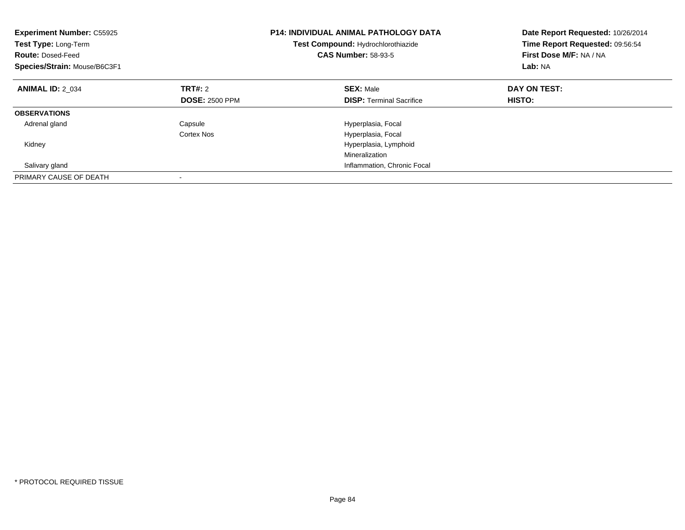| <b>Experiment Number: C55925</b><br>Test Type: Long-Term<br><b>Route: Dosed-Feed</b><br>Species/Strain: Mouse/B6C3F1 |                       | <b>P14: INDIVIDUAL ANIMAL PATHOLOGY DATA</b><br>Test Compound: Hydrochlorothiazide<br><b>CAS Number: 58-93-5</b> | Date Report Requested: 10/26/2014<br>Time Report Requested: 09:56:54<br>First Dose M/F: NA / NA<br>Lab: NA |
|----------------------------------------------------------------------------------------------------------------------|-----------------------|------------------------------------------------------------------------------------------------------------------|------------------------------------------------------------------------------------------------------------|
| <b>ANIMAL ID: 2 034</b>                                                                                              | <b>TRT#:</b> 2        | <b>SEX: Male</b>                                                                                                 | DAY ON TEST:                                                                                               |
|                                                                                                                      | <b>DOSE: 2500 PPM</b> | <b>DISP:</b> Terminal Sacrifice                                                                                  | HISTO:                                                                                                     |
| <b>OBSERVATIONS</b>                                                                                                  |                       |                                                                                                                  |                                                                                                            |
| Adrenal gland                                                                                                        | Capsule               | Hyperplasia, Focal                                                                                               |                                                                                                            |
|                                                                                                                      | Cortex Nos            | Hyperplasia, Focal                                                                                               |                                                                                                            |
| Kidney                                                                                                               |                       | Hyperplasia, Lymphoid                                                                                            |                                                                                                            |
|                                                                                                                      |                       | Mineralization                                                                                                   |                                                                                                            |
| Salivary gland                                                                                                       |                       | Inflammation, Chronic Focal                                                                                      |                                                                                                            |
| PRIMARY CAUSE OF DEATH                                                                                               |                       |                                                                                                                  |                                                                                                            |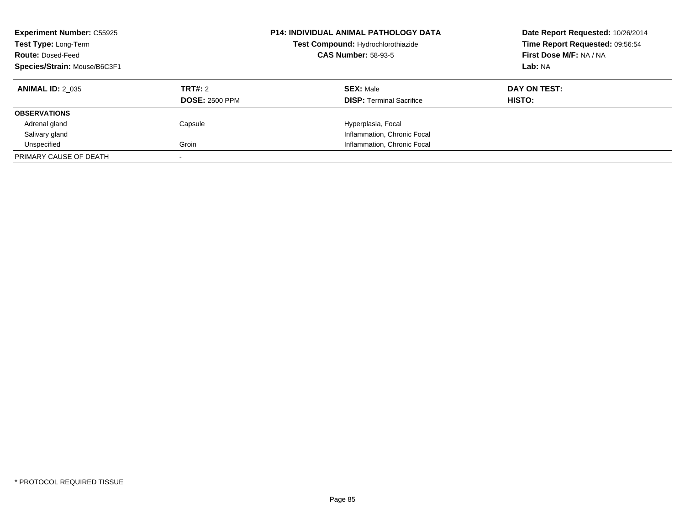| <b>Experiment Number: C55925</b><br>Test Type: Long-Term<br><b>Route: Dosed-Feed</b><br>Species/Strain: Mouse/B6C3F1 |                                         | <b>P14: INDIVIDUAL ANIMAL PATHOLOGY DATA</b><br>Test Compound: Hydrochlorothiazide<br><b>CAS Number: 58-93-5</b> | Date Report Requested: 10/26/2014<br>Time Report Requested: 09:56:54<br>First Dose M/F: NA / NA<br>Lab: NA |
|----------------------------------------------------------------------------------------------------------------------|-----------------------------------------|------------------------------------------------------------------------------------------------------------------|------------------------------------------------------------------------------------------------------------|
| <b>ANIMAL ID: 2 035</b>                                                                                              | <b>TRT#: 2</b><br><b>DOSE: 2500 PPM</b> | <b>SEX: Male</b><br><b>DISP:</b> Terminal Sacrifice                                                              | DAY ON TEST:<br>HISTO:                                                                                     |
| <b>OBSERVATIONS</b>                                                                                                  |                                         |                                                                                                                  |                                                                                                            |
| Adrenal gland                                                                                                        | Capsule                                 | Hyperplasia, Focal                                                                                               |                                                                                                            |
| Salivary gland                                                                                                       |                                         | Inflammation, Chronic Focal                                                                                      |                                                                                                            |
| Unspecified                                                                                                          | Groin                                   | Inflammation, Chronic Focal                                                                                      |                                                                                                            |
| PRIMARY CAUSE OF DEATH                                                                                               |                                         |                                                                                                                  |                                                                                                            |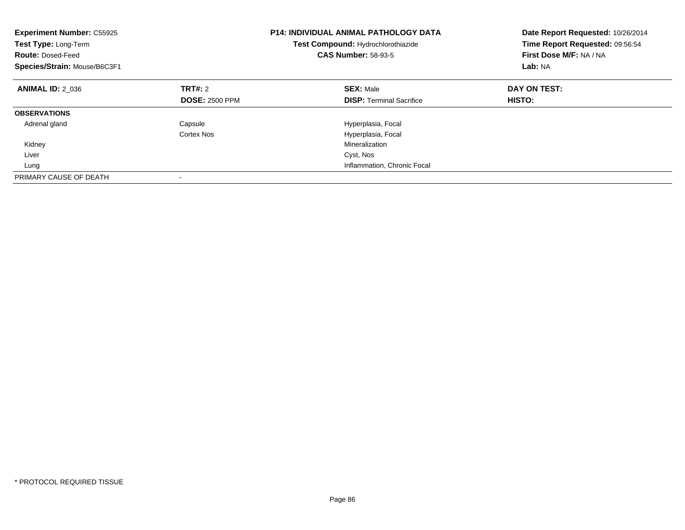| <b>Experiment Number: C55925</b><br>Test Type: Long-Term<br><b>Route: Dosed-Feed</b><br>Species/Strain: Mouse/B6C3F1 |                       | <b>P14: INDIVIDUAL ANIMAL PATHOLOGY DATA</b><br>Test Compound: Hydrochlorothiazide<br><b>CAS Number: 58-93-5</b> | Date Report Requested: 10/26/2014<br>Time Report Requested: 09:56:54<br>First Dose M/F: NA / NA<br>Lab: NA |
|----------------------------------------------------------------------------------------------------------------------|-----------------------|------------------------------------------------------------------------------------------------------------------|------------------------------------------------------------------------------------------------------------|
| <b>ANIMAL ID: 2 036</b>                                                                                              | TRT#: 2               | <b>SEX: Male</b>                                                                                                 | DAY ON TEST:                                                                                               |
|                                                                                                                      | <b>DOSE: 2500 PPM</b> | <b>DISP:</b> Terminal Sacrifice                                                                                  | HISTO:                                                                                                     |
| <b>OBSERVATIONS</b>                                                                                                  |                       |                                                                                                                  |                                                                                                            |
| Adrenal gland                                                                                                        | Capsule               | Hyperplasia, Focal                                                                                               |                                                                                                            |
|                                                                                                                      | Cortex Nos            | Hyperplasia, Focal                                                                                               |                                                                                                            |
| Kidney                                                                                                               |                       | Mineralization                                                                                                   |                                                                                                            |
| Liver                                                                                                                |                       | Cyst, Nos                                                                                                        |                                                                                                            |
| Lung                                                                                                                 |                       | Inflammation, Chronic Focal                                                                                      |                                                                                                            |
| PRIMARY CAUSE OF DEATH                                                                                               |                       |                                                                                                                  |                                                                                                            |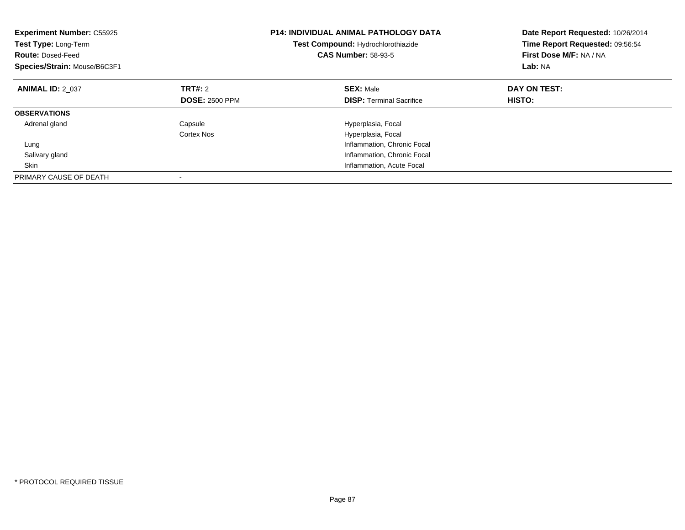| <b>Experiment Number: C55925</b><br>Test Type: Long-Term<br><b>Route: Dosed-Feed</b><br>Species/Strain: Mouse/B6C3F1 |                       | <b>P14: INDIVIDUAL ANIMAL PATHOLOGY DATA</b><br>Test Compound: Hydrochlorothiazide<br><b>CAS Number: 58-93-5</b> | Date Report Requested: 10/26/2014<br>Time Report Requested: 09:56:54<br>First Dose M/F: NA / NA<br>Lab: NA |
|----------------------------------------------------------------------------------------------------------------------|-----------------------|------------------------------------------------------------------------------------------------------------------|------------------------------------------------------------------------------------------------------------|
| <b>ANIMAL ID: 2 037</b>                                                                                              | TRT#: 2               | <b>SEX: Male</b>                                                                                                 | DAY ON TEST:                                                                                               |
|                                                                                                                      | <b>DOSE: 2500 PPM</b> | <b>DISP:</b> Terminal Sacrifice                                                                                  | HISTO:                                                                                                     |
| <b>OBSERVATIONS</b>                                                                                                  |                       |                                                                                                                  |                                                                                                            |
| Adrenal gland                                                                                                        | Capsule               | Hyperplasia, Focal                                                                                               |                                                                                                            |
|                                                                                                                      | Cortex Nos            | Hyperplasia, Focal                                                                                               |                                                                                                            |
| Lung                                                                                                                 |                       | Inflammation, Chronic Focal                                                                                      |                                                                                                            |
| Salivary gland                                                                                                       |                       | Inflammation, Chronic Focal                                                                                      |                                                                                                            |
| Skin                                                                                                                 |                       | Inflammation, Acute Focal                                                                                        |                                                                                                            |
| PRIMARY CAUSE OF DEATH                                                                                               |                       |                                                                                                                  |                                                                                                            |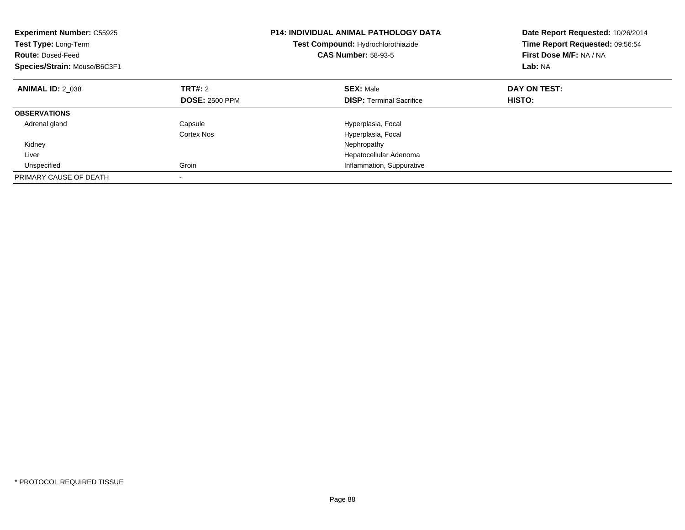| <b>Experiment Number: C55925</b><br>Test Type: Long-Term<br><b>Route: Dosed-Feed</b><br>Species/Strain: Mouse/B6C3F1 |                       | <b>P14: INDIVIDUAL ANIMAL PATHOLOGY DATA</b><br>Test Compound: Hydrochlorothiazide<br><b>CAS Number: 58-93-5</b> | Date Report Requested: 10/26/2014<br>Time Report Requested: 09:56:54<br>First Dose M/F: NA / NA<br>Lab: NA |
|----------------------------------------------------------------------------------------------------------------------|-----------------------|------------------------------------------------------------------------------------------------------------------|------------------------------------------------------------------------------------------------------------|
| <b>ANIMAL ID: 2 038</b>                                                                                              | TRT#: 2               | <b>SEX: Male</b>                                                                                                 | DAY ON TEST:                                                                                               |
|                                                                                                                      | <b>DOSE: 2500 PPM</b> | <b>DISP:</b> Terminal Sacrifice                                                                                  | HISTO:                                                                                                     |
| <b>OBSERVATIONS</b>                                                                                                  |                       |                                                                                                                  |                                                                                                            |
| Adrenal gland                                                                                                        | Capsule               | Hyperplasia, Focal                                                                                               |                                                                                                            |
|                                                                                                                      | Cortex Nos            | Hyperplasia, Focal                                                                                               |                                                                                                            |
| Kidney                                                                                                               |                       | Nephropathy                                                                                                      |                                                                                                            |
| Liver                                                                                                                |                       | Hepatocellular Adenoma                                                                                           |                                                                                                            |
| Unspecified                                                                                                          | Groin                 | Inflammation, Suppurative                                                                                        |                                                                                                            |
| PRIMARY CAUSE OF DEATH                                                                                               |                       |                                                                                                                  |                                                                                                            |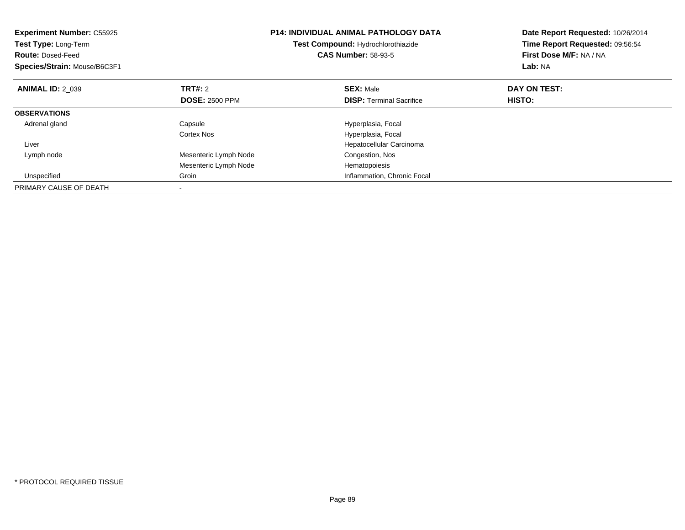| <b>Experiment Number: C55925</b><br>Test Type: Long-Term<br><b>Route: Dosed-Feed</b><br>Species/Strain: Mouse/B6C3F1 |                       | <b>P14: INDIVIDUAL ANIMAL PATHOLOGY DATA</b><br>Test Compound: Hydrochlorothiazide<br><b>CAS Number: 58-93-5</b> | Date Report Requested: 10/26/2014<br>Time Report Requested: 09:56:54<br>First Dose M/F: NA / NA<br>Lab: NA |
|----------------------------------------------------------------------------------------------------------------------|-----------------------|------------------------------------------------------------------------------------------------------------------|------------------------------------------------------------------------------------------------------------|
| <b>ANIMAL ID: 2_039</b>                                                                                              | <b>TRT#: 2</b>        | <b>SEX: Male</b>                                                                                                 | DAY ON TEST:                                                                                               |
|                                                                                                                      | <b>DOSE: 2500 PPM</b> | <b>DISP:</b> Terminal Sacrifice                                                                                  | HISTO:                                                                                                     |
| <b>OBSERVATIONS</b>                                                                                                  |                       |                                                                                                                  |                                                                                                            |
| Adrenal gland                                                                                                        | Capsule               | Hyperplasia, Focal                                                                                               |                                                                                                            |
|                                                                                                                      | Cortex Nos            | Hyperplasia, Focal                                                                                               |                                                                                                            |
| Liver                                                                                                                |                       | Hepatocellular Carcinoma                                                                                         |                                                                                                            |
| Lymph node                                                                                                           | Mesenteric Lymph Node | Congestion, Nos                                                                                                  |                                                                                                            |
|                                                                                                                      | Mesenteric Lymph Node | Hematopoiesis                                                                                                    |                                                                                                            |
| Unspecified                                                                                                          | Groin                 | Inflammation, Chronic Focal                                                                                      |                                                                                                            |
| PRIMARY CAUSE OF DEATH                                                                                               |                       |                                                                                                                  |                                                                                                            |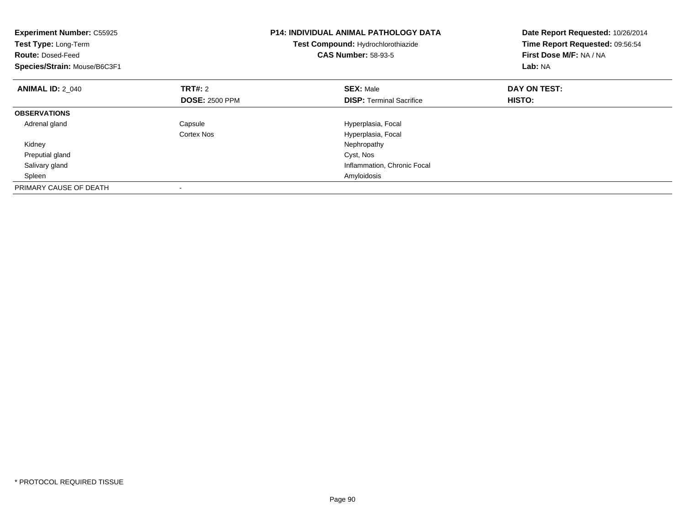| <b>Experiment Number: C55925</b><br>Test Type: Long-Term<br><b>Route: Dosed-Feed</b><br>Species/Strain: Mouse/B6C3F1 |                       | <b>P14: INDIVIDUAL ANIMAL PATHOLOGY DATA</b><br>Test Compound: Hydrochlorothiazide<br><b>CAS Number: 58-93-5</b> | Date Report Requested: 10/26/2014<br>Time Report Requested: 09:56:54<br>First Dose M/F: NA / NA<br>Lab: NA |
|----------------------------------------------------------------------------------------------------------------------|-----------------------|------------------------------------------------------------------------------------------------------------------|------------------------------------------------------------------------------------------------------------|
| <b>ANIMAL ID: 2 040</b>                                                                                              | <b>TRT#:</b> 2        | <b>SEX: Male</b>                                                                                                 | DAY ON TEST:                                                                                               |
|                                                                                                                      | <b>DOSE: 2500 PPM</b> | <b>DISP:</b> Terminal Sacrifice                                                                                  | <b>HISTO:</b>                                                                                              |
| <b>OBSERVATIONS</b>                                                                                                  |                       |                                                                                                                  |                                                                                                            |
| Adrenal gland                                                                                                        | Capsule               | Hyperplasia, Focal                                                                                               |                                                                                                            |
|                                                                                                                      | Cortex Nos            | Hyperplasia, Focal                                                                                               |                                                                                                            |
| Kidney                                                                                                               |                       | Nephropathy                                                                                                      |                                                                                                            |
| Preputial gland                                                                                                      |                       | Cyst, Nos                                                                                                        |                                                                                                            |
| Salivary gland                                                                                                       |                       | Inflammation, Chronic Focal                                                                                      |                                                                                                            |
| Spleen                                                                                                               |                       | Amyloidosis                                                                                                      |                                                                                                            |
| PRIMARY CAUSE OF DEATH                                                                                               |                       |                                                                                                                  |                                                                                                            |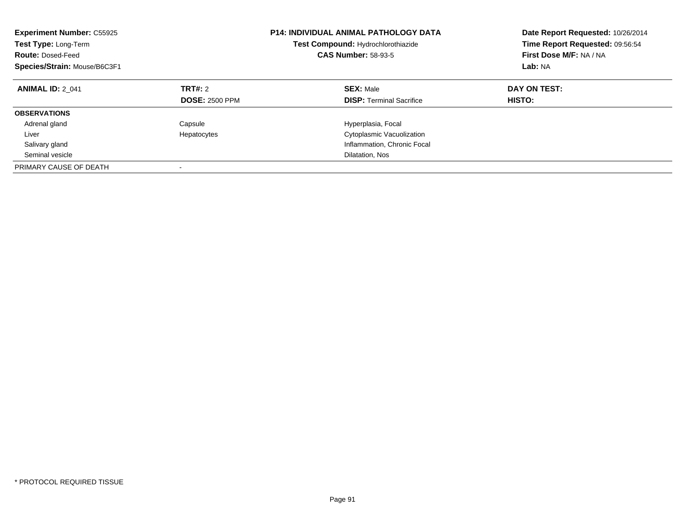| <b>Experiment Number: C55925</b><br>Test Type: Long-Term<br><b>Route: Dosed-Feed</b><br>Species/Strain: Mouse/B6C3F1 |                                  | <b>P14: INDIVIDUAL ANIMAL PATHOLOGY DATA</b><br>Test Compound: Hydrochlorothiazide<br><b>CAS Number: 58-93-5</b> | Date Report Requested: 10/26/2014<br>Time Report Requested: 09:56:54<br>First Dose M/F: NA / NA<br>Lab: NA |
|----------------------------------------------------------------------------------------------------------------------|----------------------------------|------------------------------------------------------------------------------------------------------------------|------------------------------------------------------------------------------------------------------------|
| <b>ANIMAL ID: 2 041</b>                                                                                              | TRT#: 2<br><b>DOSE: 2500 PPM</b> | <b>SEX: Male</b><br><b>DISP:</b> Terminal Sacrifice                                                              | DAY ON TEST:<br>HISTO:                                                                                     |
| <b>OBSERVATIONS</b>                                                                                                  |                                  |                                                                                                                  |                                                                                                            |
| Adrenal gland                                                                                                        | Capsule                          | Hyperplasia, Focal                                                                                               |                                                                                                            |
| Liver                                                                                                                | Hepatocytes                      | Cytoplasmic Vacuolization                                                                                        |                                                                                                            |
| Salivary gland                                                                                                       |                                  | Inflammation, Chronic Focal                                                                                      |                                                                                                            |
| Seminal vesicle                                                                                                      |                                  | Dilatation, Nos                                                                                                  |                                                                                                            |
| PRIMARY CAUSE OF DEATH                                                                                               |                                  |                                                                                                                  |                                                                                                            |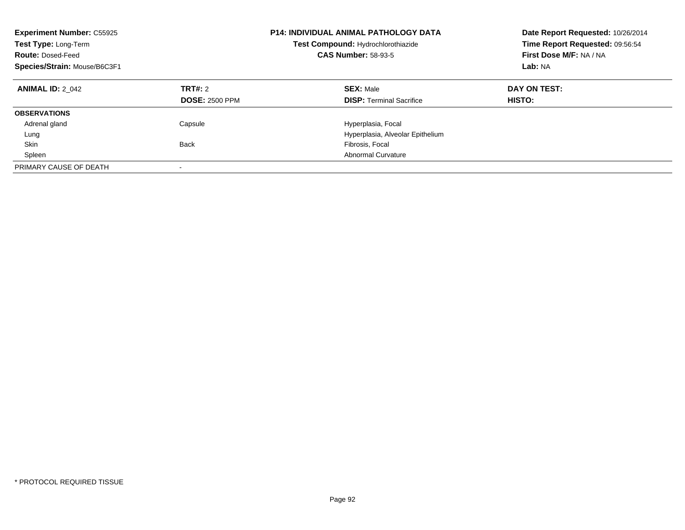| <b>Experiment Number: C55925</b><br>Test Type: Long-Term<br><b>Route: Dosed-Feed</b><br>Species/Strain: Mouse/B6C3F1 |                                  | <b>P14: INDIVIDUAL ANIMAL PATHOLOGY DATA</b><br>Test Compound: Hydrochlorothiazide<br><b>CAS Number: 58-93-5</b> | Date Report Requested: 10/26/2014<br>Time Report Requested: 09:56:54<br>First Dose M/F: NA / NA<br>Lab: NA |
|----------------------------------------------------------------------------------------------------------------------|----------------------------------|------------------------------------------------------------------------------------------------------------------|------------------------------------------------------------------------------------------------------------|
| <b>ANIMAL ID: 2 042</b>                                                                                              | TRT#: 2<br><b>DOSE: 2500 PPM</b> | <b>SEX: Male</b><br><b>DISP:</b> Terminal Sacrifice                                                              | DAY ON TEST:<br>HISTO:                                                                                     |
| <b>OBSERVATIONS</b>                                                                                                  |                                  |                                                                                                                  |                                                                                                            |
| Adrenal gland                                                                                                        | Capsule                          | Hyperplasia, Focal                                                                                               |                                                                                                            |
| Lung                                                                                                                 |                                  | Hyperplasia, Alveolar Epithelium                                                                                 |                                                                                                            |
| Skin                                                                                                                 | <b>Back</b>                      | Fibrosis, Focal                                                                                                  |                                                                                                            |
| Spleen                                                                                                               |                                  | <b>Abnormal Curvature</b>                                                                                        |                                                                                                            |
| PRIMARY CAUSE OF DEATH                                                                                               |                                  |                                                                                                                  |                                                                                                            |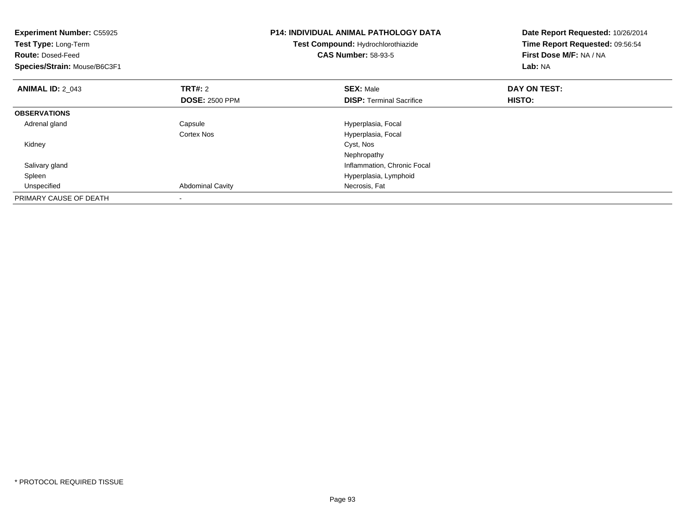| <b>Experiment Number: C55925</b><br>Test Type: Long-Term<br><b>Route: Dosed-Feed</b><br>Species/Strain: Mouse/B6C3F1 |                         | <b>P14: INDIVIDUAL ANIMAL PATHOLOGY DATA</b><br>Test Compound: Hydrochlorothiazide<br><b>CAS Number: 58-93-5</b> | Date Report Requested: 10/26/2014<br>Time Report Requested: 09:56:54<br>First Dose M/F: NA / NA<br>Lab: NA |
|----------------------------------------------------------------------------------------------------------------------|-------------------------|------------------------------------------------------------------------------------------------------------------|------------------------------------------------------------------------------------------------------------|
| <b>ANIMAL ID: 2_043</b>                                                                                              | <b>TRT#:</b> 2          | <b>SEX: Male</b>                                                                                                 | DAY ON TEST:                                                                                               |
|                                                                                                                      | <b>DOSE: 2500 PPM</b>   | <b>DISP:</b> Terminal Sacrifice                                                                                  | HISTO:                                                                                                     |
| <b>OBSERVATIONS</b>                                                                                                  |                         |                                                                                                                  |                                                                                                            |
| Adrenal gland                                                                                                        | Capsule                 | Hyperplasia, Focal                                                                                               |                                                                                                            |
|                                                                                                                      | Cortex Nos              | Hyperplasia, Focal                                                                                               |                                                                                                            |
| Kidney                                                                                                               |                         | Cyst, Nos                                                                                                        |                                                                                                            |
|                                                                                                                      |                         | Nephropathy                                                                                                      |                                                                                                            |
| Salivary gland                                                                                                       |                         | Inflammation, Chronic Focal                                                                                      |                                                                                                            |
| Spleen                                                                                                               |                         | Hyperplasia, Lymphoid                                                                                            |                                                                                                            |
| Unspecified                                                                                                          | <b>Abdominal Cavity</b> | Necrosis, Fat                                                                                                    |                                                                                                            |
| PRIMARY CAUSE OF DEATH                                                                                               |                         |                                                                                                                  |                                                                                                            |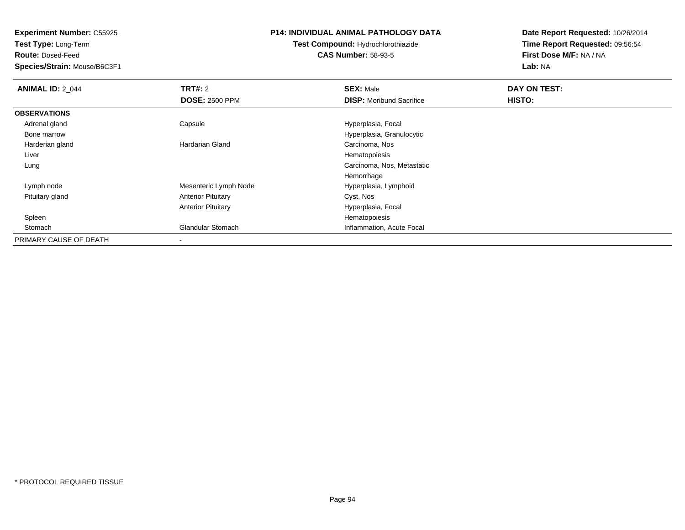**Test Type:** Long-Term

**Route:** Dosed-Feed

**Species/Strain:** Mouse/B6C3F1

# **P14: INDIVIDUAL ANIMAL PATHOLOGY DATA**

# **Test Compound:** Hydrochlorothiazide**CAS Number:** 58-93-5

| <b>ANIMAL ID: 2_044</b> | TRT#: 2                   | <b>SEX: Male</b>                | DAY ON TEST: |  |
|-------------------------|---------------------------|---------------------------------|--------------|--|
|                         | <b>DOSE: 2500 PPM</b>     | <b>DISP:</b> Moribund Sacrifice | HISTO:       |  |
| <b>OBSERVATIONS</b>     |                           |                                 |              |  |
| Adrenal gland           | Capsule                   | Hyperplasia, Focal              |              |  |
| Bone marrow             |                           | Hyperplasia, Granulocytic       |              |  |
| Harderian gland         | Hardarian Gland           | Carcinoma, Nos                  |              |  |
| Liver                   |                           | Hematopoiesis                   |              |  |
| Lung                    |                           | Carcinoma, Nos, Metastatic      |              |  |
|                         |                           | Hemorrhage                      |              |  |
| Lymph node              | Mesenteric Lymph Node     | Hyperplasia, Lymphoid           |              |  |
| Pituitary gland         | <b>Anterior Pituitary</b> | Cyst, Nos                       |              |  |
|                         | <b>Anterior Pituitary</b> | Hyperplasia, Focal              |              |  |
| Spleen                  |                           | Hematopoiesis                   |              |  |
| Stomach                 | <b>Glandular Stomach</b>  | Inflammation, Acute Focal       |              |  |
| PRIMARY CAUSE OF DEATH  |                           |                                 |              |  |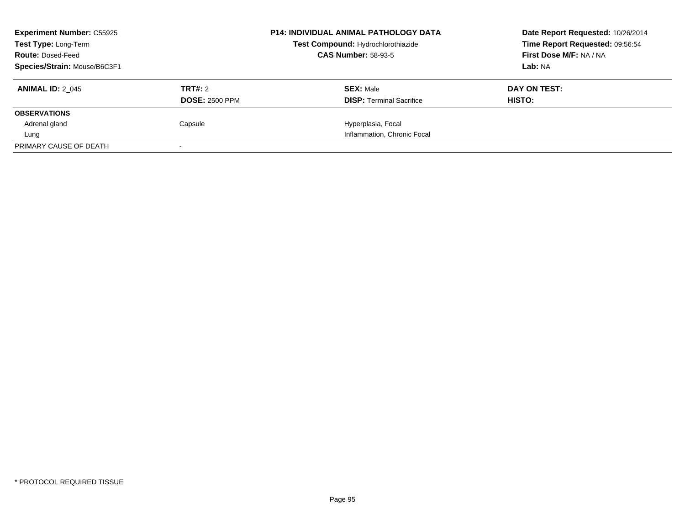| <b>Experiment Number: C55925</b><br><b>Test Type: Long-Term</b><br><b>Route: Dosed-Feed</b> |                       | <b>P14: INDIVIDUAL ANIMAL PATHOLOGY DATA</b><br>Test Compound: Hydrochlorothiazide<br><b>CAS Number: 58-93-5</b> | Date Report Requested: 10/26/2014<br>Time Report Requested: 09:56:54<br>First Dose M/F: NA / NA |
|---------------------------------------------------------------------------------------------|-----------------------|------------------------------------------------------------------------------------------------------------------|-------------------------------------------------------------------------------------------------|
| Species/Strain: Mouse/B6C3F1                                                                |                       |                                                                                                                  | Lab: NA                                                                                         |
| <b>ANIMAL ID: 2 045</b>                                                                     | TRT#: 2               | <b>SEX: Male</b>                                                                                                 | DAY ON TEST:                                                                                    |
|                                                                                             | <b>DOSE: 2500 PPM</b> | <b>DISP:</b> Terminal Sacrifice                                                                                  | HISTO:                                                                                          |
| <b>OBSERVATIONS</b>                                                                         |                       |                                                                                                                  |                                                                                                 |
| Adrenal gland                                                                               | Capsule               | Hyperplasia, Focal                                                                                               |                                                                                                 |
| Lung                                                                                        |                       | Inflammation, Chronic Focal                                                                                      |                                                                                                 |
| PRIMARY CAUSE OF DEATH                                                                      |                       |                                                                                                                  |                                                                                                 |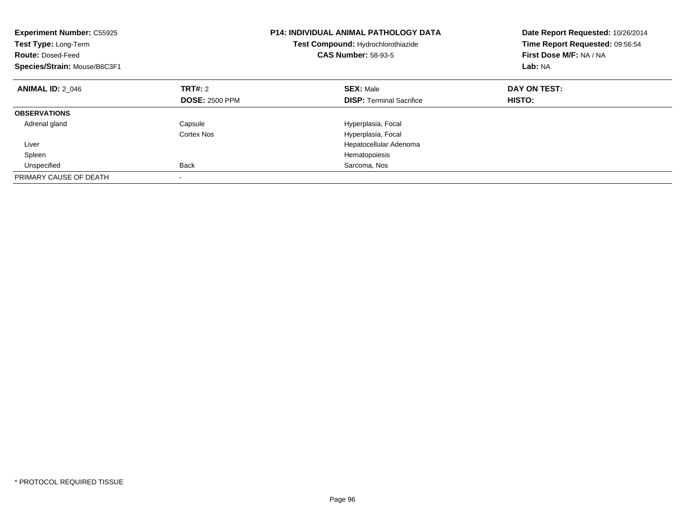| <b>Experiment Number: C55925</b><br>Test Type: Long-Term<br><b>Route: Dosed-Feed</b><br>Species/Strain: Mouse/B6C3F1 |                                  | <b>P14: INDIVIDUAL ANIMAL PATHOLOGY DATA</b><br>Test Compound: Hydrochlorothiazide<br><b>CAS Number: 58-93-5</b> | Date Report Requested: 10/26/2014<br>Time Report Requested: 09:56:54<br>First Dose M/F: NA / NA<br>Lab: NA |
|----------------------------------------------------------------------------------------------------------------------|----------------------------------|------------------------------------------------------------------------------------------------------------------|------------------------------------------------------------------------------------------------------------|
| <b>ANIMAL ID: 2 046</b>                                                                                              | TRT#: 2<br><b>DOSE: 2500 PPM</b> | <b>SEX: Male</b><br><b>DISP:</b> Terminal Sacrifice                                                              | DAY ON TEST:<br>HISTO:                                                                                     |
|                                                                                                                      |                                  |                                                                                                                  |                                                                                                            |
| <b>OBSERVATIONS</b>                                                                                                  |                                  |                                                                                                                  |                                                                                                            |
| Adrenal gland                                                                                                        | Capsule                          | Hyperplasia, Focal                                                                                               |                                                                                                            |
|                                                                                                                      | Cortex Nos                       | Hyperplasia, Focal                                                                                               |                                                                                                            |
| Liver                                                                                                                |                                  | Hepatocellular Adenoma                                                                                           |                                                                                                            |
| Spleen                                                                                                               |                                  | Hematopoiesis                                                                                                    |                                                                                                            |
| Unspecified                                                                                                          | <b>Back</b>                      | Sarcoma, Nos                                                                                                     |                                                                                                            |
| PRIMARY CAUSE OF DEATH                                                                                               |                                  |                                                                                                                  |                                                                                                            |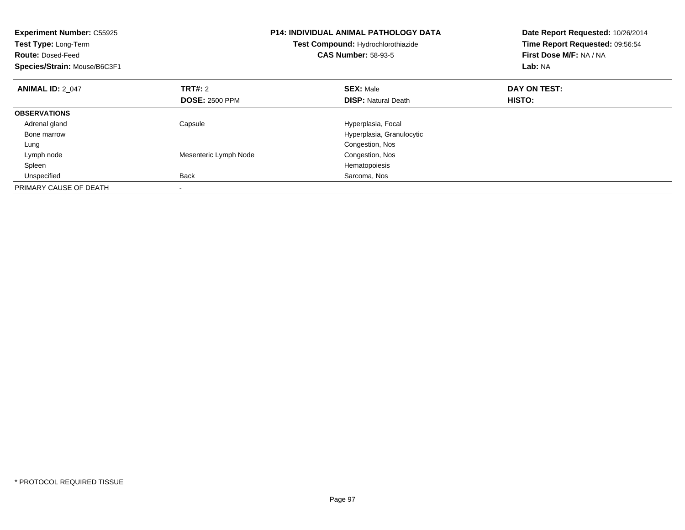| <b>Experiment Number: C55925</b><br>Test Type: Long-Term<br><b>Route: Dosed-Feed</b><br>Species/Strain: Mouse/B6C3F1 |                       | <b>P14: INDIVIDUAL ANIMAL PATHOLOGY DATA</b><br>Test Compound: Hydrochlorothiazide<br><b>CAS Number: 58-93-5</b> | Date Report Requested: 10/26/2014<br>Time Report Requested: 09:56:54<br>First Dose M/F: NA / NA<br>Lab: NA |
|----------------------------------------------------------------------------------------------------------------------|-----------------------|------------------------------------------------------------------------------------------------------------------|------------------------------------------------------------------------------------------------------------|
| <b>ANIMAL ID: 2 047</b>                                                                                              | <b>TRT#: 2</b>        | <b>SEX: Male</b>                                                                                                 | DAY ON TEST:                                                                                               |
|                                                                                                                      | <b>DOSE: 2500 PPM</b> | <b>DISP:</b> Natural Death                                                                                       | HISTO:                                                                                                     |
| <b>OBSERVATIONS</b>                                                                                                  |                       |                                                                                                                  |                                                                                                            |
| Adrenal gland                                                                                                        | Capsule               | Hyperplasia, Focal                                                                                               |                                                                                                            |
| Bone marrow                                                                                                          |                       | Hyperplasia, Granulocytic                                                                                        |                                                                                                            |
| Lung                                                                                                                 |                       | Congestion, Nos                                                                                                  |                                                                                                            |
| Lymph node                                                                                                           | Mesenteric Lymph Node | Congestion, Nos                                                                                                  |                                                                                                            |
| Spleen                                                                                                               |                       | Hematopoiesis                                                                                                    |                                                                                                            |
| Unspecified                                                                                                          | <b>Back</b>           | Sarcoma, Nos                                                                                                     |                                                                                                            |
| PRIMARY CAUSE OF DEATH                                                                                               |                       |                                                                                                                  |                                                                                                            |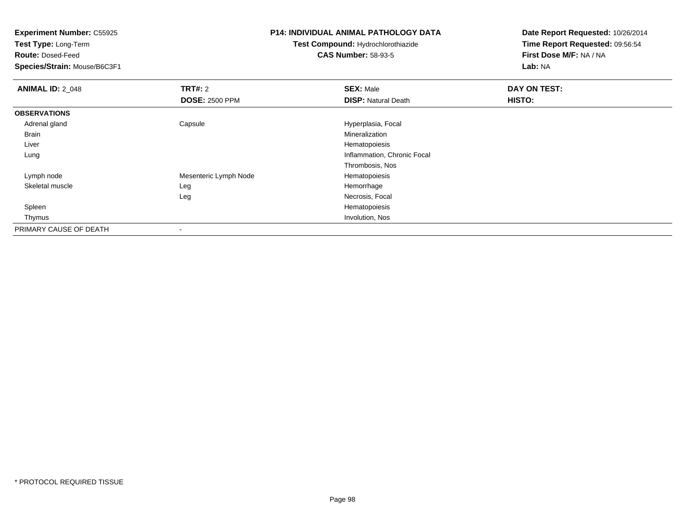**Test Type:** Long-Term

**Route:** Dosed-Feed

**Species/Strain:** Mouse/B6C3F1

#### **P14: INDIVIDUAL ANIMAL PATHOLOGY DATA**

# **Test Compound:** Hydrochlorothiazide**CAS Number:** 58-93-5

| <b>ANIMAL ID: 2_048</b> | TRT#: 2               | <b>SEX: Male</b>            | DAY ON TEST: |  |
|-------------------------|-----------------------|-----------------------------|--------------|--|
|                         | <b>DOSE: 2500 PPM</b> | <b>DISP: Natural Death</b>  | HISTO:       |  |
| <b>OBSERVATIONS</b>     |                       |                             |              |  |
| Adrenal gland           | Capsule               | Hyperplasia, Focal          |              |  |
| Brain                   |                       | Mineralization              |              |  |
| Liver                   |                       | Hematopoiesis               |              |  |
| Lung                    |                       | Inflammation, Chronic Focal |              |  |
|                         |                       | Thrombosis, Nos             |              |  |
| Lymph node              | Mesenteric Lymph Node | Hematopoiesis               |              |  |
| Skeletal muscle         | Leg                   | Hemorrhage                  |              |  |
|                         | Leg                   | Necrosis, Focal             |              |  |
| Spleen                  |                       | Hematopoiesis               |              |  |
| Thymus                  |                       | Involution, Nos             |              |  |
| PRIMARY CAUSE OF DEATH  |                       |                             |              |  |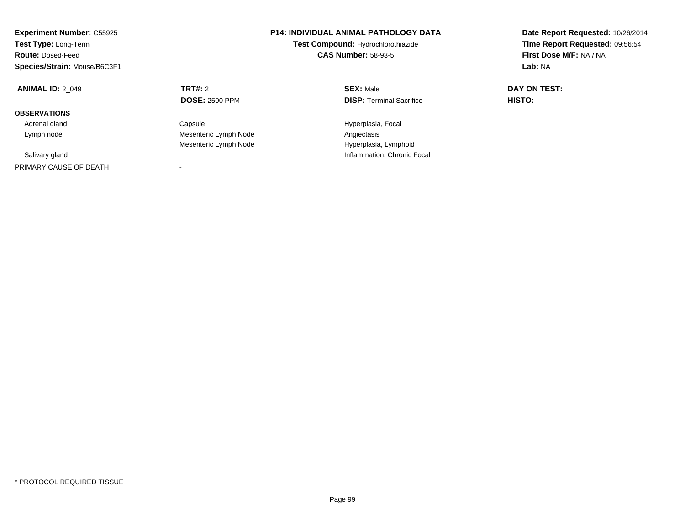| <b>Experiment Number: C55925</b><br>Test Type: Long-Term<br><b>Route: Dosed-Feed</b><br>Species/Strain: Mouse/B6C3F1 |                                         | <b>P14: INDIVIDUAL ANIMAL PATHOLOGY DATA</b><br>Test Compound: Hydrochlorothiazide<br><b>CAS Number: 58-93-5</b> | Date Report Requested: 10/26/2014<br>Time Report Requested: 09:56:54<br>First Dose M/F: NA / NA<br>Lab: NA |
|----------------------------------------------------------------------------------------------------------------------|-----------------------------------------|------------------------------------------------------------------------------------------------------------------|------------------------------------------------------------------------------------------------------------|
| <b>ANIMAL ID: 2 049</b>                                                                                              | <b>TRT#: 2</b><br><b>DOSE: 2500 PPM</b> | <b>SEX: Male</b><br><b>DISP:</b> Terminal Sacrifice                                                              | DAY ON TEST:<br>HISTO:                                                                                     |
| <b>OBSERVATIONS</b>                                                                                                  |                                         |                                                                                                                  |                                                                                                            |
| Adrenal gland                                                                                                        | Capsule                                 | Hyperplasia, Focal                                                                                               |                                                                                                            |
| Lymph node                                                                                                           | Mesenteric Lymph Node                   | Angiectasis                                                                                                      |                                                                                                            |
|                                                                                                                      | Mesenteric Lymph Node                   | Hyperplasia, Lymphoid                                                                                            |                                                                                                            |
| Salivary gland                                                                                                       |                                         | Inflammation, Chronic Focal                                                                                      |                                                                                                            |
| PRIMARY CAUSE OF DEATH                                                                                               |                                         |                                                                                                                  |                                                                                                            |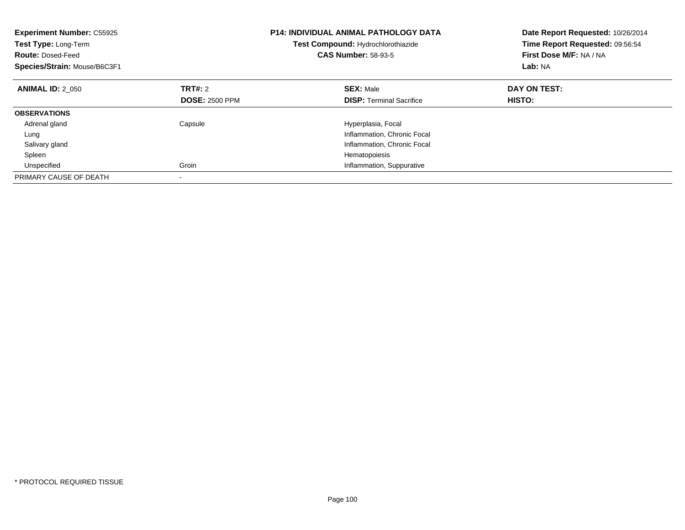| <b>Experiment Number: C55925</b><br>Test Type: Long-Term<br><b>Route: Dosed-Feed</b><br>Species/Strain: Mouse/B6C3F1 |                                  | <b>P14: INDIVIDUAL ANIMAL PATHOLOGY DATA</b><br>Test Compound: Hydrochlorothiazide<br><b>CAS Number: 58-93-5</b> | Date Report Requested: 10/26/2014<br>Time Report Requested: 09:56:54<br>First Dose M/F: NA / NA<br>Lab: NA |
|----------------------------------------------------------------------------------------------------------------------|----------------------------------|------------------------------------------------------------------------------------------------------------------|------------------------------------------------------------------------------------------------------------|
| <b>ANIMAL ID: 2 050</b>                                                                                              | TRT#: 2<br><b>DOSE: 2500 PPM</b> | <b>SEX: Male</b><br><b>DISP:</b> Terminal Sacrifice                                                              | DAY ON TEST:<br>HISTO:                                                                                     |
|                                                                                                                      |                                  |                                                                                                                  |                                                                                                            |
| <b>OBSERVATIONS</b>                                                                                                  |                                  |                                                                                                                  |                                                                                                            |
| Adrenal gland                                                                                                        | Capsule                          | Hyperplasia, Focal                                                                                               |                                                                                                            |
| Lung                                                                                                                 |                                  | Inflammation, Chronic Focal                                                                                      |                                                                                                            |
| Salivary gland                                                                                                       |                                  | Inflammation, Chronic Focal                                                                                      |                                                                                                            |
| Spleen                                                                                                               |                                  | Hematopoiesis                                                                                                    |                                                                                                            |
| Unspecified                                                                                                          | Groin                            | Inflammation, Suppurative                                                                                        |                                                                                                            |
| PRIMARY CAUSE OF DEATH                                                                                               |                                  |                                                                                                                  |                                                                                                            |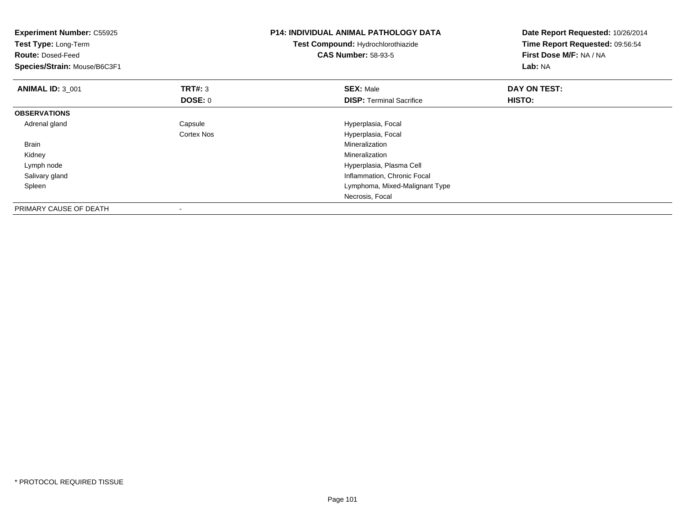| <b>Experiment Number: C55925</b><br>Test Type: Long-Term<br><b>Route: Dosed-Feed</b><br>Species/Strain: Mouse/B6C3F1 |                       | <b>P14: INDIVIDUAL ANIMAL PATHOLOGY DATA</b><br>Test Compound: Hydrochlorothiazide<br><b>CAS Number: 58-93-5</b> | Date Report Requested: 10/26/2014<br>Time Report Requested: 09:56:54<br>First Dose M/F: NA / NA<br>Lab: NA |
|----------------------------------------------------------------------------------------------------------------------|-----------------------|------------------------------------------------------------------------------------------------------------------|------------------------------------------------------------------------------------------------------------|
| <b>ANIMAL ID: 3_001</b>                                                                                              | TRT#: 3<br>DOSE: 0    | <b>SEX: Male</b><br><b>DISP:</b> Terminal Sacrifice                                                              | DAY ON TEST:<br>HISTO:                                                                                     |
| <b>OBSERVATIONS</b>                                                                                                  |                       |                                                                                                                  |                                                                                                            |
| Adrenal gland                                                                                                        | Capsule<br>Cortex Nos | Hyperplasia, Focal<br>Hyperplasia, Focal                                                                         |                                                                                                            |
| Brain                                                                                                                |                       | Mineralization                                                                                                   |                                                                                                            |
| Kidney                                                                                                               |                       | Mineralization                                                                                                   |                                                                                                            |
| Lymph node                                                                                                           |                       | Hyperplasia, Plasma Cell                                                                                         |                                                                                                            |
| Salivary gland                                                                                                       |                       | Inflammation, Chronic Focal                                                                                      |                                                                                                            |
| Spleen                                                                                                               |                       | Lymphoma, Mixed-Malignant Type                                                                                   |                                                                                                            |
|                                                                                                                      |                       | Necrosis, Focal                                                                                                  |                                                                                                            |
| PRIMARY CAUSE OF DEATH                                                                                               |                       |                                                                                                                  |                                                                                                            |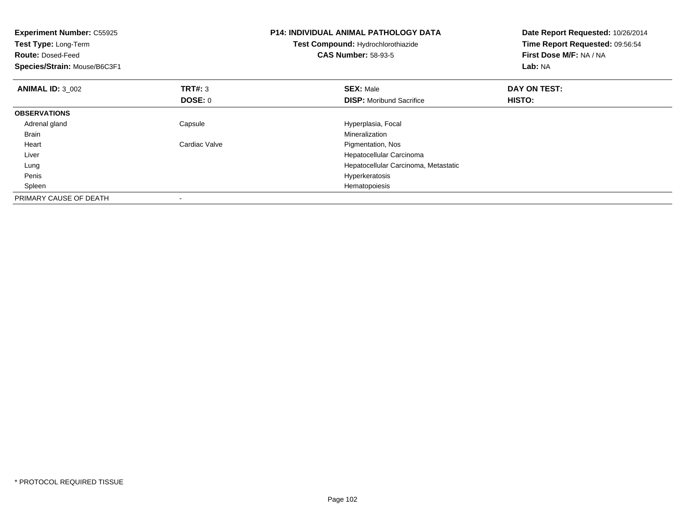| <b>Experiment Number: C55925</b><br>Test Type: Long-Term<br><b>Route: Dosed-Feed</b><br>Species/Strain: Mouse/B6C3F1 |                | <b>P14: INDIVIDUAL ANIMAL PATHOLOGY DATA</b><br>Test Compound: Hydrochlorothiazide<br><b>CAS Number: 58-93-5</b> | Date Report Requested: 10/26/2014<br>Time Report Requested: 09:56:54<br>First Dose M/F: NA / NA<br>Lab: NA |
|----------------------------------------------------------------------------------------------------------------------|----------------|------------------------------------------------------------------------------------------------------------------|------------------------------------------------------------------------------------------------------------|
| <b>ANIMAL ID: 3 002</b>                                                                                              | TRT#: 3        | <b>SEX: Male</b>                                                                                                 | DAY ON TEST:                                                                                               |
|                                                                                                                      | <b>DOSE: 0</b> | <b>DISP:</b> Moribund Sacrifice                                                                                  | HISTO:                                                                                                     |
| <b>OBSERVATIONS</b>                                                                                                  |                |                                                                                                                  |                                                                                                            |
| Adrenal gland                                                                                                        | Capsule        | Hyperplasia, Focal                                                                                               |                                                                                                            |
| <b>Brain</b>                                                                                                         |                | Mineralization                                                                                                   |                                                                                                            |
| Heart                                                                                                                | Cardiac Valve  | Pigmentation, Nos                                                                                                |                                                                                                            |
| Liver                                                                                                                |                | Hepatocellular Carcinoma                                                                                         |                                                                                                            |
| Lung                                                                                                                 |                | Hepatocellular Carcinoma, Metastatic                                                                             |                                                                                                            |
| Penis                                                                                                                |                | Hyperkeratosis                                                                                                   |                                                                                                            |
| Spleen                                                                                                               |                | Hematopoiesis                                                                                                    |                                                                                                            |
| PRIMARY CAUSE OF DEATH                                                                                               |                |                                                                                                                  |                                                                                                            |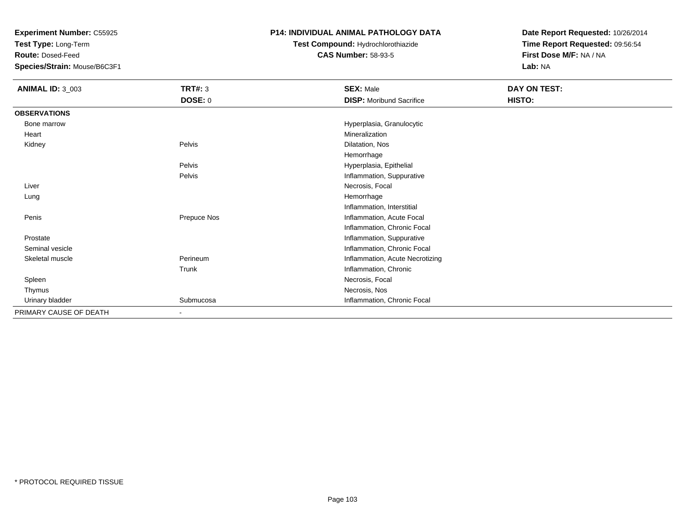**Test Type:** Long-Term

**Route:** Dosed-Feed

**Species/Strain:** Mouse/B6C3F1

# **P14: INDIVIDUAL ANIMAL PATHOLOGY DATA**

**Test Compound:** Hydrochlorothiazide**CAS Number:** 58-93-5

| <b>ANIMAL ID: 3_003</b> | <b>TRT#: 3</b> | <b>SEX: Male</b>                | DAY ON TEST: |
|-------------------------|----------------|---------------------------------|--------------|
|                         | DOSE: 0        | <b>DISP:</b> Moribund Sacrifice | HISTO:       |
| <b>OBSERVATIONS</b>     |                |                                 |              |
| Bone marrow             |                | Hyperplasia, Granulocytic       |              |
| Heart                   |                | Mineralization                  |              |
| Kidney                  | Pelvis         | Dilatation, Nos                 |              |
|                         |                | Hemorrhage                      |              |
|                         | Pelvis         | Hyperplasia, Epithelial         |              |
|                         | Pelvis         | Inflammation, Suppurative       |              |
| Liver                   |                | Necrosis, Focal                 |              |
| Lung                    |                | Hemorrhage                      |              |
|                         |                | Inflammation, Interstitial      |              |
| Penis                   | Prepuce Nos    | Inflammation, Acute Focal       |              |
|                         |                | Inflammation, Chronic Focal     |              |
| Prostate                |                | Inflammation, Suppurative       |              |
| Seminal vesicle         |                | Inflammation, Chronic Focal     |              |
| Skeletal muscle         | Perineum       | Inflammation, Acute Necrotizing |              |
|                         | Trunk          | Inflammation, Chronic           |              |
| Spleen                  |                | Necrosis, Focal                 |              |
| Thymus                  |                | Necrosis, Nos                   |              |
| Urinary bladder         | Submucosa      | Inflammation, Chronic Focal     |              |
| PRIMARY CAUSE OF DEATH  | $\blacksquare$ |                                 |              |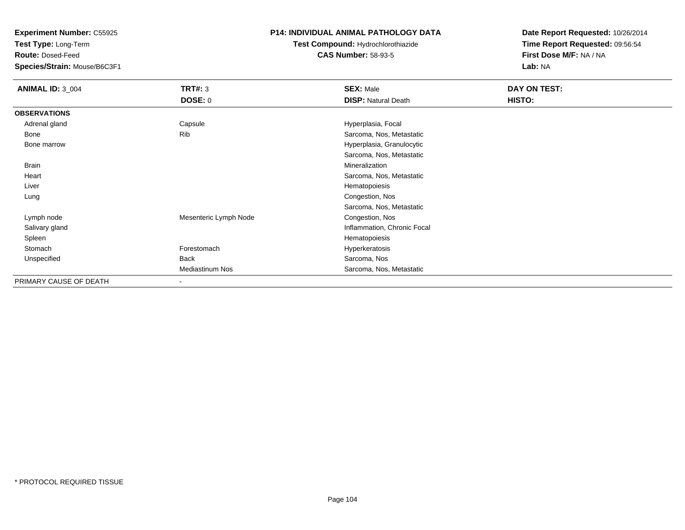**Test Type:** Long-Term

**Route:** Dosed-Feed

**Species/Strain:** Mouse/B6C3F1

# **P14: INDIVIDUAL ANIMAL PATHOLOGY DATA**

# **Test Compound:** Hydrochlorothiazide**CAS Number:** 58-93-5

| <b>ANIMAL ID: 3_004</b> | <b>TRT#: 3</b>         | <b>SEX: Male</b>            | DAY ON TEST: |  |
|-------------------------|------------------------|-----------------------------|--------------|--|
|                         | <b>DOSE: 0</b>         | <b>DISP: Natural Death</b>  | HISTO:       |  |
| <b>OBSERVATIONS</b>     |                        |                             |              |  |
| Adrenal gland           | Capsule                | Hyperplasia, Focal          |              |  |
| Bone                    | Rib                    | Sarcoma, Nos, Metastatic    |              |  |
| Bone marrow             |                        | Hyperplasia, Granulocytic   |              |  |
|                         |                        | Sarcoma, Nos, Metastatic    |              |  |
| <b>Brain</b>            |                        | Mineralization              |              |  |
| Heart                   |                        | Sarcoma, Nos, Metastatic    |              |  |
| Liver                   |                        | Hematopoiesis               |              |  |
| Lung                    |                        | Congestion, Nos             |              |  |
|                         |                        | Sarcoma, Nos, Metastatic    |              |  |
| Lymph node              | Mesenteric Lymph Node  | Congestion, Nos             |              |  |
| Salivary gland          |                        | Inflammation, Chronic Focal |              |  |
| Spleen                  |                        | Hematopoiesis               |              |  |
| Stomach                 | Forestomach            | Hyperkeratosis              |              |  |
| Unspecified             | <b>Back</b>            | Sarcoma, Nos                |              |  |
|                         | <b>Mediastinum Nos</b> | Sarcoma, Nos, Metastatic    |              |  |
| PRIMARY CAUSE OF DEATH  |                        |                             |              |  |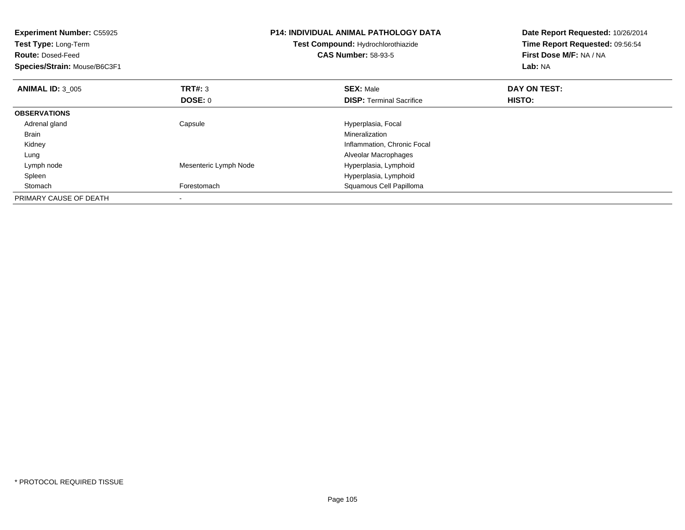| <b>Experiment Number: C55925</b><br>Test Type: Long-Term<br><b>Route: Dosed-Feed</b><br>Species/Strain: Mouse/B6C3F1 |                       | <b>P14: INDIVIDUAL ANIMAL PATHOLOGY DATA</b><br>Test Compound: Hydrochlorothiazide<br><b>CAS Number: 58-93-5</b> | Date Report Requested: 10/26/2014<br>Time Report Requested: 09:56:54<br>First Dose M/F: NA / NA<br>Lab: NA |
|----------------------------------------------------------------------------------------------------------------------|-----------------------|------------------------------------------------------------------------------------------------------------------|------------------------------------------------------------------------------------------------------------|
| <b>ANIMAL ID: 3 005</b>                                                                                              | <b>TRT#: 3</b>        | <b>SEX: Male</b>                                                                                                 | DAY ON TEST:                                                                                               |
|                                                                                                                      | DOSE: 0               | <b>DISP:</b> Terminal Sacrifice                                                                                  | HISTO:                                                                                                     |
| <b>OBSERVATIONS</b>                                                                                                  |                       |                                                                                                                  |                                                                                                            |
| Adrenal gland                                                                                                        | Capsule               | Hyperplasia, Focal                                                                                               |                                                                                                            |
| Brain                                                                                                                |                       | <b>Mineralization</b>                                                                                            |                                                                                                            |
| Kidney                                                                                                               |                       | Inflammation, Chronic Focal                                                                                      |                                                                                                            |
| Lung                                                                                                                 |                       | Alveolar Macrophages                                                                                             |                                                                                                            |
| Lymph node                                                                                                           | Mesenteric Lymph Node | Hyperplasia, Lymphoid                                                                                            |                                                                                                            |
| Spleen                                                                                                               |                       | Hyperplasia, Lymphoid                                                                                            |                                                                                                            |
| Stomach                                                                                                              | Forestomach           | Squamous Cell Papilloma                                                                                          |                                                                                                            |
| PRIMARY CAUSE OF DEATH                                                                                               |                       |                                                                                                                  |                                                                                                            |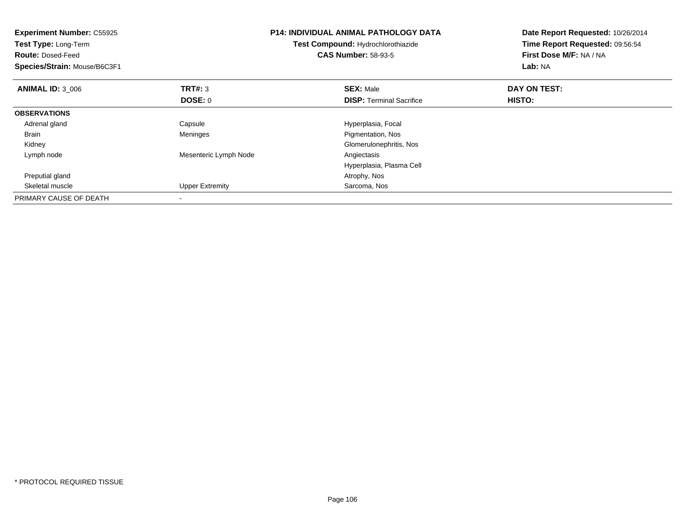| <b>Experiment Number: C55925</b><br>Test Type: Long-Term<br><b>Route: Dosed-Feed</b><br>Species/Strain: Mouse/B6C3F1 |                        | <b>P14: INDIVIDUAL ANIMAL PATHOLOGY DATA</b><br>Test Compound: Hydrochlorothiazide<br><b>CAS Number: 58-93-5</b> | Date Report Requested: 10/26/2014<br>Time Report Requested: 09:56:54<br>First Dose M/F: NA / NA<br>Lab: NA |  |
|----------------------------------------------------------------------------------------------------------------------|------------------------|------------------------------------------------------------------------------------------------------------------|------------------------------------------------------------------------------------------------------------|--|
| <b>ANIMAL ID: 3 006</b>                                                                                              | <b>TRT#: 3</b>         | <b>SEX: Male</b>                                                                                                 | DAY ON TEST:                                                                                               |  |
|                                                                                                                      | DOSE: 0                | <b>DISP:</b> Terminal Sacrifice                                                                                  | HISTO:                                                                                                     |  |
| <b>OBSERVATIONS</b>                                                                                                  |                        |                                                                                                                  |                                                                                                            |  |
| Adrenal gland                                                                                                        | Capsule                | Hyperplasia, Focal                                                                                               |                                                                                                            |  |
| <b>Brain</b>                                                                                                         | Meninges               | Pigmentation, Nos                                                                                                |                                                                                                            |  |
| Kidney                                                                                                               |                        | Glomerulonephritis, Nos                                                                                          |                                                                                                            |  |
| Lymph node                                                                                                           | Mesenteric Lymph Node  | Angiectasis                                                                                                      |                                                                                                            |  |
|                                                                                                                      |                        | Hyperplasia, Plasma Cell                                                                                         |                                                                                                            |  |
| Preputial gland                                                                                                      |                        | Atrophy, Nos                                                                                                     |                                                                                                            |  |
| Skeletal muscle                                                                                                      | <b>Upper Extremity</b> | Sarcoma, Nos                                                                                                     |                                                                                                            |  |
| PRIMARY CAUSE OF DEATH                                                                                               |                        |                                                                                                                  |                                                                                                            |  |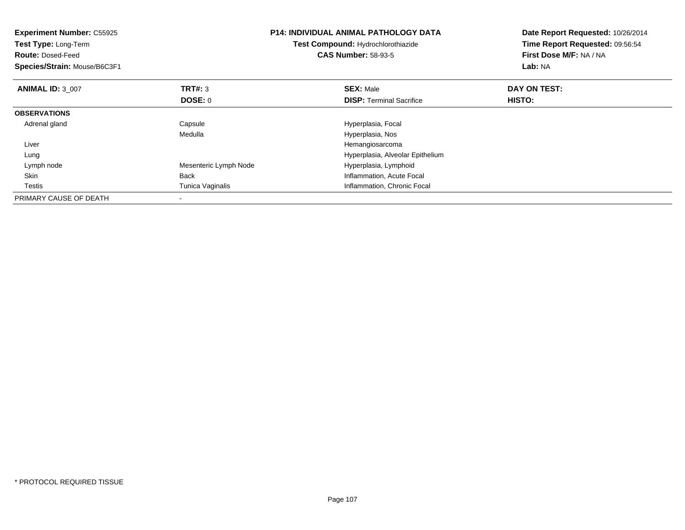| <b>Experiment Number: C55925</b><br>Test Type: Long-Term<br><b>Route: Dosed-Feed</b><br>Species/Strain: Mouse/B6C3F1 |                       | <b>P14: INDIVIDUAL ANIMAL PATHOLOGY DATA</b><br>Test Compound: Hydrochlorothiazide<br><b>CAS Number: 58-93-5</b> | Date Report Requested: 10/26/2014<br>Time Report Requested: 09:56:54<br>First Dose M/F: NA / NA<br>Lab: NA |
|----------------------------------------------------------------------------------------------------------------------|-----------------------|------------------------------------------------------------------------------------------------------------------|------------------------------------------------------------------------------------------------------------|
| <b>ANIMAL ID: 3 007</b>                                                                                              | TRT#: 3               | <b>SEX: Male</b>                                                                                                 | DAY ON TEST:                                                                                               |
|                                                                                                                      | DOSE: 0               | <b>DISP:</b> Terminal Sacrifice                                                                                  | HISTO:                                                                                                     |
| <b>OBSERVATIONS</b>                                                                                                  |                       |                                                                                                                  |                                                                                                            |
| Adrenal gland                                                                                                        | Capsule               | Hyperplasia, Focal                                                                                               |                                                                                                            |
|                                                                                                                      | Medulla               | Hyperplasia, Nos                                                                                                 |                                                                                                            |
| Liver                                                                                                                |                       | Hemangiosarcoma                                                                                                  |                                                                                                            |
| Lung                                                                                                                 |                       | Hyperplasia, Alveolar Epithelium                                                                                 |                                                                                                            |
| Lymph node                                                                                                           | Mesenteric Lymph Node | Hyperplasia, Lymphoid                                                                                            |                                                                                                            |
| Skin                                                                                                                 | <b>Back</b>           | Inflammation, Acute Focal                                                                                        |                                                                                                            |
| Testis                                                                                                               | Tunica Vaginalis      | Inflammation, Chronic Focal                                                                                      |                                                                                                            |
| PRIMARY CAUSE OF DEATH                                                                                               |                       |                                                                                                                  |                                                                                                            |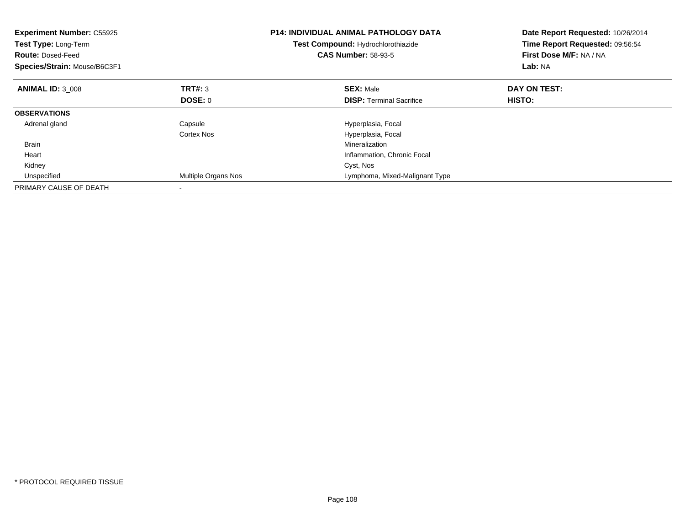| <b>Experiment Number: C55925</b><br>Test Type: Long-Term<br><b>Route: Dosed-Feed</b><br>Species/Strain: Mouse/B6C3F1 |                     | <b>P14: INDIVIDUAL ANIMAL PATHOLOGY DATA</b><br>Test Compound: Hydrochlorothiazide<br><b>CAS Number: 58-93-5</b> | Date Report Requested: 10/26/2014<br>Time Report Requested: 09:56:54<br>First Dose M/F: NA / NA<br>Lab: NA |
|----------------------------------------------------------------------------------------------------------------------|---------------------|------------------------------------------------------------------------------------------------------------------|------------------------------------------------------------------------------------------------------------|
| <b>ANIMAL ID: 3 008</b>                                                                                              | <b>TRT#: 3</b>      | <b>SEX: Male</b>                                                                                                 | DAY ON TEST:                                                                                               |
|                                                                                                                      | DOSE: 0             | <b>DISP:</b> Terminal Sacrifice                                                                                  | HISTO:                                                                                                     |
| <b>OBSERVATIONS</b>                                                                                                  |                     |                                                                                                                  |                                                                                                            |
| Adrenal gland                                                                                                        | Capsule             | Hyperplasia, Focal                                                                                               |                                                                                                            |
|                                                                                                                      | Cortex Nos          | Hyperplasia, Focal                                                                                               |                                                                                                            |
| <b>Brain</b>                                                                                                         |                     | Mineralization                                                                                                   |                                                                                                            |
| Heart                                                                                                                |                     | Inflammation, Chronic Focal                                                                                      |                                                                                                            |
| Kidney                                                                                                               |                     | Cyst, Nos                                                                                                        |                                                                                                            |
| Unspecified                                                                                                          | Multiple Organs Nos | Lymphoma, Mixed-Malignant Type                                                                                   |                                                                                                            |
| PRIMARY CAUSE OF DEATH                                                                                               |                     |                                                                                                                  |                                                                                                            |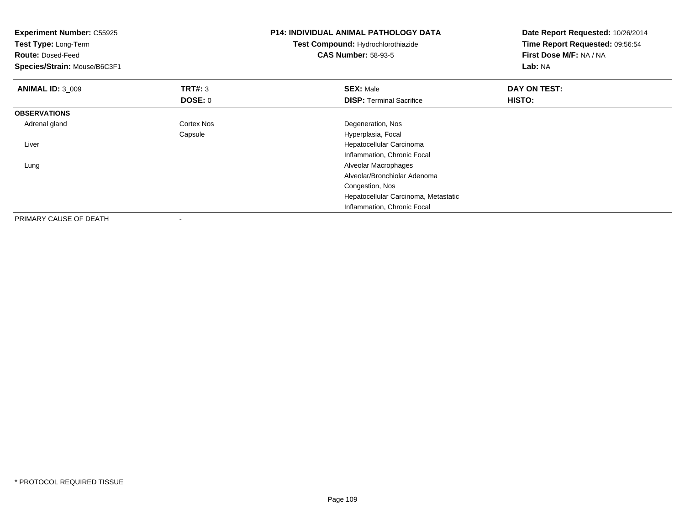| <b>Experiment Number: C55925</b><br>Test Type: Long-Term<br><b>Route: Dosed-Feed</b><br>Species/Strain: Mouse/B6C3F1 |                | <b>P14: INDIVIDUAL ANIMAL PATHOLOGY DATA</b><br>Test Compound: Hydrochlorothiazide<br><b>CAS Number: 58-93-5</b> | Date Report Requested: 10/26/2014<br>Time Report Requested: 09:56:54<br>First Dose M/F: NA / NA<br>Lab: NA |
|----------------------------------------------------------------------------------------------------------------------|----------------|------------------------------------------------------------------------------------------------------------------|------------------------------------------------------------------------------------------------------------|
| <b>ANIMAL ID: 3 009</b>                                                                                              | <b>TRT#: 3</b> | <b>SEX: Male</b>                                                                                                 | DAY ON TEST:                                                                                               |
|                                                                                                                      | DOSE: 0        | <b>DISP:</b> Terminal Sacrifice                                                                                  | <b>HISTO:</b>                                                                                              |
| <b>OBSERVATIONS</b>                                                                                                  |                |                                                                                                                  |                                                                                                            |
| Adrenal gland                                                                                                        | Cortex Nos     | Degeneration, Nos                                                                                                |                                                                                                            |
|                                                                                                                      | Capsule        | Hyperplasia, Focal                                                                                               |                                                                                                            |
| Liver                                                                                                                |                | Hepatocellular Carcinoma                                                                                         |                                                                                                            |
|                                                                                                                      |                | Inflammation, Chronic Focal                                                                                      |                                                                                                            |
| Lung                                                                                                                 |                | Alveolar Macrophages                                                                                             |                                                                                                            |
|                                                                                                                      |                | Alveolar/Bronchiolar Adenoma                                                                                     |                                                                                                            |
|                                                                                                                      |                | Congestion, Nos                                                                                                  |                                                                                                            |
|                                                                                                                      |                | Hepatocellular Carcinoma, Metastatic                                                                             |                                                                                                            |
|                                                                                                                      |                | Inflammation, Chronic Focal                                                                                      |                                                                                                            |
| PRIMARY CAUSE OF DEATH                                                                                               |                |                                                                                                                  |                                                                                                            |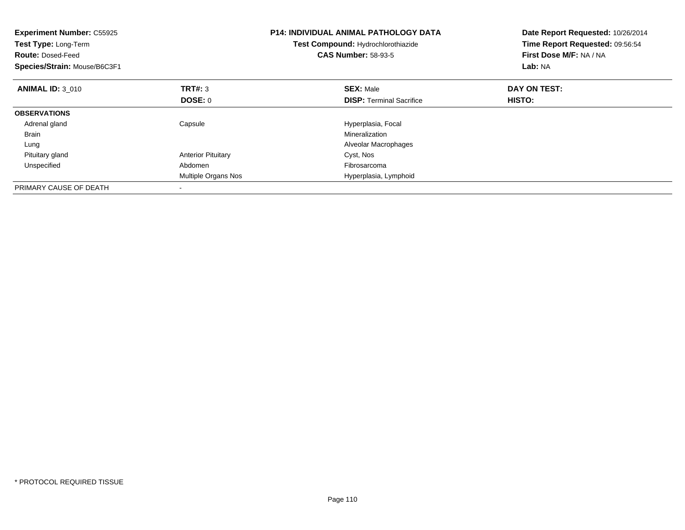| <b>Experiment Number: C55925</b><br>Test Type: Long-Term<br><b>Route: Dosed-Feed</b><br>Species/Strain: Mouse/B6C3F1 |                           | <b>P14: INDIVIDUAL ANIMAL PATHOLOGY DATA</b><br>Test Compound: Hydrochlorothiazide<br><b>CAS Number: 58-93-5</b> | Date Report Requested: 10/26/2014<br>Time Report Requested: 09:56:54<br>First Dose M/F: NA / NA<br>Lab: NA |
|----------------------------------------------------------------------------------------------------------------------|---------------------------|------------------------------------------------------------------------------------------------------------------|------------------------------------------------------------------------------------------------------------|
| <b>ANIMAL ID: 3 010</b>                                                                                              | TRT#: 3                   | <b>SEX: Male</b>                                                                                                 | DAY ON TEST:                                                                                               |
|                                                                                                                      | DOSE: 0                   | <b>DISP:</b> Terminal Sacrifice                                                                                  | HISTO:                                                                                                     |
| <b>OBSERVATIONS</b>                                                                                                  |                           |                                                                                                                  |                                                                                                            |
| Adrenal gland                                                                                                        | Capsule                   | Hyperplasia, Focal                                                                                               |                                                                                                            |
| <b>Brain</b>                                                                                                         |                           | Mineralization                                                                                                   |                                                                                                            |
| Lung                                                                                                                 |                           | Alveolar Macrophages                                                                                             |                                                                                                            |
| Pituitary gland                                                                                                      | <b>Anterior Pituitary</b> | Cyst, Nos                                                                                                        |                                                                                                            |
| Unspecified                                                                                                          | Abdomen                   | Fibrosarcoma                                                                                                     |                                                                                                            |
|                                                                                                                      | Multiple Organs Nos       | Hyperplasia, Lymphoid                                                                                            |                                                                                                            |
| PRIMARY CAUSE OF DEATH                                                                                               |                           |                                                                                                                  |                                                                                                            |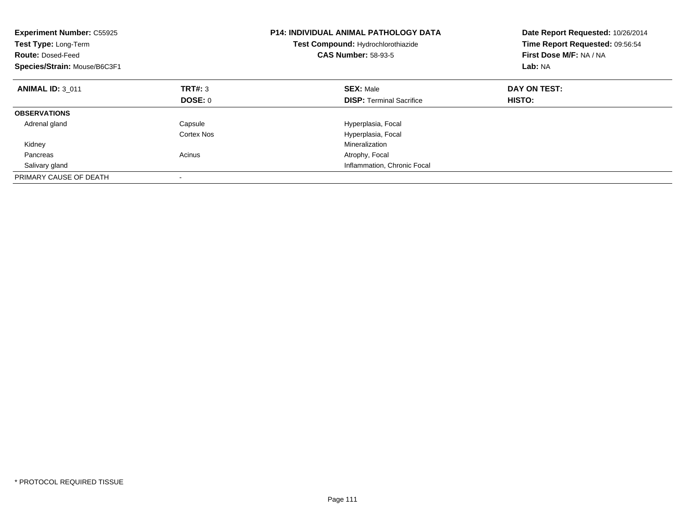| <b>Experiment Number: C55925</b><br>Test Type: Long-Term<br><b>Route: Dosed-Feed</b><br>Species/Strain: Mouse/B6C3F1 |            | <b>P14: INDIVIDUAL ANIMAL PATHOLOGY DATA</b><br>Test Compound: Hydrochlorothiazide<br><b>CAS Number: 58-93-5</b> | Date Report Requested: 10/26/2014<br>Time Report Requested: 09:56:54<br>First Dose M/F: NA / NA<br>Lab: NA |
|----------------------------------------------------------------------------------------------------------------------|------------|------------------------------------------------------------------------------------------------------------------|------------------------------------------------------------------------------------------------------------|
| <b>ANIMAL ID: 3 011</b>                                                                                              | TRT#: 3    | <b>SEX: Male</b>                                                                                                 | DAY ON TEST:                                                                                               |
|                                                                                                                      | DOSE: 0    | <b>DISP:</b> Terminal Sacrifice                                                                                  | <b>HISTO:</b>                                                                                              |
| <b>OBSERVATIONS</b>                                                                                                  |            |                                                                                                                  |                                                                                                            |
| Adrenal gland                                                                                                        | Capsule    | Hyperplasia, Focal                                                                                               |                                                                                                            |
|                                                                                                                      | Cortex Nos | Hyperplasia, Focal                                                                                               |                                                                                                            |
| Kidney                                                                                                               |            | Mineralization                                                                                                   |                                                                                                            |
| Pancreas                                                                                                             | Acinus     | Atrophy, Focal                                                                                                   |                                                                                                            |
| Salivary gland                                                                                                       |            | Inflammation, Chronic Focal                                                                                      |                                                                                                            |
| PRIMARY CAUSE OF DEATH                                                                                               |            |                                                                                                                  |                                                                                                            |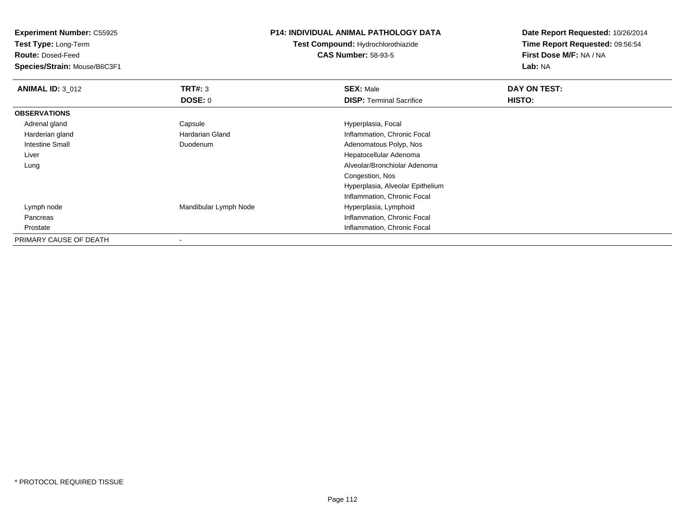**Test Type:** Long-Term

**Route:** Dosed-Feed

**Species/Strain:** Mouse/B6C3F1

#### **P14: INDIVIDUAL ANIMAL PATHOLOGY DATA**

**Test Compound:** Hydrochlorothiazide**CAS Number:** 58-93-5

| <b>ANIMAL ID: 3 012</b> | TRT#: 3               | <b>SEX: Male</b>                 | DAY ON TEST: |  |
|-------------------------|-----------------------|----------------------------------|--------------|--|
|                         | <b>DOSE: 0</b>        | <b>DISP:</b> Terminal Sacrifice  | HISTO:       |  |
| <b>OBSERVATIONS</b>     |                       |                                  |              |  |
| Adrenal gland           | Capsule               | Hyperplasia, Focal               |              |  |
| Harderian gland         | Hardarian Gland       | Inflammation, Chronic Focal      |              |  |
| Intestine Small         | Duodenum              | Adenomatous Polyp, Nos           |              |  |
| Liver                   |                       | Hepatocellular Adenoma           |              |  |
| Lung                    |                       | Alveolar/Bronchiolar Adenoma     |              |  |
|                         |                       | Congestion, Nos                  |              |  |
|                         |                       | Hyperplasia, Alveolar Epithelium |              |  |
|                         |                       | Inflammation, Chronic Focal      |              |  |
| Lymph node              | Mandibular Lymph Node | Hyperplasia, Lymphoid            |              |  |
| Pancreas                |                       | Inflammation, Chronic Focal      |              |  |
| Prostate                |                       | Inflammation, Chronic Focal      |              |  |
| PRIMARY CAUSE OF DEATH  |                       |                                  |              |  |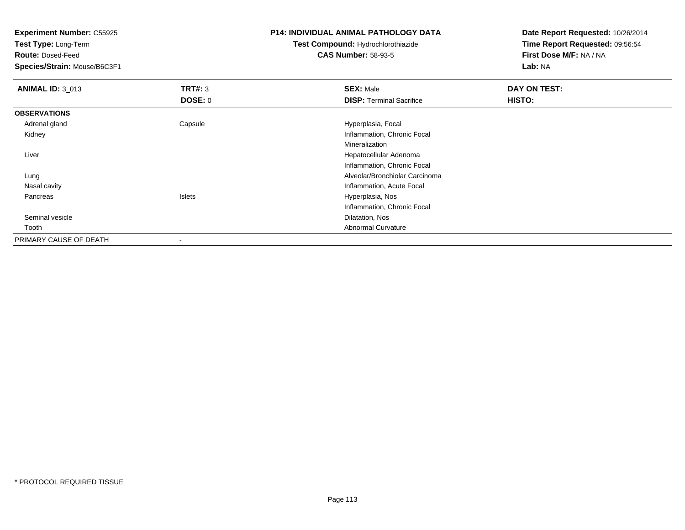**Test Type:** Long-Term

**Route:** Dosed-Feed

**Species/Strain:** Mouse/B6C3F1

#### **P14: INDIVIDUAL ANIMAL PATHOLOGY DATA**

**Test Compound:** Hydrochlorothiazide**CAS Number:** 58-93-5

| <b>ANIMAL ID: 3_013</b> | TRT#: 3       | <b>SEX: Male</b>                | DAY ON TEST: |
|-------------------------|---------------|---------------------------------|--------------|
|                         | DOSE: 0       | <b>DISP: Terminal Sacrifice</b> | HISTO:       |
| <b>OBSERVATIONS</b>     |               |                                 |              |
| Adrenal gland           | Capsule       | Hyperplasia, Focal              |              |
| Kidney                  |               | Inflammation, Chronic Focal     |              |
|                         |               | Mineralization                  |              |
| Liver                   |               | Hepatocellular Adenoma          |              |
|                         |               | Inflammation, Chronic Focal     |              |
| Lung                    |               | Alveolar/Bronchiolar Carcinoma  |              |
| Nasal cavity            |               | Inflammation, Acute Focal       |              |
| Pancreas                | <b>Islets</b> | Hyperplasia, Nos                |              |
|                         |               | Inflammation, Chronic Focal     |              |
| Seminal vesicle         |               | Dilatation, Nos                 |              |
| Tooth                   |               | Abnormal Curvature              |              |
| PRIMARY CAUSE OF DEATH  | $\,$          |                                 |              |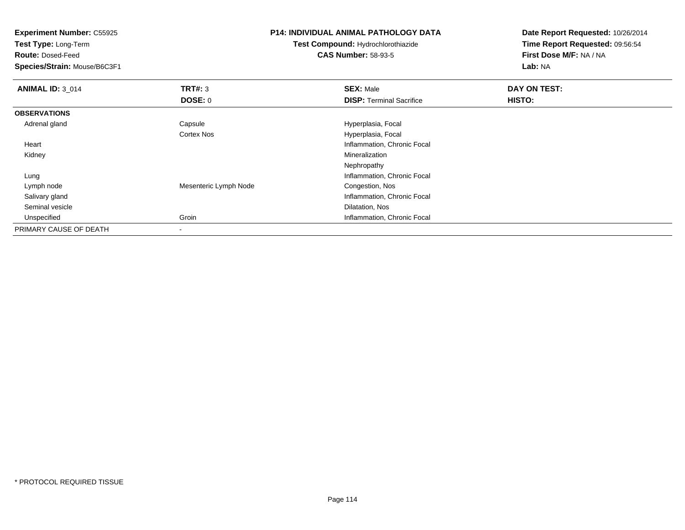**Experiment Number:** C55925**Test Type:** Long-Term**Route:** Dosed-Feed **Species/Strain:** Mouse/B6C3F1**P14: INDIVIDUAL ANIMAL PATHOLOGY DATATest Compound:** Hydrochlorothiazide**CAS Number:** 58-93-5

| <b>ANIMAL ID: 3 014</b> | TRT#: 3               | <b>SEX: Male</b>                | DAY ON TEST: |
|-------------------------|-----------------------|---------------------------------|--------------|
|                         | DOSE: 0               | <b>DISP: Terminal Sacrifice</b> | HISTO:       |
| <b>OBSERVATIONS</b>     |                       |                                 |              |
| Adrenal gland           | Capsule               | Hyperplasia, Focal              |              |
|                         | <b>Cortex Nos</b>     | Hyperplasia, Focal              |              |
| Heart                   |                       | Inflammation, Chronic Focal     |              |
| Kidney                  |                       | Mineralization                  |              |
|                         |                       | Nephropathy                     |              |
| Lung                    |                       | Inflammation, Chronic Focal     |              |
| Lymph node              | Mesenteric Lymph Node | Congestion, Nos                 |              |
| Salivary gland          |                       | Inflammation, Chronic Focal     |              |
| Seminal vesicle         |                       | Dilatation, Nos                 |              |
| Unspecified             | Groin                 | Inflammation, Chronic Focal     |              |
| PRIMARY CAUSE OF DEATH  |                       |                                 |              |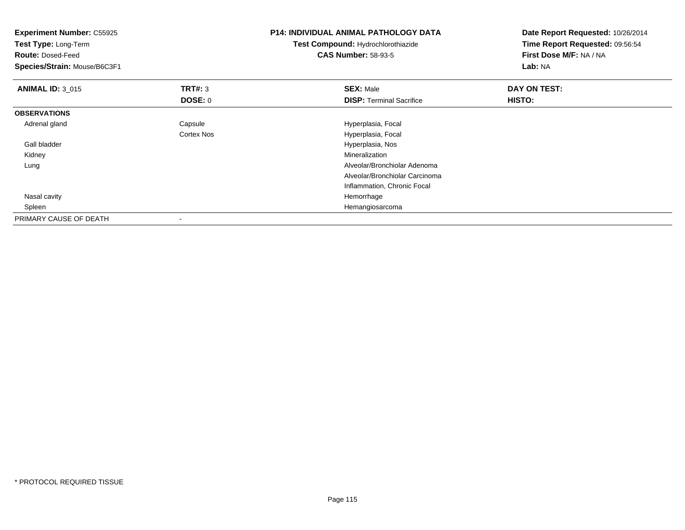| <b>Experiment Number: C55925</b><br>Test Type: Long-Term<br><b>Route: Dosed-Feed</b><br>Species/Strain: Mouse/B6C3F1 |            | <b>P14: INDIVIDUAL ANIMAL PATHOLOGY DATA</b><br><b>Test Compound: Hydrochlorothiazide</b><br><b>CAS Number: 58-93-5</b> | Date Report Requested: 10/26/2014<br>Time Report Requested: 09:56:54<br>First Dose M/F: NA / NA<br>Lab: NA |
|----------------------------------------------------------------------------------------------------------------------|------------|-------------------------------------------------------------------------------------------------------------------------|------------------------------------------------------------------------------------------------------------|
| <b>ANIMAL ID: 3_015</b>                                                                                              | TRT#: 3    | <b>SEX: Male</b>                                                                                                        | DAY ON TEST:                                                                                               |
|                                                                                                                      | DOSE: 0    | <b>DISP: Terminal Sacrifice</b>                                                                                         | <b>HISTO:</b>                                                                                              |
| <b>OBSERVATIONS</b>                                                                                                  |            |                                                                                                                         |                                                                                                            |
| Adrenal gland                                                                                                        | Capsule    | Hyperplasia, Focal                                                                                                      |                                                                                                            |
|                                                                                                                      | Cortex Nos | Hyperplasia, Focal                                                                                                      |                                                                                                            |
| Gall bladder                                                                                                         |            | Hyperplasia, Nos                                                                                                        |                                                                                                            |
| Kidney                                                                                                               |            | Mineralization                                                                                                          |                                                                                                            |
| Lung                                                                                                                 |            | Alveolar/Bronchiolar Adenoma                                                                                            |                                                                                                            |
|                                                                                                                      |            | Alveolar/Bronchiolar Carcinoma                                                                                          |                                                                                                            |
|                                                                                                                      |            | Inflammation, Chronic Focal                                                                                             |                                                                                                            |
| Nasal cavity                                                                                                         |            | Hemorrhage                                                                                                              |                                                                                                            |
| Spleen                                                                                                               |            | Hemangiosarcoma                                                                                                         |                                                                                                            |
| PRIMARY CAUSE OF DEATH                                                                                               |            |                                                                                                                         |                                                                                                            |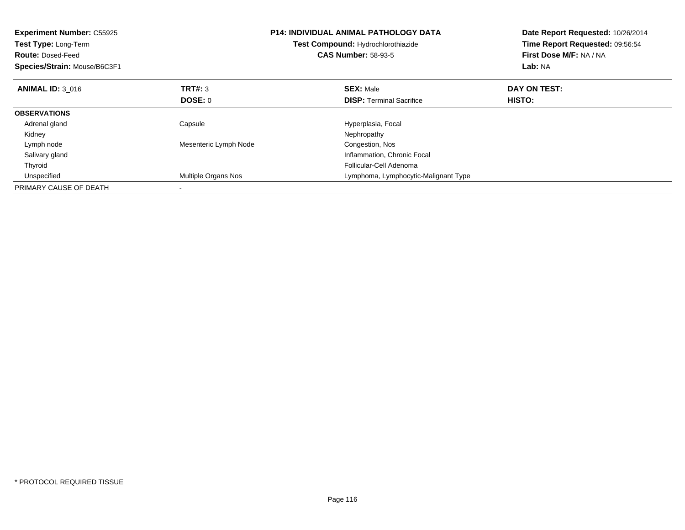| <b>Experiment Number: C55925</b><br>Test Type: Long-Term<br><b>Route: Dosed-Feed</b><br>Species/Strain: Mouse/B6C3F1 |                       | <b>P14: INDIVIDUAL ANIMAL PATHOLOGY DATA</b><br>Test Compound: Hydrochlorothiazide<br><b>CAS Number: 58-93-5</b> | Date Report Requested: 10/26/2014<br>Time Report Requested: 09:56:54<br>First Dose M/F: NA / NA<br>Lab: NA |
|----------------------------------------------------------------------------------------------------------------------|-----------------------|------------------------------------------------------------------------------------------------------------------|------------------------------------------------------------------------------------------------------------|
| <b>ANIMAL ID: 3 016</b>                                                                                              | <b>TRT#: 3</b>        | <b>SEX: Male</b>                                                                                                 | DAY ON TEST:                                                                                               |
|                                                                                                                      | DOSE: 0               | <b>DISP:</b> Terminal Sacrifice                                                                                  | <b>HISTO:</b>                                                                                              |
| <b>OBSERVATIONS</b>                                                                                                  |                       |                                                                                                                  |                                                                                                            |
| Adrenal gland                                                                                                        | Capsule               | Hyperplasia, Focal                                                                                               |                                                                                                            |
| Kidney                                                                                                               |                       | Nephropathy                                                                                                      |                                                                                                            |
| Lymph node                                                                                                           | Mesenteric Lymph Node | Congestion, Nos                                                                                                  |                                                                                                            |
| Salivary gland                                                                                                       |                       | Inflammation, Chronic Focal                                                                                      |                                                                                                            |
| Thyroid                                                                                                              |                       | Follicular-Cell Adenoma                                                                                          |                                                                                                            |
| Unspecified                                                                                                          | Multiple Organs Nos   | Lymphoma, Lymphocytic-Malignant Type                                                                             |                                                                                                            |
| PRIMARY CAUSE OF DEATH                                                                                               |                       |                                                                                                                  |                                                                                                            |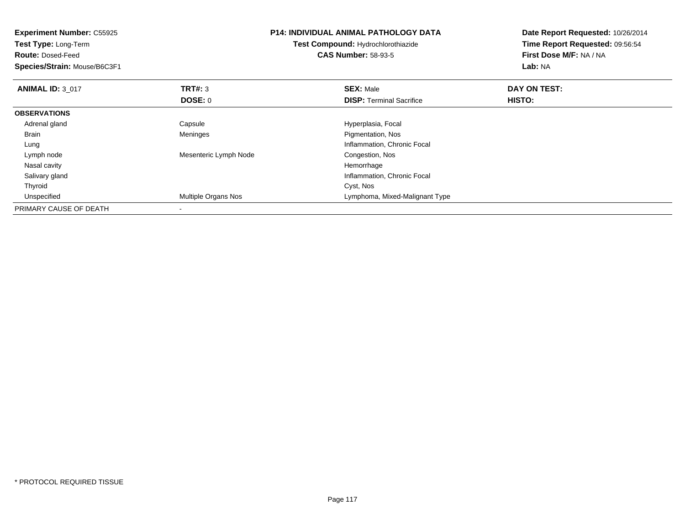| <b>Experiment Number: C55925</b><br>Test Type: Long-Term |                            | <b>P14: INDIVIDUAL ANIMAL PATHOLOGY DATA</b> | Date Report Requested: 10/26/2014<br>Time Report Requested: 09:56:54 |
|----------------------------------------------------------|----------------------------|----------------------------------------------|----------------------------------------------------------------------|
|                                                          |                            | <b>Test Compound: Hydrochlorothiazide</b>    |                                                                      |
| <b>Route: Dosed-Feed</b>                                 |                            | <b>CAS Number: 58-93-5</b>                   | First Dose M/F: NA / NA                                              |
| Species/Strain: Mouse/B6C3F1                             |                            |                                              | Lab: NA                                                              |
| <b>ANIMAL ID: 3 017</b>                                  | TRT#: 3                    | <b>SEX: Male</b>                             | DAY ON TEST:                                                         |
|                                                          | <b>DOSE: 0</b>             | <b>DISP:</b> Terminal Sacrifice              | <b>HISTO:</b>                                                        |
| <b>OBSERVATIONS</b>                                      |                            |                                              |                                                                      |
| Adrenal gland                                            | Capsule                    | Hyperplasia, Focal                           |                                                                      |
| Brain                                                    | Meninges                   | Pigmentation, Nos                            |                                                                      |
| Lung                                                     |                            | Inflammation, Chronic Focal                  |                                                                      |
| Lymph node                                               | Mesenteric Lymph Node      | Congestion, Nos                              |                                                                      |
| Nasal cavity                                             |                            | Hemorrhage                                   |                                                                      |
| Salivary gland                                           |                            | Inflammation, Chronic Focal                  |                                                                      |
| Thyroid                                                  |                            | Cyst, Nos                                    |                                                                      |
| Unspecified                                              | <b>Multiple Organs Nos</b> | Lymphoma, Mixed-Malignant Type               |                                                                      |
| PRIMARY CAUSE OF DEATH                                   |                            |                                              |                                                                      |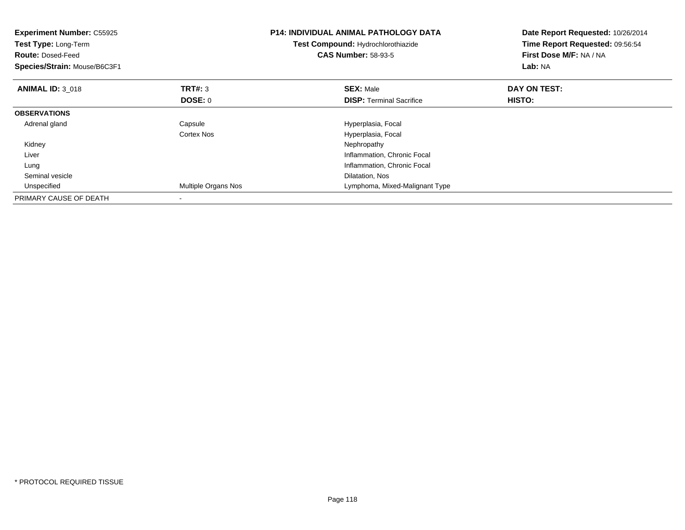| <b>Experiment Number: C55925</b><br>Test Type: Long-Term<br><b>Route: Dosed-Feed</b><br>Species/Strain: Mouse/B6C3F1 |                     | <b>P14: INDIVIDUAL ANIMAL PATHOLOGY DATA</b><br>Test Compound: Hydrochlorothiazide<br><b>CAS Number: 58-93-5</b> | Date Report Requested: 10/26/2014<br>Time Report Requested: 09:56:54<br>First Dose M/F: NA / NA<br>Lab: NA |
|----------------------------------------------------------------------------------------------------------------------|---------------------|------------------------------------------------------------------------------------------------------------------|------------------------------------------------------------------------------------------------------------|
| <b>ANIMAL ID: 3 018</b>                                                                                              | <b>TRT#: 3</b>      | <b>SEX: Male</b>                                                                                                 | DAY ON TEST:                                                                                               |
|                                                                                                                      | DOSE: 0             | <b>DISP:</b> Terminal Sacrifice                                                                                  | <b>HISTO:</b>                                                                                              |
| <b>OBSERVATIONS</b>                                                                                                  |                     |                                                                                                                  |                                                                                                            |
| Adrenal gland                                                                                                        | Capsule             | Hyperplasia, Focal                                                                                               |                                                                                                            |
|                                                                                                                      | Cortex Nos          | Hyperplasia, Focal                                                                                               |                                                                                                            |
| Kidney                                                                                                               |                     | Nephropathy                                                                                                      |                                                                                                            |
| Liver                                                                                                                |                     | Inflammation, Chronic Focal                                                                                      |                                                                                                            |
| Lung                                                                                                                 |                     | Inflammation, Chronic Focal                                                                                      |                                                                                                            |
| Seminal vesicle                                                                                                      |                     | Dilatation, Nos                                                                                                  |                                                                                                            |
| Unspecified                                                                                                          | Multiple Organs Nos | Lymphoma, Mixed-Malignant Type                                                                                   |                                                                                                            |
| PRIMARY CAUSE OF DEATH                                                                                               |                     |                                                                                                                  |                                                                                                            |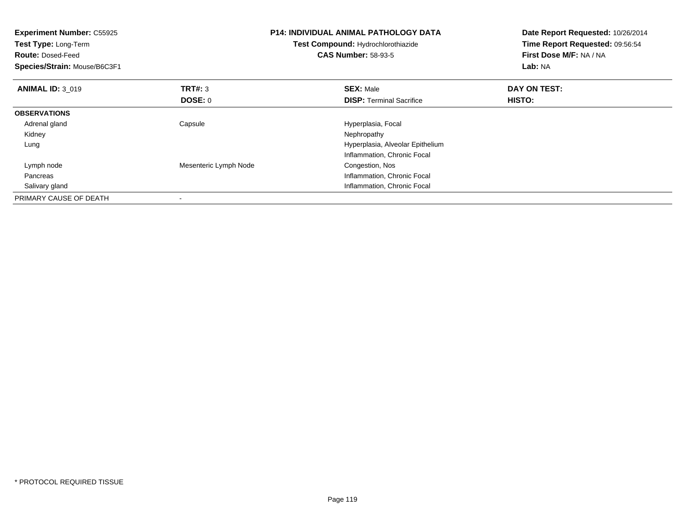| <b>Experiment Number: C55925</b><br>Test Type: Long-Term<br><b>Route: Dosed-Feed</b><br>Species/Strain: Mouse/B6C3F1 |                       | <b>P14: INDIVIDUAL ANIMAL PATHOLOGY DATA</b><br>Test Compound: Hydrochlorothiazide<br><b>CAS Number: 58-93-5</b> | Date Report Requested: 10/26/2014<br>Time Report Requested: 09:56:54<br>First Dose M/F: NA / NA<br>Lab: NA |
|----------------------------------------------------------------------------------------------------------------------|-----------------------|------------------------------------------------------------------------------------------------------------------|------------------------------------------------------------------------------------------------------------|
| <b>ANIMAL ID: 3 019</b>                                                                                              | <b>TRT#: 3</b>        | <b>SEX: Male</b>                                                                                                 | DAY ON TEST:                                                                                               |
|                                                                                                                      | DOSE: 0               | <b>DISP: Terminal Sacrifice</b>                                                                                  | HISTO:                                                                                                     |
| <b>OBSERVATIONS</b>                                                                                                  |                       |                                                                                                                  |                                                                                                            |
| Adrenal gland                                                                                                        | Capsule               | Hyperplasia, Focal                                                                                               |                                                                                                            |
| Kidney                                                                                                               |                       | Nephropathy                                                                                                      |                                                                                                            |
| Lung                                                                                                                 |                       | Hyperplasia, Alveolar Epithelium                                                                                 |                                                                                                            |
|                                                                                                                      |                       | Inflammation, Chronic Focal                                                                                      |                                                                                                            |
| Lymph node                                                                                                           | Mesenteric Lymph Node | Congestion, Nos                                                                                                  |                                                                                                            |
| Pancreas                                                                                                             |                       | Inflammation, Chronic Focal                                                                                      |                                                                                                            |
| Salivary gland                                                                                                       |                       | Inflammation, Chronic Focal                                                                                      |                                                                                                            |
| PRIMARY CAUSE OF DEATH                                                                                               |                       |                                                                                                                  |                                                                                                            |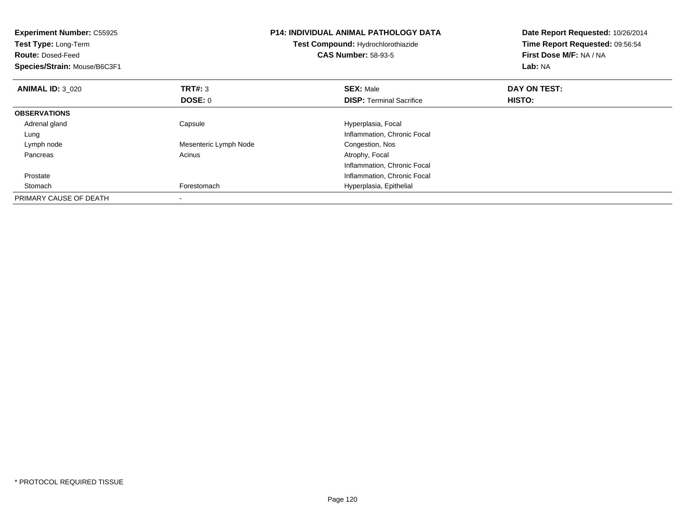| <b>Experiment Number: C55925</b><br>Test Type: Long-Term<br><b>Route: Dosed-Feed</b><br>Species/Strain: Mouse/B6C3F1 |                       | <b>P14: INDIVIDUAL ANIMAL PATHOLOGY DATA</b><br>Test Compound: Hydrochlorothiazide<br><b>CAS Number: 58-93-5</b> | Date Report Requested: 10/26/2014<br>Time Report Requested: 09:56:54<br>First Dose M/F: NA / NA<br>Lab: NA |
|----------------------------------------------------------------------------------------------------------------------|-----------------------|------------------------------------------------------------------------------------------------------------------|------------------------------------------------------------------------------------------------------------|
| <b>ANIMAL ID: 3 020</b>                                                                                              | TRT#: 3               | <b>SEX: Male</b>                                                                                                 | DAY ON TEST:                                                                                               |
|                                                                                                                      | DOSE: 0               | <b>DISP:</b> Terminal Sacrifice                                                                                  | HISTO:                                                                                                     |
| <b>OBSERVATIONS</b>                                                                                                  |                       |                                                                                                                  |                                                                                                            |
| Adrenal gland                                                                                                        | Capsule               | Hyperplasia, Focal                                                                                               |                                                                                                            |
| Lung                                                                                                                 |                       | Inflammation, Chronic Focal                                                                                      |                                                                                                            |
| Lymph node                                                                                                           | Mesenteric Lymph Node | Congestion, Nos                                                                                                  |                                                                                                            |
| Pancreas                                                                                                             | Acinus                | Atrophy, Focal                                                                                                   |                                                                                                            |
|                                                                                                                      |                       | Inflammation, Chronic Focal                                                                                      |                                                                                                            |
| Prostate                                                                                                             |                       | Inflammation, Chronic Focal                                                                                      |                                                                                                            |
| Stomach                                                                                                              | Forestomach           | Hyperplasia, Epithelial                                                                                          |                                                                                                            |
| PRIMARY CAUSE OF DEATH                                                                                               |                       |                                                                                                                  |                                                                                                            |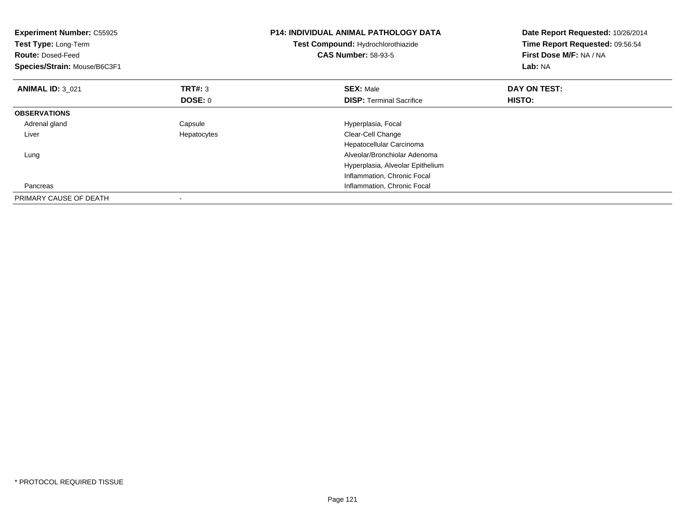| <b>Experiment Number: C55925</b><br>Test Type: Long-Term<br><b>Route: Dosed-Feed</b><br>Species/Strain: Mouse/B6C3F1 |                | <b>P14: INDIVIDUAL ANIMAL PATHOLOGY DATA</b><br>Test Compound: Hydrochlorothiazide<br><b>CAS Number: 58-93-5</b> | Date Report Requested: 10/26/2014<br>Time Report Requested: 09:56:54<br>First Dose M/F: NA / NA<br>Lab: NA |
|----------------------------------------------------------------------------------------------------------------------|----------------|------------------------------------------------------------------------------------------------------------------|------------------------------------------------------------------------------------------------------------|
| <b>ANIMAL ID: 3 021</b>                                                                                              | <b>TRT#: 3</b> | <b>SEX: Male</b>                                                                                                 | DAY ON TEST:                                                                                               |
|                                                                                                                      | <b>DOSE: 0</b> | <b>DISP:</b> Terminal Sacrifice                                                                                  | HISTO:                                                                                                     |
| <b>OBSERVATIONS</b>                                                                                                  |                |                                                                                                                  |                                                                                                            |
| Adrenal gland                                                                                                        | Capsule        | Hyperplasia, Focal                                                                                               |                                                                                                            |
| Liver                                                                                                                | Hepatocytes    | Clear-Cell Change                                                                                                |                                                                                                            |
|                                                                                                                      |                | Hepatocellular Carcinoma                                                                                         |                                                                                                            |
| Lung                                                                                                                 |                | Alveolar/Bronchiolar Adenoma                                                                                     |                                                                                                            |
|                                                                                                                      |                | Hyperplasia, Alveolar Epithelium                                                                                 |                                                                                                            |
|                                                                                                                      |                | Inflammation, Chronic Focal                                                                                      |                                                                                                            |
| Pancreas                                                                                                             |                | Inflammation, Chronic Focal                                                                                      |                                                                                                            |
| PRIMARY CAUSE OF DEATH                                                                                               |                |                                                                                                                  |                                                                                                            |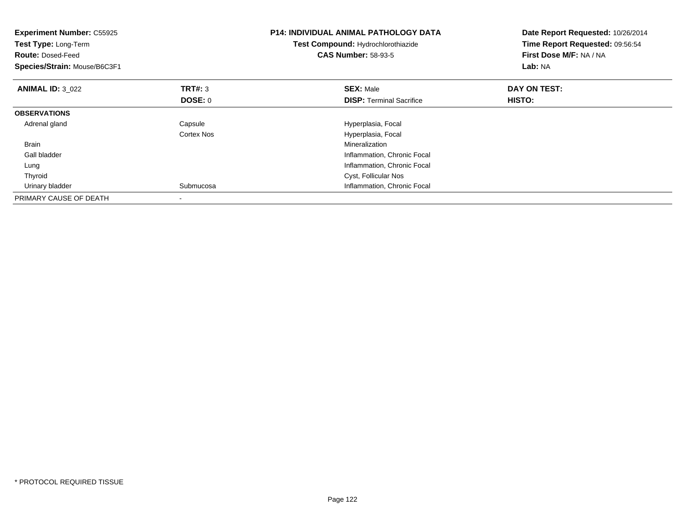| <b>Experiment Number: C55925</b><br>Test Type: Long-Term<br><b>Route: Dosed-Feed</b><br>Species/Strain: Mouse/B6C3F1 |                | <b>P14: INDIVIDUAL ANIMAL PATHOLOGY DATA</b><br>Test Compound: Hydrochlorothiazide<br><b>CAS Number: 58-93-5</b> | Date Report Requested: 10/26/2014<br>Time Report Requested: 09:56:54<br>First Dose M/F: NA / NA<br>Lab: NA |
|----------------------------------------------------------------------------------------------------------------------|----------------|------------------------------------------------------------------------------------------------------------------|------------------------------------------------------------------------------------------------------------|
| <b>ANIMAL ID: 3_022</b>                                                                                              | <b>TRT#: 3</b> | <b>SEX: Male</b>                                                                                                 | DAY ON TEST:                                                                                               |
|                                                                                                                      | <b>DOSE: 0</b> | <b>DISP:</b> Terminal Sacrifice                                                                                  | <b>HISTO:</b>                                                                                              |
| <b>OBSERVATIONS</b>                                                                                                  |                |                                                                                                                  |                                                                                                            |
| Adrenal gland                                                                                                        | Capsule        | Hyperplasia, Focal                                                                                               |                                                                                                            |
|                                                                                                                      | Cortex Nos     | Hyperplasia, Focal                                                                                               |                                                                                                            |
| <b>Brain</b>                                                                                                         |                | Mineralization                                                                                                   |                                                                                                            |
| Gall bladder                                                                                                         |                | Inflammation, Chronic Focal                                                                                      |                                                                                                            |
| Lung                                                                                                                 |                | Inflammation, Chronic Focal                                                                                      |                                                                                                            |
| Thyroid                                                                                                              |                | Cyst, Follicular Nos                                                                                             |                                                                                                            |
| Urinary bladder                                                                                                      | Submucosa      | Inflammation, Chronic Focal                                                                                      |                                                                                                            |
| PRIMARY CAUSE OF DEATH                                                                                               |                |                                                                                                                  |                                                                                                            |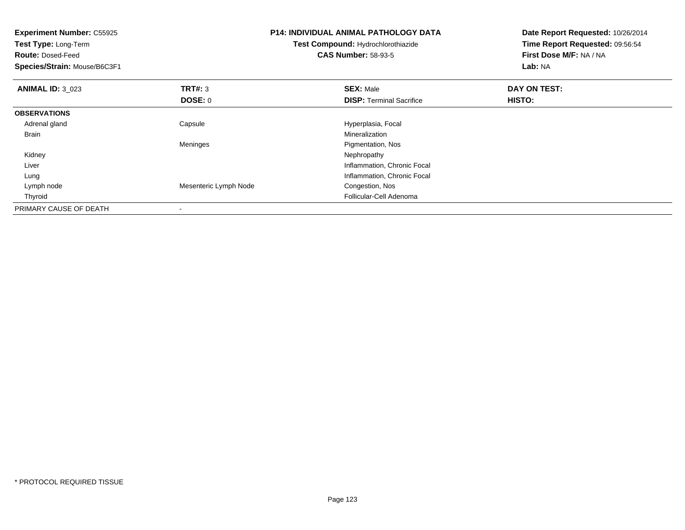| <b>Experiment Number: C55925</b><br>Test Type: Long-Term<br><b>Route: Dosed-Feed</b><br>Species/Strain: Mouse/B6C3F1 |                       | <b>P14: INDIVIDUAL ANIMAL PATHOLOGY DATA</b><br>Test Compound: Hydrochlorothiazide<br><b>CAS Number: 58-93-5</b> | Date Report Requested: 10/26/2014<br>Time Report Requested: 09:56:54<br>First Dose M/F: NA / NA<br>Lab: NA |
|----------------------------------------------------------------------------------------------------------------------|-----------------------|------------------------------------------------------------------------------------------------------------------|------------------------------------------------------------------------------------------------------------|
| <b>ANIMAL ID: 3 023</b>                                                                                              | <b>TRT#: 3</b>        | <b>SEX: Male</b>                                                                                                 | DAY ON TEST:                                                                                               |
|                                                                                                                      | DOSE: 0               | <b>DISP:</b> Terminal Sacrifice                                                                                  | <b>HISTO:</b>                                                                                              |
| <b>OBSERVATIONS</b>                                                                                                  |                       |                                                                                                                  |                                                                                                            |
| Adrenal gland                                                                                                        | Capsule               | Hyperplasia, Focal                                                                                               |                                                                                                            |
| Brain                                                                                                                |                       | Mineralization                                                                                                   |                                                                                                            |
|                                                                                                                      | Meninges              | Pigmentation, Nos                                                                                                |                                                                                                            |
| Kidney                                                                                                               |                       | Nephropathy                                                                                                      |                                                                                                            |
| Liver                                                                                                                |                       | Inflammation, Chronic Focal                                                                                      |                                                                                                            |
| Lung                                                                                                                 |                       | Inflammation, Chronic Focal                                                                                      |                                                                                                            |
| Lymph node                                                                                                           | Mesenteric Lymph Node | Congestion, Nos                                                                                                  |                                                                                                            |
| Thyroid                                                                                                              |                       | Follicular-Cell Adenoma                                                                                          |                                                                                                            |
| PRIMARY CAUSE OF DEATH                                                                                               |                       |                                                                                                                  |                                                                                                            |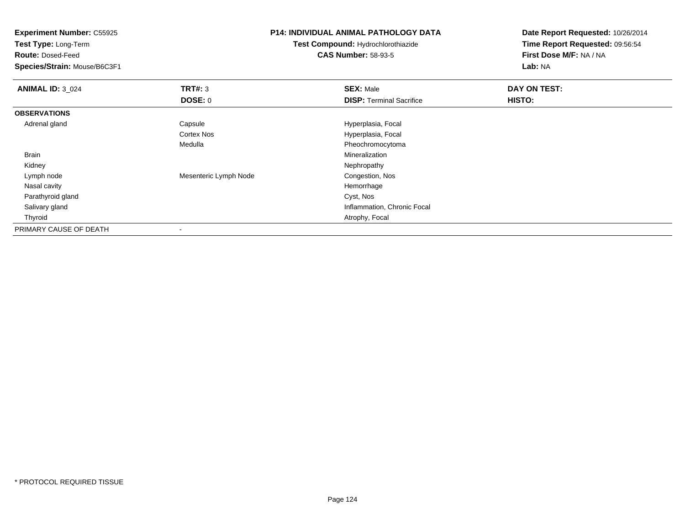| <b>Experiment Number: C55925</b><br>Test Type: Long-Term |                       | P14: INDIVIDUAL ANIMAL PATHOLOGY DATA     | Date Report Requested: 10/26/2014 |
|----------------------------------------------------------|-----------------------|-------------------------------------------|-----------------------------------|
|                                                          |                       | <b>Test Compound: Hydrochlorothiazide</b> | Time Report Requested: 09:56:54   |
| <b>Route: Dosed-Feed</b>                                 |                       | <b>CAS Number: 58-93-5</b>                | First Dose M/F: NA / NA           |
| Species/Strain: Mouse/B6C3F1                             |                       |                                           | Lab: NA                           |
| <b>ANIMAL ID: 3_024</b>                                  | TRT#: 3               | <b>SEX: Male</b>                          | DAY ON TEST:                      |
|                                                          | DOSE: 0               | <b>DISP: Terminal Sacrifice</b>           | HISTO:                            |
| <b>OBSERVATIONS</b>                                      |                       |                                           |                                   |
| Adrenal gland                                            | Capsule               | Hyperplasia, Focal                        |                                   |
|                                                          | <b>Cortex Nos</b>     | Hyperplasia, Focal                        |                                   |
|                                                          | Medulla               | Pheochromocytoma                          |                                   |
| Brain                                                    |                       | Mineralization                            |                                   |
| Kidney                                                   |                       | Nephropathy                               |                                   |
| Lymph node                                               | Mesenteric Lymph Node | Congestion, Nos                           |                                   |
| Nasal cavity                                             |                       | Hemorrhage                                |                                   |
| Parathyroid gland                                        |                       | Cyst, Nos                                 |                                   |
| Salivary gland                                           |                       | Inflammation, Chronic Focal               |                                   |
| Thyroid                                                  |                       | Atrophy, Focal                            |                                   |
| PRIMARY CAUSE OF DEATH                                   |                       |                                           |                                   |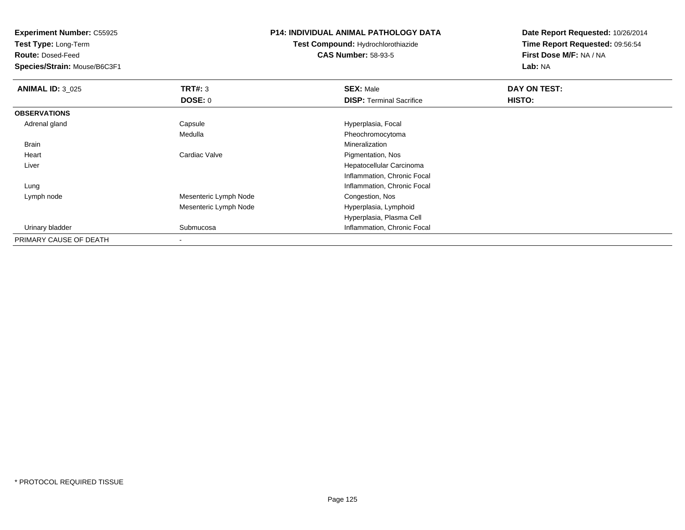**Test Type:** Long-Term

**Route:** Dosed-Feed

**Species/Strain:** Mouse/B6C3F1

#### **P14: INDIVIDUAL ANIMAL PATHOLOGY DATA**

**Test Compound:** Hydrochlorothiazide**CAS Number:** 58-93-5

| <b>ANIMAL ID: 3 025</b> | TRT#: 3               | <b>SEX: Male</b>                | DAY ON TEST: |  |
|-------------------------|-----------------------|---------------------------------|--------------|--|
|                         | <b>DOSE: 0</b>        | <b>DISP:</b> Terminal Sacrifice | HISTO:       |  |
| <b>OBSERVATIONS</b>     |                       |                                 |              |  |
| Adrenal gland           | Capsule               | Hyperplasia, Focal              |              |  |
|                         | Medulla               | Pheochromocytoma                |              |  |
| <b>Brain</b>            |                       | Mineralization                  |              |  |
| Heart                   | Cardiac Valve         | Pigmentation, Nos               |              |  |
| Liver                   |                       | Hepatocellular Carcinoma        |              |  |
|                         |                       | Inflammation, Chronic Focal     |              |  |
| Lung                    |                       | Inflammation, Chronic Focal     |              |  |
| Lymph node              | Mesenteric Lymph Node | Congestion, Nos                 |              |  |
|                         | Mesenteric Lymph Node | Hyperplasia, Lymphoid           |              |  |
|                         |                       | Hyperplasia, Plasma Cell        |              |  |
| Urinary bladder         | Submucosa             | Inflammation, Chronic Focal     |              |  |
| PRIMARY CAUSE OF DEATH  |                       |                                 |              |  |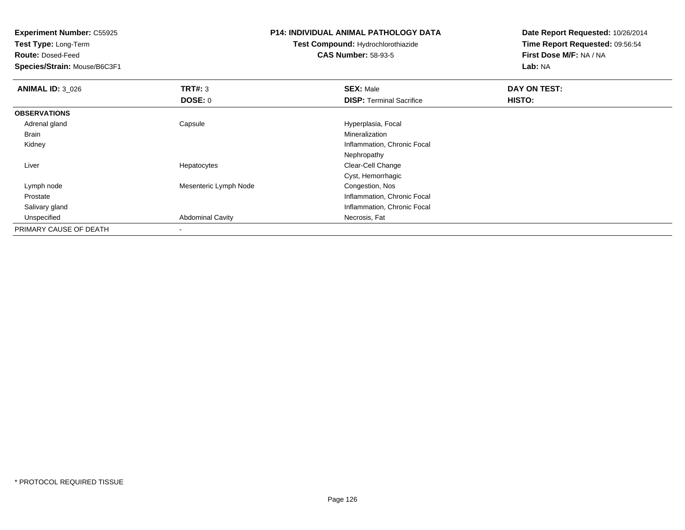**Test Type:** Long-Term

**Route:** Dosed-Feed

**Species/Strain:** Mouse/B6C3F1

## **P14: INDIVIDUAL ANIMAL PATHOLOGY DATA**

**Test Compound:** Hydrochlorothiazide**CAS Number:** 58-93-5

| <b>ANIMAL ID: 3_026</b> | TRT#: 3                 | <b>SEX: Male</b>                | DAY ON TEST: |  |
|-------------------------|-------------------------|---------------------------------|--------------|--|
|                         | <b>DOSE: 0</b>          | <b>DISP: Terminal Sacrifice</b> | HISTO:       |  |
| <b>OBSERVATIONS</b>     |                         |                                 |              |  |
| Adrenal gland           | Capsule                 | Hyperplasia, Focal              |              |  |
| Brain                   |                         | Mineralization                  |              |  |
| Kidney                  |                         | Inflammation, Chronic Focal     |              |  |
|                         |                         | Nephropathy                     |              |  |
| Liver                   | Hepatocytes             | Clear-Cell Change               |              |  |
|                         |                         | Cyst, Hemorrhagic               |              |  |
| Lymph node              | Mesenteric Lymph Node   | Congestion, Nos                 |              |  |
| Prostate                |                         | Inflammation, Chronic Focal     |              |  |
| Salivary gland          |                         | Inflammation, Chronic Focal     |              |  |
| Unspecified             | <b>Abdominal Cavity</b> | Necrosis, Fat                   |              |  |
| PRIMARY CAUSE OF DEATH  | -                       |                                 |              |  |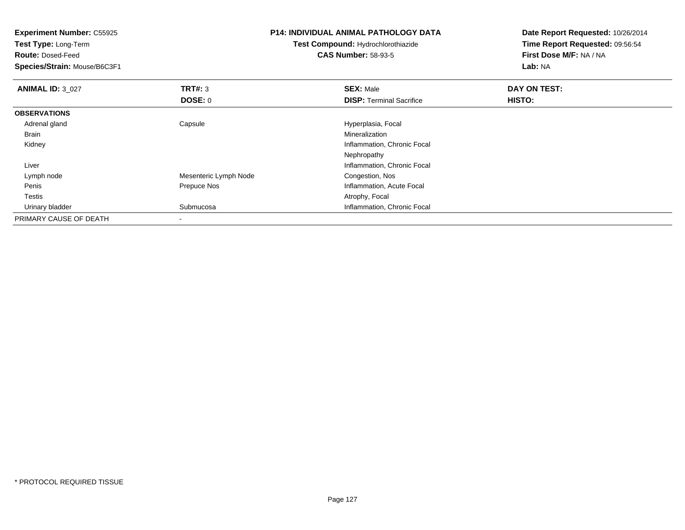| <b>Experiment Number: C55925</b><br>Test Type: Long-Term |                       | <b>P14: INDIVIDUAL ANIMAL PATHOLOGY DATA</b> | Date Report Requested: 10/26/2014 |
|----------------------------------------------------------|-----------------------|----------------------------------------------|-----------------------------------|
|                                                          |                       | <b>Test Compound: Hydrochlorothiazide</b>    | Time Report Requested: 09:56:54   |
| <b>Route: Dosed-Feed</b>                                 |                       | <b>CAS Number: 58-93-5</b>                   | First Dose M/F: NA / NA           |
| Species/Strain: Mouse/B6C3F1                             |                       |                                              | Lab: NA                           |
| <b>ANIMAL ID: 3 027</b>                                  | <b>TRT#: 3</b>        | <b>SEX: Male</b>                             | DAY ON TEST:                      |
|                                                          | DOSE: 0               | <b>DISP:</b> Terminal Sacrifice              | HISTO:                            |
| <b>OBSERVATIONS</b>                                      |                       |                                              |                                   |
| Adrenal gland                                            | Capsule               | Hyperplasia, Focal                           |                                   |
| Brain                                                    |                       | <b>Mineralization</b>                        |                                   |
| Kidney                                                   |                       | Inflammation, Chronic Focal                  |                                   |
|                                                          |                       | Nephropathy                                  |                                   |
| Liver                                                    |                       | Inflammation, Chronic Focal                  |                                   |
| Lymph node                                               | Mesenteric Lymph Node | Congestion, Nos                              |                                   |
| Penis                                                    | Prepuce Nos           | Inflammation, Acute Focal                    |                                   |
| Testis                                                   |                       | Atrophy, Focal                               |                                   |
| Urinary bladder                                          | Submucosa             | Inflammation, Chronic Focal                  |                                   |
| PRIMARY CAUSE OF DEATH                                   |                       |                                              |                                   |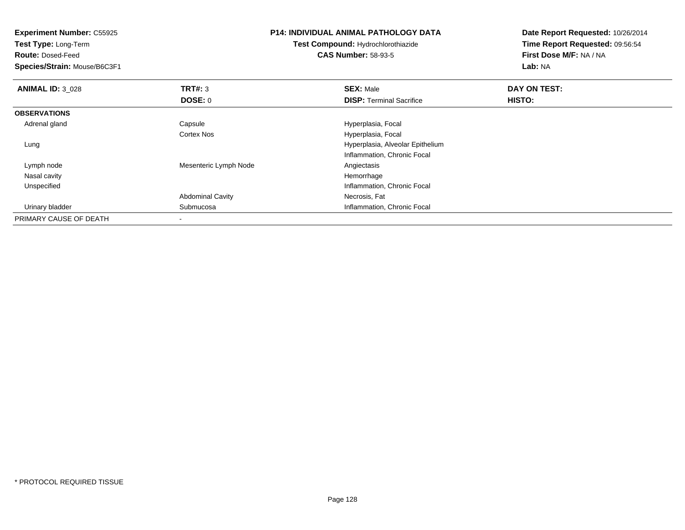**Experiment Number:** C55925**Test Type:** Long-Term**Route:** Dosed-Feed **Species/Strain:** Mouse/B6C3F1**P14: INDIVIDUAL ANIMAL PATHOLOGY DATATest Compound:** Hydrochlorothiazide**CAS Number:** 58-93-5**Date Report Requested:** 10/26/2014**Time Report Requested:** 09:56:54**First Dose M/F:** NA / NA**Lab:** NA**ANIMAL ID:** 3\_028**REX:** Male **DAY ON TEST: SEX:** Male **SEX:** Male **DOSE:** 0**DISP:** Terminal Sacrifice **HISTO: OBSERVATIONS** Adrenal glandCapsule **Capsule Hyperplasia**, Focal Cortex Nos Hyperplasia, Focal Lung Hyperplasia, Alveolar EpitheliumInflammation, Chronic Focal Lymph nodeMesenteric Lymph Node<br>
Hemorrhage<br>
Hemorrhage Nasal cavityy the control of the control of the control of the control of the control of the control of the control of the control of the control of the control of the control of the control of the control of the control of the contro **Inflammation, Chronic Focal**  UnspecifiedAbdominal Cavity Necrosis, Fat Urinary bladder Submucosa Inflammation, Chronic Focal PRIMARY CAUSE OF DEATH-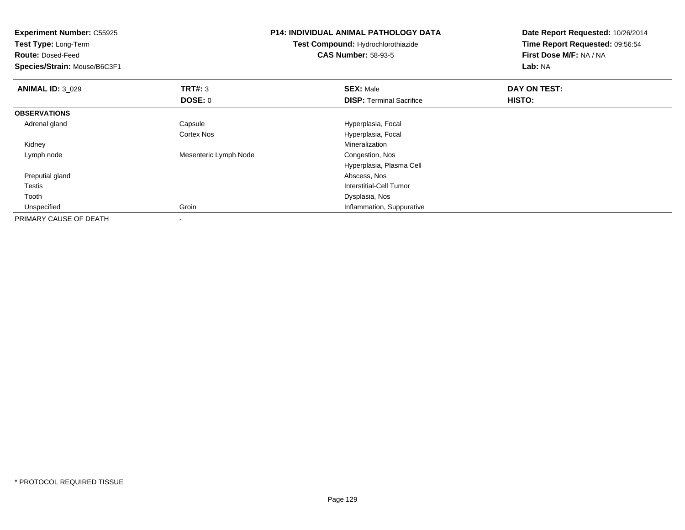| <b>Experiment Number: C55925</b><br>Test Type: Long-Term<br><b>Route: Dosed-Feed</b> |                       | <b>P14: INDIVIDUAL ANIMAL PATHOLOGY DATA</b><br>Test Compound: Hydrochlorothiazide<br><b>CAS Number: 58-93-5</b> | Date Report Requested: 10/26/2014<br>Time Report Requested: 09:56:54<br>First Dose M/F: NA / NA |
|--------------------------------------------------------------------------------------|-----------------------|------------------------------------------------------------------------------------------------------------------|-------------------------------------------------------------------------------------------------|
| Species/Strain: Mouse/B6C3F1                                                         |                       |                                                                                                                  | Lab: NA                                                                                         |
| <b>ANIMAL ID: 3 029</b>                                                              | TRT#: 3               | <b>SEX: Male</b>                                                                                                 | DAY ON TEST:                                                                                    |
|                                                                                      | <b>DOSE: 0</b>        | <b>DISP: Terminal Sacrifice</b>                                                                                  | HISTO:                                                                                          |
| <b>OBSERVATIONS</b>                                                                  |                       |                                                                                                                  |                                                                                                 |
| Adrenal gland                                                                        | Capsule               | Hyperplasia, Focal                                                                                               |                                                                                                 |
|                                                                                      | Cortex Nos            | Hyperplasia, Focal                                                                                               |                                                                                                 |
| Kidney                                                                               |                       | Mineralization                                                                                                   |                                                                                                 |
| Lymph node                                                                           | Mesenteric Lymph Node | Congestion, Nos                                                                                                  |                                                                                                 |
|                                                                                      |                       | Hyperplasia, Plasma Cell                                                                                         |                                                                                                 |
| Preputial gland                                                                      |                       | Abscess, Nos                                                                                                     |                                                                                                 |
| Testis                                                                               |                       | Interstitial-Cell Tumor                                                                                          |                                                                                                 |
| Tooth                                                                                |                       | Dysplasia, Nos                                                                                                   |                                                                                                 |
| Unspecified                                                                          | Groin                 | Inflammation, Suppurative                                                                                        |                                                                                                 |
| PRIMARY CAUSE OF DEATH                                                               |                       |                                                                                                                  |                                                                                                 |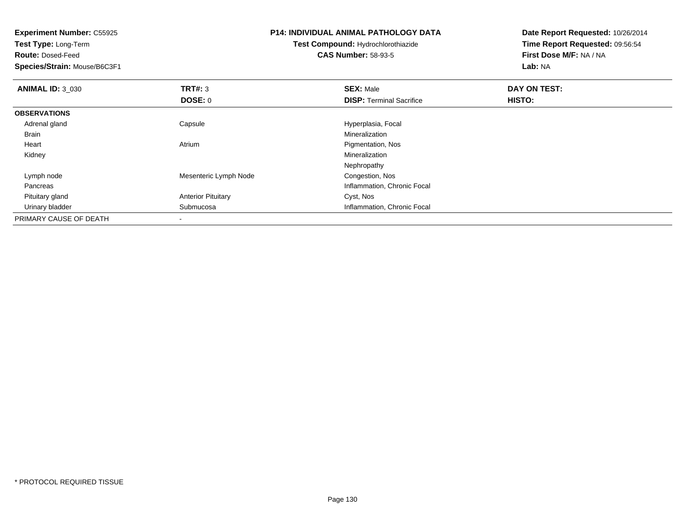| <b>Experiment Number: C55925</b><br>Test Type: Long-Term |                           | <b>P14: INDIVIDUAL ANIMAL PATHOLOGY DATA</b> | Date Report Requested: 10/26/2014 |
|----------------------------------------------------------|---------------------------|----------------------------------------------|-----------------------------------|
|                                                          |                           | <b>Test Compound: Hydrochlorothiazide</b>    | Time Report Requested: 09:56:54   |
| <b>Route: Dosed-Feed</b>                                 |                           | <b>CAS Number: 58-93-5</b>                   | First Dose M/F: NA / NA           |
| Species/Strain: Mouse/B6C3F1                             |                           |                                              | Lab: NA                           |
| <b>ANIMAL ID: 3_030</b>                                  | <b>TRT#: 3</b>            | <b>SEX: Male</b>                             | DAY ON TEST:                      |
|                                                          | <b>DOSE: 0</b>            | <b>DISP:</b> Terminal Sacrifice              | HISTO:                            |
| <b>OBSERVATIONS</b>                                      |                           |                                              |                                   |
| Adrenal gland                                            | Capsule                   | Hyperplasia, Focal                           |                                   |
| Brain                                                    |                           | Mineralization                               |                                   |
| Heart                                                    | Atrium                    | Pigmentation, Nos                            |                                   |
| Kidney                                                   |                           | Mineralization                               |                                   |
|                                                          |                           | Nephropathy                                  |                                   |
| Lymph node                                               | Mesenteric Lymph Node     | Congestion, Nos                              |                                   |
| Pancreas                                                 |                           | Inflammation, Chronic Focal                  |                                   |
| Pituitary gland                                          | <b>Anterior Pituitary</b> | Cyst, Nos                                    |                                   |
| Urinary bladder                                          | Submucosa                 | Inflammation, Chronic Focal                  |                                   |
| PRIMARY CAUSE OF DEATH                                   |                           |                                              |                                   |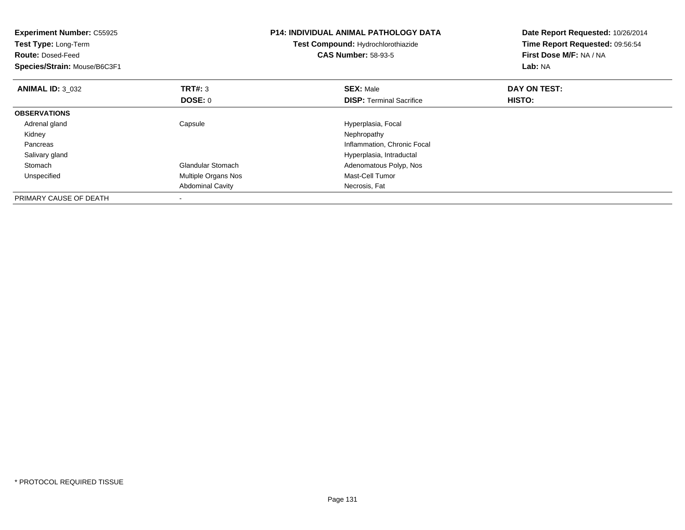| <b>Experiment Number: C55925</b><br><b>Test Type: Long-Term</b><br><b>Route: Dosed-Feed</b><br>Species/Strain: Mouse/B6C3F1 |                           | <b>P14: INDIVIDUAL ANIMAL PATHOLOGY DATA</b><br>Test Compound: Hydrochlorothiazide<br><b>CAS Number: 58-93-5</b> | Date Report Requested: 10/26/2014<br>Time Report Requested: 09:56:54<br>First Dose M/F: NA / NA<br>Lab: NA |
|-----------------------------------------------------------------------------------------------------------------------------|---------------------------|------------------------------------------------------------------------------------------------------------------|------------------------------------------------------------------------------------------------------------|
| <b>ANIMAL ID: 3 032</b>                                                                                                     | <b>TRT#: 3</b><br>DOSE: 0 | <b>SEX: Male</b><br><b>DISP:</b> Terminal Sacrifice                                                              | DAY ON TEST:<br><b>HISTO:</b>                                                                              |
| <b>OBSERVATIONS</b>                                                                                                         |                           |                                                                                                                  |                                                                                                            |
| Adrenal gland                                                                                                               | Capsule                   | Hyperplasia, Focal                                                                                               |                                                                                                            |
| Kidney                                                                                                                      |                           | Nephropathy                                                                                                      |                                                                                                            |
| Pancreas                                                                                                                    |                           | Inflammation, Chronic Focal                                                                                      |                                                                                                            |
| Salivary gland                                                                                                              |                           | Hyperplasia, Intraductal                                                                                         |                                                                                                            |
| Stomach                                                                                                                     | <b>Glandular Stomach</b>  | Adenomatous Polyp, Nos                                                                                           |                                                                                                            |
| Unspecified                                                                                                                 | Multiple Organs Nos       | Mast-Cell Tumor                                                                                                  |                                                                                                            |
|                                                                                                                             | <b>Abdominal Cavity</b>   | Necrosis, Fat                                                                                                    |                                                                                                            |
| PRIMARY CAUSE OF DEATH                                                                                                      |                           |                                                                                                                  |                                                                                                            |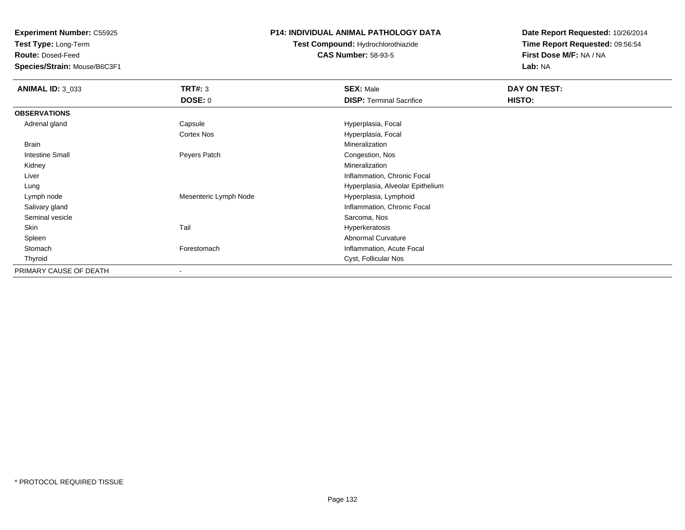**Test Type:** Long-Term

**Route:** Dosed-Feed

**Species/Strain:** Mouse/B6C3F1

## **P14: INDIVIDUAL ANIMAL PATHOLOGY DATA**

**Test Compound:** Hydrochlorothiazide**CAS Number:** 58-93-5

| <b>ANIMAL ID: 3_033</b> | <b>TRT#: 3</b>        | <b>SEX: Male</b>                 | DAY ON TEST: |  |
|-------------------------|-----------------------|----------------------------------|--------------|--|
|                         | DOSE: 0               | <b>DISP: Terminal Sacrifice</b>  | HISTO:       |  |
| <b>OBSERVATIONS</b>     |                       |                                  |              |  |
| Adrenal gland           | Capsule               | Hyperplasia, Focal               |              |  |
|                         | <b>Cortex Nos</b>     | Hyperplasia, Focal               |              |  |
| Brain                   |                       | Mineralization                   |              |  |
| Intestine Small         | Peyers Patch          | Congestion, Nos                  |              |  |
| Kidney                  |                       | Mineralization                   |              |  |
| Liver                   |                       | Inflammation, Chronic Focal      |              |  |
| Lung                    |                       | Hyperplasia, Alveolar Epithelium |              |  |
| Lymph node              | Mesenteric Lymph Node | Hyperplasia, Lymphoid            |              |  |
| Salivary gland          |                       | Inflammation, Chronic Focal      |              |  |
| Seminal vesicle         |                       | Sarcoma, Nos                     |              |  |
| Skin                    | Tail                  | Hyperkeratosis                   |              |  |
| Spleen                  |                       | Abnormal Curvature               |              |  |
| Stomach                 | Forestomach           | Inflammation, Acute Focal        |              |  |
| Thyroid                 |                       | Cyst, Follicular Nos             |              |  |
| PRIMARY CAUSE OF DEATH  |                       |                                  |              |  |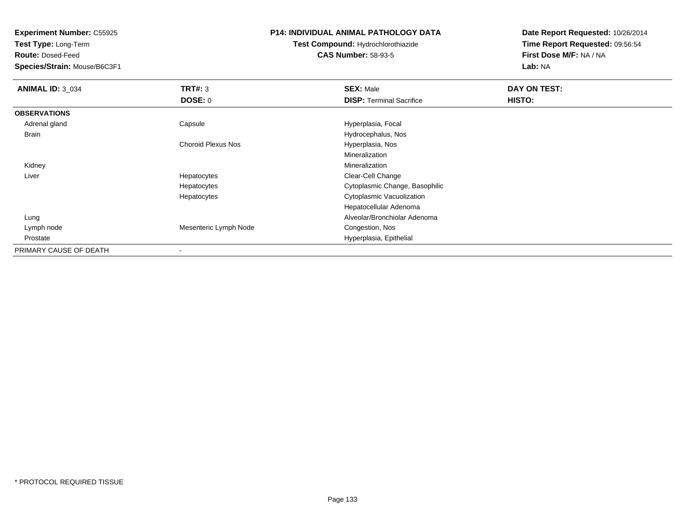**Test Type:** Long-Term

**Route:** Dosed-Feed

**Species/Strain:** Mouse/B6C3F1

## **P14: INDIVIDUAL ANIMAL PATHOLOGY DATA**

**Test Compound:** Hydrochlorothiazide**CAS Number:** 58-93-5

| <b>ANIMAL ID: 3_034</b> | TRT#: 3                   | <b>SEX: Male</b>                | DAY ON TEST: |  |
|-------------------------|---------------------------|---------------------------------|--------------|--|
|                         | <b>DOSE: 0</b>            | <b>DISP: Terminal Sacrifice</b> | HISTO:       |  |
| <b>OBSERVATIONS</b>     |                           |                                 |              |  |
| Adrenal gland           | Capsule                   | Hyperplasia, Focal              |              |  |
| <b>Brain</b>            |                           | Hydrocephalus, Nos              |              |  |
|                         | <b>Choroid Plexus Nos</b> | Hyperplasia, Nos                |              |  |
|                         |                           | Mineralization                  |              |  |
| Kidney                  |                           | Mineralization                  |              |  |
| Liver                   | Hepatocytes               | Clear-Cell Change               |              |  |
|                         | Hepatocytes               | Cytoplasmic Change, Basophilic  |              |  |
|                         | Hepatocytes               | Cytoplasmic Vacuolization       |              |  |
|                         |                           | Hepatocellular Adenoma          |              |  |
| Lung                    |                           | Alveolar/Bronchiolar Adenoma    |              |  |
| Lymph node              | Mesenteric Lymph Node     | Congestion, Nos                 |              |  |
| Prostate                |                           | Hyperplasia, Epithelial         |              |  |
| PRIMARY CAUSE OF DEATH  |                           |                                 |              |  |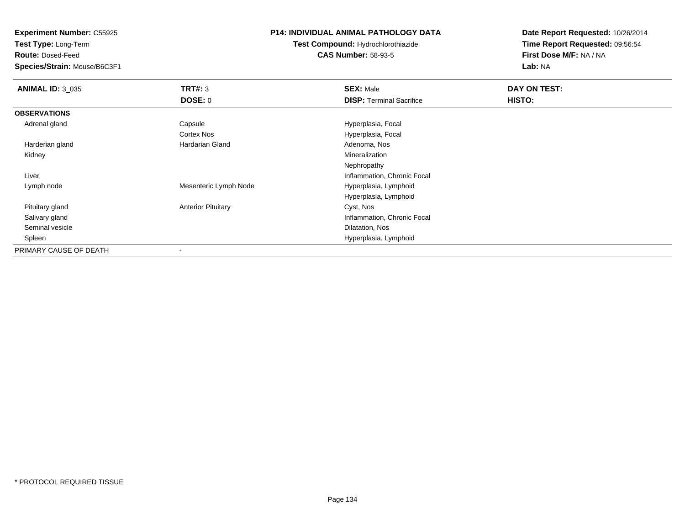**Test Type:** Long-Term

**Route:** Dosed-Feed

**Species/Strain:** Mouse/B6C3F1

## **P14: INDIVIDUAL ANIMAL PATHOLOGY DATA**

**Test Compound:** Hydrochlorothiazide**CAS Number:** 58-93-5

| <b>ANIMAL ID: 3_035</b> | TRT#: 3                   | <b>SEX: Male</b>                | DAY ON TEST: |  |
|-------------------------|---------------------------|---------------------------------|--------------|--|
|                         | <b>DOSE: 0</b>            | <b>DISP:</b> Terminal Sacrifice | HISTO:       |  |
| <b>OBSERVATIONS</b>     |                           |                                 |              |  |
| Adrenal gland           | Capsule                   | Hyperplasia, Focal              |              |  |
|                         | Cortex Nos                | Hyperplasia, Focal              |              |  |
| Harderian gland         | <b>Hardarian Gland</b>    | Adenoma, Nos                    |              |  |
| Kidney                  |                           | Mineralization                  |              |  |
|                         |                           | Nephropathy                     |              |  |
| Liver                   |                           | Inflammation, Chronic Focal     |              |  |
| Lymph node              | Mesenteric Lymph Node     | Hyperplasia, Lymphoid           |              |  |
|                         |                           | Hyperplasia, Lymphoid           |              |  |
| Pituitary gland         | <b>Anterior Pituitary</b> | Cyst, Nos                       |              |  |
| Salivary gland          |                           | Inflammation, Chronic Focal     |              |  |
| Seminal vesicle         |                           | Dilatation, Nos                 |              |  |
| Spleen                  |                           | Hyperplasia, Lymphoid           |              |  |
| PRIMARY CAUSE OF DEATH  |                           |                                 |              |  |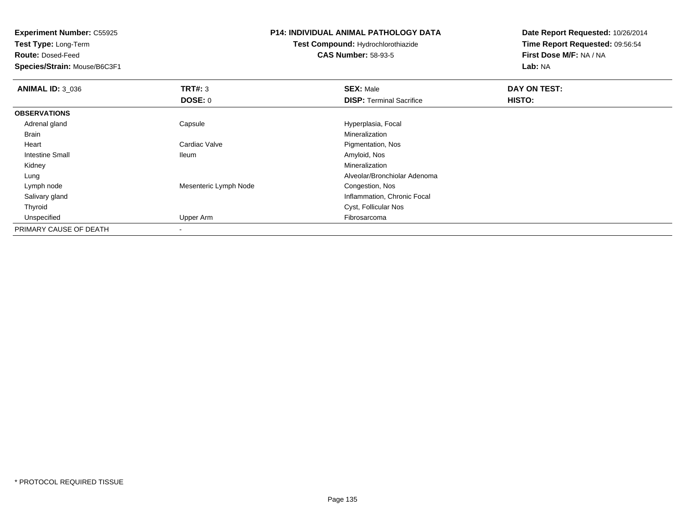**Experiment Number:** C55925**Test Type:** Long-Term**Route:** Dosed-Feed **Species/Strain:** Mouse/B6C3F1**P14: INDIVIDUAL ANIMAL PATHOLOGY DATATest Compound:** Hydrochlorothiazide**CAS Number:** 58-93-5**Date Report Requested:** 10/26/2014**Time Report Requested:** 09:56:54**First Dose M/F:** NA / NA**Lab:** NA**ANIMAL ID:** 3\_036 **TRT#:** <sup>3</sup> **SEX:** Male **DAY ON TEST: DOSE:** 0**DISP:** Terminal Sacrifice **HISTO: OBSERVATIONS** Adrenal gland Capsule Hyperplasia, Focal Brainn and the control of the control of the control of the control of the control of the control of the control of the control of the control of the control of the control of the control of the control of the control of the co Heart Cardiac Valve Pigmentation, Nos Intestine Small Ileum Amyloid, Nos Kidneyy with the control of the control of the control of the control of the control of the control of the control of the control of the control of the control of the control of the control of the control of the control of the c Alveolar/Bronchiolar Adenoma Lung Lymph nodeMesenteric Lymph Node Congestion, Nos Salivary gland Inflammation, Chronic Focal Thyroid Cyst, Follicular Nos Unspecified Upper Arm Fibrosarcoma PRIMARY CAUSE OF DEATH

-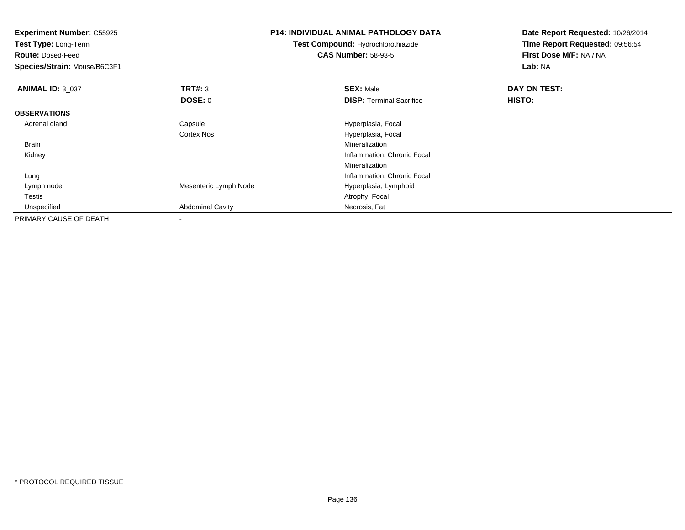| <b>Experiment Number: C55925</b><br>Test Type: Long-Term<br><b>Route: Dosed-Feed</b> |                         | <b>P14: INDIVIDUAL ANIMAL PATHOLOGY DATA</b><br>Test Compound: Hydrochlorothiazide | Date Report Requested: 10/26/2014<br>Time Report Requested: 09:56:54<br>First Dose M/F: NA / NA |  |
|--------------------------------------------------------------------------------------|-------------------------|------------------------------------------------------------------------------------|-------------------------------------------------------------------------------------------------|--|
|                                                                                      |                         | <b>CAS Number: 58-93-5</b>                                                         |                                                                                                 |  |
| Species/Strain: Mouse/B6C3F1                                                         |                         |                                                                                    | Lab: NA                                                                                         |  |
| <b>ANIMAL ID: 3_037</b>                                                              | TRT#: 3                 | <b>SEX: Male</b>                                                                   | DAY ON TEST:                                                                                    |  |
|                                                                                      | DOSE: 0                 | <b>DISP: Terminal Sacrifice</b>                                                    | HISTO:                                                                                          |  |
| <b>OBSERVATIONS</b>                                                                  |                         |                                                                                    |                                                                                                 |  |
| Adrenal gland                                                                        | Capsule                 | Hyperplasia, Focal                                                                 |                                                                                                 |  |
|                                                                                      | <b>Cortex Nos</b>       | Hyperplasia, Focal                                                                 |                                                                                                 |  |
| Brain                                                                                |                         | Mineralization                                                                     |                                                                                                 |  |
| Kidney                                                                               |                         | Inflammation, Chronic Focal                                                        |                                                                                                 |  |
|                                                                                      |                         | <b>Mineralization</b>                                                              |                                                                                                 |  |
| Lung                                                                                 |                         | Inflammation, Chronic Focal                                                        |                                                                                                 |  |
| Lymph node                                                                           | Mesenteric Lymph Node   | Hyperplasia, Lymphoid                                                              |                                                                                                 |  |
| Testis                                                                               |                         | Atrophy, Focal                                                                     |                                                                                                 |  |
| Unspecified                                                                          | <b>Abdominal Cavity</b> | Necrosis, Fat                                                                      |                                                                                                 |  |
| PRIMARY CAUSE OF DEATH                                                               |                         |                                                                                    |                                                                                                 |  |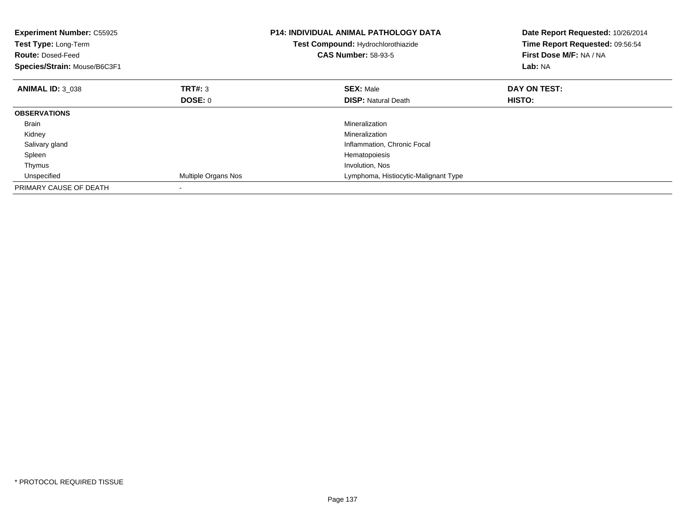| <b>Experiment Number: C55925</b><br>Test Type: Long-Term<br><b>Route: Dosed-Feed</b><br>Species/Strain: Mouse/B6C3F1 |                     | <b>P14: INDIVIDUAL ANIMAL PATHOLOGY DATA</b><br>Test Compound: Hydrochlorothiazide<br><b>CAS Number: 58-93-5</b> | Date Report Requested: 10/26/2014<br>Time Report Requested: 09:56:54<br>First Dose M/F: NA / NA<br>Lab: NA |
|----------------------------------------------------------------------------------------------------------------------|---------------------|------------------------------------------------------------------------------------------------------------------|------------------------------------------------------------------------------------------------------------|
| <b>ANIMAL ID: 3 038</b>                                                                                              | <b>TRT#: 3</b>      | <b>SEX: Male</b>                                                                                                 | DAY ON TEST:                                                                                               |
|                                                                                                                      | DOSE: 0             | <b>DISP: Natural Death</b>                                                                                       | HISTO:                                                                                                     |
| <b>OBSERVATIONS</b>                                                                                                  |                     |                                                                                                                  |                                                                                                            |
| <b>Brain</b>                                                                                                         |                     | Mineralization                                                                                                   |                                                                                                            |
| Kidney                                                                                                               |                     | Mineralization                                                                                                   |                                                                                                            |
| Salivary gland                                                                                                       |                     | Inflammation, Chronic Focal                                                                                      |                                                                                                            |
| Spleen                                                                                                               |                     | Hematopoiesis                                                                                                    |                                                                                                            |
| Thymus                                                                                                               |                     | Involution, Nos                                                                                                  |                                                                                                            |
| Unspecified                                                                                                          | Multiple Organs Nos | Lymphoma, Histiocytic-Malignant Type                                                                             |                                                                                                            |
| PRIMARY CAUSE OF DEATH                                                                                               |                     |                                                                                                                  |                                                                                                            |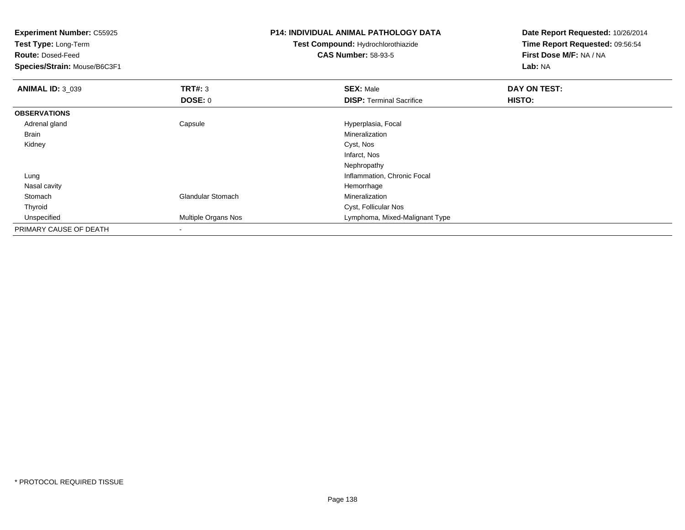| <b>Experiment Number: C55925</b> |                          | <b>P14: INDIVIDUAL ANIMAL PATHOLOGY DATA</b> | Date Report Requested: 10/26/2014 |  |
|----------------------------------|--------------------------|----------------------------------------------|-----------------------------------|--|
| <b>Test Type: Long-Term</b>      |                          | <b>Test Compound: Hydrochlorothiazide</b>    | Time Report Requested: 09:56:54   |  |
| <b>Route: Dosed-Feed</b>         |                          | <b>CAS Number: 58-93-5</b>                   | First Dose M/F: NA / NA           |  |
| Species/Strain: Mouse/B6C3F1     |                          |                                              | Lab: NA                           |  |
| <b>ANIMAL ID: 3_039</b>          | <b>TRT#: 3</b>           | <b>SEX: Male</b>                             | <b>DAY ON TEST:</b>               |  |
|                                  | <b>DOSE: 0</b>           | <b>DISP: Terminal Sacrifice</b>              | HISTO:                            |  |
| <b>OBSERVATIONS</b>              |                          |                                              |                                   |  |
| Adrenal gland                    | Capsule                  | Hyperplasia, Focal                           |                                   |  |
| Brain                            |                          | Mineralization                               |                                   |  |
| Kidney                           |                          | Cyst, Nos                                    |                                   |  |
|                                  |                          | Infarct, Nos                                 |                                   |  |
|                                  |                          | Nephropathy                                  |                                   |  |
| Lung                             |                          | Inflammation, Chronic Focal                  |                                   |  |
| Nasal cavity                     |                          | Hemorrhage                                   |                                   |  |
| Stomach                          | <b>Glandular Stomach</b> | Mineralization                               |                                   |  |
| Thyroid                          |                          | Cyst, Follicular Nos                         |                                   |  |
| Unspecified                      | Multiple Organs Nos      | Lymphoma, Mixed-Malignant Type               |                                   |  |
| PRIMARY CAUSE OF DEATH           |                          |                                              |                                   |  |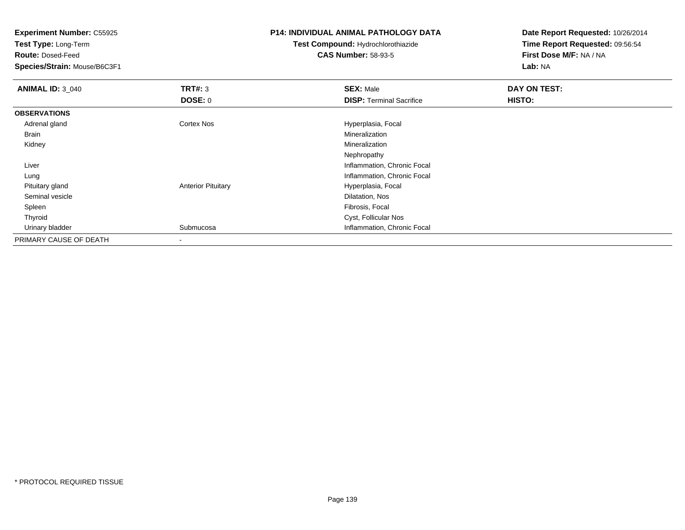**Test Type:** Long-Term

**Route:** Dosed-Feed

**Species/Strain:** Mouse/B6C3F1

#### **P14: INDIVIDUAL ANIMAL PATHOLOGY DATA**

**Test Compound:** Hydrochlorothiazide**CAS Number:** 58-93-5

| <b>ANIMAL ID: 3_040</b> | TRT#: 3                   | <b>SEX: Male</b>                | DAY ON TEST: |
|-------------------------|---------------------------|---------------------------------|--------------|
|                         | <b>DOSE: 0</b>            | <b>DISP: Terminal Sacrifice</b> | HISTO:       |
| <b>OBSERVATIONS</b>     |                           |                                 |              |
| Adrenal gland           | Cortex Nos                | Hyperplasia, Focal              |              |
| Brain                   |                           | Mineralization                  |              |
| Kidney                  |                           | Mineralization                  |              |
|                         |                           | Nephropathy                     |              |
| Liver                   |                           | Inflammation, Chronic Focal     |              |
| Lung                    |                           | Inflammation, Chronic Focal     |              |
| Pituitary gland         | <b>Anterior Pituitary</b> | Hyperplasia, Focal              |              |
| Seminal vesicle         |                           | Dilatation, Nos                 |              |
| Spleen                  |                           | Fibrosis, Focal                 |              |
| Thyroid                 |                           | Cyst, Follicular Nos            |              |
| Urinary bladder         | Submucosa                 | Inflammation, Chronic Focal     |              |
| PRIMARY CAUSE OF DEATH  | $\overline{\phantom{a}}$  |                                 |              |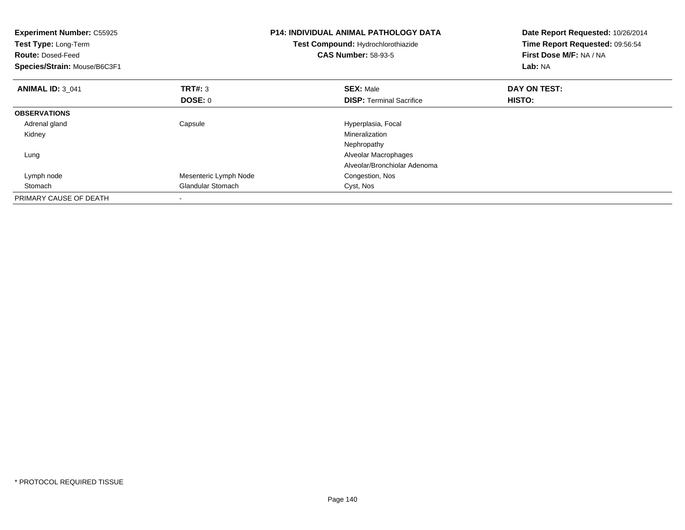| <b>Experiment Number: C55925</b><br>Test Type: Long-Term<br><b>Route: Dosed-Feed</b><br>Species/Strain: Mouse/B6C3F1 |                          | <b>P14: INDIVIDUAL ANIMAL PATHOLOGY DATA</b><br>Test Compound: Hydrochlorothiazide<br><b>CAS Number: 58-93-5</b> | Date Report Requested: 10/26/2014<br>Time Report Requested: 09:56:54<br>First Dose M/F: NA / NA<br>Lab: NA |
|----------------------------------------------------------------------------------------------------------------------|--------------------------|------------------------------------------------------------------------------------------------------------------|------------------------------------------------------------------------------------------------------------|
| <b>ANIMAL ID: 3 041</b>                                                                                              | <b>TRT#: 3</b>           | <b>SEX: Male</b>                                                                                                 | DAY ON TEST:                                                                                               |
|                                                                                                                      | <b>DOSE: 0</b>           | <b>DISP:</b> Terminal Sacrifice                                                                                  | HISTO:                                                                                                     |
| <b>OBSERVATIONS</b>                                                                                                  |                          |                                                                                                                  |                                                                                                            |
| Adrenal gland                                                                                                        | Capsule                  | Hyperplasia, Focal                                                                                               |                                                                                                            |
| Kidney                                                                                                               |                          | Mineralization                                                                                                   |                                                                                                            |
|                                                                                                                      |                          | Nephropathy                                                                                                      |                                                                                                            |
| Lung                                                                                                                 |                          | Alveolar Macrophages                                                                                             |                                                                                                            |
|                                                                                                                      |                          | Alveolar/Bronchiolar Adenoma                                                                                     |                                                                                                            |
| Lymph node                                                                                                           | Mesenteric Lymph Node    | Congestion, Nos                                                                                                  |                                                                                                            |
| Stomach                                                                                                              | <b>Glandular Stomach</b> | Cyst, Nos                                                                                                        |                                                                                                            |
| PRIMARY CAUSE OF DEATH                                                                                               |                          |                                                                                                                  |                                                                                                            |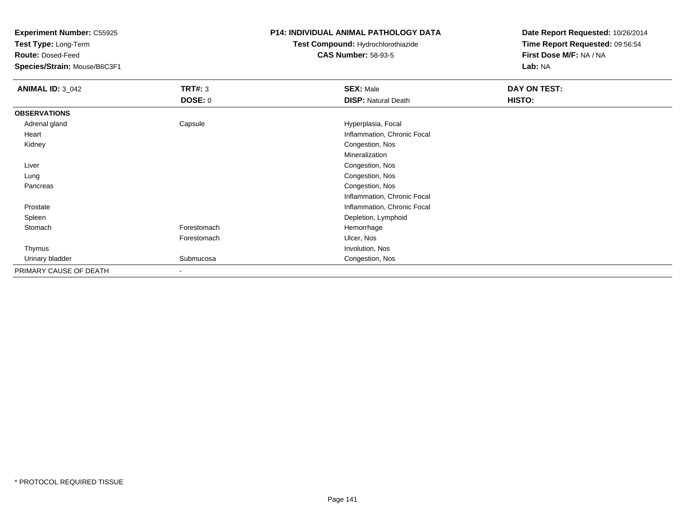**Test Type:** Long-Term

**Route:** Dosed-Feed

**Species/Strain:** Mouse/B6C3F1

## **P14: INDIVIDUAL ANIMAL PATHOLOGY DATA**

# **Test Compound:** Hydrochlorothiazide**CAS Number:** 58-93-5

| <b>ANIMAL ID: 3_042</b> | TRT#: 3                  | <b>SEX: Male</b>            | DAY ON TEST: |
|-------------------------|--------------------------|-----------------------------|--------------|
|                         | <b>DOSE: 0</b>           | <b>DISP: Natural Death</b>  | HISTO:       |
| <b>OBSERVATIONS</b>     |                          |                             |              |
| Adrenal gland           | Capsule                  | Hyperplasia, Focal          |              |
| Heart                   |                          | Inflammation, Chronic Focal |              |
| Kidney                  |                          | Congestion, Nos             |              |
|                         |                          | Mineralization              |              |
| Liver                   |                          | Congestion, Nos             |              |
| Lung                    |                          | Congestion, Nos             |              |
| Pancreas                |                          | Congestion, Nos             |              |
|                         |                          | Inflammation, Chronic Focal |              |
| Prostate                |                          | Inflammation, Chronic Focal |              |
| Spleen                  |                          | Depletion, Lymphoid         |              |
| Stomach                 | Forestomach              | Hemorrhage                  |              |
|                         | Forestomach              | Ulcer, Nos                  |              |
| Thymus                  |                          | Involution, Nos             |              |
| Urinary bladder         | Submucosa                | Congestion, Nos             |              |
| PRIMARY CAUSE OF DEATH  | $\overline{\phantom{a}}$ |                             |              |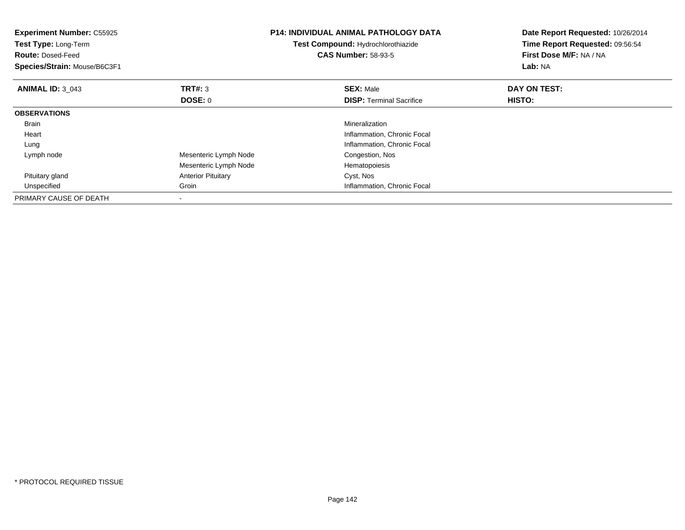| <b>Experiment Number: C55925</b><br>Test Type: Long-Term<br><b>Route: Dosed-Feed</b><br>Species/Strain: Mouse/B6C3F1 |                           | <b>P14: INDIVIDUAL ANIMAL PATHOLOGY DATA</b><br>Test Compound: Hydrochlorothiazide<br><b>CAS Number: 58-93-5</b> | Date Report Requested: 10/26/2014<br>Time Report Requested: 09:56:54<br>First Dose M/F: NA / NA<br>Lab: NA |
|----------------------------------------------------------------------------------------------------------------------|---------------------------|------------------------------------------------------------------------------------------------------------------|------------------------------------------------------------------------------------------------------------|
| <b>ANIMAL ID: 3 043</b>                                                                                              | <b>TRT#: 3</b>            | <b>SEX: Male</b>                                                                                                 | DAY ON TEST:                                                                                               |
|                                                                                                                      | DOSE: 0                   | <b>DISP:</b> Terminal Sacrifice                                                                                  | HISTO:                                                                                                     |
| <b>OBSERVATIONS</b>                                                                                                  |                           |                                                                                                                  |                                                                                                            |
| <b>Brain</b>                                                                                                         |                           | Mineralization                                                                                                   |                                                                                                            |
| Heart                                                                                                                |                           | Inflammation, Chronic Focal                                                                                      |                                                                                                            |
| Lung                                                                                                                 |                           | Inflammation, Chronic Focal                                                                                      |                                                                                                            |
| Lymph node                                                                                                           | Mesenteric Lymph Node     | Congestion, Nos                                                                                                  |                                                                                                            |
|                                                                                                                      | Mesenteric Lymph Node     | Hematopoiesis                                                                                                    |                                                                                                            |
| Pituitary gland                                                                                                      | <b>Anterior Pituitary</b> | Cyst, Nos                                                                                                        |                                                                                                            |
| Unspecified                                                                                                          | Groin                     | Inflammation, Chronic Focal                                                                                      |                                                                                                            |
| PRIMARY CAUSE OF DEATH                                                                                               |                           |                                                                                                                  |                                                                                                            |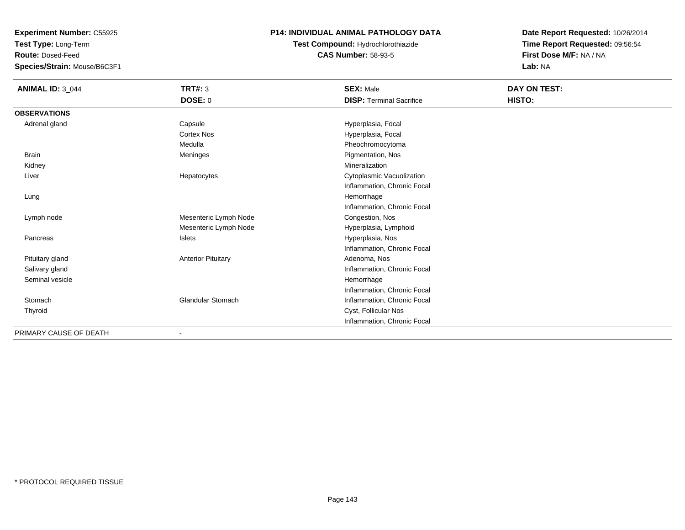**Test Type:** Long-Term

**Route:** Dosed-Feed

**Species/Strain:** Mouse/B6C3F1

## **P14: INDIVIDUAL ANIMAL PATHOLOGY DATA**

**Test Compound:** Hydrochlorothiazide**CAS Number:** 58-93-5

| <b>ANIMAL ID: 3_044</b> | <b>TRT#: 3</b>            | <b>SEX: Male</b>                | DAY ON TEST: |
|-------------------------|---------------------------|---------------------------------|--------------|
|                         | <b>DOSE: 0</b>            | <b>DISP: Terminal Sacrifice</b> | HISTO:       |
| <b>OBSERVATIONS</b>     |                           |                                 |              |
| Adrenal gland           | Capsule                   | Hyperplasia, Focal              |              |
|                         | Cortex Nos                | Hyperplasia, Focal              |              |
|                         | Medulla                   | Pheochromocytoma                |              |
| <b>Brain</b>            | Meninges                  | Pigmentation, Nos               |              |
| Kidney                  |                           | Mineralization                  |              |
| Liver                   | Hepatocytes               | Cytoplasmic Vacuolization       |              |
|                         |                           | Inflammation, Chronic Focal     |              |
| Lung                    |                           | Hemorrhage                      |              |
|                         |                           | Inflammation, Chronic Focal     |              |
| Lymph node              | Mesenteric Lymph Node     | Congestion, Nos                 |              |
|                         | Mesenteric Lymph Node     | Hyperplasia, Lymphoid           |              |
| Pancreas                | <b>Islets</b>             | Hyperplasia, Nos                |              |
|                         |                           | Inflammation, Chronic Focal     |              |
| Pituitary gland         | <b>Anterior Pituitary</b> | Adenoma, Nos                    |              |
| Salivary gland          |                           | Inflammation, Chronic Focal     |              |
| Seminal vesicle         |                           | Hemorrhage                      |              |
|                         |                           | Inflammation, Chronic Focal     |              |
| Stomach                 | <b>Glandular Stomach</b>  | Inflammation, Chronic Focal     |              |
| Thyroid                 |                           | Cyst, Follicular Nos            |              |
|                         |                           | Inflammation, Chronic Focal     |              |
| PRIMARY CAUSE OF DEATH  | $\blacksquare$            |                                 |              |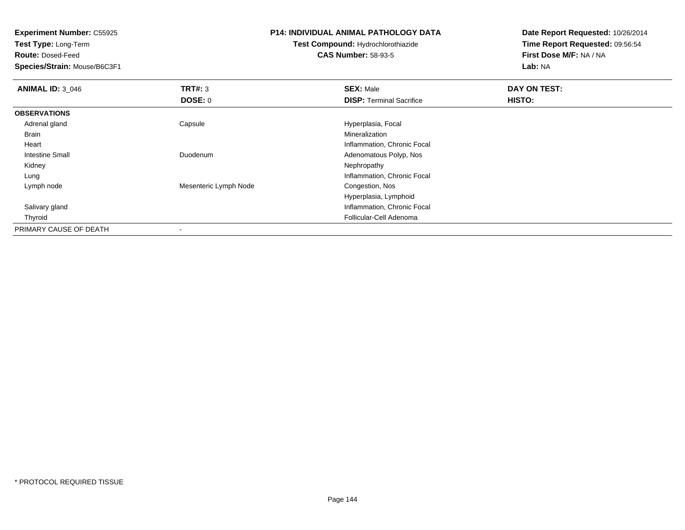**Test Type:** Long-Term

**Route:** Dosed-Feed

**Species/Strain:** Mouse/B6C3F1

#### **P14: INDIVIDUAL ANIMAL PATHOLOGY DATA**

**Test Compound:** Hydrochlorothiazide**CAS Number:** 58-93-5

| <b>ANIMAL ID: 3 046</b> | TRT#: 3                  | <b>SEX: Male</b>                | DAY ON TEST:  |  |
|-------------------------|--------------------------|---------------------------------|---------------|--|
|                         | DOSE: 0                  | <b>DISP: Terminal Sacrifice</b> | <b>HISTO:</b> |  |
| <b>OBSERVATIONS</b>     |                          |                                 |               |  |
| Adrenal gland           | Capsule                  | Hyperplasia, Focal              |               |  |
| Brain                   |                          | Mineralization                  |               |  |
| Heart                   |                          | Inflammation, Chronic Focal     |               |  |
| <b>Intestine Small</b>  | Duodenum                 | Adenomatous Polyp, Nos          |               |  |
| Kidney                  |                          | Nephropathy                     |               |  |
| Lung                    |                          | Inflammation, Chronic Focal     |               |  |
| Lymph node              | Mesenteric Lymph Node    | Congestion, Nos                 |               |  |
|                         |                          | Hyperplasia, Lymphoid           |               |  |
| Salivary gland          |                          | Inflammation, Chronic Focal     |               |  |
| Thyroid                 |                          | Follicular-Cell Adenoma         |               |  |
| PRIMARY CAUSE OF DEATH  | $\overline{\phantom{a}}$ |                                 |               |  |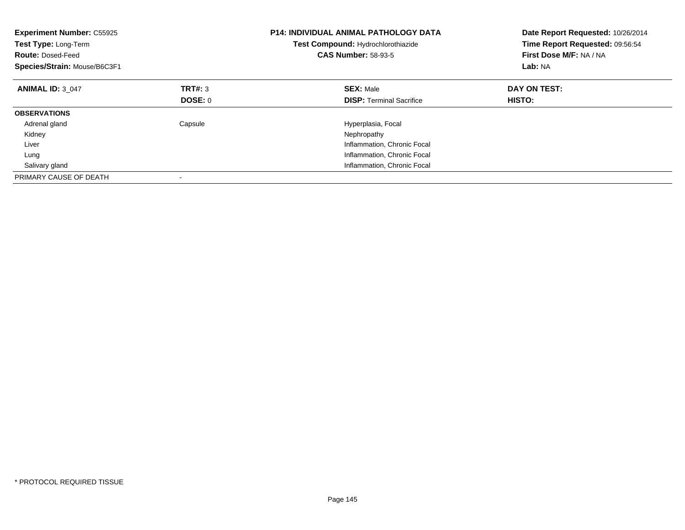| <b>Experiment Number: C55925</b><br>Test Type: Long-Term<br><b>Route: Dosed-Feed</b><br>Species/Strain: Mouse/B6C3F1 |         | <b>P14: INDIVIDUAL ANIMAL PATHOLOGY DATA</b><br>Test Compound: Hydrochlorothiazide<br><b>CAS Number: 58-93-5</b> | Date Report Requested: 10/26/2014<br>Time Report Requested: 09:56:54<br>First Dose M/F: NA / NA<br>Lab: NA |
|----------------------------------------------------------------------------------------------------------------------|---------|------------------------------------------------------------------------------------------------------------------|------------------------------------------------------------------------------------------------------------|
| <b>ANIMAL ID: 3 047</b>                                                                                              | TRT#: 3 | <b>SEX: Male</b>                                                                                                 | DAY ON TEST:                                                                                               |
|                                                                                                                      | DOSE: 0 | <b>DISP:</b> Terminal Sacrifice                                                                                  | <b>HISTO:</b>                                                                                              |
| <b>OBSERVATIONS</b>                                                                                                  |         |                                                                                                                  |                                                                                                            |
| Adrenal gland                                                                                                        | Capsule | Hyperplasia, Focal                                                                                               |                                                                                                            |
| Kidney                                                                                                               |         | Nephropathy                                                                                                      |                                                                                                            |
| Liver                                                                                                                |         | Inflammation, Chronic Focal                                                                                      |                                                                                                            |
| Lung                                                                                                                 |         | Inflammation, Chronic Focal                                                                                      |                                                                                                            |
| Salivary gland                                                                                                       |         | Inflammation, Chronic Focal                                                                                      |                                                                                                            |
| PRIMARY CAUSE OF DEATH                                                                                               |         |                                                                                                                  |                                                                                                            |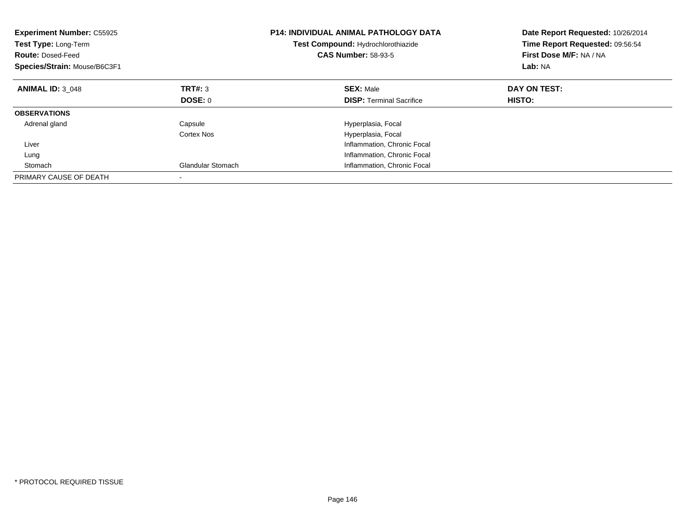| <b>Experiment Number: C55925</b><br>Test Type: Long-Term<br><b>Route: Dosed-Feed</b><br>Species/Strain: Mouse/B6C3F1 |                          | <b>P14: INDIVIDUAL ANIMAL PATHOLOGY DATA</b><br>Test Compound: Hydrochlorothiazide<br><b>CAS Number: 58-93-5</b> | Date Report Requested: 10/26/2014<br>Time Report Requested: 09:56:54<br>First Dose M/F: NA / NA<br>Lab: NA |
|----------------------------------------------------------------------------------------------------------------------|--------------------------|------------------------------------------------------------------------------------------------------------------|------------------------------------------------------------------------------------------------------------|
| <b>ANIMAL ID: 3 048</b>                                                                                              | TRT#: 3                  | <b>SEX: Male</b>                                                                                                 | DAY ON TEST:                                                                                               |
|                                                                                                                      | DOSE: 0                  | <b>DISP:</b> Terminal Sacrifice                                                                                  | HISTO:                                                                                                     |
| <b>OBSERVATIONS</b>                                                                                                  |                          |                                                                                                                  |                                                                                                            |
| Adrenal gland                                                                                                        | Capsule                  | Hyperplasia, Focal                                                                                               |                                                                                                            |
|                                                                                                                      | Cortex Nos               | Hyperplasia, Focal                                                                                               |                                                                                                            |
| Liver                                                                                                                |                          | Inflammation, Chronic Focal                                                                                      |                                                                                                            |
| Lung                                                                                                                 |                          | Inflammation, Chronic Focal                                                                                      |                                                                                                            |
| Stomach                                                                                                              | <b>Glandular Stomach</b> | Inflammation, Chronic Focal                                                                                      |                                                                                                            |
| PRIMARY CAUSE OF DEATH                                                                                               |                          |                                                                                                                  |                                                                                                            |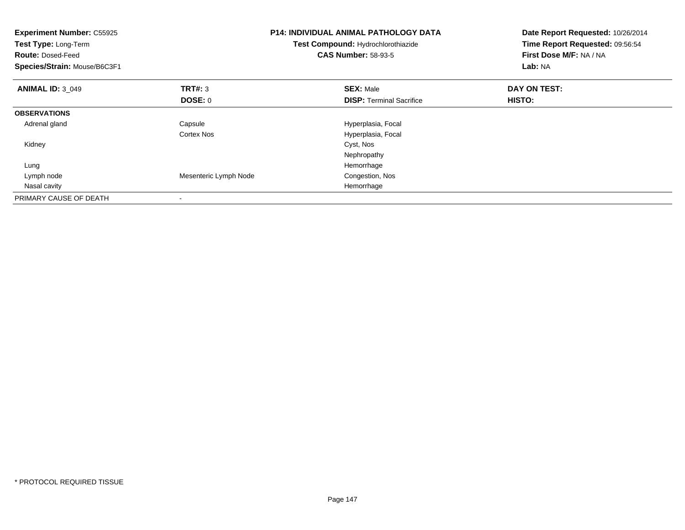| <b>Experiment Number: C55925</b><br>Test Type: Long-Term<br><b>Route: Dosed-Feed</b><br>Species/Strain: Mouse/B6C3F1 |                       | <b>P14: INDIVIDUAL ANIMAL PATHOLOGY DATA</b><br>Test Compound: Hydrochlorothiazide<br><b>CAS Number: 58-93-5</b> | Date Report Requested: 10/26/2014<br>Time Report Requested: 09:56:54<br>First Dose M/F: NA / NA<br>Lab: NA |
|----------------------------------------------------------------------------------------------------------------------|-----------------------|------------------------------------------------------------------------------------------------------------------|------------------------------------------------------------------------------------------------------------|
| <b>ANIMAL ID: 3 049</b>                                                                                              | <b>TRT#: 3</b>        | <b>SEX: Male</b>                                                                                                 | DAY ON TEST:                                                                                               |
|                                                                                                                      | <b>DOSE: 0</b>        | <b>DISP:</b> Terminal Sacrifice                                                                                  | HISTO:                                                                                                     |
| <b>OBSERVATIONS</b>                                                                                                  |                       |                                                                                                                  |                                                                                                            |
| Adrenal gland                                                                                                        | Capsule               | Hyperplasia, Focal                                                                                               |                                                                                                            |
|                                                                                                                      | Cortex Nos            | Hyperplasia, Focal                                                                                               |                                                                                                            |
| Kidney                                                                                                               |                       | Cyst, Nos                                                                                                        |                                                                                                            |
|                                                                                                                      |                       | Nephropathy                                                                                                      |                                                                                                            |
| Lung                                                                                                                 |                       | Hemorrhage                                                                                                       |                                                                                                            |
| Lymph node                                                                                                           | Mesenteric Lymph Node | Congestion, Nos                                                                                                  |                                                                                                            |
| Nasal cavity                                                                                                         |                       | Hemorrhage                                                                                                       |                                                                                                            |
| PRIMARY CAUSE OF DEATH                                                                                               |                       |                                                                                                                  |                                                                                                            |